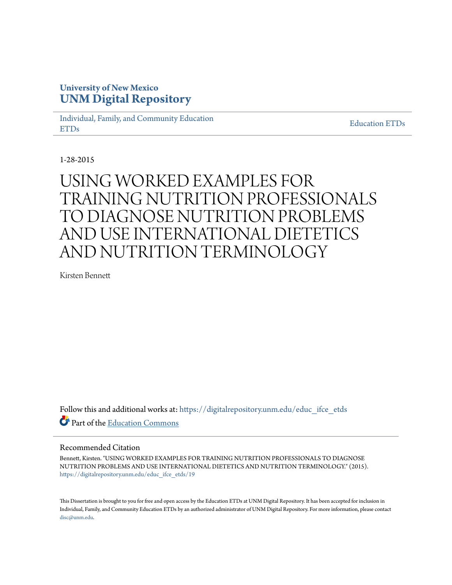## **University of New Mexico [UNM Digital Repository](https://digitalrepository.unm.edu?utm_source=digitalrepository.unm.edu%2Feduc_ifce_etds%2F19&utm_medium=PDF&utm_campaign=PDFCoverPages)**

[Individual, Family, and Community Education](https://digitalrepository.unm.edu/educ_ifce_etds?utm_source=digitalrepository.unm.edu%2Feduc_ifce_etds%2F19&utm_medium=PDF&utm_campaign=PDFCoverPages) [ETDs](https://digitalrepository.unm.edu/educ_ifce_etds?utm_source=digitalrepository.unm.edu%2Feduc_ifce_etds%2F19&utm_medium=PDF&utm_campaign=PDFCoverPages)

[Education ETDs](https://digitalrepository.unm.edu/educ_etds?utm_source=digitalrepository.unm.edu%2Feduc_ifce_etds%2F19&utm_medium=PDF&utm_campaign=PDFCoverPages)

1-28-2015

# USING WORKED EXAMPLES FOR TRAINING NUTRITION PROFESSIONALS TO DIAGNOSE NUTRITION PROBLEMS AND USE INTERNATIONAL DIETETICS AND NUTRITION TERMINOLOGY

Kirsten Bennett

Follow this and additional works at: [https://digitalrepository.unm.edu/educ\\_ifce\\_etds](https://digitalrepository.unm.edu/educ_ifce_etds?utm_source=digitalrepository.unm.edu%2Feduc_ifce_etds%2F19&utm_medium=PDF&utm_campaign=PDFCoverPages) Part of the [Education Commons](http://network.bepress.com/hgg/discipline/784?utm_source=digitalrepository.unm.edu%2Feduc_ifce_etds%2F19&utm_medium=PDF&utm_campaign=PDFCoverPages)

#### Recommended Citation

Bennett, Kirsten. "USING WORKED EXAMPLES FOR TRAINING NUTRITION PROFESSIONALS TO DIAGNOSE NUTRITION PROBLEMS AND USE INTERNATIONAL DIETETICS AND NUTRITION TERMINOLOGY." (2015). [https://digitalrepository.unm.edu/educ\\_ifce\\_etds/19](https://digitalrepository.unm.edu/educ_ifce_etds/19?utm_source=digitalrepository.unm.edu%2Feduc_ifce_etds%2F19&utm_medium=PDF&utm_campaign=PDFCoverPages)

This Dissertation is brought to you for free and open access by the Education ETDs at UNM Digital Repository. It has been accepted for inclusion in Individual, Family, and Community Education ETDs by an authorized administrator of UNM Digital Repository. For more information, please contact [disc@unm.edu](mailto:disc@unm.edu).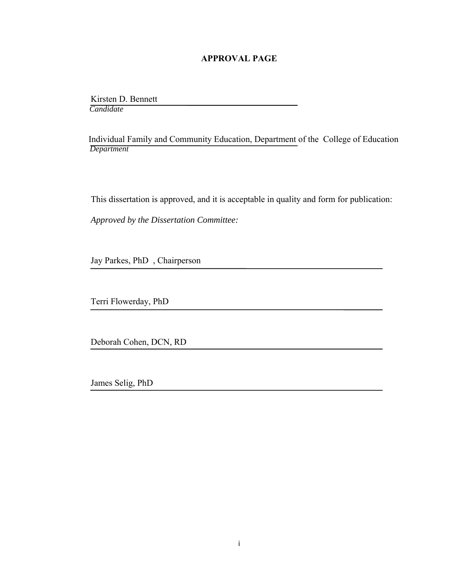#### **APPROVAL PAGE**

 Kirsten D. Bennett  *Candidate*

 Individual Family and Community Education, Department of the College of Education *Department*

This dissertation is approved, and it is acceptable in quality and form for publication:

*Approved by the Dissertation Committee:*

Jay Parkes, PhD , Chairperson

Terri Flowerday, PhD

Deborah Cohen, DCN, RD

James Selig, PhD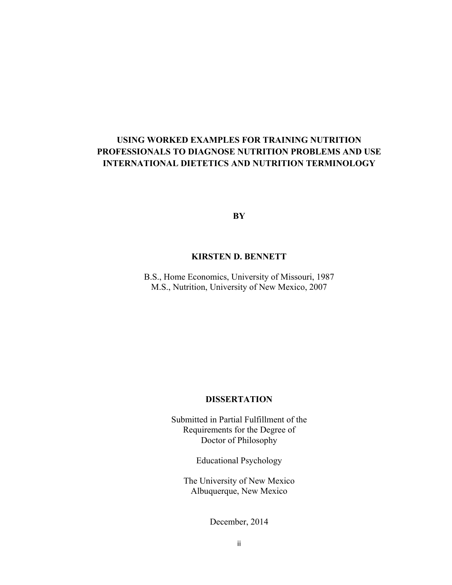## **USING WORKED EXAMPLES FOR TRAINING NUTRITION PROFESSIONALS TO DIAGNOSE NUTRITION PROBLEMS AND USE INTERNATIONAL DIETETICS AND NUTRITION TERMINOLOGY**

**BY** 

## **KIRSTEN D. BENNETT**

B.S., Home Economics, University of Missouri, 1987 M.S., Nutrition, University of New Mexico, 2007

## **DISSERTATION**

Submitted in Partial Fulfillment of the Requirements for the Degree of Doctor of Philosophy

Educational Psychology

The University of New Mexico Albuquerque, New Mexico

December, 2014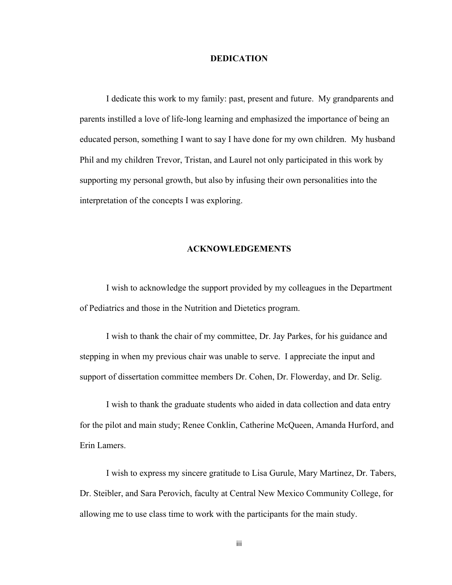#### **DEDICATION**

 I dedicate this work to my family: past, present and future. My grandparents and parents instilled a love of life-long learning and emphasized the importance of being an educated person, something I want to say I have done for my own children. My husband Phil and my children Trevor, Tristan, and Laurel not only participated in this work by supporting my personal growth, but also by infusing their own personalities into the interpretation of the concepts I was exploring.

#### **ACKNOWLEDGEMENTS**

 I wish to acknowledge the support provided by my colleagues in the Department of Pediatrics and those in the Nutrition and Dietetics program.

 I wish to thank the chair of my committee, Dr. Jay Parkes, for his guidance and stepping in when my previous chair was unable to serve. I appreciate the input and support of dissertation committee members Dr. Cohen, Dr. Flowerday, and Dr. Selig.

 I wish to thank the graduate students who aided in data collection and data entry for the pilot and main study; Renee Conklin, Catherine McQueen, Amanda Hurford, and Erin Lamers.

I wish to express my sincere gratitude to Lisa Gurule, Mary Martinez, Dr. Tabers, Dr. Steibler, and Sara Perovich, faculty at Central New Mexico Community College, for allowing me to use class time to work with the participants for the main study.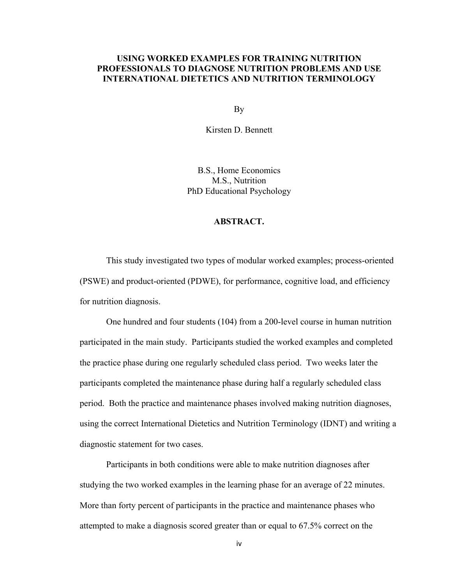#### **USING WORKED EXAMPLES FOR TRAINING NUTRITION PROFESSIONALS TO DIAGNOSE NUTRITION PROBLEMS AND USE INTERNATIONAL DIETETICS AND NUTRITION TERMINOLOGY**

By

Kirsten D. Bennett

B.S., Home Economics M.S., Nutrition PhD Educational Psychology

#### **ABSTRACT.**

This study investigated two types of modular worked examples; process-oriented (PSWE) and product-oriented (PDWE), for performance, cognitive load, and efficiency for nutrition diagnosis.

 One hundred and four students (104) from a 200-level course in human nutrition participated in the main study. Participants studied the worked examples and completed the practice phase during one regularly scheduled class period. Two weeks later the participants completed the maintenance phase during half a regularly scheduled class period. Both the practice and maintenance phases involved making nutrition diagnoses, using the correct International Dietetics and Nutrition Terminology (IDNT) and writing a diagnostic statement for two cases.

 Participants in both conditions were able to make nutrition diagnoses after studying the two worked examples in the learning phase for an average of 22 minutes. More than forty percent of participants in the practice and maintenance phases who attempted to make a diagnosis scored greater than or equal to 67.5% correct on the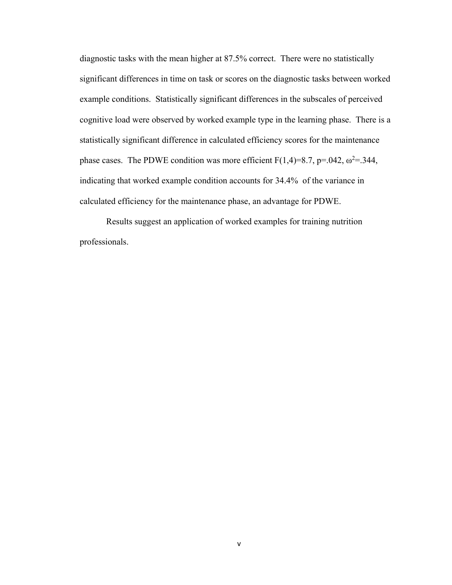diagnostic tasks with the mean higher at 87.5% correct. There were no statistically significant differences in time on task or scores on the diagnostic tasks between worked example conditions. Statistically significant differences in the subscales of perceived cognitive load were observed by worked example type in the learning phase. There is a statistically significant difference in calculated efficiency scores for the maintenance phase cases. The PDWE condition was more efficient  $F(1,4)=8.7$ , p=.042,  $\omega^2$ =.344, indicating that worked example condition accounts for 34.4% of the variance in calculated efficiency for the maintenance phase, an advantage for PDWE.

 Results suggest an application of worked examples for training nutrition professionals.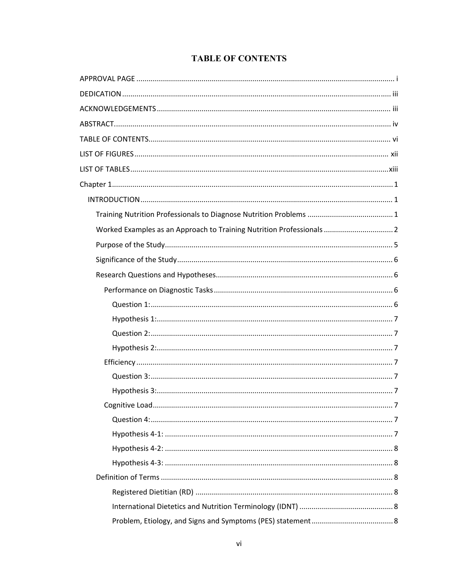## **TABLE OF CONTENTS**

| Worked Examples as an Approach to Training Nutrition Professionals  2 |
|-----------------------------------------------------------------------|
|                                                                       |
|                                                                       |
|                                                                       |
|                                                                       |
|                                                                       |
|                                                                       |
|                                                                       |
|                                                                       |
|                                                                       |
|                                                                       |
|                                                                       |
| .7                                                                    |
|                                                                       |
|                                                                       |
|                                                                       |
|                                                                       |
|                                                                       |
|                                                                       |
|                                                                       |
|                                                                       |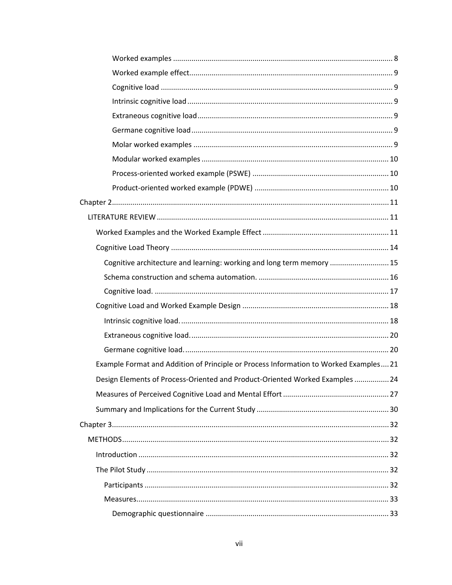| Cognitive architecture and learning: working and long term memory  15                |  |
|--------------------------------------------------------------------------------------|--|
|                                                                                      |  |
|                                                                                      |  |
|                                                                                      |  |
|                                                                                      |  |
|                                                                                      |  |
|                                                                                      |  |
| Example Format and Addition of Principle or Process Information to Worked Examples21 |  |
| Design Elements of Process-Oriented and Product-Oriented Worked Examples  24         |  |
|                                                                                      |  |
|                                                                                      |  |
|                                                                                      |  |
|                                                                                      |  |
|                                                                                      |  |
|                                                                                      |  |
|                                                                                      |  |
|                                                                                      |  |
|                                                                                      |  |
|                                                                                      |  |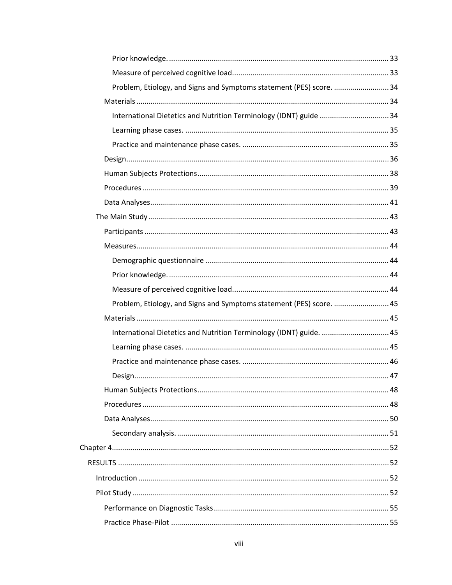| Problem, Etiology, and Signs and Symptoms statement (PES) score.  34 |  |
|----------------------------------------------------------------------|--|
|                                                                      |  |
|                                                                      |  |
|                                                                      |  |
| International Dietetics and Nutrition Terminology (IDNT) guide  34   |  |
|                                                                      |  |
|                                                                      |  |
|                                                                      |  |
|                                                                      |  |
|                                                                      |  |
|                                                                      |  |
|                                                                      |  |
|                                                                      |  |
|                                                                      |  |
|                                                                      |  |
|                                                                      |  |
|                                                                      |  |
| Problem, Etiology, and Signs and Symptoms statement (PES) score.  45 |  |
|                                                                      |  |
| International Dietetics and Nutrition Terminology (IDNT) guide.  45  |  |
|                                                                      |  |
|                                                                      |  |
|                                                                      |  |
|                                                                      |  |
|                                                                      |  |
|                                                                      |  |
|                                                                      |  |
|                                                                      |  |
|                                                                      |  |
|                                                                      |  |
|                                                                      |  |
|                                                                      |  |
|                                                                      |  |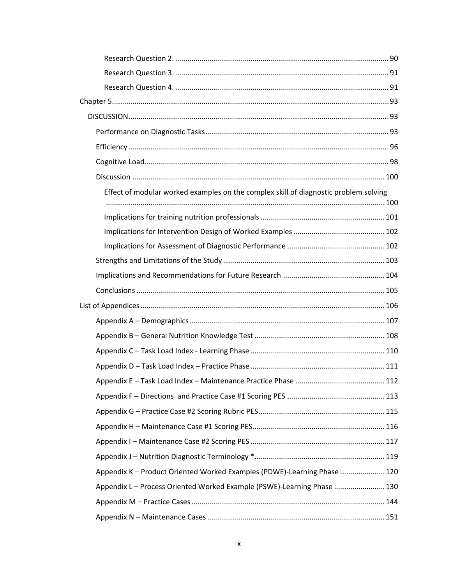| Effect of modular worked examples on the complex skill of diagnostic problem solving |  |
|--------------------------------------------------------------------------------------|--|
|                                                                                      |  |
|                                                                                      |  |
|                                                                                      |  |
|                                                                                      |  |
|                                                                                      |  |
|                                                                                      |  |
|                                                                                      |  |
|                                                                                      |  |
|                                                                                      |  |
|                                                                                      |  |
|                                                                                      |  |
|                                                                                      |  |
|                                                                                      |  |
|                                                                                      |  |
|                                                                                      |  |
|                                                                                      |  |
|                                                                                      |  |
| Appendix K - Product Oriented Worked Examples (PDWE)-Learning Phase  120             |  |
| Appendix L - Process Oriented Worked Example (PSWE)-Learning Phase  130              |  |
|                                                                                      |  |
|                                                                                      |  |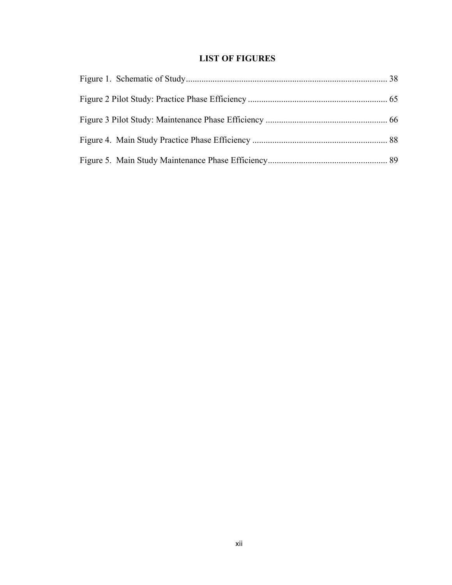## **LIST OF FIGURES**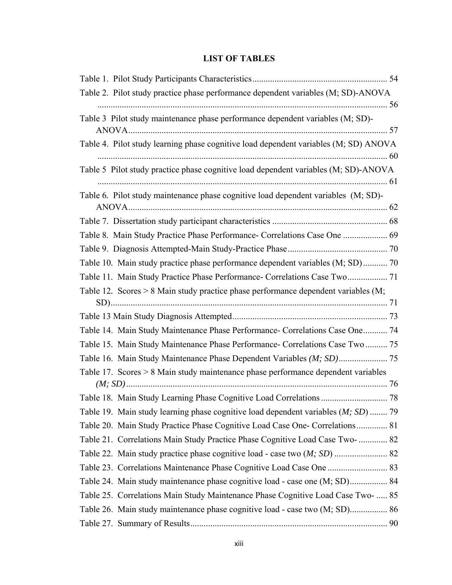## **LIST OF TABLES**

| Table 2. Pilot study practice phase performance dependent variables (M; SD)-ANOVA    |  |
|--------------------------------------------------------------------------------------|--|
| Table 3 Pilot study maintenance phase performance dependent variables (M; SD)-       |  |
|                                                                                      |  |
| Table 4. Pilot study learning phase cognitive load dependent variables (M; SD) ANOVA |  |
|                                                                                      |  |
| Table 5 Pilot study practice phase cognitive load dependent variables (M; SD)-ANOVA  |  |
| Table 6. Pilot study maintenance phase cognitive load dependent variables (M; SD)-   |  |
|                                                                                      |  |
| Table 8. Main Study Practice Phase Performance- Correlations Case One  69            |  |
|                                                                                      |  |
| Table 10. Main study practice phase performance dependent variables (M; SD) 70       |  |
| Table 11. Main Study Practice Phase Performance- Correlations Case Two 71            |  |
| Table 12. Scores > 8 Main study practice phase performance dependent variables (M;   |  |
|                                                                                      |  |
|                                                                                      |  |
| Table 14. Main Study Maintenance Phase Performance- Correlations Case One 74         |  |
| Table 15. Main Study Maintenance Phase Performance- Correlations Case Two  75        |  |
|                                                                                      |  |
| Table 17. Scores > 8 Main study maintenance phase performance dependent variables    |  |
|                                                                                      |  |
|                                                                                      |  |
| Table 19. Main study learning phase cognitive load dependent variables (M; SD)  79   |  |
| Table 20. Main Study Practice Phase Cognitive Load Case One- Correlations 81         |  |
| Table 21. Correlations Main Study Practice Phase Cognitive Load Case Two-  82        |  |
|                                                                                      |  |
|                                                                                      |  |
|                                                                                      |  |
| Table 25. Correlations Main Study Maintenance Phase Cognitive Load Case Two-  85     |  |
|                                                                                      |  |
|                                                                                      |  |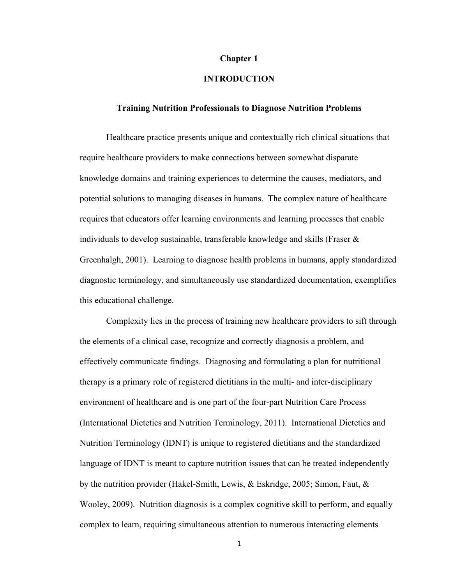#### **Chapter 1**

## **INTRODUCTION**

#### **Training Nutrition Professionals to Diagnose Nutrition Problems**

Healthcare practice presents unique and contextually rich clinical situations that require healthcare providers to make connections between somewhat disparate knowledge domains and training experiences to determine the causes, mediators, and potential solutions to managing diseases in humans. The complex nature of healthcare requires that educators offer learning environments and learning processes that enable individuals to develop sustainable, transferable knowledge and skills (Fraser & Greenhalgh, 2001). Learning to diagnose health problems in humans, apply standardized diagnostic terminology, and simultaneously use standardized documentation, exemplifies this educational challenge.

 Complexity lies in the process of training new healthcare providers to sift through the elements of a clinical case, recognize and correctly diagnosis a problem, and effectively communicate findings. Diagnosing and formulating a plan for nutritional therapy is a primary role of registered dietitians in the multi- and inter-disciplinary environment of healthcare and is one part of the four-part Nutrition Care Process (International Dietetics and Nutrition Terminology, 2011). International Dietetics and Nutrition Terminology (IDNT) is unique to registered dietitians and the standardized language of IDNT is meant to capture nutrition issues that can be treated independently by the nutrition provider (Hakel-Smith, Lewis, & Eskridge, 2005; Simon, Faut, & Wooley, 2009). Nutrition diagnosis is a complex cognitive skill to perform, and equally complex to learn, requiring simultaneous attention to numerous interacting elements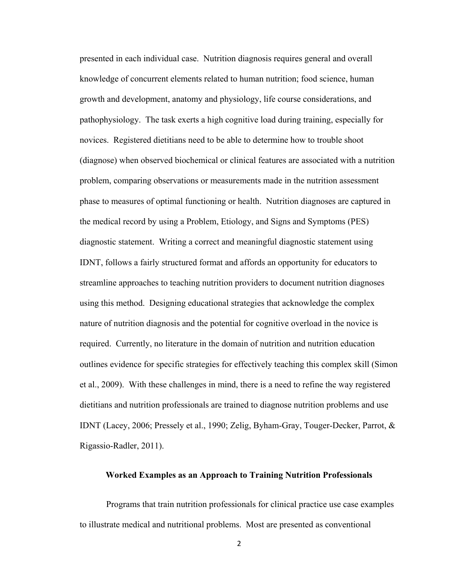presented in each individual case. Nutrition diagnosis requires general and overall knowledge of concurrent elements related to human nutrition; food science, human growth and development, anatomy and physiology, life course considerations, and pathophysiology. The task exerts a high cognitive load during training, especially for novices. Registered dietitians need to be able to determine how to trouble shoot (diagnose) when observed biochemical or clinical features are associated with a nutrition problem, comparing observations or measurements made in the nutrition assessment phase to measures of optimal functioning or health. Nutrition diagnoses are captured in the medical record by using a Problem, Etiology, and Signs and Symptoms (PES) diagnostic statement. Writing a correct and meaningful diagnostic statement using IDNT, follows a fairly structured format and affords an opportunity for educators to streamline approaches to teaching nutrition providers to document nutrition diagnoses using this method. Designing educational strategies that acknowledge the complex nature of nutrition diagnosis and the potential for cognitive overload in the novice is required. Currently, no literature in the domain of nutrition and nutrition education outlines evidence for specific strategies for effectively teaching this complex skill (Simon et al., 2009). With these challenges in mind, there is a need to refine the way registered dietitians and nutrition professionals are trained to diagnose nutrition problems and use IDNT (Lacey, 2006; Pressely et al., 1990; Zelig, Byham-Gray, Touger-Decker, Parrot, & Rigassio-Radler, 2011).

#### **Worked Examples as an Approach to Training Nutrition Professionals**

 Programs that train nutrition professionals for clinical practice use case examples to illustrate medical and nutritional problems. Most are presented as conventional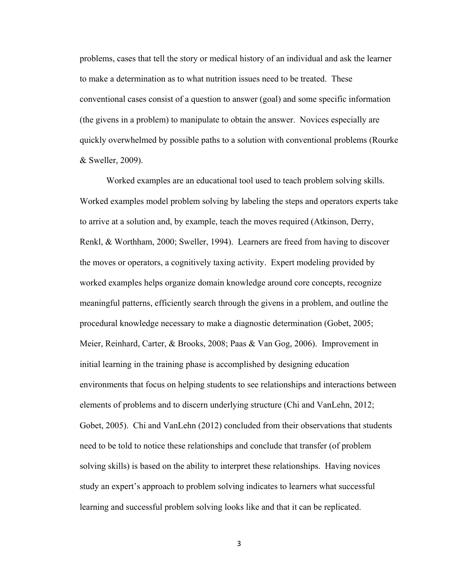problems, cases that tell the story or medical history of an individual and ask the learner to make a determination as to what nutrition issues need to be treated. These conventional cases consist of a question to answer (goal) and some specific information (the givens in a problem) to manipulate to obtain the answer. Novices especially are quickly overwhelmed by possible paths to a solution with conventional problems (Rourke & Sweller, 2009).

 Worked examples are an educational tool used to teach problem solving skills. Worked examples model problem solving by labeling the steps and operators experts take to arrive at a solution and, by example, teach the moves required (Atkinson, Derry, Renkl, & Worthham, 2000; Sweller, 1994). Learners are freed from having to discover the moves or operators, a cognitively taxing activity. Expert modeling provided by worked examples helps organize domain knowledge around core concepts, recognize meaningful patterns, efficiently search through the givens in a problem, and outline the procedural knowledge necessary to make a diagnostic determination (Gobet, 2005; Meier, Reinhard, Carter, & Brooks, 2008; Paas & Van Gog, 2006). Improvement in initial learning in the training phase is accomplished by designing education environments that focus on helping students to see relationships and interactions between elements of problems and to discern underlying structure (Chi and VanLehn, 2012; Gobet, 2005). Chi and VanLehn (2012) concluded from their observations that students need to be told to notice these relationships and conclude that transfer (of problem solving skills) is based on the ability to interpret these relationships. Having novices study an expert's approach to problem solving indicates to learners what successful learning and successful problem solving looks like and that it can be replicated.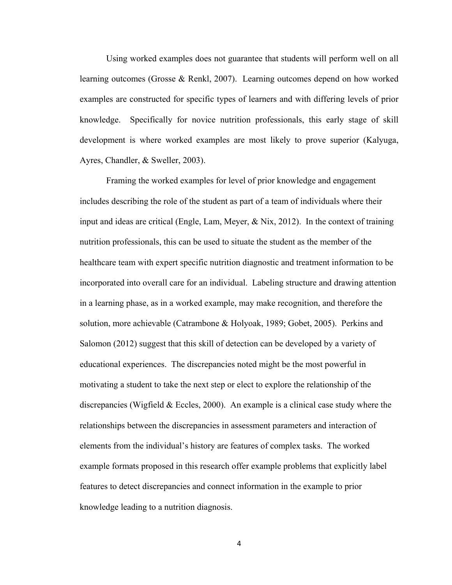Using worked examples does not guarantee that students will perform well on all learning outcomes (Grosse & Renkl, 2007). Learning outcomes depend on how worked examples are constructed for specific types of learners and with differing levels of prior knowledge. Specifically for novice nutrition professionals, this early stage of skill development is where worked examples are most likely to prove superior (Kalyuga, Ayres, Chandler, & Sweller, 2003).

 Framing the worked examples for level of prior knowledge and engagement includes describing the role of the student as part of a team of individuals where their input and ideas are critical (Engle, Lam, Meyer,  $\&$  Nix, 2012). In the context of training nutrition professionals, this can be used to situate the student as the member of the healthcare team with expert specific nutrition diagnostic and treatment information to be incorporated into overall care for an individual. Labeling structure and drawing attention in a learning phase, as in a worked example, may make recognition, and therefore the solution, more achievable (Catrambone & Holyoak, 1989; Gobet, 2005). Perkins and Salomon (2012) suggest that this skill of detection can be developed by a variety of educational experiences. The discrepancies noted might be the most powerful in motivating a student to take the next step or elect to explore the relationship of the discrepancies (Wigfield  $&$  Eccles, 2000). An example is a clinical case study where the relationships between the discrepancies in assessment parameters and interaction of elements from the individual's history are features of complex tasks. The worked example formats proposed in this research offer example problems that explicitly label features to detect discrepancies and connect information in the example to prior knowledge leading to a nutrition diagnosis.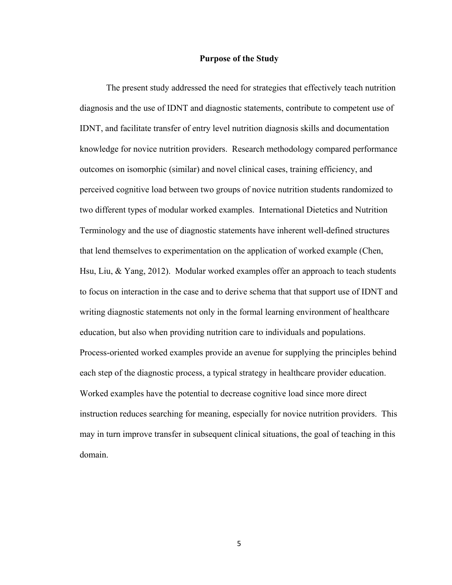#### **Purpose of the Study**

 The present study addressed the need for strategies that effectively teach nutrition diagnosis and the use of IDNT and diagnostic statements, contribute to competent use of IDNT, and facilitate transfer of entry level nutrition diagnosis skills and documentation knowledge for novice nutrition providers. Research methodology compared performance outcomes on isomorphic (similar) and novel clinical cases, training efficiency, and perceived cognitive load between two groups of novice nutrition students randomized to two different types of modular worked examples. International Dietetics and Nutrition Terminology and the use of diagnostic statements have inherent well-defined structures that lend themselves to experimentation on the application of worked example (Chen, Hsu, Liu, & Yang, 2012). Modular worked examples offer an approach to teach students to focus on interaction in the case and to derive schema that that support use of IDNT and writing diagnostic statements not only in the formal learning environment of healthcare education, but also when providing nutrition care to individuals and populations. Process-oriented worked examples provide an avenue for supplying the principles behind each step of the diagnostic process, a typical strategy in healthcare provider education. Worked examples have the potential to decrease cognitive load since more direct instruction reduces searching for meaning, especially for novice nutrition providers. This may in turn improve transfer in subsequent clinical situations, the goal of teaching in this domain.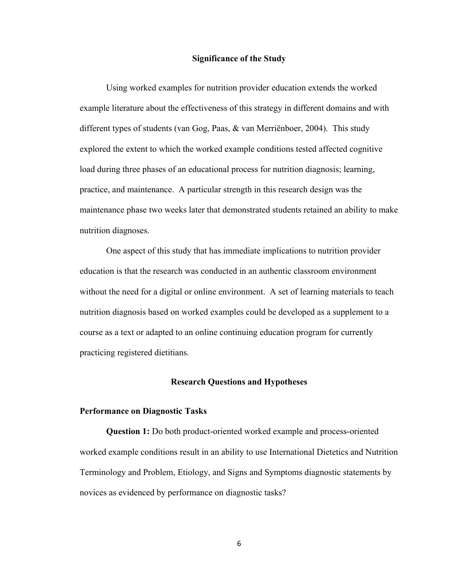#### **Significance of the Study**

 Using worked examples for nutrition provider education extends the worked example literature about the effectiveness of this strategy in different domains and with different types of students (van Gog, Paas, & van Merriënboer, 2004). This study explored the extent to which the worked example conditions tested affected cognitive load during three phases of an educational process for nutrition diagnosis; learning, practice, and maintenance. A particular strength in this research design was the maintenance phase two weeks later that demonstrated students retained an ability to make nutrition diagnoses.

 One aspect of this study that has immediate implications to nutrition provider education is that the research was conducted in an authentic classroom environment without the need for a digital or online environment. A set of learning materials to teach nutrition diagnosis based on worked examples could be developed as a supplement to a course as a text or adapted to an online continuing education program for currently practicing registered dietitians.

#### **Research Questions and Hypotheses**

#### **Performance on Diagnostic Tasks**

 **Question 1:** Do both product-oriented worked example and process-oriented worked example conditions result in an ability to use International Dietetics and Nutrition Terminology and Problem, Etiology, and Signs and Symptoms diagnostic statements by novices as evidenced by performance on diagnostic tasks?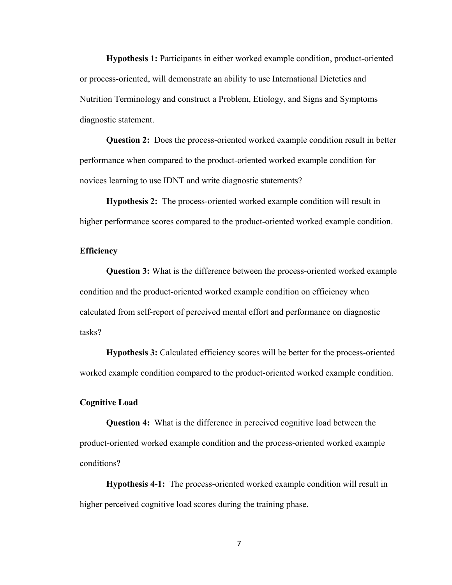**Hypothesis 1:** Participants in either worked example condition, product-oriented or process-oriented, will demonstrate an ability to use International Dietetics and Nutrition Terminology and construct a Problem, Etiology, and Signs and Symptoms diagnostic statement.

 **Question 2:** Does the process-oriented worked example condition result in better performance when compared to the product-oriented worked example condition for novices learning to use IDNT and write diagnostic statements?

 **Hypothesis 2:** The process-oriented worked example condition will result in higher performance scores compared to the product-oriented worked example condition.

#### **Efficiency**

**Question 3:** What is the difference between the process-oriented worked example condition and the product-oriented worked example condition on efficiency when calculated from self-report of perceived mental effort and performance on diagnostic tasks?

**Hypothesis 3:** Calculated efficiency scores will be better for the process-oriented worked example condition compared to the product-oriented worked example condition.

#### **Cognitive Load**

**Question 4:** What is the difference in perceived cognitive load between the product-oriented worked example condition and the process-oriented worked example conditions?

**Hypothesis 4-1:** The process-oriented worked example condition will result in higher perceived cognitive load scores during the training phase.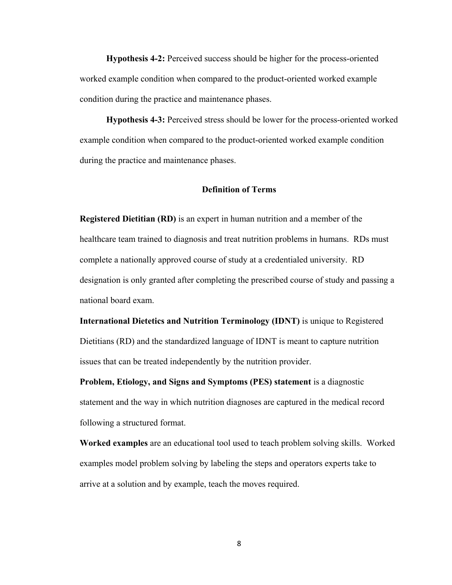**Hypothesis 4-2:** Perceived success should be higher for the process-oriented worked example condition when compared to the product-oriented worked example condition during the practice and maintenance phases.

**Hypothesis 4-3:** Perceived stress should be lower for the process-oriented worked example condition when compared to the product-oriented worked example condition during the practice and maintenance phases.

#### **Definition of Terms**

**Registered Dietitian (RD)** is an expert in human nutrition and a member of the healthcare team trained to diagnosis and treat nutrition problems in humans. RDs must complete a nationally approved course of study at a credentialed university. RD designation is only granted after completing the prescribed course of study and passing a national board exam.

**International Dietetics and Nutrition Terminology (IDNT)** is unique to Registered Dietitians (RD) and the standardized language of IDNT is meant to capture nutrition issues that can be treated independently by the nutrition provider.

**Problem, Etiology, and Signs and Symptoms (PES) statement** is a diagnostic statement and the way in which nutrition diagnoses are captured in the medical record following a structured format.

**Worked examples** are an educational tool used to teach problem solving skills. Worked examples model problem solving by labeling the steps and operators experts take to arrive at a solution and by example, teach the moves required.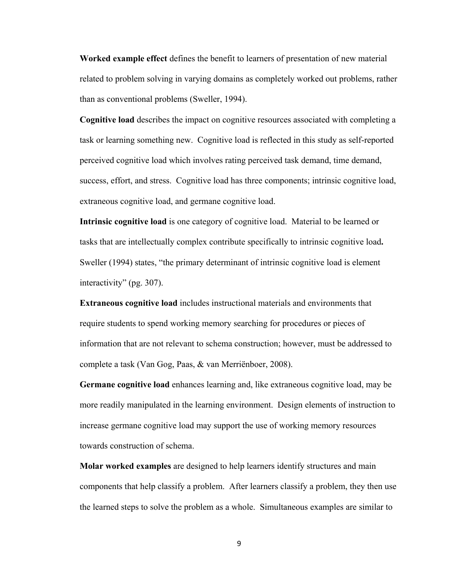**Worked example effect** defines the benefit to learners of presentation of new material related to problem solving in varying domains as completely worked out problems, rather than as conventional problems (Sweller, 1994).

**Cognitive load** describes the impact on cognitive resources associated with completing a task or learning something new. Cognitive load is reflected in this study as self-reported perceived cognitive load which involves rating perceived task demand, time demand, success, effort, and stress. Cognitive load has three components; intrinsic cognitive load, extraneous cognitive load, and germane cognitive load.

**Intrinsic cognitive load** is one category of cognitive load. Material to be learned or tasks that are intellectually complex contribute specifically to intrinsic cognitive load**.** Sweller (1994) states, "the primary determinant of intrinsic cognitive load is element interactivity" (pg. 307).

**Extraneous cognitive load** includes instructional materials and environments that require students to spend working memory searching for procedures or pieces of information that are not relevant to schema construction; however, must be addressed to complete a task (Van Gog, Paas, & van Merriënboer, 2008).

**Germane cognitive load** enhances learning and, like extraneous cognitive load, may be more readily manipulated in the learning environment. Design elements of instruction to increase germane cognitive load may support the use of working memory resources towards construction of schema.

**Molar worked examples** are designed to help learners identify structures and main components that help classify a problem. After learners classify a problem, they then use the learned steps to solve the problem as a whole. Simultaneous examples are similar to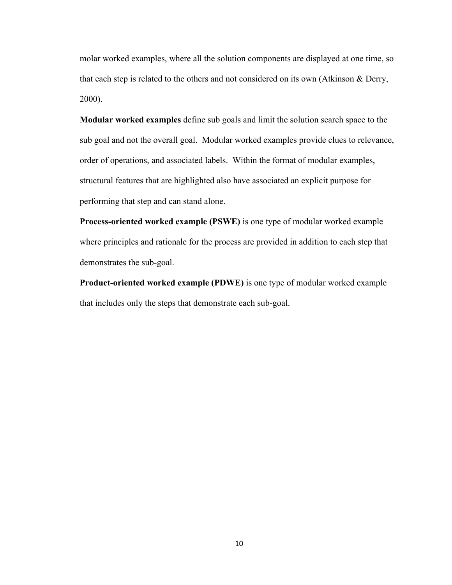molar worked examples, where all the solution components are displayed at one time, so that each step is related to the others and not considered on its own (Atkinson & Derry, 2000).

**Modular worked examples** define sub goals and limit the solution search space to the sub goal and not the overall goal. Modular worked examples provide clues to relevance, order of operations, and associated labels. Within the format of modular examples, structural features that are highlighted also have associated an explicit purpose for performing that step and can stand alone.

**Process-oriented worked example (PSWE)** is one type of modular worked example where principles and rationale for the process are provided in addition to each step that demonstrates the sub-goal.

**Product-oriented worked example (PDWE)** is one type of modular worked example that includes only the steps that demonstrate each sub-goal.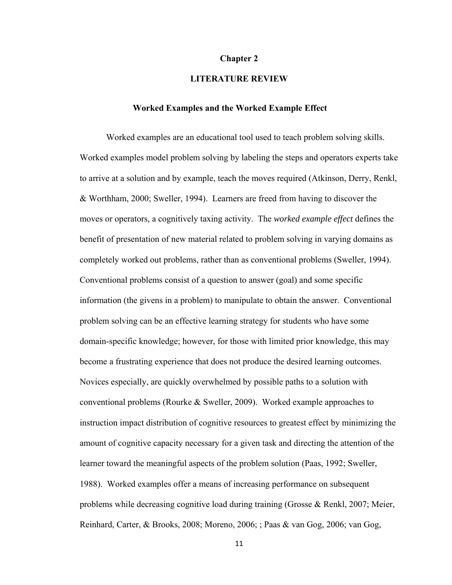#### **Chapter 2**

#### **LITERATURE REVIEW**

#### **Worked Examples and the Worked Example Effect**

Worked examples are an educational tool used to teach problem solving skills. Worked examples model problem solving by labeling the steps and operators experts take to arrive at a solution and by example, teach the moves required (Atkinson, Derry, Renkl, & Worthham, 2000; Sweller, 1994). Learners are freed from having to discover the moves or operators, a cognitively taxing activity. The *worked example effect* defines the benefit of presentation of new material related to problem solving in varying domains as completely worked out problems, rather than as conventional problems (Sweller, 1994). Conventional problems consist of a question to answer (goal) and some specific information (the givens in a problem) to manipulate to obtain the answer. Conventional problem solving can be an effective learning strategy for students who have some domain-specific knowledge; however, for those with limited prior knowledge, this may become a frustrating experience that does not produce the desired learning outcomes. Novices especially, are quickly overwhelmed by possible paths to a solution with conventional problems (Rourke & Sweller, 2009). Worked example approaches to instruction impact distribution of cognitive resources to greatest effect by minimizing the amount of cognitive capacity necessary for a given task and directing the attention of the learner toward the meaningful aspects of the problem solution (Paas, 1992; Sweller, 1988). Worked examples offer a means of increasing performance on subsequent problems while decreasing cognitive load during training (Grosse & Renkl, 2007; Meier, Reinhard, Carter, & Brooks, 2008; Moreno, 2006; ; Paas & van Gog, 2006; van Gog,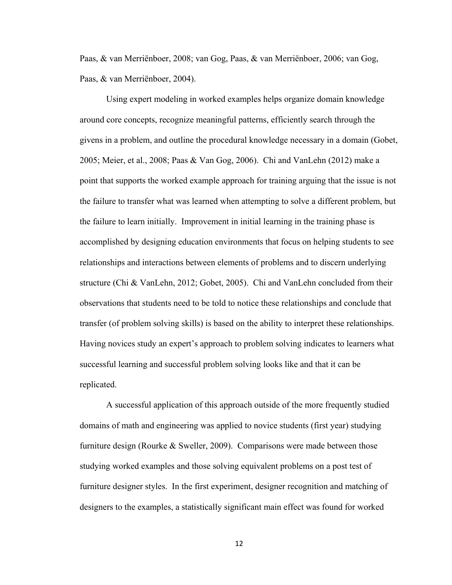Paas, & van Merriënboer, 2008; van Gog, Paas, & van Merriënboer, 2006; van Gog, Paas, & van Merriënboer, 2004).

 Using expert modeling in worked examples helps organize domain knowledge around core concepts, recognize meaningful patterns, efficiently search through the givens in a problem, and outline the procedural knowledge necessary in a domain (Gobet, 2005; Meier, et al., 2008; Paas & Van Gog, 2006). Chi and VanLehn (2012) make a point that supports the worked example approach for training arguing that the issue is not the failure to transfer what was learned when attempting to solve a different problem, but the failure to learn initially. Improvement in initial learning in the training phase is accomplished by designing education environments that focus on helping students to see relationships and interactions between elements of problems and to discern underlying structure (Chi & VanLehn, 2012; Gobet, 2005). Chi and VanLehn concluded from their observations that students need to be told to notice these relationships and conclude that transfer (of problem solving skills) is based on the ability to interpret these relationships. Having novices study an expert's approach to problem solving indicates to learners what successful learning and successful problem solving looks like and that it can be replicated.

 A successful application of this approach outside of the more frequently studied domains of math and engineering was applied to novice students (first year) studying furniture design (Rourke & Sweller, 2009). Comparisons were made between those studying worked examples and those solving equivalent problems on a post test of furniture designer styles. In the first experiment, designer recognition and matching of designers to the examples, a statistically significant main effect was found for worked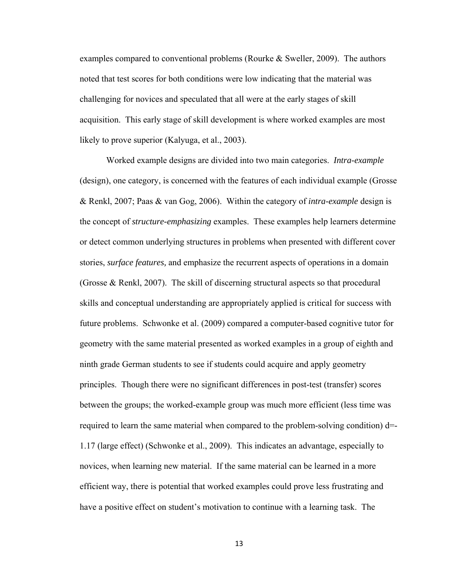examples compared to conventional problems (Rourke  $&$  Sweller, 2009). The authors noted that test scores for both conditions were low indicating that the material was challenging for novices and speculated that all were at the early stages of skill acquisition. This early stage of skill development is where worked examples are most likely to prove superior (Kalyuga, et al., 2003).

 Worked example designs are divided into two main categories. *Intra-example*  (design), one category, is concerned with the features of each individual example (Grosse & Renkl, 2007; Paas & van Gog, 2006). Within the category of *intra-example* design is the concept of *structure-emphasizing* examples. These examples help learners determine or detect common underlying structures in problems when presented with different cover stories, *surface features,* and emphasize the recurrent aspects of operations in a domain (Grosse & Renkl, 2007). The skill of discerning structural aspects so that procedural skills and conceptual understanding are appropriately applied is critical for success with future problems. Schwonke et al. (2009) compared a computer-based cognitive tutor for geometry with the same material presented as worked examples in a group of eighth and ninth grade German students to see if students could acquire and apply geometry principles. Though there were no significant differences in post-test (transfer) scores between the groups; the worked-example group was much more efficient (less time was required to learn the same material when compared to the problem-solving condition)  $d=$ 1.17 (large effect) (Schwonke et al., 2009). This indicates an advantage, especially to novices, when learning new material. If the same material can be learned in a more efficient way, there is potential that worked examples could prove less frustrating and have a positive effect on student's motivation to continue with a learning task. The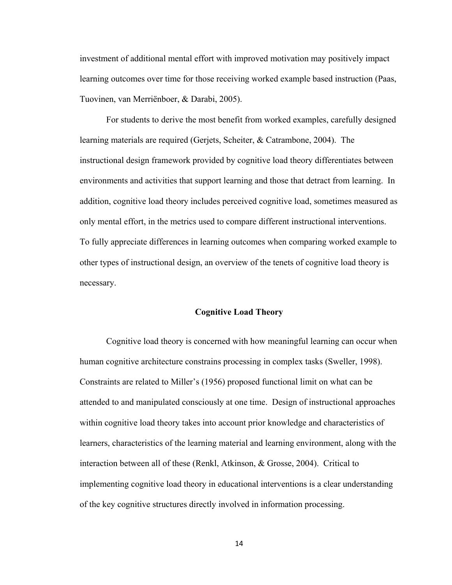investment of additional mental effort with improved motivation may positively impact learning outcomes over time for those receiving worked example based instruction (Paas, Tuovinen, van Merriënboer, & Darabi, 2005).

 For students to derive the most benefit from worked examples, carefully designed learning materials are required (Gerjets, Scheiter, & Catrambone, 2004). The instructional design framework provided by cognitive load theory differentiates between environments and activities that support learning and those that detract from learning. In addition, cognitive load theory includes perceived cognitive load, sometimes measured as only mental effort, in the metrics used to compare different instructional interventions. To fully appreciate differences in learning outcomes when comparing worked example to other types of instructional design, an overview of the tenets of cognitive load theory is necessary.

#### **Cognitive Load Theory**

 Cognitive load theory is concerned with how meaningful learning can occur when human cognitive architecture constrains processing in complex tasks (Sweller, 1998). Constraints are related to Miller's (1956) proposed functional limit on what can be attended to and manipulated consciously at one time. Design of instructional approaches within cognitive load theory takes into account prior knowledge and characteristics of learners, characteristics of the learning material and learning environment, along with the interaction between all of these (Renkl, Atkinson, & Grosse, 2004). Critical to implementing cognitive load theory in educational interventions is a clear understanding of the key cognitive structures directly involved in information processing.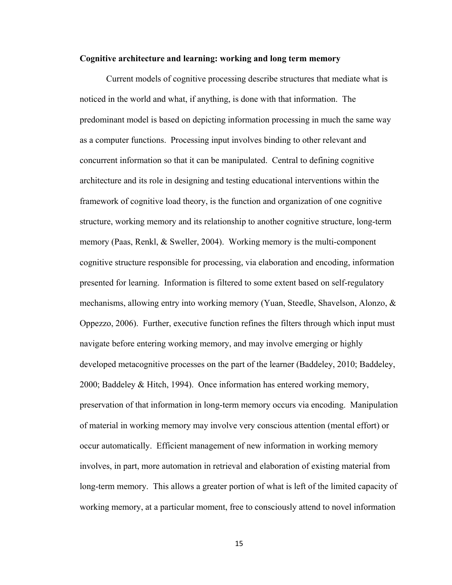#### **Cognitive architecture and learning: working and long term memory**

 Current models of cognitive processing describe structures that mediate what is noticed in the world and what, if anything, is done with that information. The predominant model is based on depicting information processing in much the same way as a computer functions. Processing input involves binding to other relevant and concurrent information so that it can be manipulated. Central to defining cognitive architecture and its role in designing and testing educational interventions within the framework of cognitive load theory, is the function and organization of one cognitive structure, working memory and its relationship to another cognitive structure, long-term memory (Paas, Renkl, & Sweller, 2004). Working memory is the multi-component cognitive structure responsible for processing, via elaboration and encoding, information presented for learning. Information is filtered to some extent based on self-regulatory mechanisms, allowing entry into working memory (Yuan, Steedle, Shavelson, Alonzo, & Oppezzo, 2006). Further, executive function refines the filters through which input must navigate before entering working memory, and may involve emerging or highly developed metacognitive processes on the part of the learner (Baddeley, 2010; Baddeley, 2000; Baddeley & Hitch, 1994). Once information has entered working memory, preservation of that information in long-term memory occurs via encoding. Manipulation of material in working memory may involve very conscious attention (mental effort) or occur automatically. Efficient management of new information in working memory involves, in part, more automation in retrieval and elaboration of existing material from long-term memory. This allows a greater portion of what is left of the limited capacity of working memory, at a particular moment, free to consciously attend to novel information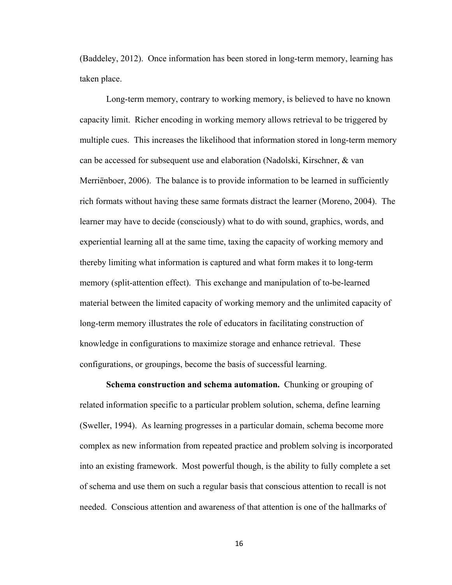(Baddeley, 2012). Once information has been stored in long-term memory, learning has taken place.

 Long-term memory, contrary to working memory, is believed to have no known capacity limit. Richer encoding in working memory allows retrieval to be triggered by multiple cues. This increases the likelihood that information stored in long-term memory can be accessed for subsequent use and elaboration (Nadolski, Kirschner, & van Merriënboer, 2006). The balance is to provide information to be learned in sufficiently rich formats without having these same formats distract the learner (Moreno, 2004). The learner may have to decide (consciously) what to do with sound, graphics, words, and experiential learning all at the same time, taxing the capacity of working memory and thereby limiting what information is captured and what form makes it to long-term memory (split-attention effect). This exchange and manipulation of to-be-learned material between the limited capacity of working memory and the unlimited capacity of long-term memory illustrates the role of educators in facilitating construction of knowledge in configurations to maximize storage and enhance retrieval. These configurations, or groupings, become the basis of successful learning.

**Schema construction and schema automation.** Chunking or grouping of related information specific to a particular problem solution, schema, define learning (Sweller, 1994). As learning progresses in a particular domain, schema become more complex as new information from repeated practice and problem solving is incorporated into an existing framework. Most powerful though, is the ability to fully complete a set of schema and use them on such a regular basis that conscious attention to recall is not needed. Conscious attention and awareness of that attention is one of the hallmarks of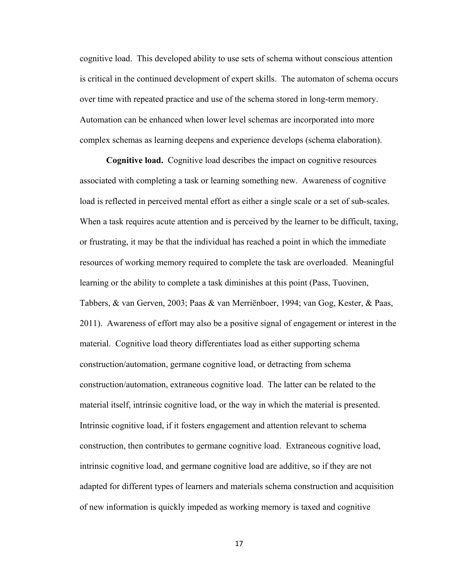cognitive load. This developed ability to use sets of schema without conscious attention is critical in the continued development of expert skills. The automaton of schema occurs over time with repeated practice and use of the schema stored in long-term memory. Automation can be enhanced when lower level schemas are incorporated into more complex schemas as learning deepens and experience develops (schema elaboration).

**Cognitive load.** Cognitive load describes the impact on cognitive resources associated with completing a task or learning something new. Awareness of cognitive load is reflected in perceived mental effort as either a single scale or a set of sub-scales. When a task requires acute attention and is perceived by the learner to be difficult, taxing, or frustrating, it may be that the individual has reached a point in which the immediate resources of working memory required to complete the task are overloaded. Meaningful learning or the ability to complete a task diminishes at this point (Pass, Tuovinen, Tabbers, & van Gerven, 2003; Paas & van Merriënboer, 1994; van Gog, Kester, & Paas, 2011). Awareness of effort may also be a positive signal of engagement or interest in the material. Cognitive load theory differentiates load as either supporting schema construction/automation, germane cognitive load, or detracting from schema construction/automation, extraneous cognitive load. The latter can be related to the material itself, intrinsic cognitive load, or the way in which the material is presented. Intrinsic cognitive load, if it fosters engagement and attention relevant to schema construction, then contributes to germane cognitive load. Extraneous cognitive load, intrinsic cognitive load, and germane cognitive load are additive, so if they are not adapted for different types of learners and materials schema construction and acquisition of new information is quickly impeded as working memory is taxed and cognitive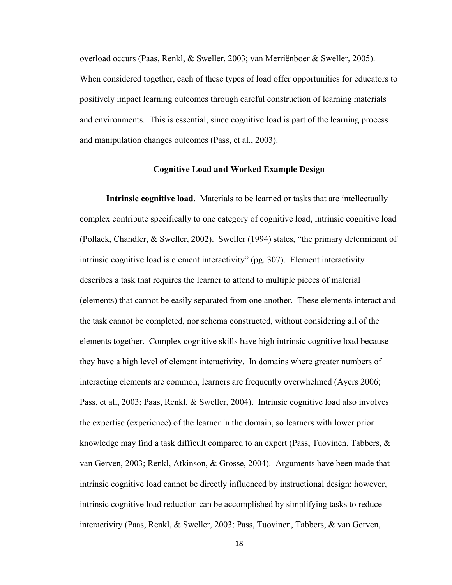overload occurs (Paas, Renkl, & Sweller, 2003; van Merriënboer & Sweller, 2005). When considered together, each of these types of load offer opportunities for educators to positively impact learning outcomes through careful construction of learning materials and environments. This is essential, since cognitive load is part of the learning process and manipulation changes outcomes (Pass, et al., 2003).

#### **Cognitive Load and Worked Example Design**

**Intrinsic cognitive load.** Materials to be learned or tasks that are intellectually complex contribute specifically to one category of cognitive load, intrinsic cognitive load (Pollack, Chandler, & Sweller, 2002). Sweller (1994) states, "the primary determinant of intrinsic cognitive load is element interactivity" (pg. 307). Element interactivity describes a task that requires the learner to attend to multiple pieces of material (elements) that cannot be easily separated from one another. These elements interact and the task cannot be completed, nor schema constructed, without considering all of the elements together. Complex cognitive skills have high intrinsic cognitive load because they have a high level of element interactivity. In domains where greater numbers of interacting elements are common, learners are frequently overwhelmed (Ayers 2006; Pass, et al., 2003; Paas, Renkl, & Sweller, 2004). Intrinsic cognitive load also involves the expertise (experience) of the learner in the domain, so learners with lower prior knowledge may find a task difficult compared to an expert (Pass, Tuovinen, Tabbers,  $\&$ van Gerven, 2003; Renkl, Atkinson, & Grosse, 2004). Arguments have been made that intrinsic cognitive load cannot be directly influenced by instructional design; however, intrinsic cognitive load reduction can be accomplished by simplifying tasks to reduce interactivity (Paas, Renkl, & Sweller, 2003; Pass, Tuovinen, Tabbers, & van Gerven,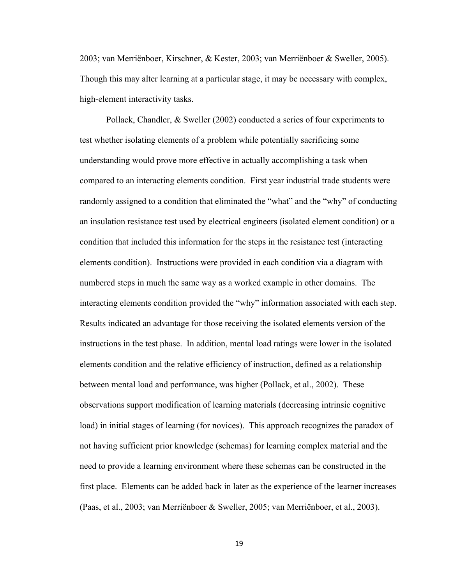2003; van Merriënboer, Kirschner, & Kester, 2003; van Merriënboer & Sweller, 2005). Though this may alter learning at a particular stage, it may be necessary with complex, high-element interactivity tasks.

 Pollack, Chandler, & Sweller (2002) conducted a series of four experiments to test whether isolating elements of a problem while potentially sacrificing some understanding would prove more effective in actually accomplishing a task when compared to an interacting elements condition. First year industrial trade students were randomly assigned to a condition that eliminated the "what" and the "why" of conducting an insulation resistance test used by electrical engineers (isolated element condition) or a condition that included this information for the steps in the resistance test (interacting elements condition). Instructions were provided in each condition via a diagram with numbered steps in much the same way as a worked example in other domains. The interacting elements condition provided the "why" information associated with each step. Results indicated an advantage for those receiving the isolated elements version of the instructions in the test phase. In addition, mental load ratings were lower in the isolated elements condition and the relative efficiency of instruction, defined as a relationship between mental load and performance, was higher (Pollack, et al., 2002). These observations support modification of learning materials (decreasing intrinsic cognitive load) in initial stages of learning (for novices). This approach recognizes the paradox of not having sufficient prior knowledge (schemas) for learning complex material and the need to provide a learning environment where these schemas can be constructed in the first place. Elements can be added back in later as the experience of the learner increases (Paas, et al., 2003; van Merriënboer & Sweller, 2005; van Merriënboer, et al., 2003).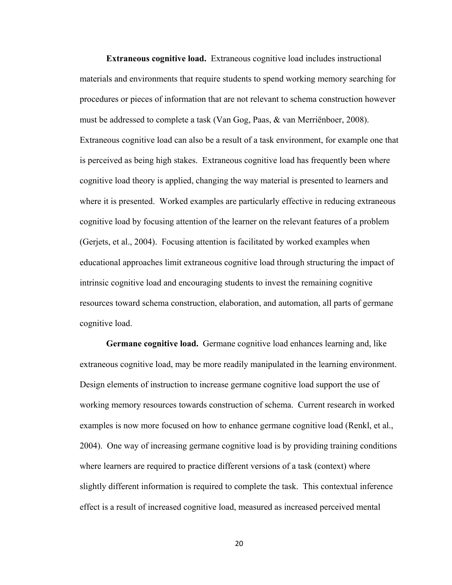**Extraneous cognitive load.** Extraneous cognitive load includes instructional materials and environments that require students to spend working memory searching for procedures or pieces of information that are not relevant to schema construction however must be addressed to complete a task (Van Gog, Paas, & van Merriënboer, 2008). Extraneous cognitive load can also be a result of a task environment, for example one that is perceived as being high stakes. Extraneous cognitive load has frequently been where cognitive load theory is applied, changing the way material is presented to learners and where it is presented. Worked examples are particularly effective in reducing extraneous cognitive load by focusing attention of the learner on the relevant features of a problem (Gerjets, et al., 2004). Focusing attention is facilitated by worked examples when educational approaches limit extraneous cognitive load through structuring the impact of intrinsic cognitive load and encouraging students to invest the remaining cognitive resources toward schema construction, elaboration, and automation, all parts of germane cognitive load.

**Germane cognitive load.** Germane cognitive load enhances learning and, like extraneous cognitive load, may be more readily manipulated in the learning environment. Design elements of instruction to increase germane cognitive load support the use of working memory resources towards construction of schema. Current research in worked examples is now more focused on how to enhance germane cognitive load (Renkl, et al., 2004). One way of increasing germane cognitive load is by providing training conditions where learners are required to practice different versions of a task (context) where slightly different information is required to complete the task. This contextual inference effect is a result of increased cognitive load, measured as increased perceived mental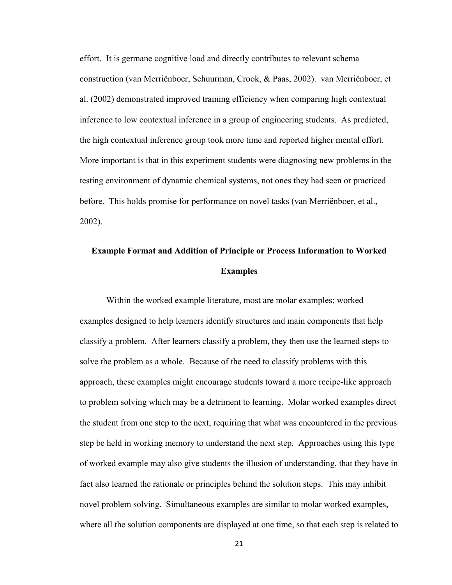effort. It is germane cognitive load and directly contributes to relevant schema construction (van Merriënboer, Schuurman, Crook, & Paas, 2002). van Merriënboer, et al. (2002) demonstrated improved training efficiency when comparing high contextual inference to low contextual inference in a group of engineering students. As predicted, the high contextual inference group took more time and reported higher mental effort. More important is that in this experiment students were diagnosing new problems in the testing environment of dynamic chemical systems, not ones they had seen or practiced before. This holds promise for performance on novel tasks (van Merriënboer, et al., 2002).

## **Example Format and Addition of Principle or Process Information to Worked Examples**

Within the worked example literature, most are molar examples; worked examples designed to help learners identify structures and main components that help classify a problem. After learners classify a problem, they then use the learned steps to solve the problem as a whole. Because of the need to classify problems with this approach, these examples might encourage students toward a more recipe-like approach to problem solving which may be a detriment to learning. Molar worked examples direct the student from one step to the next, requiring that what was encountered in the previous step be held in working memory to understand the next step. Approaches using this type of worked example may also give students the illusion of understanding, that they have in fact also learned the rationale or principles behind the solution steps. This may inhibit novel problem solving. Simultaneous examples are similar to molar worked examples, where all the solution components are displayed at one time, so that each step is related to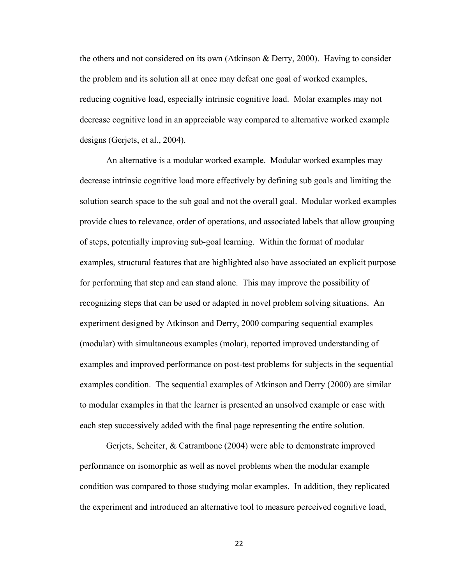the others and not considered on its own (Atkinson & Derry, 2000). Having to consider the problem and its solution all at once may defeat one goal of worked examples, reducing cognitive load, especially intrinsic cognitive load. Molar examples may not decrease cognitive load in an appreciable way compared to alternative worked example designs (Gerjets, et al., 2004).

 An alternative is a modular worked example. Modular worked examples may decrease intrinsic cognitive load more effectively by defining sub goals and limiting the solution search space to the sub goal and not the overall goal. Modular worked examples provide clues to relevance, order of operations, and associated labels that allow grouping of steps, potentially improving sub-goal learning. Within the format of modular examples, structural features that are highlighted also have associated an explicit purpose for performing that step and can stand alone. This may improve the possibility of recognizing steps that can be used or adapted in novel problem solving situations. An experiment designed by Atkinson and Derry, 2000 comparing sequential examples (modular) with simultaneous examples (molar), reported improved understanding of examples and improved performance on post-test problems for subjects in the sequential examples condition. The sequential examples of Atkinson and Derry (2000) are similar to modular examples in that the learner is presented an unsolved example or case with each step successively added with the final page representing the entire solution.

 Gerjets, Scheiter, & Catrambone (2004) were able to demonstrate improved performance on isomorphic as well as novel problems when the modular example condition was compared to those studying molar examples. In addition, they replicated the experiment and introduced an alternative tool to measure perceived cognitive load,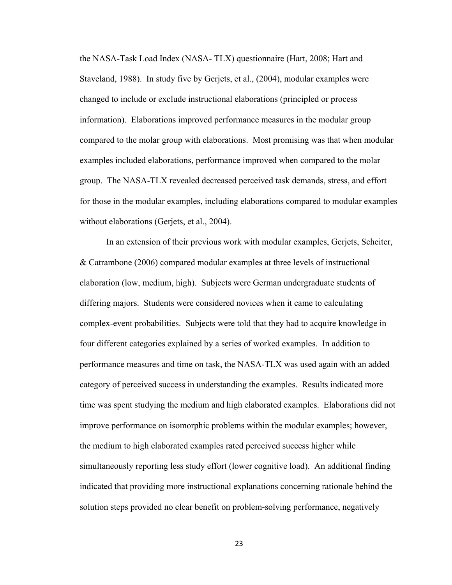the NASA-Task Load Index (NASA- TLX) questionnaire (Hart, 2008; Hart and Staveland, 1988). In study five by Gerjets, et al., (2004), modular examples were changed to include or exclude instructional elaborations (principled or process information). Elaborations improved performance measures in the modular group compared to the molar group with elaborations. Most promising was that when modular examples included elaborations, performance improved when compared to the molar group. The NASA-TLX revealed decreased perceived task demands, stress, and effort for those in the modular examples, including elaborations compared to modular examples without elaborations (Gerjets, et al., 2004).

 In an extension of their previous work with modular examples, Gerjets, Scheiter, & Catrambone (2006) compared modular examples at three levels of instructional elaboration (low, medium, high). Subjects were German undergraduate students of differing majors. Students were considered novices when it came to calculating complex-event probabilities. Subjects were told that they had to acquire knowledge in four different categories explained by a series of worked examples. In addition to performance measures and time on task, the NASA-TLX was used again with an added category of perceived success in understanding the examples. Results indicated more time was spent studying the medium and high elaborated examples. Elaborations did not improve performance on isomorphic problems within the modular examples; however, the medium to high elaborated examples rated perceived success higher while simultaneously reporting less study effort (lower cognitive load). An additional finding indicated that providing more instructional explanations concerning rationale behind the solution steps provided no clear benefit on problem-solving performance, negatively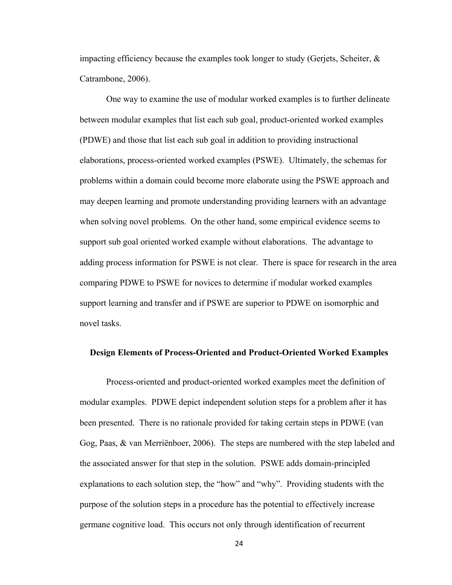impacting efficiency because the examples took longer to study (Gerjets, Scheiter,  $\&$ Catrambone, 2006).

 One way to examine the use of modular worked examples is to further delineate between modular examples that list each sub goal, product-oriented worked examples (PDWE) and those that list each sub goal in addition to providing instructional elaborations, process-oriented worked examples (PSWE). Ultimately, the schemas for problems within a domain could become more elaborate using the PSWE approach and may deepen learning and promote understanding providing learners with an advantage when solving novel problems. On the other hand, some empirical evidence seems to support sub goal oriented worked example without elaborations. The advantage to adding process information for PSWE is not clear. There is space for research in the area comparing PDWE to PSWE for novices to determine if modular worked examples support learning and transfer and if PSWE are superior to PDWE on isomorphic and novel tasks.

#### **Design Elements of Process-Oriented and Product-Oriented Worked Examples**

Process-oriented and product-oriented worked examples meet the definition of modular examples. PDWE depict independent solution steps for a problem after it has been presented. There is no rationale provided for taking certain steps in PDWE (van Gog, Paas, & van Merriënboer, 2006). The steps are numbered with the step labeled and the associated answer for that step in the solution. PSWE adds domain-principled explanations to each solution step, the "how" and "why". Providing students with the purpose of the solution steps in a procedure has the potential to effectively increase germane cognitive load. This occurs not only through identification of recurrent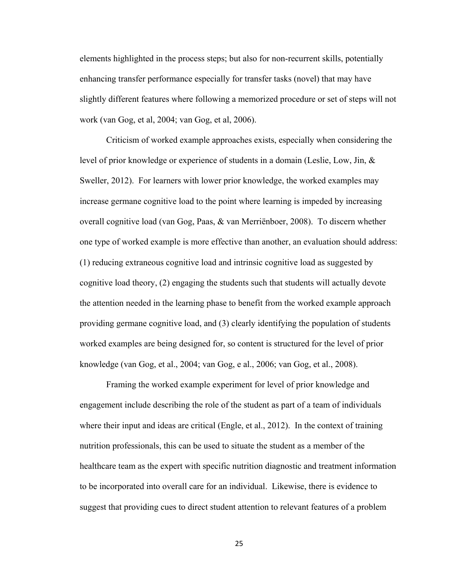elements highlighted in the process steps; but also for non-recurrent skills, potentially enhancing transfer performance especially for transfer tasks (novel) that may have slightly different features where following a memorized procedure or set of steps will not work (van Gog, et al, 2004; van Gog, et al, 2006).

 Criticism of worked example approaches exists, especially when considering the level of prior knowledge or experience of students in a domain (Leslie, Low, Jin, & Sweller, 2012). For learners with lower prior knowledge, the worked examples may increase germane cognitive load to the point where learning is impeded by increasing overall cognitive load (van Gog, Paas, & van Merriënboer, 2008). To discern whether one type of worked example is more effective than another, an evaluation should address: (1) reducing extraneous cognitive load and intrinsic cognitive load as suggested by cognitive load theory, (2) engaging the students such that students will actually devote the attention needed in the learning phase to benefit from the worked example approach providing germane cognitive load, and (3) clearly identifying the population of students worked examples are being designed for, so content is structured for the level of prior knowledge (van Gog, et al., 2004; van Gog, e al., 2006; van Gog, et al., 2008).

 Framing the worked example experiment for level of prior knowledge and engagement include describing the role of the student as part of a team of individuals where their input and ideas are critical (Engle, et al., 2012). In the context of training nutrition professionals, this can be used to situate the student as a member of the healthcare team as the expert with specific nutrition diagnostic and treatment information to be incorporated into overall care for an individual. Likewise, there is evidence to suggest that providing cues to direct student attention to relevant features of a problem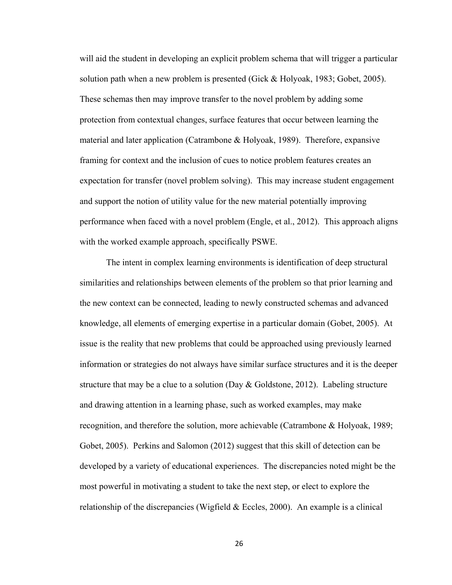will aid the student in developing an explicit problem schema that will trigger a particular solution path when a new problem is presented (Gick & Holyoak, 1983; Gobet, 2005). These schemas then may improve transfer to the novel problem by adding some protection from contextual changes, surface features that occur between learning the material and later application (Catrambone  $\&$  Holyoak, 1989). Therefore, expansive framing for context and the inclusion of cues to notice problem features creates an expectation for transfer (novel problem solving). This may increase student engagement and support the notion of utility value for the new material potentially improving performance when faced with a novel problem (Engle, et al., 2012). This approach aligns with the worked example approach, specifically PSWE.

 The intent in complex learning environments is identification of deep structural similarities and relationships between elements of the problem so that prior learning and the new context can be connected, leading to newly constructed schemas and advanced knowledge, all elements of emerging expertise in a particular domain (Gobet, 2005). At issue is the reality that new problems that could be approached using previously learned information or strategies do not always have similar surface structures and it is the deeper structure that may be a clue to a solution (Day & Goldstone, 2012). Labeling structure and drawing attention in a learning phase, such as worked examples, may make recognition, and therefore the solution, more achievable (Catrambone & Holyoak, 1989; Gobet, 2005). Perkins and Salomon (2012) suggest that this skill of detection can be developed by a variety of educational experiences. The discrepancies noted might be the most powerful in motivating a student to take the next step, or elect to explore the relationship of the discrepancies (Wigfield  $& Eccles, 2000$ ). An example is a clinical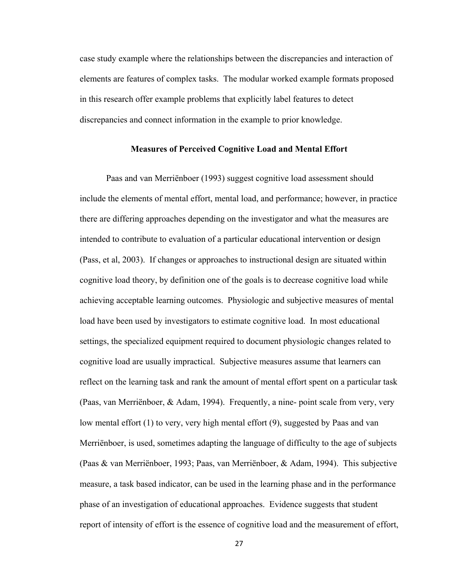case study example where the relationships between the discrepancies and interaction of elements are features of complex tasks. The modular worked example formats proposed in this research offer example problems that explicitly label features to detect discrepancies and connect information in the example to prior knowledge.

## **Measures of Perceived Cognitive Load and Mental Effort**

 Paas and van Merriënboer (1993) suggest cognitive load assessment should include the elements of mental effort, mental load, and performance; however, in practice there are differing approaches depending on the investigator and what the measures are intended to contribute to evaluation of a particular educational intervention or design (Pass, et al, 2003). If changes or approaches to instructional design are situated within cognitive load theory, by definition one of the goals is to decrease cognitive load while achieving acceptable learning outcomes. Physiologic and subjective measures of mental load have been used by investigators to estimate cognitive load. In most educational settings, the specialized equipment required to document physiologic changes related to cognitive load are usually impractical. Subjective measures assume that learners can reflect on the learning task and rank the amount of mental effort spent on a particular task (Paas, van Merriënboer, & Adam, 1994). Frequently, a nine- point scale from very, very low mental effort (1) to very, very high mental effort (9), suggested by Paas and van Merriënboer, is used, sometimes adapting the language of difficulty to the age of subjects (Paas & van Merriënboer, 1993; Paas, van Merriënboer, & Adam, 1994). This subjective measure, a task based indicator, can be used in the learning phase and in the performance phase of an investigation of educational approaches. Evidence suggests that student report of intensity of effort is the essence of cognitive load and the measurement of effort,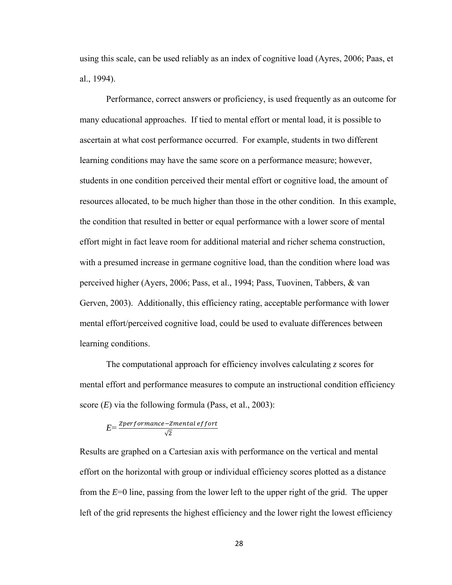using this scale, can be used reliably as an index of cognitive load (Ayres, 2006; Paas, et al., 1994).

 Performance, correct answers or proficiency, is used frequently as an outcome for many educational approaches. If tied to mental effort or mental load, it is possible to ascertain at what cost performance occurred. For example, students in two different learning conditions may have the same score on a performance measure; however, students in one condition perceived their mental effort or cognitive load, the amount of resources allocated, to be much higher than those in the other condition. In this example, the condition that resulted in better or equal performance with a lower score of mental effort might in fact leave room for additional material and richer schema construction, with a presumed increase in germane cognitive load, than the condition where load was perceived higher (Ayers, 2006; Pass, et al., 1994; Pass, Tuovinen, Tabbers, & van Gerven, 2003). Additionally, this efficiency rating, acceptable performance with lower mental effort/perceived cognitive load, could be used to evaluate differences between learning conditions.

 The computational approach for efficiency involves calculating *z* scores for mental effort and performance measures to compute an instructional condition efficiency score (*E*) via the following formula (Pass, et al., 2003):

$$
E = \frac{Zperformance - Zmental\,effort}{\sqrt{2}}
$$

Results are graphed on a Cartesian axis with performance on the vertical and mental effort on the horizontal with group or individual efficiency scores plotted as a distance from the *E*=0 line, passing from the lower left to the upper right of the grid. The upper left of the grid represents the highest efficiency and the lower right the lowest efficiency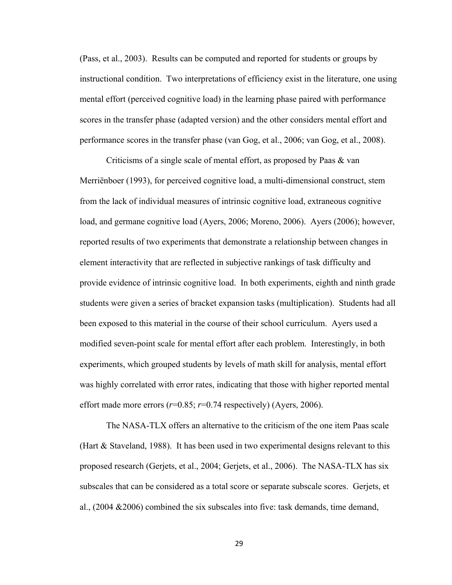(Pass, et al., 2003). Results can be computed and reported for students or groups by instructional condition. Two interpretations of efficiency exist in the literature, one using mental effort (perceived cognitive load) in the learning phase paired with performance scores in the transfer phase (adapted version) and the other considers mental effort and performance scores in the transfer phase (van Gog, et al., 2006; van Gog, et al., 2008).

Criticisms of a single scale of mental effort, as proposed by Paas & van Merriënboer (1993), for perceived cognitive load, a multi-dimensional construct, stem from the lack of individual measures of intrinsic cognitive load, extraneous cognitive load, and germane cognitive load (Ayers, 2006; Moreno, 2006). Ayers (2006); however, reported results of two experiments that demonstrate a relationship between changes in element interactivity that are reflected in subjective rankings of task difficulty and provide evidence of intrinsic cognitive load. In both experiments, eighth and ninth grade students were given a series of bracket expansion tasks (multiplication). Students had all been exposed to this material in the course of their school curriculum. Ayers used a modified seven-point scale for mental effort after each problem. Interestingly, in both experiments, which grouped students by levels of math skill for analysis, mental effort was highly correlated with error rates, indicating that those with higher reported mental effort made more errors  $(r=0.85; r=0.74$  respectively) (Ayers, 2006).

The NASA-TLX offers an alternative to the criticism of the one item Paas scale (Hart & Staveland, 1988). It has been used in two experimental designs relevant to this proposed research (Gerjets, et al., 2004; Gerjets, et al., 2006). The NASA-TLX has six subscales that can be considered as a total score or separate subscale scores. Gerjets, et al., (2004 &2006) combined the six subscales into five: task demands, time demand,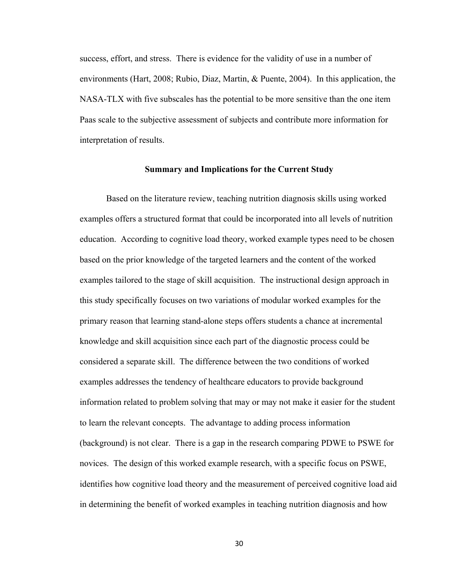success, effort, and stress. There is evidence for the validity of use in a number of environments (Hart, 2008; Rubio, Diaz, Martin, & Puente, 2004). In this application, the NASA-TLX with five subscales has the potential to be more sensitive than the one item Paas scale to the subjective assessment of subjects and contribute more information for interpretation of results.

#### **Summary and Implications for the Current Study**

 Based on the literature review, teaching nutrition diagnosis skills using worked examples offers a structured format that could be incorporated into all levels of nutrition education. According to cognitive load theory, worked example types need to be chosen based on the prior knowledge of the targeted learners and the content of the worked examples tailored to the stage of skill acquisition. The instructional design approach in this study specifically focuses on two variations of modular worked examples for the primary reason that learning stand-alone steps offers students a chance at incremental knowledge and skill acquisition since each part of the diagnostic process could be considered a separate skill. The difference between the two conditions of worked examples addresses the tendency of healthcare educators to provide background information related to problem solving that may or may not make it easier for the student to learn the relevant concepts. The advantage to adding process information (background) is not clear. There is a gap in the research comparing PDWE to PSWE for novices. The design of this worked example research, with a specific focus on PSWE, identifies how cognitive load theory and the measurement of perceived cognitive load aid in determining the benefit of worked examples in teaching nutrition diagnosis and how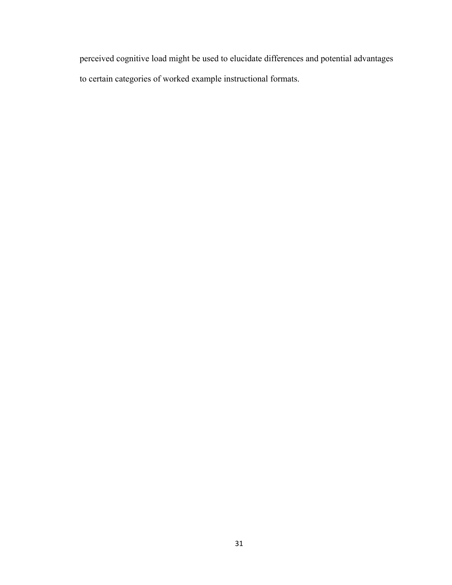perceived cognitive load might be used to elucidate differences and potential advantages to certain categories of worked example instructional formats.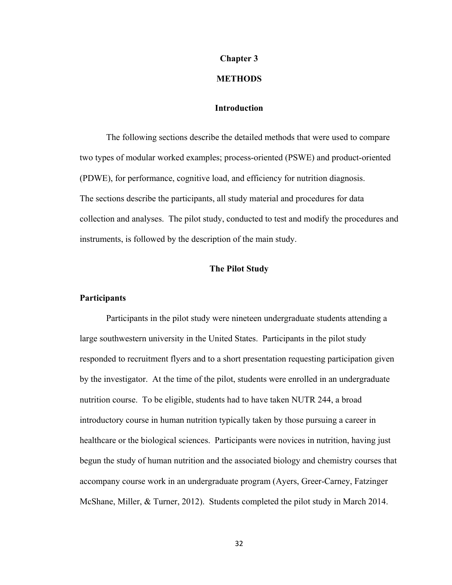## **Chapter 3**

#### **METHODS**

## **Introduction**

The following sections describe the detailed methods that were used to compare two types of modular worked examples; process-oriented (PSWE) and product-oriented (PDWE), for performance, cognitive load, and efficiency for nutrition diagnosis. The sections describe the participants, all study material and procedures for data collection and analyses. The pilot study, conducted to test and modify the procedures and instruments, is followed by the description of the main study.

# **The Pilot Study**

# **Participants**

Participants in the pilot study were nineteen undergraduate students attending a large southwestern university in the United States. Participants in the pilot study responded to recruitment flyers and to a short presentation requesting participation given by the investigator. At the time of the pilot, students were enrolled in an undergraduate nutrition course. To be eligible, students had to have taken NUTR 244, a broad introductory course in human nutrition typically taken by those pursuing a career in healthcare or the biological sciences. Participants were novices in nutrition, having just begun the study of human nutrition and the associated biology and chemistry courses that accompany course work in an undergraduate program (Ayers, Greer-Carney, Fatzinger McShane, Miller, & Turner, 2012). Students completed the pilot study in March 2014.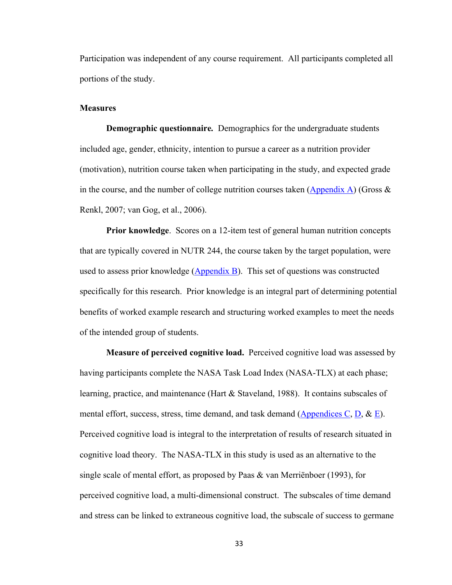Participation was independent of any course requirement. All participants completed all portions of the study.

#### **Measures**

 **Demographic questionnaire***.* Demographics for the undergraduate students included age, gender, ethnicity, intention to pursue a career as a nutrition provider (motivation), nutrition course taken when participating in the study, and expected grade in the course, and the number of college nutrition courses taken  $(\underline{Appendix A})$  (Gross & Renkl, 2007; van Gog, et al., 2006).

**Prior knowledge**. Scores on a 12-item test of general human nutrition concepts that are typically covered in NUTR 244, the course taken by the target population, were used to assess prior knowledge  $(Appendix B)$ . This set of questions was constructed specifically for this research. Prior knowledge is an integral part of determining potential benefits of worked example research and structuring worked examples to meet the needs of the intended group of students.

**Measure of perceived cognitive load.**Perceived cognitive load was assessed by having participants complete the NASA Task Load Index (NASA-TLX) at each phase; learning, practice, and maintenance (Hart & Staveland, 1988). It contains subscales of mental effort, success, stress, time demand, and task demand (Appendices C, D,  $\&$  E). Perceived cognitive load is integral to the interpretation of results of research situated in cognitive load theory. The NASA-TLX in this study is used as an alternative to the single scale of mental effort, as proposed by Paas & van Merriënboer (1993), for perceived cognitive load, a multi-dimensional construct. The subscales of time demand and stress can be linked to extraneous cognitive load, the subscale of success to germane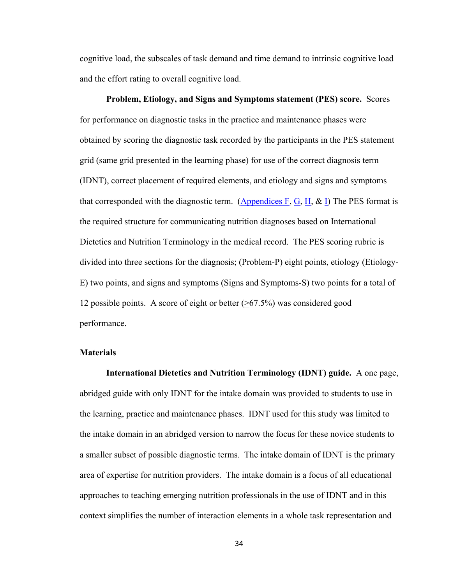cognitive load, the subscales of task demand and time demand to intrinsic cognitive load and the effort rating to overall cognitive load.

**Problem, Etiology, and Signs and Symptoms statement (PES) score.** Scores for performance on diagnostic tasks in the practice and maintenance phases were obtained by scoring the diagnostic task recorded by the participants in the PES statement grid (same grid presented in the learning phase) for use of the correct diagnosis term (IDNT), correct placement of required elements, and etiology and signs and symptoms that corresponded with the diagnostic term. (Appendices F, G, H, & I) The PES format is the required structure for communicating nutrition diagnoses based on International Dietetics and Nutrition Terminology in the medical record. The PES scoring rubric is divided into three sections for the diagnosis; (Problem-P) eight points, etiology (Etiology-E) two points, and signs and symptoms (Signs and Symptoms-S) two points for a total of 12 possible points. A score of eight or better (>67.5%) was considered good performance.

# **Materials**

 **International Dietetics and Nutrition Terminology (IDNT) guide.** A one page, abridged guide with only IDNT for the intake domain was provided to students to use in the learning, practice and maintenance phases. IDNT used for this study was limited to the intake domain in an abridged version to narrow the focus for these novice students to a smaller subset of possible diagnostic terms. The intake domain of IDNT is the primary area of expertise for nutrition providers. The intake domain is a focus of all educational approaches to teaching emerging nutrition professionals in the use of IDNT and in this context simplifies the number of interaction elements in a whole task representation and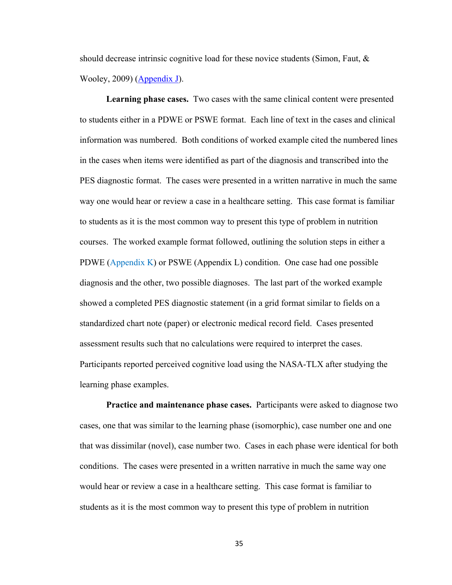should decrease intrinsic cognitive load for these novice students (Simon, Faut, & Wooley, 2009) (Appendix J).

**Learning phase cases.** Two cases with the same clinical content were presented to students either in a PDWE or PSWE format. Each line of text in the cases and clinical information was numbered. Both conditions of worked example cited the numbered lines in the cases when items were identified as part of the diagnosis and transcribed into the PES diagnostic format. The cases were presented in a written narrative in much the same way one would hear or review a case in a healthcare setting. This case format is familiar to students as it is the most common way to present this type of problem in nutrition courses. The worked example format followed, outlining the solution steps in either a PDWE (Appendix K) or PSWE (Appendix L) condition. One case had one possible diagnosis and the other, two possible diagnoses. The last part of the worked example showed a completed PES diagnostic statement (in a grid format similar to fields on a standardized chart note (paper) or electronic medical record field. Cases presented assessment results such that no calculations were required to interpret the cases. Participants reported perceived cognitive load using the NASA-TLX after studying the learning phase examples.

**Practice and maintenance phase cases.** Participants were asked to diagnose two cases, one that was similar to the learning phase (isomorphic), case number one and one that was dissimilar (novel), case number two. Cases in each phase were identical for both conditions. The cases were presented in a written narrative in much the same way one would hear or review a case in a healthcare setting. This case format is familiar to students as it is the most common way to present this type of problem in nutrition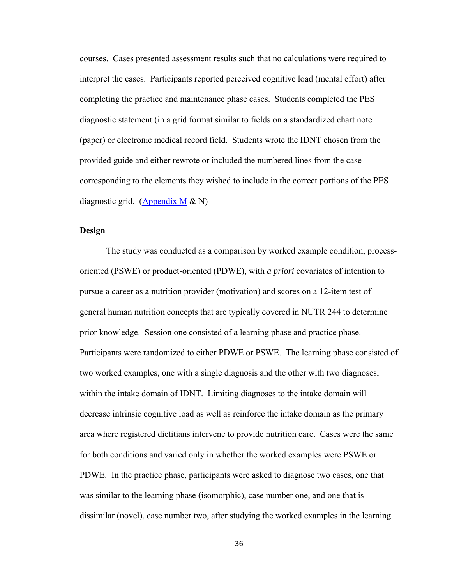courses. Cases presented assessment results such that no calculations were required to interpret the cases. Participants reported perceived cognitive load (mental effort) after completing the practice and maintenance phase cases. Students completed the PES diagnostic statement (in a grid format similar to fields on a standardized chart note (paper) or electronic medical record field. Students wrote the IDNT chosen from the provided guide and either rewrote or included the numbered lines from the case corresponding to the elements they wished to include in the correct portions of the PES diagnostic grid. (Appendix  $M & N$ )

# **Design**

 The study was conducted as a comparison by worked example condition, processoriented (PSWE) or product-oriented (PDWE), with *a priori* covariates of intention to pursue a career as a nutrition provider (motivation) and scores on a 12-item test of general human nutrition concepts that are typically covered in NUTR 244 to determine prior knowledge. Session one consisted of a learning phase and practice phase. Participants were randomized to either PDWE or PSWE. The learning phase consisted of two worked examples, one with a single diagnosis and the other with two diagnoses, within the intake domain of IDNT. Limiting diagnoses to the intake domain will decrease intrinsic cognitive load as well as reinforce the intake domain as the primary area where registered dietitians intervene to provide nutrition care. Cases were the same for both conditions and varied only in whether the worked examples were PSWE or PDWE. In the practice phase, participants were asked to diagnose two cases, one that was similar to the learning phase (isomorphic), case number one, and one that is dissimilar (novel), case number two, after studying the worked examples in the learning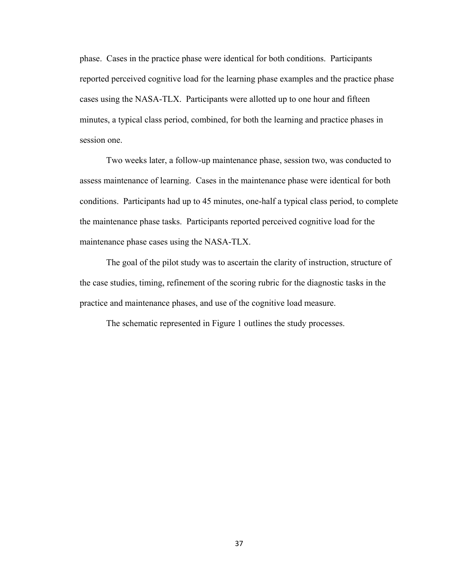phase. Cases in the practice phase were identical for both conditions. Participants reported perceived cognitive load for the learning phase examples and the practice phase cases using the NASA-TLX. Participants were allotted up to one hour and fifteen minutes, a typical class period, combined, for both the learning and practice phases in session one.

 Two weeks later, a follow-up maintenance phase, session two, was conducted to assess maintenance of learning. Cases in the maintenance phase were identical for both conditions. Participants had up to 45 minutes, one-half a typical class period, to complete the maintenance phase tasks. Participants reported perceived cognitive load for the maintenance phase cases using the NASA-TLX.

 The goal of the pilot study was to ascertain the clarity of instruction, structure of the case studies, timing, refinement of the scoring rubric for the diagnostic tasks in the practice and maintenance phases, and use of the cognitive load measure.

The schematic represented in Figure 1 outlines the study processes.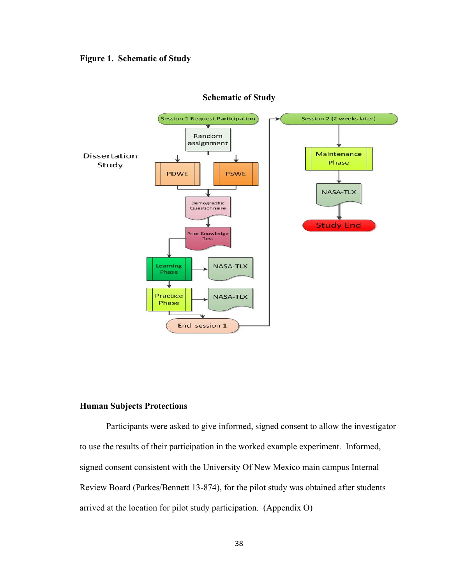# **Figure 1. Schematic of Study**



#### **Schematic of Study**

## **Human Subjects Protections**

Participants were asked to give informed, signed consent to allow the investigator to use the results of their participation in the worked example experiment. Informed, signed consent consistent with the University Of New Mexico main campus Internal Review Board (Parkes/Bennett 13-874), for the pilot study was obtained after students arrived at the location for pilot study participation. (Appendix O)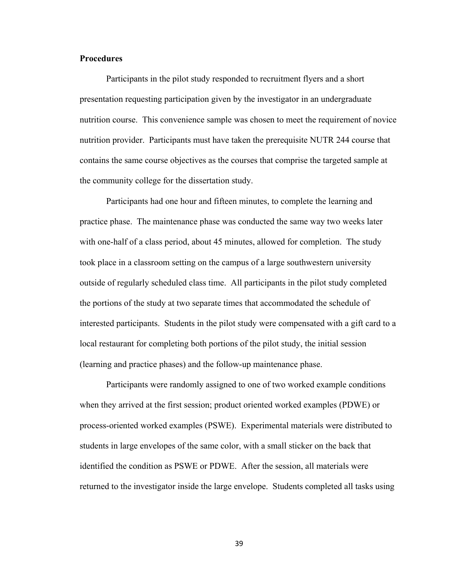# **Procedures**

 Participants in the pilot study responded to recruitment flyers and a short presentation requesting participation given by the investigator in an undergraduate nutrition course. This convenience sample was chosen to meet the requirement of novice nutrition provider. Participants must have taken the prerequisite NUTR 244 course that contains the same course objectives as the courses that comprise the targeted sample at the community college for the dissertation study.

Participants had one hour and fifteen minutes, to complete the learning and practice phase. The maintenance phase was conducted the same way two weeks later with one-half of a class period, about 45 minutes, allowed for completion. The study took place in a classroom setting on the campus of a large southwestern university outside of regularly scheduled class time. All participants in the pilot study completed the portions of the study at two separate times that accommodated the schedule of interested participants. Students in the pilot study were compensated with a gift card to a local restaurant for completing both portions of the pilot study, the initial session (learning and practice phases) and the follow-up maintenance phase.

 Participants were randomly assigned to one of two worked example conditions when they arrived at the first session; product oriented worked examples (PDWE) or process-oriented worked examples (PSWE). Experimental materials were distributed to students in large envelopes of the same color, with a small sticker on the back that identified the condition as PSWE or PDWE. After the session, all materials were returned to the investigator inside the large envelope. Students completed all tasks using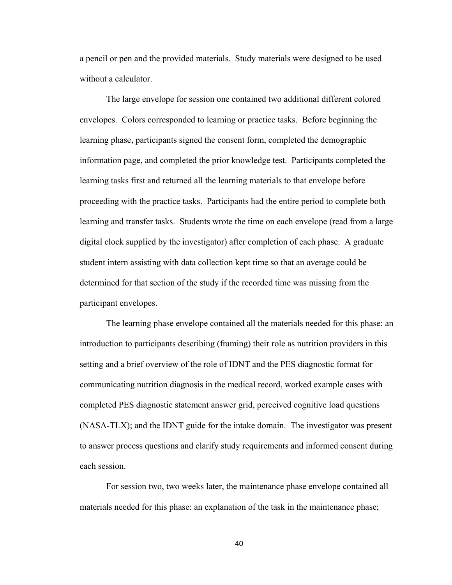a pencil or pen and the provided materials. Study materials were designed to be used without a calculator.

 The large envelope for session one contained two additional different colored envelopes. Colors corresponded to learning or practice tasks. Before beginning the learning phase, participants signed the consent form, completed the demographic information page, and completed the prior knowledge test. Participants completed the learning tasks first and returned all the learning materials to that envelope before proceeding with the practice tasks. Participants had the entire period to complete both learning and transfer tasks. Students wrote the time on each envelope (read from a large digital clock supplied by the investigator) after completion of each phase. A graduate student intern assisting with data collection kept time so that an average could be determined for that section of the study if the recorded time was missing from the participant envelopes.

 The learning phase envelope contained all the materials needed for this phase: an introduction to participants describing (framing) their role as nutrition providers in this setting and a brief overview of the role of IDNT and the PES diagnostic format for communicating nutrition diagnosis in the medical record, worked example cases with completed PES diagnostic statement answer grid, perceived cognitive load questions (NASA-TLX); and the IDNT guide for the intake domain. The investigator was present to answer process questions and clarify study requirements and informed consent during each session.

 For session two, two weeks later, the maintenance phase envelope contained all materials needed for this phase: an explanation of the task in the maintenance phase;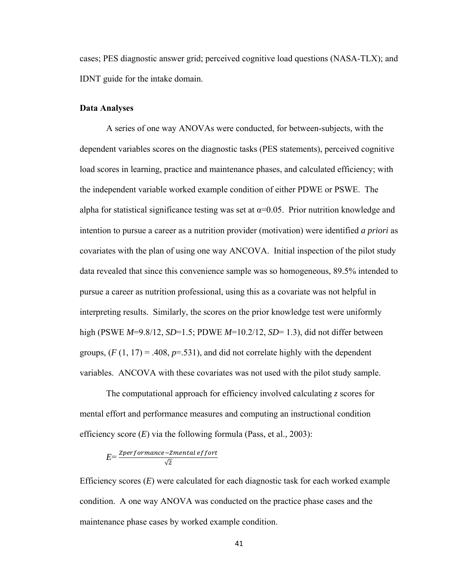cases; PES diagnostic answer grid; perceived cognitive load questions (NASA-TLX); and IDNT guide for the intake domain.

#### **Data Analyses**

 A series of one way ANOVAs were conducted, for between-subjects, with the dependent variables scores on the diagnostic tasks (PES statements), perceived cognitive load scores in learning, practice and maintenance phases, and calculated efficiency; with the independent variable worked example condition of either PDWE or PSWE. The alpha for statistical significance testing was set at  $\alpha$ =0.05. Prior nutrition knowledge and intention to pursue a career as a nutrition provider (motivation) were identified *a priori* as covariates with the plan of using one way ANCOVA. Initial inspection of the pilot study data revealed that since this convenience sample was so homogeneous, 89.5% intended to pursue a career as nutrition professional, using this as a covariate was not helpful in interpreting results. Similarly, the scores on the prior knowledge test were uniformly high (PSWE *M*=9.8/12, *SD*=1.5; PDWE *M*=10.2/12, *SD*= 1.3), did not differ between groups,  $(F(1, 17) = .408, p = .531)$ , and did not correlate highly with the dependent variables. ANCOVA with these covariates was not used with the pilot study sample.

 The computational approach for efficiency involved calculating *z* scores for mental effort and performance measures and computing an instructional condition efficiency score (*E*) via the following formula (Pass, et al., 2003):

$$
E = \frac{Zperformance - Zmental\,eff \,ort}{\sqrt{2}}
$$

Efficiency scores (*E*) were calculated for each diagnostic task for each worked example condition. A one way ANOVA was conducted on the practice phase cases and the maintenance phase cases by worked example condition.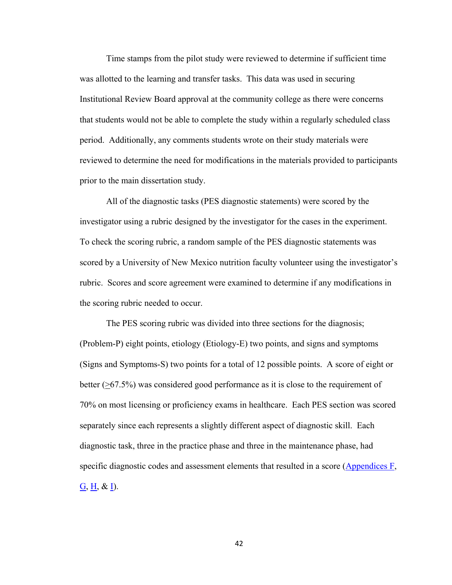Time stamps from the pilot study were reviewed to determine if sufficient time was allotted to the learning and transfer tasks. This data was used in securing Institutional Review Board approval at the community college as there were concerns that students would not be able to complete the study within a regularly scheduled class period. Additionally, any comments students wrote on their study materials were reviewed to determine the need for modifications in the materials provided to participants prior to the main dissertation study.

 All of the diagnostic tasks (PES diagnostic statements) were scored by the investigator using a rubric designed by the investigator for the cases in the experiment. To check the scoring rubric, a random sample of the PES diagnostic statements was scored by a University of New Mexico nutrition faculty volunteer using the investigator's rubric. Scores and score agreement were examined to determine if any modifications in the scoring rubric needed to occur.

 The PES scoring rubric was divided into three sections for the diagnosis; (Problem-P) eight points, etiology (Etiology-E) two points, and signs and symptoms (Signs and Symptoms-S) two points for a total of 12 possible points. A score of eight or better (>67.5%) was considered good performance as it is close to the requirement of 70% on most licensing or proficiency exams in healthcare. Each PES section was scored separately since each represents a slightly different aspect of diagnostic skill. Each diagnostic task, three in the practice phase and three in the maintenance phase, had specific diagnostic codes and assessment elements that resulted in a score (Appendices F,  $\underline{G}, \underline{H}, \& \underline{I}$ ).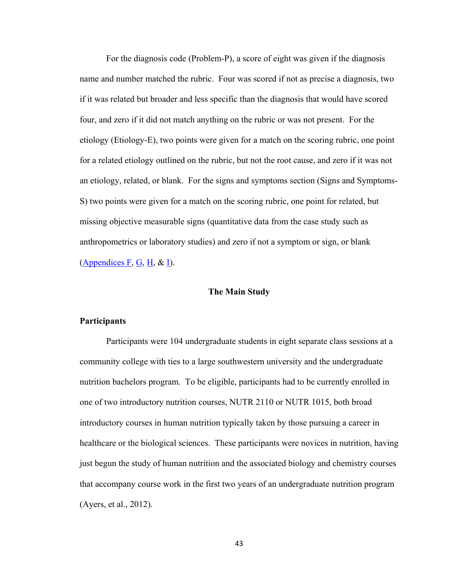For the diagnosis code (Problem-P), a score of eight was given if the diagnosis name and number matched the rubric. Four was scored if not as precise a diagnosis, two if it was related but broader and less specific than the diagnosis that would have scored four, and zero if it did not match anything on the rubric or was not present. For the etiology (Etiology-E), two points were given for a match on the scoring rubric, one point for a related etiology outlined on the rubric, but not the root cause, and zero if it was not an etiology, related, or blank. For the signs and symptoms section (Signs and Symptoms-S) two points were given for a match on the scoring rubric, one point for related, but missing objective measurable signs (quantitative data from the case study such as anthropometrics or laboratory studies) and zero if not a symptom or sign, or blank (Appendices F, G, H,  $\&$  I).

# **The Main Study**

### **Participants**

 Participants were 104 undergraduate students in eight separate class sessions at a community college with ties to a large southwestern university and the undergraduate nutrition bachelors program. To be eligible, participants had to be currently enrolled in one of two introductory nutrition courses, NUTR 2110 or NUTR 1015, both broad introductory courses in human nutrition typically taken by those pursuing a career in healthcare or the biological sciences. These participants were novices in nutrition, having just begun the study of human nutrition and the associated biology and chemistry courses that accompany course work in the first two years of an undergraduate nutrition program (Ayers, et al., 2012).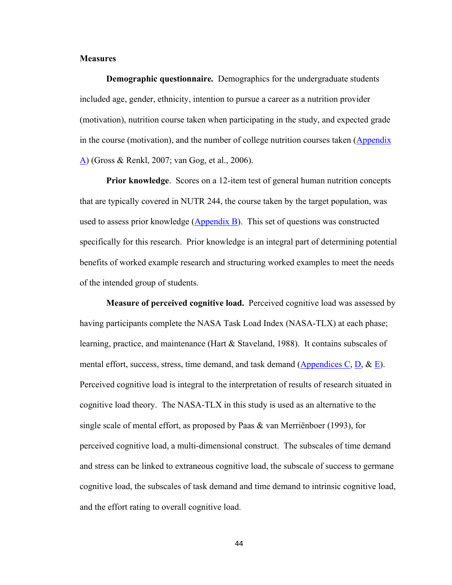## **Measures**

**Demographic questionnaire***.* Demographics for the undergraduate students included age, gender, ethnicity, intention to pursue a career as a nutrition provider (motivation), nutrition course taken when participating in the study, and expected grade in the course (motivation), and the number of college nutrition courses taken (Appendix A) (Gross & Renkl, 2007; van Gog, et al., 2006).

**Prior knowledge**. Scores on a 12-item test of general human nutrition concepts that are typically covered in NUTR 244, the course taken by the target population, was used to assess prior knowledge (Appendix B). This set of questions was constructed specifically for this research. Prior knowledge is an integral part of determining potential benefits of worked example research and structuring worked examples to meet the needs of the intended group of students.

**Measure of perceived cognitive load.** Perceived cognitive load was assessed by having participants complete the NASA Task Load Index (NASA-TLX) at each phase; learning, practice, and maintenance (Hart & Staveland, 1988). It contains subscales of mental effort, success, stress, time demand, and task demand (Appendices C, D,  $\&$  E). Perceived cognitive load is integral to the interpretation of results of research situated in cognitive load theory. The NASA-TLX in this study is used as an alternative to the single scale of mental effort, as proposed by Paas & van Merriënboer (1993), for perceived cognitive load, a multi-dimensional construct. The subscales of time demand and stress can be linked to extraneous cognitive load, the subscale of success to germane cognitive load, the subscales of task demand and time demand to intrinsic cognitive load, and the effort rating to overall cognitive load.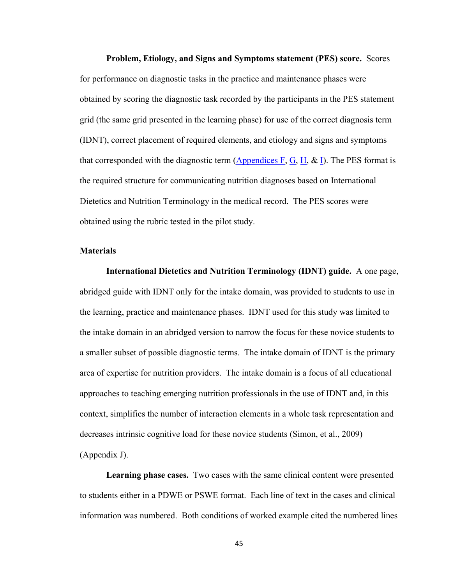**Problem, Etiology, and Signs and Symptoms statement (PES) score.** Scores for performance on diagnostic tasks in the practice and maintenance phases were obtained by scoring the diagnostic task recorded by the participants in the PES statement grid (the same grid presented in the learning phase) for use of the correct diagnosis term (IDNT), correct placement of required elements, and etiology and signs and symptoms that corresponded with the diagnostic term  $(Appendices F, G, H, \& I)$ . The PES format is the required structure for communicating nutrition diagnoses based on International Dietetics and Nutrition Terminology in the medical record. The PES scores were obtained using the rubric tested in the pilot study.

#### **Materials**

**International Dietetics and Nutrition Terminology (IDNT) guide.** A one page, abridged guide with IDNT only for the intake domain, was provided to students to use in the learning, practice and maintenance phases. IDNT used for this study was limited to the intake domain in an abridged version to narrow the focus for these novice students to a smaller subset of possible diagnostic terms. The intake domain of IDNT is the primary area of expertise for nutrition providers. The intake domain is a focus of all educational approaches to teaching emerging nutrition professionals in the use of IDNT and, in this context, simplifies the number of interaction elements in a whole task representation and decreases intrinsic cognitive load for these novice students (Simon, et al., 2009) (Appendix J).

**Learning phase cases.** Two cases with the same clinical content were presented to students either in a PDWE or PSWE format. Each line of text in the cases and clinical information was numbered. Both conditions of worked example cited the numbered lines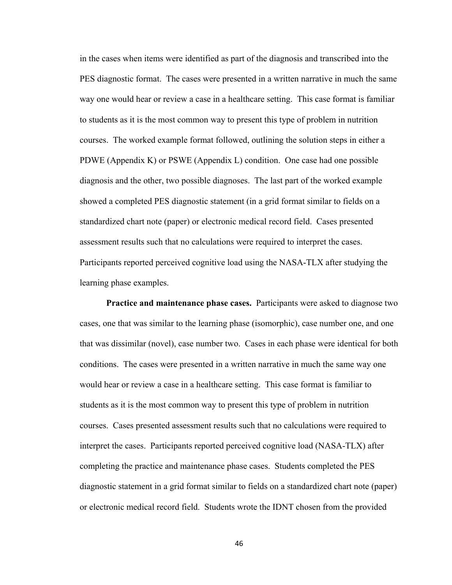in the cases when items were identified as part of the diagnosis and transcribed into the PES diagnostic format. The cases were presented in a written narrative in much the same way one would hear or review a case in a healthcare setting. This case format is familiar to students as it is the most common way to present this type of problem in nutrition courses. The worked example format followed, outlining the solution steps in either a PDWE (Appendix K) or PSWE (Appendix L) condition. One case had one possible diagnosis and the other, two possible diagnoses. The last part of the worked example showed a completed PES diagnostic statement (in a grid format similar to fields on a standardized chart note (paper) or electronic medical record field. Cases presented assessment results such that no calculations were required to interpret the cases. Participants reported perceived cognitive load using the NASA-TLX after studying the learning phase examples.

**Practice and maintenance phase cases.** Participants were asked to diagnose two cases, one that was similar to the learning phase (isomorphic), case number one, and one that was dissimilar (novel), case number two. Cases in each phase were identical for both conditions. The cases were presented in a written narrative in much the same way one would hear or review a case in a healthcare setting. This case format is familiar to students as it is the most common way to present this type of problem in nutrition courses. Cases presented assessment results such that no calculations were required to interpret the cases. Participants reported perceived cognitive load (NASA-TLX) after completing the practice and maintenance phase cases. Students completed the PES diagnostic statement in a grid format similar to fields on a standardized chart note (paper) or electronic medical record field. Students wrote the IDNT chosen from the provided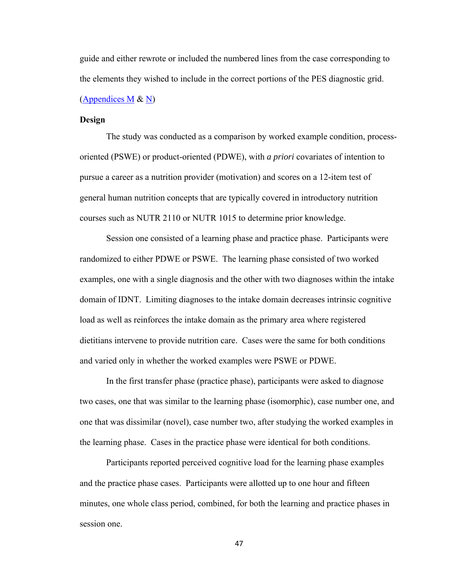guide and either rewrote or included the numbered lines from the case corresponding to the elements they wished to include in the correct portions of the PES diagnostic grid. (Appendices M & N)

# **Design**

The study was conducted as a comparison by worked example condition, processoriented (PSWE) or product-oriented (PDWE), with *a priori* covariates of intention to pursue a career as a nutrition provider (motivation) and scores on a 12-item test of general human nutrition concepts that are typically covered in introductory nutrition courses such as NUTR 2110 or NUTR 1015 to determine prior knowledge.

 Session one consisted of a learning phase and practice phase. Participants were randomized to either PDWE or PSWE. The learning phase consisted of two worked examples, one with a single diagnosis and the other with two diagnoses within the intake domain of IDNT. Limiting diagnoses to the intake domain decreases intrinsic cognitive load as well as reinforces the intake domain as the primary area where registered dietitians intervene to provide nutrition care. Cases were the same for both conditions and varied only in whether the worked examples were PSWE or PDWE.

 In the first transfer phase (practice phase), participants were asked to diagnose two cases, one that was similar to the learning phase (isomorphic), case number one, and one that was dissimilar (novel), case number two, after studying the worked examples in the learning phase. Cases in the practice phase were identical for both conditions.

 Participants reported perceived cognitive load for the learning phase examples and the practice phase cases. Participants were allotted up to one hour and fifteen minutes, one whole class period, combined, for both the learning and practice phases in session one.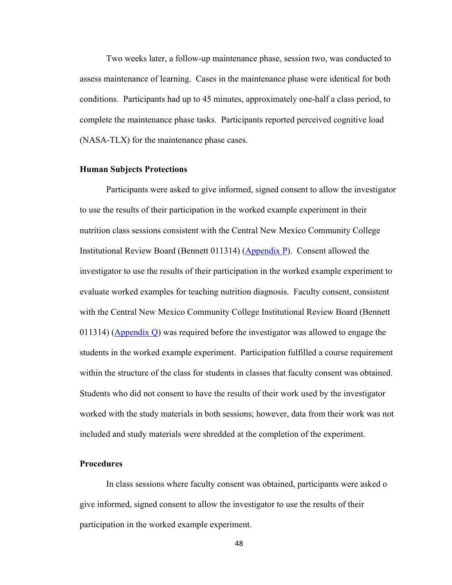Two weeks later, a follow-up maintenance phase, session two, was conducted to assess maintenance of learning. Cases in the maintenance phase were identical for both conditions. Participants had up to 45 minutes, approximately one-half a class period, to complete the maintenance phase tasks. Participants reported perceived cognitive load (NASA-TLX) for the maintenance phase cases.

#### **Human Subjects Protections**

Participants were asked to give informed, signed consent to allow the investigator to use the results of their participation in the worked example experiment in their nutrition class sessions consistent with the Central New Mexico Community College Institutional Review Board (Bennett 011314) (Appendix P). Consent allowed the investigator to use the results of their participation in the worked example experiment to evaluate worked examples for teaching nutrition diagnosis. Faculty consent, consistent with the Central New Mexico Community College Institutional Review Board (Bennett 011314) ( $\Delta$ ppendix Q) was required before the investigator was allowed to engage the students in the worked example experiment. Participation fulfilled a course requirement within the structure of the class for students in classes that faculty consent was obtained. Students who did not consent to have the results of their work used by the investigator worked with the study materials in both sessions; however, data from their work was not included and study materials were shredded at the completion of the experiment.

#### **Procedures**

 In class sessions where faculty consent was obtained, participants were asked o give informed, signed consent to allow the investigator to use the results of their participation in the worked example experiment.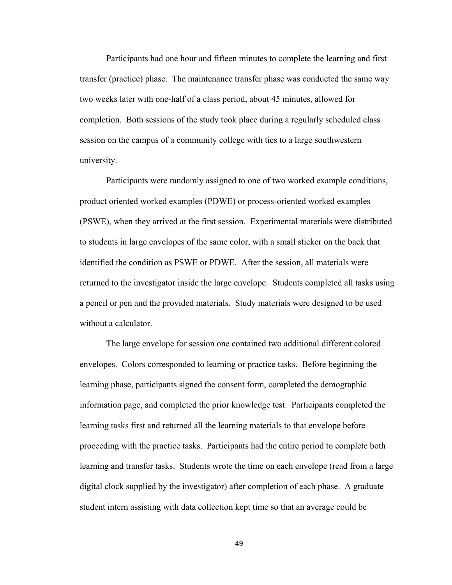Participants had one hour and fifteen minutes to complete the learning and first transfer (practice) phase. The maintenance transfer phase was conducted the same way two weeks later with one-half of a class period, about 45 minutes, allowed for completion. Both sessions of the study took place during a regularly scheduled class session on the campus of a community college with ties to a large southwestern university.

 Participants were randomly assigned to one of two worked example conditions, product oriented worked examples (PDWE) or process-oriented worked examples (PSWE), when they arrived at the first session. Experimental materials were distributed to students in large envelopes of the same color, with a small sticker on the back that identified the condition as PSWE or PDWE. After the session, all materials were returned to the investigator inside the large envelope. Students completed all tasks using a pencil or pen and the provided materials. Study materials were designed to be used without a calculator.

 The large envelope for session one contained two additional different colored envelopes. Colors corresponded to learning or practice tasks. Before beginning the learning phase, participants signed the consent form, completed the demographic information page, and completed the prior knowledge test. Participants completed the learning tasks first and returned all the learning materials to that envelope before proceeding with the practice tasks. Participants had the entire period to complete both learning and transfer tasks. Students wrote the time on each envelope (read from a large digital clock supplied by the investigator) after completion of each phase. A graduate student intern assisting with data collection kept time so that an average could be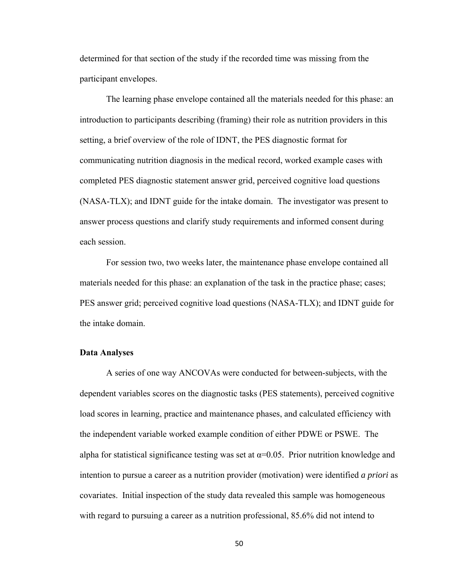determined for that section of the study if the recorded time was missing from the participant envelopes.

The learning phase envelope contained all the materials needed for this phase: an introduction to participants describing (framing) their role as nutrition providers in this setting, a brief overview of the role of IDNT, the PES diagnostic format for communicating nutrition diagnosis in the medical record, worked example cases with completed PES diagnostic statement answer grid, perceived cognitive load questions (NASA-TLX); and IDNT guide for the intake domain. The investigator was present to answer process questions and clarify study requirements and informed consent during each session.

 For session two, two weeks later, the maintenance phase envelope contained all materials needed for this phase: an explanation of the task in the practice phase; cases; PES answer grid; perceived cognitive load questions (NASA-TLX); and IDNT guide for the intake domain.

# **Data Analyses**

 A series of one way ANCOVAs were conducted for between-subjects, with the dependent variables scores on the diagnostic tasks (PES statements), perceived cognitive load scores in learning, practice and maintenance phases, and calculated efficiency with the independent variable worked example condition of either PDWE or PSWE. The alpha for statistical significance testing was set at  $\alpha$ =0.05. Prior nutrition knowledge and intention to pursue a career as a nutrition provider (motivation) were identified *a priori* as covariates. Initial inspection of the study data revealed this sample was homogeneous with regard to pursuing a career as a nutrition professional, 85.6% did not intend to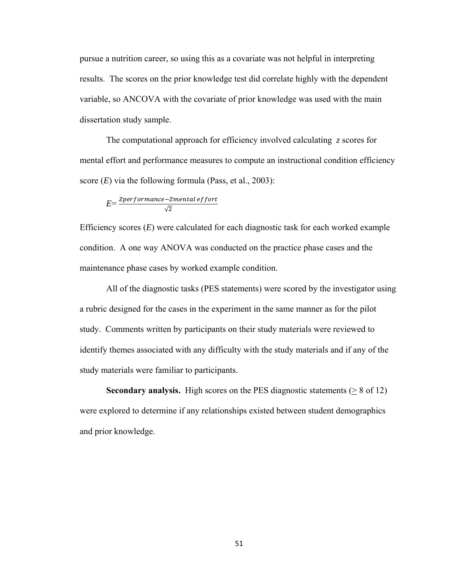pursue a nutrition career, so using this as a covariate was not helpful in interpreting results. The scores on the prior knowledge test did correlate highly with the dependent variable, so ANCOVA with the covariate of prior knowledge was used with the main dissertation study sample.

 The computational approach for efficiency involved calculating *z* scores for mental effort and performance measures to compute an instructional condition efficiency score (*E*) via the following formula (Pass, et al., 2003):

$$
E = \frac{Zperformance - Zmental\,eff \,ort}{\sqrt{2}}
$$

Efficiency scores (*E*) were calculated for each diagnostic task for each worked example condition. A one way ANOVA was conducted on the practice phase cases and the maintenance phase cases by worked example condition.

 All of the diagnostic tasks (PES statements) were scored by the investigator using a rubric designed for the cases in the experiment in the same manner as for the pilot study. Comments written by participants on their study materials were reviewed to identify themes associated with any difficulty with the study materials and if any of the study materials were familiar to participants.

**Secondary analysis.** High scores on the PES diagnostic statements ( $\geq 8$  of 12) were explored to determine if any relationships existed between student demographics and prior knowledge.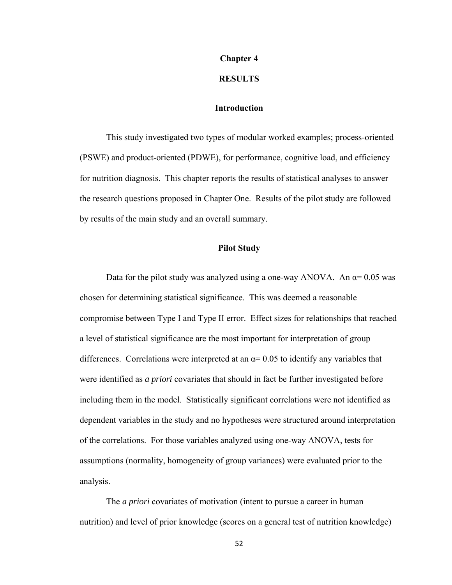# **Chapter 4**

#### **RESULTS**

# **Introduction**

This study investigated two types of modular worked examples; process-oriented (PSWE) and product-oriented (PDWE), for performance, cognitive load, and efficiency for nutrition diagnosis. This chapter reports the results of statistical analyses to answer the research questions proposed in Chapter One. Results of the pilot study are followed by results of the main study and an overall summary.

### **Pilot Study**

Data for the pilot study was analyzed using a one-way ANOVA. An  $\alpha$ = 0.05 was chosen for determining statistical significance. This was deemed a reasonable compromise between Type I and Type II error. Effect sizes for relationships that reached a level of statistical significance are the most important for interpretation of group differences. Correlations were interpreted at an  $\alpha$ = 0.05 to identify any variables that were identified as *a priori* covariates that should in fact be further investigated before including them in the model. Statistically significant correlations were not identified as dependent variables in the study and no hypotheses were structured around interpretation of the correlations. For those variables analyzed using one-way ANOVA, tests for assumptions (normality, homogeneity of group variances) were evaluated prior to the analysis.

The *a priori* covariates of motivation (intent to pursue a career in human nutrition) and level of prior knowledge (scores on a general test of nutrition knowledge)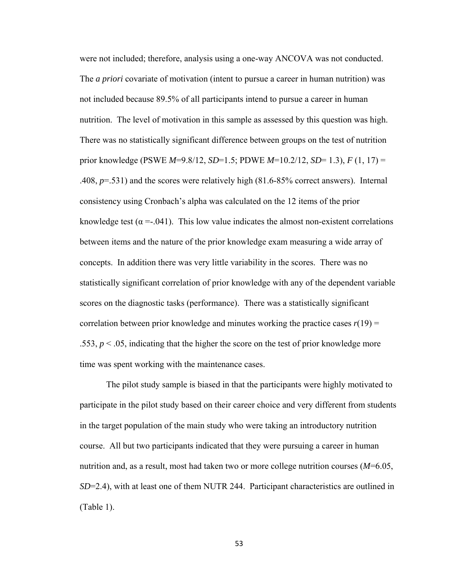were not included; therefore, analysis using a one-way ANCOVA was not conducted. The *a priori* covariate of motivation (intent to pursue a career in human nutrition) was not included because 89.5% of all participants intend to pursue a career in human nutrition. The level of motivation in this sample as assessed by this question was high. There was no statistically significant difference between groups on the test of nutrition prior knowledge (PSWE *M*=9.8/12, *SD*=1.5; PDWE *M*=10.2/12, *SD*= 1.3), *F* (1, 17) = .408, *p*=.531) and the scores were relatively high (81.6-85% correct answers). Internal consistency using Cronbach's alpha was calculated on the 12 items of the prior knowledge test ( $\alpha = 0.041$ ). This low value indicates the almost non-existent correlations between items and the nature of the prior knowledge exam measuring a wide array of concepts. In addition there was very little variability in the scores. There was no statistically significant correlation of prior knowledge with any of the dependent variable scores on the diagnostic tasks (performance). There was a statistically significant correlation between prior knowledge and minutes working the practice cases  $r(19)$  = .553,  $p < 0.05$ , indicating that the higher the score on the test of prior knowledge more time was spent working with the maintenance cases.

 The pilot study sample is biased in that the participants were highly motivated to participate in the pilot study based on their career choice and very different from students in the target population of the main study who were taking an introductory nutrition course. All but two participants indicated that they were pursuing a career in human nutrition and, as a result, most had taken two or more college nutrition courses (*M*=6.05, *SD*=2.4), with at least one of them NUTR 244. Participant characteristics are outlined in (Table 1).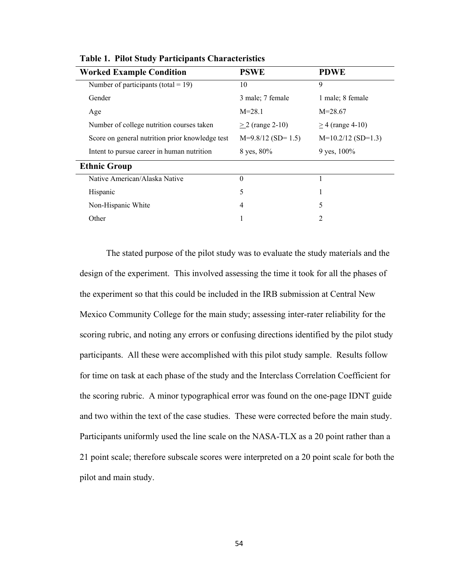| <b>Worked Example Condition</b>                 | <b>PSWE</b>           | <b>PDWE</b>          |
|-------------------------------------------------|-----------------------|----------------------|
| Number of participants (total = 19)             | 10                    | 9                    |
| Gender                                          | 3 male; 7 female      | 1 male; 8 female     |
| Age                                             | $M = 28.1$            | $M=28.67$            |
| Number of college nutrition courses taken       | $> 2$ (range 2-10)    | $> 4$ (range 4-10)   |
| Score on general nutrition prior knowledge test | $M=9.8/12$ (SD= 1.5)  | $M=10.2/12$ (SD=1.3) |
| Intent to pursue career in human nutrition      | $8 \text{ yes}, 80\%$ | 9 yes, $100\%$       |
| <b>Ethnic Group</b>                             |                       |                      |
| Native American/Alaska Native                   | $\theta$              |                      |
| Hispanic                                        | 5                     | л.                   |
| Non-Hispanic White                              | 4                     | 5                    |
| Other                                           |                       | $\overline{2}$       |

**Table 1. Pilot Study Participants Characteristics** 

 The stated purpose of the pilot study was to evaluate the study materials and the design of the experiment. This involved assessing the time it took for all the phases of the experiment so that this could be included in the IRB submission at Central New Mexico Community College for the main study; assessing inter-rater reliability for the scoring rubric, and noting any errors or confusing directions identified by the pilot study participants. All these were accomplished with this pilot study sample. Results follow for time on task at each phase of the study and the Interclass Correlation Coefficient for the scoring rubric. A minor typographical error was found on the one-page IDNT guide and two within the text of the case studies. These were corrected before the main study. Participants uniformly used the line scale on the NASA-TLX as a 20 point rather than a 21 point scale; therefore subscale scores were interpreted on a 20 point scale for both the pilot and main study.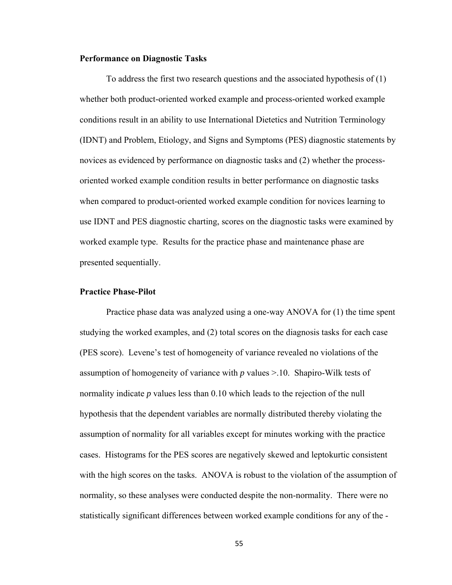#### **Performance on Diagnostic Tasks**

 To address the first two research questions and the associated hypothesis of (1) whether both product-oriented worked example and process-oriented worked example conditions result in an ability to use International Dietetics and Nutrition Terminology (IDNT) and Problem, Etiology, and Signs and Symptoms (PES) diagnostic statements by novices as evidenced by performance on diagnostic tasks and (2) whether the processoriented worked example condition results in better performance on diagnostic tasks when compared to product-oriented worked example condition for novices learning to use IDNT and PES diagnostic charting, scores on the diagnostic tasks were examined by worked example type. Results for the practice phase and maintenance phase are presented sequentially.

# **Practice Phase-Pilot**

Practice phase data was analyzed using a one-way ANOVA for (1) the time spent studying the worked examples, and (2) total scores on the diagnosis tasks for each case (PES score). Levene's test of homogeneity of variance revealed no violations of the assumption of homogeneity of variance with *p* values >.10. Shapiro-Wilk tests of normality indicate *p* values less than 0.10 which leads to the rejection of the null hypothesis that the dependent variables are normally distributed thereby violating the assumption of normality for all variables except for minutes working with the practice cases. Histograms for the PES scores are negatively skewed and leptokurtic consistent with the high scores on the tasks. ANOVA is robust to the violation of the assumption of normality, so these analyses were conducted despite the non-normality. There were no statistically significant differences between worked example conditions for any of the -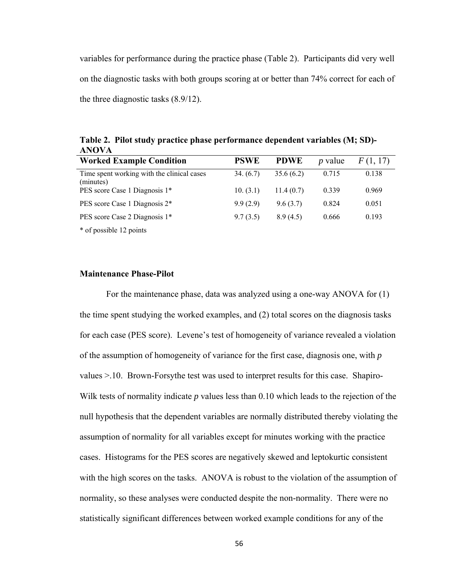variables for performance during the practice phase (Table 2). Participants did very well on the diagnostic tasks with both groups scoring at or better than 74% correct for each of the three diagnostic tasks (8.9/12).

**Table 2. Pilot study practice phase performance dependent variables (M; SD)- ANOVA** 

| <b>Worked Example Condition</b>                         | <b>PSWE</b> | <b>PDWE</b> | $p$ value | F(1, 17) |
|---------------------------------------------------------|-------------|-------------|-----------|----------|
| Time spent working with the clinical cases<br>(minutes) | 34. (6.7)   | 35.6(6.2)   | 0.715     | 0.138    |
| PES score Case 1 Diagnosis 1*                           | 10. (3.1)   | 11.4(0.7)   | 0.339     | 0.969    |
| PES score Case 1 Diagnosis 2*                           | 9.9(2.9)    | 9.6(3.7)    | 0.824     | 0.051    |
| PES score Case 2 Diagnosis 1*                           | 9.7(3.5)    | 8.9(4.5)    | 0.666     | 0.193    |
| * of possible 12 points                                 |             |             |           |          |

# **Maintenance Phase-Pilot**

For the maintenance phase, data was analyzed using a one-way ANOVA for (1) the time spent studying the worked examples, and (2) total scores on the diagnosis tasks for each case (PES score). Levene's test of homogeneity of variance revealed a violation of the assumption of homogeneity of variance for the first case, diagnosis one, with *p* values >.10. Brown-Forsythe test was used to interpret results for this case. Shapiro-Wilk tests of normality indicate *p* values less than 0.10 which leads to the rejection of the null hypothesis that the dependent variables are normally distributed thereby violating the assumption of normality for all variables except for minutes working with the practice cases. Histograms for the PES scores are negatively skewed and leptokurtic consistent with the high scores on the tasks. ANOVA is robust to the violation of the assumption of normality, so these analyses were conducted despite the non-normality. There were no statistically significant differences between worked example conditions for any of the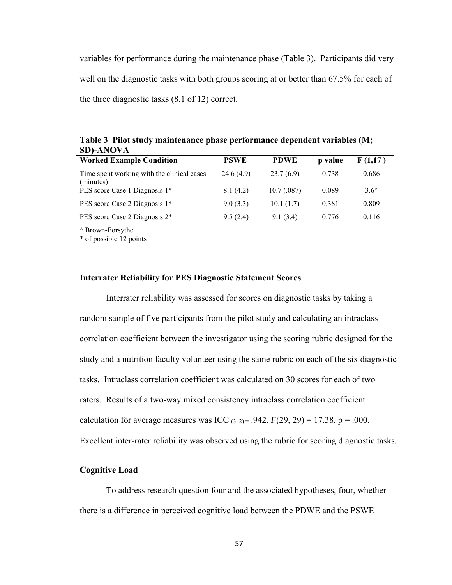variables for performance during the maintenance phase (Table 3). Participants did very well on the diagnostic tasks with both groups scoring at or better than 67.5% for each of the three diagnostic tasks (8.1 of 12) correct.

| <b>Worked Example Condition</b>                         | <b>PSWE</b> | <b>PDWE</b> | p value | F(1,17)        |  |
|---------------------------------------------------------|-------------|-------------|---------|----------------|--|
| Time spent working with the clinical cases<br>(minutes) | 24.6(4.9)   | 23.7(6.9)   | 0.738   | 0.686          |  |
| PES score Case 1 Diagnosis 1*                           | 8.1(4.2)    | 10.7(.087)  | 0.089   | $3.6^{\wedge}$ |  |
| PES score Case 2 Diagnosis 1*                           | 9.0(3.3)    | 10.1(1.7)   | 0.381   | 0.809          |  |
| PES score Case 2 Diagnosis 2 <sup>*</sup>               | 9.5(2.4)    | 9.1(3.4)    | 0.776   | 0.116          |  |
| $\wedge$ Brown-Forsythe<br>* of possible 12 points      |             |             |         |                |  |

**Table 3 Pilot study maintenance phase performance dependent variables (M; SD)-ANOVA** 

#### **Interrater Reliability for PES Diagnostic Statement Scores**

 Interrater reliability was assessed for scores on diagnostic tasks by taking a random sample of five participants from the pilot study and calculating an intraclass correlation coefficient between the investigator using the scoring rubric designed for the study and a nutrition faculty volunteer using the same rubric on each of the six diagnostic tasks. Intraclass correlation coefficient was calculated on 30 scores for each of two raters. Results of a two-way mixed consistency intraclass correlation coefficient calculation for average measures was ICC  $(3, 2) = .942$ ,  $F(29, 29) = 17.38$ ,  $p = .000$ . Excellent inter-rater reliability was observed using the rubric for scoring diagnostic tasks.

#### **Cognitive Load**

To address research question four and the associated hypotheses, four, whether there is a difference in perceived cognitive load between the PDWE and the PSWE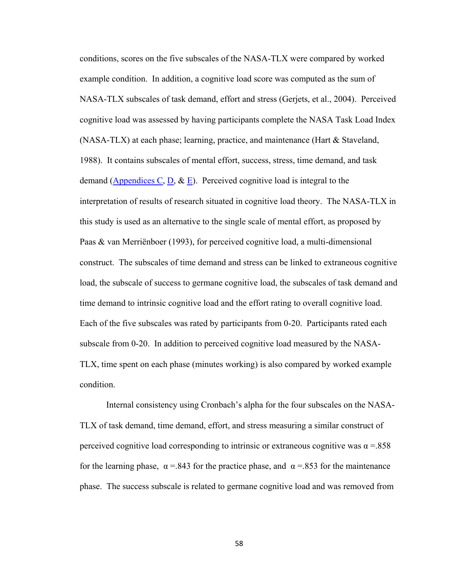conditions, scores on the five subscales of the NASA-TLX were compared by worked example condition. In addition, a cognitive load score was computed as the sum of NASA-TLX subscales of task demand, effort and stress (Gerjets, et al., 2004). Perceived cognitive load was assessed by having participants complete the NASA Task Load Index (NASA-TLX) at each phase; learning, practice, and maintenance (Hart & Staveland, 1988). It contains subscales of mental effort, success, stress, time demand, and task demand (Appendices C, D,  $\&$  E). Perceived cognitive load is integral to the interpretation of results of research situated in cognitive load theory. The NASA-TLX in this study is used as an alternative to the single scale of mental effort, as proposed by Paas & van Merriënboer (1993), for perceived cognitive load, a multi-dimensional construct. The subscales of time demand and stress can be linked to extraneous cognitive load, the subscale of success to germane cognitive load, the subscales of task demand and time demand to intrinsic cognitive load and the effort rating to overall cognitive load. Each of the five subscales was rated by participants from 0-20.Participants rated each subscale from 0-20. In addition to perceived cognitive load measured by the NASA-TLX, time spent on each phase (minutes working) is also compared by worked example condition.

Internal consistency using Cronbach's alpha for the four subscales on the NASA-TLX of task demand, time demand, effort, and stress measuring a similar construct of perceived cognitive load corresponding to intrinsic or extraneous cognitive was  $\alpha$  = 858 for the learning phase,  $\alpha$  =.843 for the practice phase, and  $\alpha$  =.853 for the maintenance phase. The success subscale is related to germane cognitive load and was removed from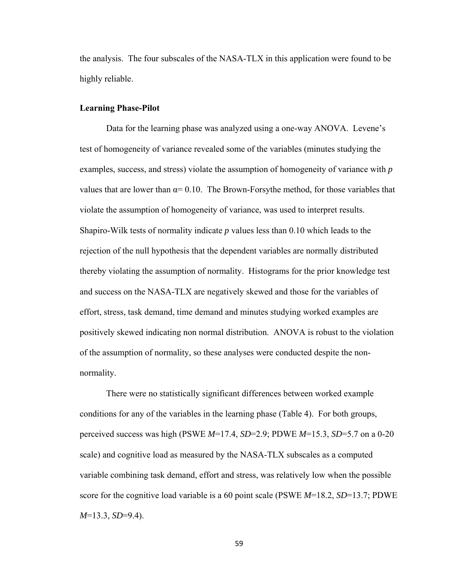the analysis. The four subscales of the NASA-TLX in this application were found to be highly reliable.

### **Learning Phase-Pilot**

 Data for the learning phase was analyzed using a one-way ANOVA. Levene's test of homogeneity of variance revealed some of the variables (minutes studying the examples, success, and stress) violate the assumption of homogeneity of variance with *p* values that are lower than  $\alpha = 0.10$ . The Brown-Forsythe method, for those variables that violate the assumption of homogeneity of variance, was used to interpret results. Shapiro-Wilk tests of normality indicate *p* values less than 0.10 which leads to the rejection of the null hypothesis that the dependent variables are normally distributed thereby violating the assumption of normality. Histograms for the prior knowledge test and success on the NASA-TLX are negatively skewed and those for the variables of effort, stress, task demand, time demand and minutes studying worked examples are positively skewed indicating non normal distribution. ANOVA is robust to the violation of the assumption of normality, so these analyses were conducted despite the nonnormality.

 There were no statistically significant differences between worked example conditions for any of the variables in the learning phase (Table 4). For both groups, perceived success was high (PSWE *M*=17.4, *SD*=2.9; PDWE *M*=15.3, *SD*=5.7 on a 0-20 scale) and cognitive load as measured by the NASA-TLX subscales as a computed variable combining task demand, effort and stress, was relatively low when the possible score for the cognitive load variable is a 60 point scale (PSWE *M*=18.2, *SD*=13.7; PDWE *M*=13.3, *SD*=9.4).

59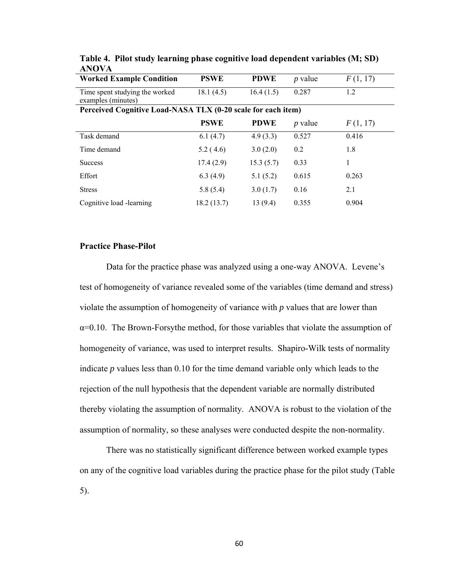| <b>Worked Example Condition</b>                              | <b>PSWE</b> | <b>PDWE</b> | <i>p</i> value | F(1, 17) |  |
|--------------------------------------------------------------|-------------|-------------|----------------|----------|--|
| Time spent studying the worked<br>examples (minutes)         | 18.1(4.5)   | 16.4(1.5)   | 0.287          | 1.2      |  |
| Perceived Cognitive Load-NASA TLX (0-20 scale for each item) |             |             |                |          |  |
|                                                              | <b>PSWE</b> | <b>PDWE</b> | <i>p</i> value | F(1, 17) |  |
| Task demand                                                  | 6.1(4.7)    | 4.9(3.3)    | 0.527          | 0.416    |  |
| Time demand                                                  | 5.2(4.6)    | 3.0(2.0)    | 0.2            | 1.8      |  |
| <b>Success</b>                                               | 17.4(2.9)   | 15.3(5.7)   | 0.33           | 1        |  |
| Effort                                                       | 6.3(4.9)    | 5.1(5.2)    | 0.615          | 0.263    |  |
| <b>Stress</b>                                                | 5.8(5.4)    | 3.0(1.7)    | 0.16           | 2.1      |  |
| Cognitive load -learning                                     | 18.2(13.7)  | 13(9.4)     | 0.355          | 0.904    |  |

**Table 4. Pilot study learning phase cognitive load dependent variables (M; SD) ANOVA** 

### **Practice Phase-Pilot**

 Data for the practice phase was analyzed using a one-way ANOVA. Levene's test of homogeneity of variance revealed some of the variables (time demand and stress) violate the assumption of homogeneity of variance with *p* values that are lower than  $\alpha$ =0.10. The Brown-Forsythe method, for those variables that violate the assumption of homogeneity of variance, was used to interpret results. Shapiro-Wilk tests of normality indicate *p* values less than 0.10 for the time demand variable only which leads to the rejection of the null hypothesis that the dependent variable are normally distributed thereby violating the assumption of normality. ANOVA is robust to the violation of the assumption of normality, so these analyses were conducted despite the non-normality.

 There was no statistically significant difference between worked example types on any of the cognitive load variables during the practice phase for the pilot study (Table 5).

60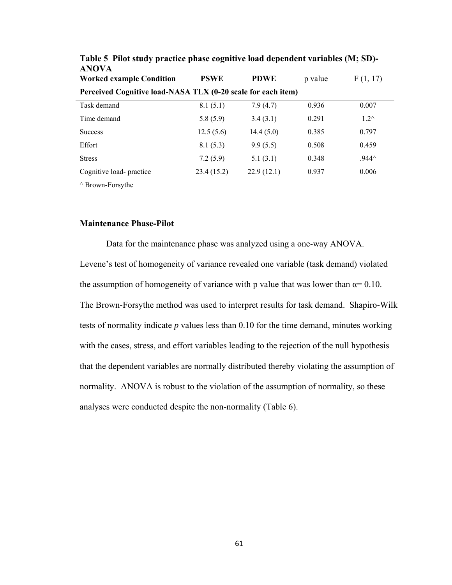| <b>Worked example Condition</b>                              | <b>PSWE</b> | <b>PDWE</b> | p value | F(1, 17)        |  |  |  |  |
|--------------------------------------------------------------|-------------|-------------|---------|-----------------|--|--|--|--|
| Perceived Cognitive load-NASA TLX (0-20 scale for each item) |             |             |         |                 |  |  |  |  |
| Task demand                                                  | 8.1(5.1)    | 7.9(4.7)    | 0.936   | 0.007           |  |  |  |  |
| Time demand                                                  | 5.8(5.9)    | 3.4(3.1)    | 0.291   | $1.2^{\wedge}$  |  |  |  |  |
| <b>Success</b>                                               | 12.5(5.6)   | 14.4(5.0)   | 0.385   | 0.797           |  |  |  |  |
| Effort                                                       | 8.1(5.3)    | 9.9(5.5)    | 0.508   | 0.459           |  |  |  |  |
| <b>Stress</b>                                                | 7.2(5.9)    | 5.1(3.1)    | 0.348   | $.944^{\wedge}$ |  |  |  |  |
| Cognitive load-practice                                      | 23.4(15.2)  | 22.9(12.1)  | 0.937   | 0.006           |  |  |  |  |
| $\wedge$ Brown-Forsythe                                      |             |             |         |                 |  |  |  |  |

**Table 5 Pilot study practice phase cognitive load dependent variables (M; SD)- ANOVA** 

## **Maintenance Phase-Pilot**

Data for the maintenance phase was analyzed using a one-way ANOVA. Levene's test of homogeneity of variance revealed one variable (task demand) violated the assumption of homogeneity of variance with p value that was lower than  $\alpha$ = 0.10. The Brown-Forsythe method was used to interpret results for task demand. Shapiro-Wilk tests of normality indicate *p* values less than 0.10 for the time demand, minutes working with the cases, stress, and effort variables leading to the rejection of the null hypothesis that the dependent variables are normally distributed thereby violating the assumption of normality. ANOVA is robust to the violation of the assumption of normality, so these analyses were conducted despite the non-normality (Table 6).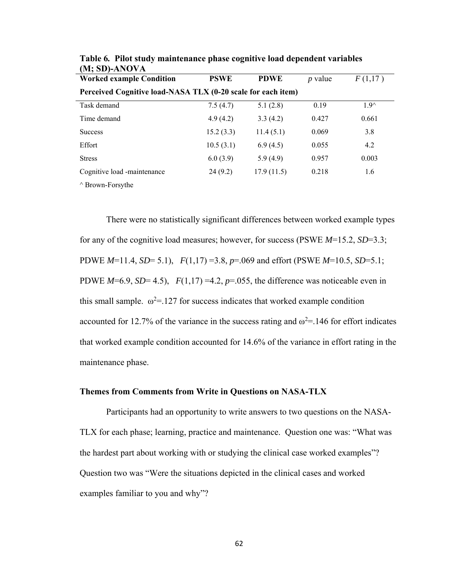| <b>Worked example Condition</b>                              | <b>PSWE</b> | <b>PDWE</b> | <i>p</i> value | F(1,17) |  |  |  |  |
|--------------------------------------------------------------|-------------|-------------|----------------|---------|--|--|--|--|
| Perceived Cognitive load-NASA TLX (0-20 scale for each item) |             |             |                |         |  |  |  |  |
| Task demand                                                  | 7.5(4.7)    | 5.1(2.8)    | 0.19           | $19^$   |  |  |  |  |
| Time demand                                                  | 4.9(4.2)    | 3.3(4.2)    | 0.427          | 0.661   |  |  |  |  |
| <b>Success</b>                                               | 15.2(3.3)   | 11.4(5.1)   | 0.069          | 3.8     |  |  |  |  |
| Effort                                                       | 10.5(3.1)   | 6.9(4.5)    | 0.055          | 4.2     |  |  |  |  |
| <b>Stress</b>                                                | 6.0(3.9)    | 5.9(4.9)    | 0.957          | 0.003   |  |  |  |  |
| Cognitive load -maintenance                                  | 24(9.2)     | 17.9(11.5)  | 0.218          | 1.6     |  |  |  |  |
| $\wedge$ D <sub>ream</sub> P <sub>r</sub> $\cdots$ 1.        |             |             |                |         |  |  |  |  |

**Table 6***.* **Pilot study maintenance phase cognitive load dependent variables (M; SD)-ANOVA** 

^ Brown-Forsythe

There were no statistically significant differences between worked example types for any of the cognitive load measures; however, for success (PSWE *M*=15.2, *SD*=3.3; PDWE *M*=11.4, *SD*= 5.1), *F*(1,17) =3.8, *p*=.069 and effort (PSWE *M*=10.5, *SD*=5.1; PDWE  $M=6.9$ ,  $SD=4.5$ ),  $F(1,17) = 4.2$ ,  $p=.055$ , the difference was noticeable even in this small sample.  $\omega^2 = 127$  for success indicates that worked example condition accounted for 12.7% of the variance in the success rating and  $\omega^2$  = 146 for effort indicates that worked example condition accounted for 14.6% of the variance in effort rating in the maintenance phase.

## **Themes from Comments from Write in Questions on NASA-TLX**

 Participants had an opportunity to write answers to two questions on the NASA-TLX for each phase; learning, practice and maintenance. Question one was: "What was the hardest part about working with or studying the clinical case worked examples"? Question two was "Were the situations depicted in the clinical cases and worked examples familiar to you and why"?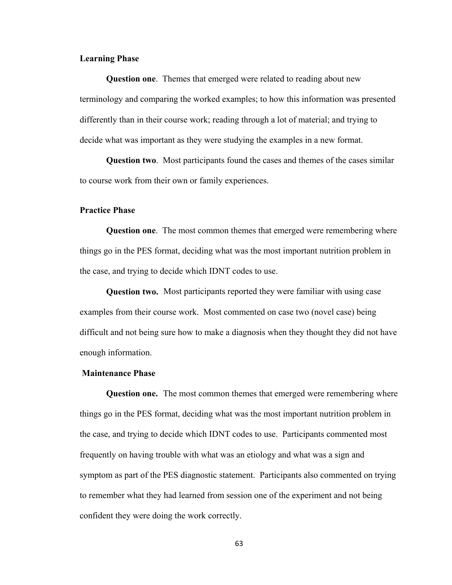## **Learning Phase**

**Question one**. Themes that emerged were related to reading about new terminology and comparing the worked examples; to how this information was presented differently than in their course work; reading through a lot of material; and trying to decide what was important as they were studying the examples in a new format.

**Question two**. Most participants found the cases and themes of the cases similar to course work from their own or family experiences.

## **Practice Phase**

**Question one**. The most common themes that emerged were remembering where things go in the PES format, deciding what was the most important nutrition problem in the case, and trying to decide which IDNT codes to use.

**Question two.** Most participants reported they were familiar with using case examples from their course work. Most commented on case two (novel case) being difficult and not being sure how to make a diagnosis when they thought they did not have enough information.

### **Maintenance Phase**

**Question one.** The most common themes that emerged were remembering where things go in the PES format, deciding what was the most important nutrition problem in the case, and trying to decide which IDNT codes to use. Participants commented most frequently on having trouble with what was an etiology and what was a sign and symptom as part of the PES diagnostic statement. Participants also commented on trying to remember what they had learned from session one of the experiment and not being confident they were doing the work correctly.

63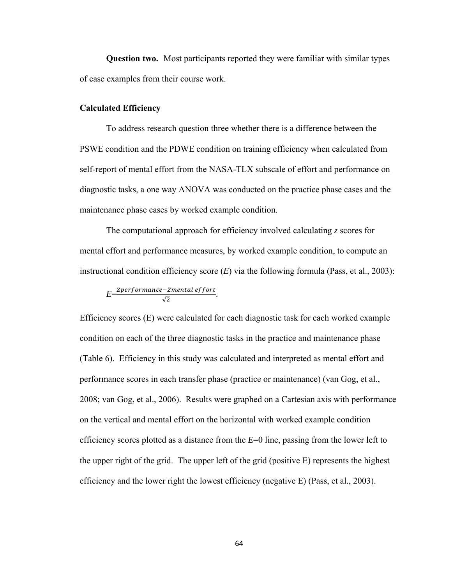**Question two.** Most participants reported they were familiar with similar types of case examples from their course work.

### **Calculated Efficiency**

To address research question three whether there is a difference between the PSWE condition and the PDWE condition on training efficiency when calculated from self-report of mental effort from the NASA-TLX subscale of effort and performance on diagnostic tasks, a one way ANOVA was conducted on the practice phase cases and the maintenance phase cases by worked example condition.

 The computational approach for efficiency involved calculating *z* scores for mental effort and performance measures, by worked example condition, to compute an instructional condition efficiency score (*E*) via the following formula (Pass, et al., 2003):

$$
E = \frac{Zperformance - Zmental\,effort}{\sqrt{2}}.
$$

Efficiency scores (E) were calculated for each diagnostic task for each worked example condition on each of the three diagnostic tasks in the practice and maintenance phase (Table 6). Efficiency in this study was calculated and interpreted as mental effort and performance scores in each transfer phase (practice or maintenance) (van Gog, et al., 2008; van Gog, et al., 2006). Results were graphed on a Cartesian axis with performance on the vertical and mental effort on the horizontal with worked example condition efficiency scores plotted as a distance from the *E*=0 line, passing from the lower left to the upper right of the grid. The upper left of the grid (positive E) represents the highest efficiency and the lower right the lowest efficiency (negative E) (Pass, et al., 2003).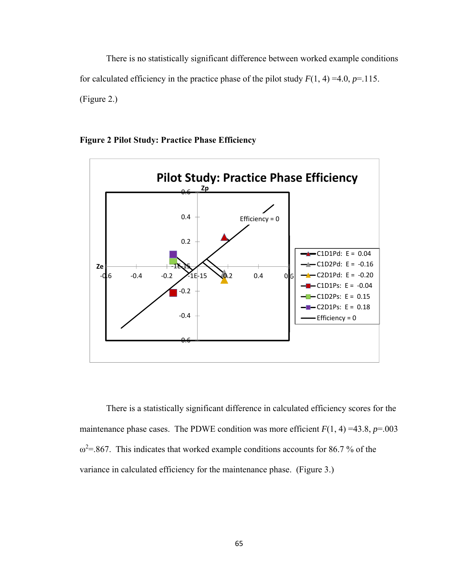There is no statistically significant difference between worked example conditions for calculated efficiency in the practice phase of the pilot study  $F(1, 4) = 4.0, p = .115$ . (Figure 2.)



**Figure 2 Pilot Study: Practice Phase Efficiency** 

There is a statistically significant difference in calculated efficiency scores for the maintenance phase cases. The PDWE condition was more efficient  $F(1, 4) = 43.8$ ,  $p = .003$  $\omega^2$  = .867. This indicates that worked example conditions accounts for 86.7 % of the variance in calculated efficiency for the maintenance phase. (Figure 3.)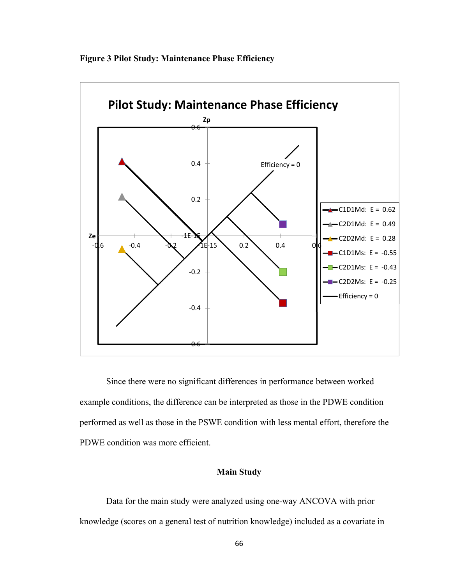



Since there were no significant differences in performance between worked example conditions, the difference can be interpreted as those in the PDWE condition performed as well as those in the PSWE condition with less mental effort, therefore the PDWE condition was more efficient.

# **Main Study**

 Data for the main study were analyzed using one-way ANCOVA with prior knowledge (scores on a general test of nutrition knowledge) included as a covariate in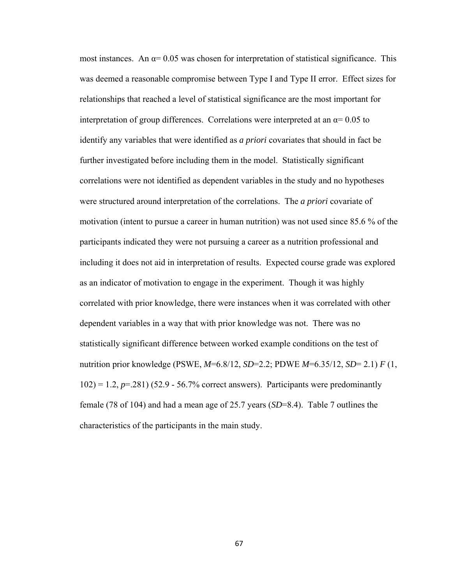most instances. An  $\alpha$ = 0.05 was chosen for interpretation of statistical significance. This was deemed a reasonable compromise between Type I and Type II error. Effect sizes for relationships that reached a level of statistical significance are the most important for interpretation of group differences. Correlations were interpreted at an  $\alpha$ = 0.05 to identify any variables that were identified as *a priori* covariates that should in fact be further investigated before including them in the model. Statistically significant correlations were not identified as dependent variables in the study and no hypotheses were structured around interpretation of the correlations. The *a priori* covariate of motivation (intent to pursue a career in human nutrition) was not used since 85.6 % of the participants indicated they were not pursuing a career as a nutrition professional and including it does not aid in interpretation of results. Expected course grade was explored as an indicator of motivation to engage in the experiment. Though it was highly correlated with prior knowledge, there were instances when it was correlated with other dependent variables in a way that with prior knowledge was not. There was no statistically significant difference between worked example conditions on the test of nutrition prior knowledge (PSWE, *M*=6.8/12, *SD*=2.2; PDWE *M*=6.35/12, *SD*= 2.1) *F* (1,  $102$ ) = 1.2,  $p=281$ ) (52.9 - 56.7% correct answers). Participants were predominantly female (78 of 104) and had a mean age of 25.7 years (*SD*=8.4). Table 7 outlines the characteristics of the participants in the main study.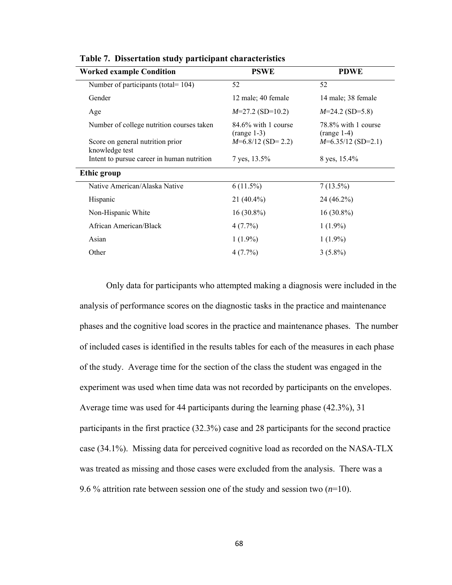| <b>Worked example Condition</b>                    | <b>PSWE</b>                             | <b>PDWE</b>                          |
|----------------------------------------------------|-----------------------------------------|--------------------------------------|
| Number of participants (total= 104)                | 52                                      | 52                                   |
| Gender                                             | 12 male; 40 female                      | 14 male; 38 female                   |
| Age                                                | $M=27.2$ (SD=10.2)                      | $M=24.2$ (SD=5.8)                    |
| Number of college nutrition courses taken          | $84.6\%$ with 1 course<br>$(range 1-3)$ | 78.8% with 1 course<br>$(range 1-4)$ |
| Score on general nutrition prior<br>knowledge test | $M=6.8/12$ (SD= 2.2)                    | $M=6.35/12$ (SD=2.1)                 |
| Intent to pursue career in human nutrition         | 7 yes, 13.5%                            | 8 yes, 15.4%                         |
| Ethic group                                        |                                         |                                      |
| Native American/Alaska Native                      | $6(11.5\%)$                             | $7(13.5\%)$                          |
| Hispanic                                           | $21(40.4\%)$                            | $24(46.2\%)$                         |
| Non-Hispanic White                                 | $16(30.8\%)$                            | $16(30.8\%)$                         |
| African American/Black                             | $4(7.7\%)$                              | $1(1.9\%)$                           |
| Asian                                              | $1(1.9\%)$                              | $1(1.9\%)$                           |
| Other                                              | $4(7.7\%)$                              | $3(5.8\%)$                           |

**Table 7.****Dissertation study participant characteristics**

Only data for participants who attempted making a diagnosis were included in the analysis of performance scores on the diagnostic tasks in the practice and maintenance phases and the cognitive load scores in the practice and maintenance phases. The number of included cases is identified in the results tables for each of the measures in each phase of the study. Average time for the section of the class the student was engaged in the experiment was used when time data was not recorded by participants on the envelopes. Average time was used for 44 participants during the learning phase (42.3%), 31 participants in the first practice (32.3%) case and 28 participants for the second practice case (34.1%). Missing data for perceived cognitive load as recorded on the NASA-TLX was treated as missing and those cases were excluded from the analysis. There was a 9.6 % attrition rate between session one of the study and session two  $(n=10)$ .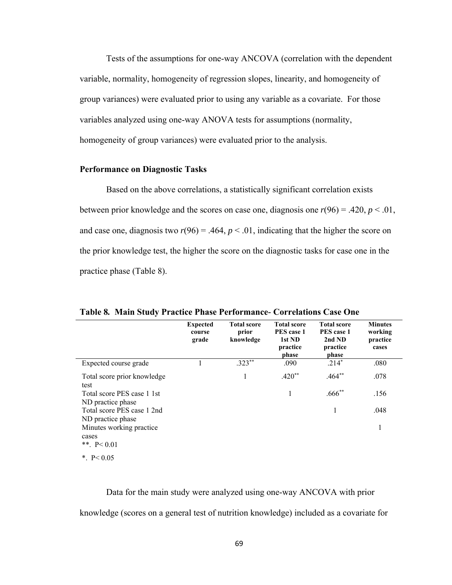Tests of the assumptions for one-way ANCOVA (correlation with the dependent variable, normality, homogeneity of regression slopes, linearity, and homogeneity of group variances) were evaluated prior to using any variable as a covariate. For those variables analyzed using one-way ANOVA tests for assumptions (normality, homogeneity of group variances) were evaluated prior to the analysis.

### **Performance on Diagnostic Tasks**

Based on the above correlations, a statistically significant correlation exists between prior knowledge and the scores on case one, diagnosis one  $r(96) = .420$ ,  $p < .01$ , and case one, diagnosis two  $r(96) = .464$ ,  $p < .01$ , indicating that the higher the score on the prior knowledge test, the higher the score on the diagnostic tasks for case one in the practice phase (Table 8).

|                                                    | <b>Expected</b><br>course<br>grade | <b>Total score</b><br>prior<br>knowledge | <b>Total score</b><br>PES case 1<br>1st ND<br>practice<br>phase | <b>Total score</b><br>PES case 1<br>2nd ND<br>practice<br>phase | <b>Minutes</b><br>working<br>practice<br>cases |
|----------------------------------------------------|------------------------------------|------------------------------------------|-----------------------------------------------------------------|-----------------------------------------------------------------|------------------------------------------------|
| Expected course grade                              |                                    | $.323**$                                 | .090                                                            | $.214*$                                                         | .080                                           |
| Total score prior knowledge<br>test                |                                    | 1                                        | $.420**$                                                        | $.464**$                                                        | .078                                           |
| Total score PES case 1 1st<br>ND practice phase    |                                    |                                          | 1                                                               | $.666$ **                                                       | .156                                           |
| Total score PES case 1 2nd<br>ND practice phase    |                                    |                                          |                                                                 | 1                                                               | .048                                           |
| Minutes working practice<br>cases<br>** $P < 0.01$ |                                    |                                          |                                                                 |                                                                 | 1                                              |
| * $P < 0.05$                                       |                                    |                                          |                                                                 |                                                                 |                                                |

**Table 8***.* **Main Study Practice Phase Performance***-* **Correlations Case One**

 Data for the main study were analyzed using one-way ANCOVA with prior knowledge (scores on a general test of nutrition knowledge) included as a covariate for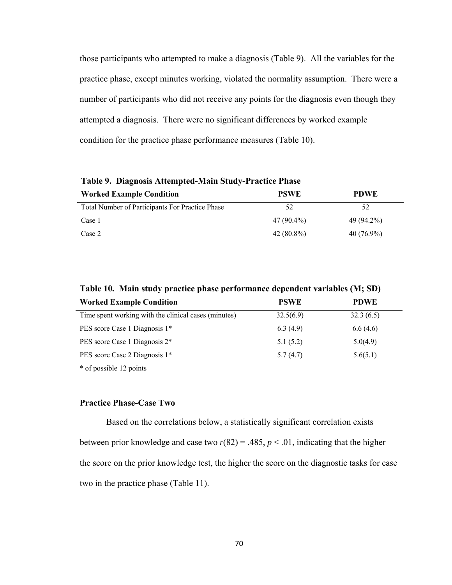those participants who attempted to make a diagnosis (Table 9). All the variables for the practice phase, except minutes working, violated the normality assumption. There were a number of participants who did not receive any points for the diagnosis even though they attempted a diagnosis. There were no significant differences by worked example condition for the practice phase performance measures (Table 10).

| <b>Worked Example Condition</b>                 | <b>PSWE</b>  | <b>PDWE</b>  |
|-------------------------------------------------|--------------|--------------|
| Total Number of Participants For Practice Phase | 52           | 52           |
| Case 1                                          | 47 (90.4%)   | 49 (94.2%)   |
| Case 2                                          | $42(80.8\%)$ | $40(76.9\%)$ |

**Table 9. Diagnosis Attempted-Main Study-Practice Phase** 

| <b>Worked Example Condition</b>                      | <b>PSWE</b> | <b>PDWE</b> |
|------------------------------------------------------|-------------|-------------|
| Time spent working with the clinical cases (minutes) | 32.5(6.9)   | 32.3(6.5)   |
| PES score Case 1 Diagnosis 1*                        | 6.3(4.9)    | 6.6(4.6)    |
| PES score Case 1 Diagnosis 2*                        | 5.1(5.2)    | 5.0(4.9)    |
| PES score Case 2 Diagnosis 1*                        | 5.7(4.7)    | 5.6(5.1)    |
| * of possible 12 points                              |             |             |

## **Practice Phase-Case Two**

Based on the correlations below, a statistically significant correlation exists between prior knowledge and case two  $r(82) = .485$ ,  $p < .01$ , indicating that the higher the score on the prior knowledge test, the higher the score on the diagnostic tasks for case two in the practice phase (Table 11).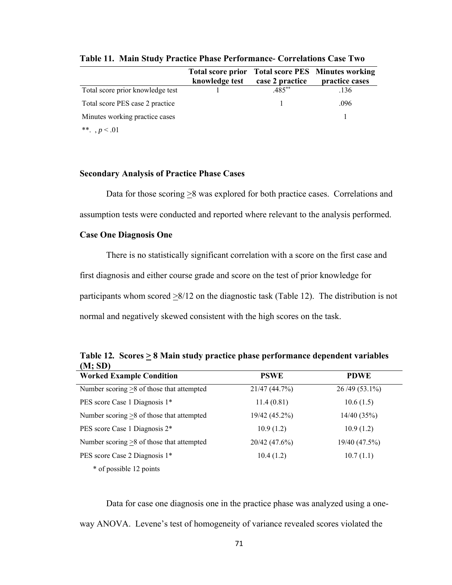|                                  | <b>Total score prior</b><br>knowledge test | case 2 practice | <b>Total score PES</b> Minutes working<br>practice cases |
|----------------------------------|--------------------------------------------|-----------------|----------------------------------------------------------|
| Total score prior knowledge test |                                            | $.485***$       | .136                                                     |
| Total score PES case 2 practice  |                                            |                 | .096                                                     |
| Minutes working practice cases   |                                            |                 |                                                          |
| **., $p < 01$                    |                                            |                 |                                                          |

**Table 11***.* **Main Study Practice Phase Performance***-* **Correlations Case Two** 

### **Secondary Analysis of Practice Phase Cases**

Data for those scoring  $\geq 8$  was explored for both practice cases. Correlations and assumption tests were conducted and reported where relevant to the analysis performed.

### **Case One Diagnosis One**

There is no statistically significant correlation with a score on the first case and first diagnosis and either course grade and score on the test of prior knowledge for participants whom scored  $\geq 8/12$  on the diagnostic task (Table 12). The distribution is not normal and negatively skewed consistent with the high scores on the task.

|         | Table 12. Scores $\geq 8$ Main study practice phase performance dependent variables |
|---------|-------------------------------------------------------------------------------------|
| (M; SD) |                                                                                     |

| <b>Worked Example Condition</b>                 | <b>PSWE</b>   | <b>PDWE</b>     |
|-------------------------------------------------|---------------|-----------------|
| Number scoring $\geq 8$ of those that attempted | 21/47(44.7%)  | $26/49(53.1\%)$ |
| PES score Case 1 Diagnosis 1*                   | 11.4(0.81)    | 10.6(1.5)       |
| Number scoring $>8$ of those that attempted     | 19/42 (45.2%) | 14/40(35%)      |
| PES score Case 1 Diagnosis 2*                   | 10.9(1.2)     | 10.9(1.2)       |
| Number scoring $\geq$ 8 of those that attempted | 20/42(47.6%)  | 19/40 (47.5%)   |
| PES score Case 2 Diagnosis 1*                   | 10.4(1.2)     | 10.7(1.1)       |
| * of possible 12 points                         |               |                 |

 Data for case one diagnosis one in the practice phase was analyzed using a oneway ANOVA. Levene's test of homogeneity of variance revealed scores violated the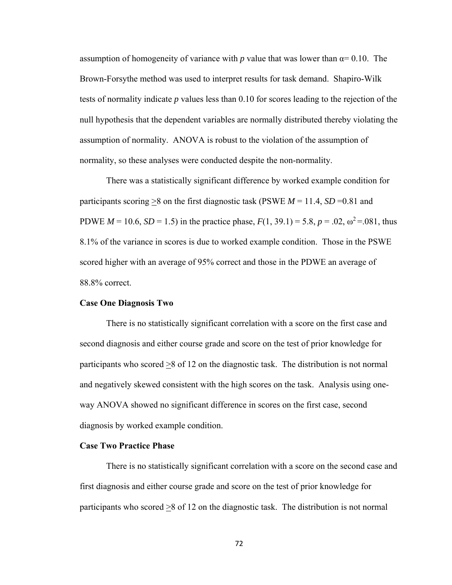assumption of homogeneity of variance with p value that was lower than  $\alpha$ = 0.10. The Brown-Forsythe method was used to interpret results for task demand. Shapiro-Wilk tests of normality indicate *p* values less than 0.10 for scores leading to the rejection of the null hypothesis that the dependent variables are normally distributed thereby violating the assumption of normality. ANOVA is robust to the violation of the assumption of normality, so these analyses were conducted despite the non-normality.

There was a statistically significant difference by worked example condition for participants scoring  $>8$  on the first diagnostic task (PSWE  $M = 11.4$ , *SD* = 0.81 and PDWE  $M = 10.6$ ,  $SD = 1.5$ ) in the practice phase,  $F(1, 39.1) = 5.8$ ,  $p = .02$ ,  $\omega^2 = .081$ , thus 8.1% of the variance in scores is due to worked example condition. Those in the PSWE scored higher with an average of 95% correct and those in the PDWE an average of 88.8% correct.

### **Case One Diagnosis Two**

There is no statistically significant correlation with a score on the first case and second diagnosis and either course grade and score on the test of prior knowledge for participants who scored >8 of 12 on the diagnostic task. The distribution is not normal and negatively skewed consistent with the high scores on the task. Analysis using oneway ANOVA showed no significant difference in scores on the first case, second diagnosis by worked example condition.

### **Case Two Practice Phase**

There is no statistically significant correlation with a score on the second case and first diagnosis and either course grade and score on the test of prior knowledge for participants who scored >8 of 12 on the diagnostic task. The distribution is not normal

72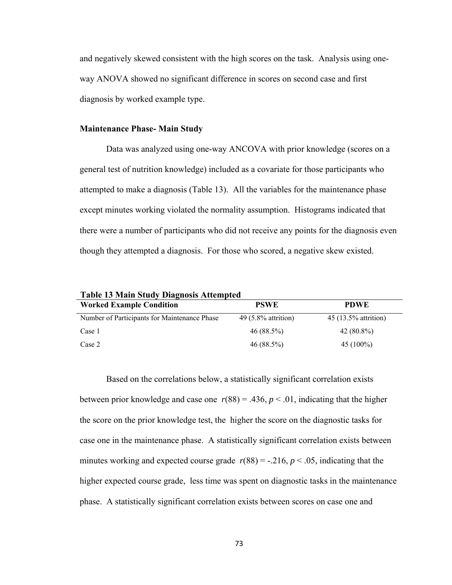and negatively skewed consistent with the high scores on the task. Analysis using oneway ANOVA showed no significant difference in scores on second case and first diagnosis by worked example type.

### **Maintenance Phase- Main Study**

Data was analyzed using one-way ANCOVA with prior knowledge (scores on a general test of nutrition knowledge) included as a covariate for those participants who attempted to make a diagnosis (Table 13). All the variables for the maintenance phase except minutes working violated the normality assumption. Histograms indicated that there were a number of participants who did not receive any points for the diagnosis even though they attempted a diagnosis. For those who scored, a negative skew existed.

**Table 13 Main Study Diagnosis Attempted** 

| <b>Worked Example Condition</b>              | <b>PSWE</b>           | <b>PDWE</b>          |  |
|----------------------------------------------|-----------------------|----------------------|--|
| Number of Participants for Maintenance Phase | $49(5.8\%$ attrition) | 45 (13.5% attrition) |  |
| Case 1                                       | 46 (88.5%)            | $42(80.8\%)$         |  |
| Case 2                                       | 46(88.5%)             | $45(100\%)$          |  |

Based on the correlations below, a statistically significant correlation exists between prior knowledge and case one  $r(88) = .436$ ,  $p < .01$ , indicating that the higher the score on the prior knowledge test, the higher the score on the diagnostic tasks for case one in the maintenance phase. A statistically significant correlation exists between minutes working and expected course grade  $r(88) = -0.216$ ,  $p < 0.05$ , indicating that the higher expected course grade, less time was spent on diagnostic tasks in the maintenance phase. A statistically significant correlation exists between scores on case one and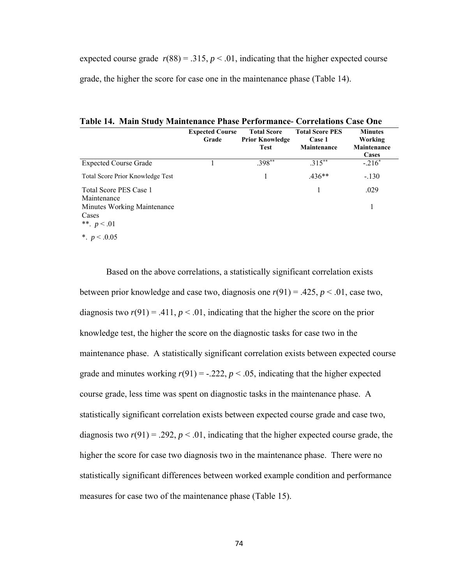expected course grade  $r(88) = .315$ ,  $p < .01$ , indicating that the higher expected course grade, the higher the score for case one in the maintenance phase (Table 14).

**Expected Course Grade Total Score Prior Knowledge Test Total Score PES Case 1 Maintenance Minutes Working Maintenance Cases**  Expected Course Grade  $1$  .398\*\*  $.315***$   $.216*$ Total Score Prior Knowledge Test 1 .436<sup>\*\*</sup> -.130 Total Score PES Case 1 Maintenance 1 .029 Minutes Working Maintenance Cases 1 \*\*.  $p < .01$  $\frac{*}{p}$  *p* < 0.05

**Table 14. Main Study Maintenance Phase Performance***-* **Correlations Case One** 

Based on the above correlations, a statistically significant correlation exists between prior knowledge and case two, diagnosis one *r*(91) = .425, *p* < .01, case two, diagnosis two  $r(91) = .411$ ,  $p < .01$ , indicating that the higher the score on the prior knowledge test, the higher the score on the diagnostic tasks for case two in the maintenance phase. A statistically significant correlation exists between expected course grade and minutes working  $r(91) = -.222$ ,  $p < .05$ , indicating that the higher expected course grade, less time was spent on diagnostic tasks in the maintenance phase. A statistically significant correlation exists between expected course grade and case two, diagnosis two  $r(91) = .292$ ,  $p < .01$ , indicating that the higher expected course grade, the higher the score for case two diagnosis two in the maintenance phase. There were no statistically significant differences between worked example condition and performance measures for case two of the maintenance phase (Table 15).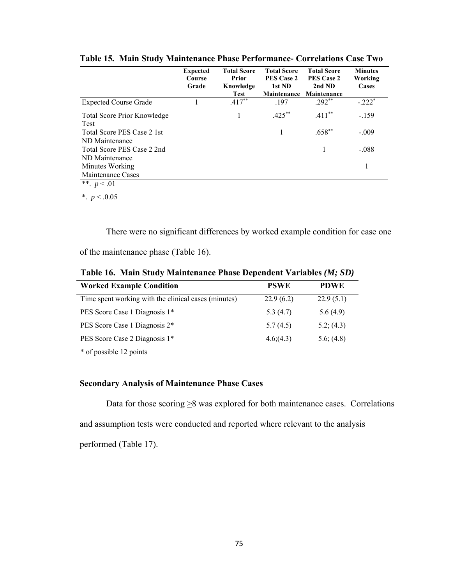|                                              | <b>Expected</b><br>Course<br>Grade | <b>Total Score</b><br>Prior<br>Knowledge<br>Test | <b>Total Score</b><br><b>PES Case 2</b><br>1st ND<br><b>Maintenance</b> | <b>Total Score</b><br><b>PES Case 2</b><br>2nd ND<br>Maintenance | <b>Minutes</b><br>Working<br>Cases |
|----------------------------------------------|------------------------------------|--------------------------------------------------|-------------------------------------------------------------------------|------------------------------------------------------------------|------------------------------------|
| <b>Expected Course Grade</b>                 |                                    | $.417***$                                        | .197                                                                    | $.292**$                                                         | $-.222*$                           |
| <b>Total Score Prior Knowledge</b><br>Test   |                                    |                                                  | $.425***$                                                               | $.411***$                                                        | $-159$                             |
| Total Score PES Case 2 1st<br>ND Maintenance |                                    |                                                  |                                                                         | $.658**$                                                         | $-.009$                            |
| Total Score PES Case 2 2nd<br>ND Maintenance |                                    |                                                  |                                                                         |                                                                  | $-.088$                            |
| Minutes Working<br>Maintenance Cases         |                                    |                                                  |                                                                         |                                                                  |                                    |
| $** - 01$                                    |                                    |                                                  |                                                                         |                                                                  |                                    |

**Table 15***.* **Main Study Maintenance Phase Performance***-* **Correlations Case Two** 

\*\*.  $p < .01$ 

\*. *p* < .0.05

There were no significant differences by worked example condition for case one

of the maintenance phase (Table 16).

| <b>Worked Example Condition</b>                      | <b>PSWE</b> | <b>PDWE</b> |
|------------------------------------------------------|-------------|-------------|
| Time spent working with the clinical cases (minutes) | 22.9(6.2)   | 22.9(5.1)   |
| PES Score Case 1 Diagnosis 1*                        | 5.3(4.7)    | 5.6(4.9)    |
| PES Score Case 1 Diagnosis 2*                        | 5.7(4.5)    | 5.2; (4.3)  |
| PES Score Case 2 Diagnosis 1*                        | 4.6(4.3)    | 5.6; (4.8)  |
| * of possible 12 points                              |             |             |

**Table 16. Main Study Maintenance Phase Dependent Variables** *(M; SD)*

# **Secondary Analysis of Maintenance Phase Cases**

Data for those scoring  $\geq$ 8 was explored for both maintenance cases. Correlations and assumption tests were conducted and reported where relevant to the analysis performed (Table 17).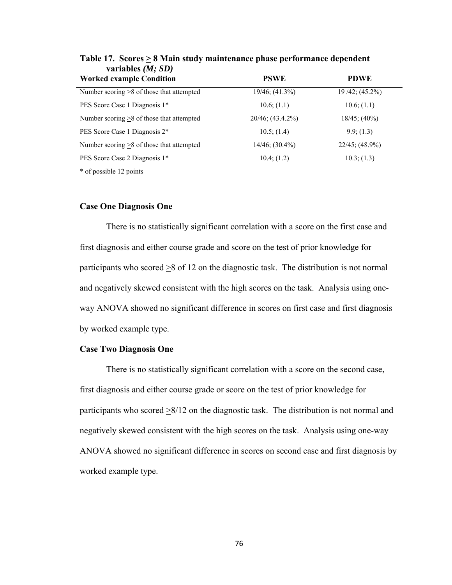| <b>Worked example Condition</b>                 | <b>PSWE</b>            | <b>PDWE</b>          |
|-------------------------------------------------|------------------------|----------------------|
| Number scoring $\geq$ 8 of those that attempted | $19/46$ ; $(41.3%)$    | $19/42$ ; $(45.2\%)$ |
| PES Score Case 1 Diagnosis 1*                   | 10.6; (1.1)            | $10.6$ ; $(1.1)$     |
| Number scoring $\geq 8$ of those that attempted | $20/46$ ; $(43.4.2\%)$ | $18/45$ ; $(40\%)$   |
| PES Score Case 1 Diagnosis 2*                   | $10.5$ ; $(1.4)$       | 9.9; (1.3)           |
| Number scoring $\geq 8$ of those that attempted | $14/46$ ; $(30.4\%)$   | $22/45$ ; (48.9%)    |
| PES Score Case 2 Diagnosis 1*                   | 10.4; (1.2)            | 10.3; (1.3)          |
| * of possible 12 points                         |                        |                      |

Table 17. Scores  $\geq 8$  Main study maintenance phase performance dependent **variables** *(M; SD)*

### **Case One Diagnosis One**

 There is no statistically significant correlation with a score on the first case and first diagnosis and either course grade and score on the test of prior knowledge for participants who scored  $\geq$ 8 of 12 on the diagnostic task. The distribution is not normal and negatively skewed consistent with the high scores on the task. Analysis using oneway ANOVA showed no significant difference in scores on first case and first diagnosis by worked example type.

### **Case Two Diagnosis One**

 There is no statistically significant correlation with a score on the second case, first diagnosis and either course grade or score on the test of prior knowledge for participants who scored  $\geq 8/12$  on the diagnostic task. The distribution is not normal and negatively skewed consistent with the high scores on the task. Analysis using one-way ANOVA showed no significant difference in scores on second case and first diagnosis by worked example type.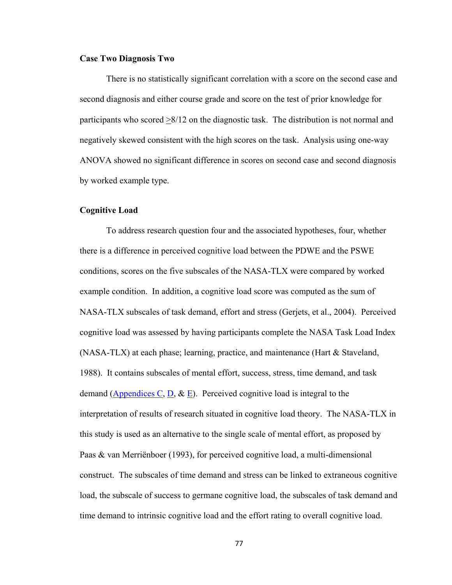### **Case Two Diagnosis Two**

There is no statistically significant correlation with a score on the second case and second diagnosis and either course grade and score on the test of prior knowledge for participants who scored >8/12 on the diagnostic task. The distribution is not normal and negatively skewed consistent with the high scores on the task. Analysis using one-way ANOVA showed no significant difference in scores on second case and second diagnosis by worked example type.

### **Cognitive Load**

To address research question four and the associated hypotheses, four, whether there is a difference in perceived cognitive load between the PDWE and the PSWE conditions, scores on the five subscales of the NASA-TLX were compared by worked example condition. In addition, a cognitive load score was computed as the sum of NASA-TLX subscales of task demand, effort and stress (Gerjets, et al., 2004). Perceived cognitive load was assessed by having participants complete the NASA Task Load Index (NASA-TLX) at each phase; learning, practice, and maintenance (Hart & Staveland, 1988). It contains subscales of mental effort, success, stress, time demand, and task demand (Appendices C, D,  $\&$  E). Perceived cognitive load is integral to the interpretation of results of research situated in cognitive load theory. The NASA-TLX in this study is used as an alternative to the single scale of mental effort, as proposed by Paas & van Merriënboer (1993), for perceived cognitive load, a multi-dimensional construct. The subscales of time demand and stress can be linked to extraneous cognitive load, the subscale of success to germane cognitive load, the subscales of task demand and time demand to intrinsic cognitive load and the effort rating to overall cognitive load.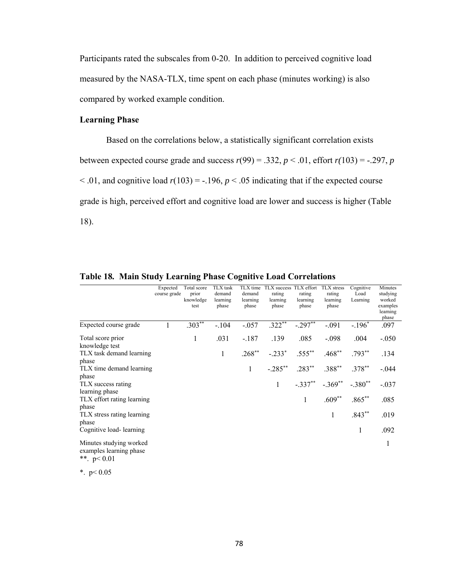Participants rated the subscales from 0-20. In addition to perceived cognitive load measured by the NASA-TLX, time spent on each phase (minutes working) is also compared by worked example condition.

## **Learning Phase**

Based on the correlations below, a statistically significant correlation exists between expected course grade and success  $r(99) = .332$ ,  $p < .01$ , effort  $r(103) = -.297$ ,  $p$  $\leq$  .01, and cognitive load  $r(103) = -0.196$ ,  $p \leq 0.05$  indicating that if the expected course grade is high, perceived effort and cognitive load are lower and success is higher (Table 18).

|                                                                      | Expected<br>course grade | Total score<br>prior<br>knowledge<br>test | <b>TLX</b> task<br>demand<br>learning<br>phase | demand<br>learning<br>phase | TLX time TLX success TLX effort TLX stress<br>rating<br>learning<br>phase | rating<br>learning<br>phase | rating<br>learning<br>phase                      | Cognitive<br>Load<br>Learning | <b>Minutes</b><br>studying<br>worked<br>examples<br>learning<br>phase |
|----------------------------------------------------------------------|--------------------------|-------------------------------------------|------------------------------------------------|-----------------------------|---------------------------------------------------------------------------|-----------------------------|--------------------------------------------------|-------------------------------|-----------------------------------------------------------------------|
| Expected course grade                                                |                          | $.303**$                                  | $-.104$                                        |                             | $-0.057$ $0.322**$                                                        | $-0.297**$                  | $-.091$                                          | $-.196*$                      | .097                                                                  |
| Total score prior<br>knowledge test                                  |                          | 1                                         | .031                                           | $-187$                      | .139                                                                      | .085                        | $-.098$                                          | .004                          | $-.050$                                                               |
| TLX task demand learning<br>phase                                    |                          |                                           | $\mathbf{1}$                                   | $.268**$                    |                                                                           |                             | $-.233^*$ $.555^{**}$ $.468^{**}$                | $.793**$                      | .134                                                                  |
| TLX time demand learning                                             |                          |                                           |                                                | $\mathbf{1}$                |                                                                           |                             | $-.285^{**}$ $.283^{**}$ $.388^{**}$ $.378^{**}$ |                               | $-.044$                                                               |
| phase<br>TLX success rating                                          |                          |                                           |                                                |                             | 1                                                                         |                             | $-.337***$ $-.369***$ $-.380**$                  |                               | $-.037$                                                               |
| learning phase<br>TLX effort rating learning                         |                          |                                           |                                                |                             |                                                                           | 1                           | $.609**$                                         | $.865**$                      | .085                                                                  |
| phase<br>TLX stress rating learning<br>phase                         |                          |                                           |                                                |                             |                                                                           |                             | $\mathbf{1}$                                     | $.843**$                      | .019                                                                  |
| Cognitive load-learning                                              |                          |                                           |                                                |                             |                                                                           |                             |                                                  | $\mathbf{1}$                  | .092                                                                  |
| Minutes studying worked<br>examples learning phase<br>**. $p < 0.01$ |                          |                                           |                                                |                             |                                                                           |                             |                                                  |                               | 1                                                                     |
| *. $p < 0.05$                                                        |                          |                                           |                                                |                             |                                                                           |                             |                                                  |                               |                                                                       |

**Table 18***.* **Main Study Learning Phase Cognitive Load Correlations**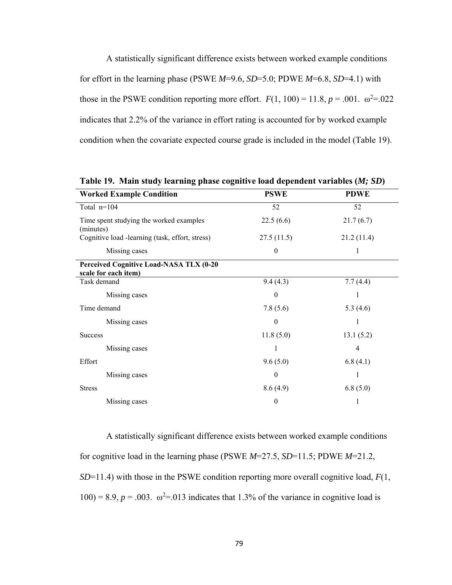A statistically significant difference exists between worked example conditions for effort in the learning phase (PSWE *M*=9.6, *SD*=5.0; PDWE *M*=6.8, *SD*=4.1) with those in the PSWE condition reporting more effort.  $F(1, 100) = 11.8$ ,  $p = .001$ .  $\omega^2 = .022$ indicates that 2.2% of the variance in effort rating is accounted for by worked example condition when the covariate expected course grade is included in the model (Table 19).

| <b>Worked Example Condition</b>                                 | <b>PSWE</b>      | <b>PDWE</b> |
|-----------------------------------------------------------------|------------------|-------------|
| Total n=104                                                     | 52               | 52          |
| Time spent studying the worked examples<br>(minutes)            | 22.5(6.6)        | 21.7(6.7)   |
| Cognitive load -learning (task, effort, stress)                 | 27.5(11.5)       | 21.2(11.4)  |
| Missing cases                                                   | $\mathbf{0}$     | 1           |
| Perceived Cognitive Load-NASA TLX (0-20<br>scale for each item) |                  |             |
| Task demand                                                     | 9.4(4.3)         | 7.7(4.4)    |
| Missing cases                                                   | $\theta$         | 1           |
| Time demand                                                     | 7.8(5.6)         | 5.3(4.6)    |
| Missing cases                                                   | $\boldsymbol{0}$ | 1           |
| <b>Success</b>                                                  | 11.8(5.0)        | 13.1(5.2)   |
| Missing cases                                                   |                  | 4           |
| Effort                                                          | 9.6(5.0)         | 6.8(4.1)    |
| Missing cases                                                   | $\theta$         | 1           |
| <b>Stress</b>                                                   | 8.6(4.9)         | 6.8(5.0)    |
| Missing cases                                                   | $\boldsymbol{0}$ |             |

**Table 19. Main study learning phase cognitive load dependent variables (***M; SD***)** 

A statistically significant difference exists between worked example conditions for cognitive load in the learning phase (PSWE *M*=27.5, *SD*=11.5; PDWE *M*=21.2, *SD*=11.4) with those in the PSWE condition reporting more overall cognitive load, *F*(1,  $100$ ) = 8.9,  $p = .003$ .  $\omega^2 = .013$  indicates that 1.3% of the variance in cognitive load is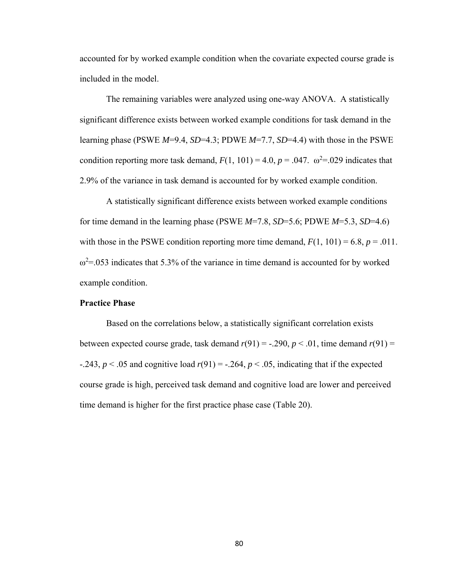accounted for by worked example condition when the covariate expected course grade is included in the model.

The remaining variables were analyzed using one-way ANOVA. A statistically significant difference exists between worked example conditions for task demand in the learning phase (PSWE *M*=9.4, *SD*=4.3; PDWE *M*=7.7, *SD*=4.4) with those in the PSWE condition reporting more task demand,  $F(1, 101) = 4.0$ ,  $p = .047$ .  $\omega^2 = .029$  indicates that 2.9% of the variance in task demand is accounted for by worked example condition.

A statistically significant difference exists between worked example conditions for time demand in the learning phase (PSWE *M*=7.8, *SD*=5.6; PDWE *M*=5.3, *SD*=4.6) with those in the PSWE condition reporting more time demand,  $F(1, 101) = 6.8$ ,  $p = .011$ .  $\omega^2$ =.053 indicates that 5.3% of the variance in time demand is accounted for by worked example condition.

## **Practice Phase**

Based on the correlations below, a statistically significant correlation exists between expected course grade, task demand  $r(91) = -0.290$ ,  $p < 0.01$ , time demand  $r(91) =$  $-243$ ,  $p < .05$  and cognitive load  $r(91) = -.264$ ,  $p < .05$ , indicating that if the expected course grade is high, perceived task demand and cognitive load are lower and perceived time demand is higher for the first practice phase case (Table 20).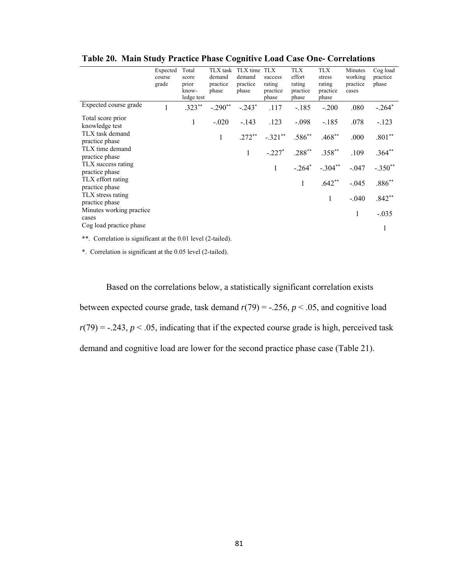|                                      | Expected<br>course<br>grade | Total<br>score<br>prior<br>know-<br>ledge test | TLX task<br>demand<br>practice<br>phase | TLX time TLX<br>demand<br>practice<br>phase | success<br>rating<br>practice<br>phase | <b>TLX</b><br>effort<br>rating<br>practice<br>phase | TLX<br>stress<br>rating<br>practice<br>phase | Minutes<br>working<br>practice<br>cases | Cog load<br>practice<br>phase |
|--------------------------------------|-----------------------------|------------------------------------------------|-----------------------------------------|---------------------------------------------|----------------------------------------|-----------------------------------------------------|----------------------------------------------|-----------------------------------------|-------------------------------|
| Expected course grade                | 1                           | $.323**$                                       | $-.290**$                               | $-.243*$                                    | .117                                   | $-.185$                                             | $-.200$                                      | .080                                    | $-.264*$                      |
| Total score prior<br>knowledge test  |                             | 1                                              | $-.020$                                 | $-143$                                      | .123                                   | $-.098$                                             | $-185$                                       | .078                                    | $-.123$                       |
| TLX task demand<br>practice phase    |                             |                                                | $\mathbf{1}$                            | $.272**$                                    | $-.321***$                             | $.586^{**}$                                         | $.468**$                                     | .000                                    | $.801**$                      |
| TLX time demand<br>practice phase    |                             |                                                |                                         | 1                                           | $-.227*$                               | $.288**$                                            | $.358***$                                    | .109                                    | $.364**$                      |
| TLX success rating<br>practice phase |                             |                                                |                                         |                                             | $\mathbf{1}$                           | $-.264*$                                            | $-.304**$                                    | $-.047$                                 | $-.350**$                     |
| TLX effort rating<br>practice phase  |                             |                                                |                                         |                                             |                                        | $\mathbf{1}$                                        | $.642**$                                     | $-.045$                                 | $.886**$                      |
| TLX stress rating<br>practice phase  |                             |                                                |                                         |                                             |                                        |                                                     | $\mathbf{1}$                                 | $-.040$                                 | $.842**$                      |
| Minutes working practice.<br>cases   |                             |                                                |                                         |                                             |                                        |                                                     |                                              | $\mathbf{1}$                            | $-.035$                       |
| Cog load practice phase              |                             |                                                |                                         |                                             |                                        |                                                     |                                              |                                         | 1                             |

**Table 20. Main Study Practice Phase Cognitive Load Case One- Correlations**

\*\*. Correlation is significant at the 0.01 level (2-tailed).

\*. Correlation is significant at the 0.05 level (2-tailed).

Based on the correlations below, a statistically significant correlation exists between expected course grade, task demand  $r(79) = -.256$ ,  $p < .05$ , and cognitive load  $r(79) = -0.243$ ,  $p < 0.05$ , indicating that if the expected course grade is high, perceived task demand and cognitive load are lower for the second practice phase case (Table 21).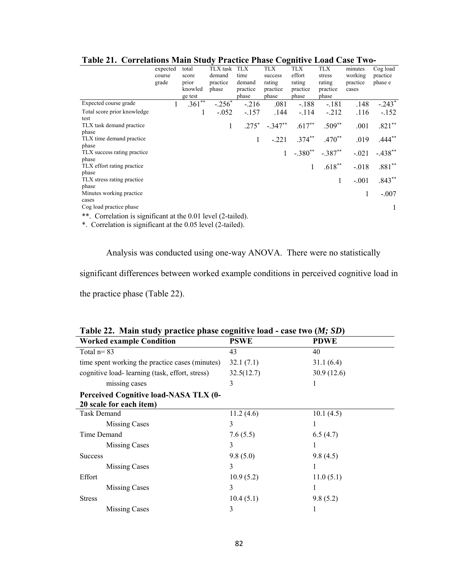|                                                                    |          | $\cdots$ |          | ,,,,,,,,,,,,,, |            |              |                           |          |           |
|--------------------------------------------------------------------|----------|----------|----------|----------------|------------|--------------|---------------------------|----------|-----------|
|                                                                    | expected | total    | TLX task | <b>TLX</b>     | <b>TLX</b> | <b>TLX</b>   | <b>TLX</b>                | minutes  | Cog load  |
|                                                                    | course   | score    | demand   | time           | success    | effort       | stress                    | working  | practice  |
|                                                                    | grade    | prior    | practice | demand         | rating     | rating       | rating                    | practice | phase e   |
|                                                                    |          | knowled  | phase    | practice       | practice   | practice     | practice                  | cases    |           |
|                                                                    |          | ge test  |          | phase          | phase      | phase        | phase                     |          |           |
| Expected course grade                                              |          | $.361**$ | $-.256*$ | $-.216$        | .081       | $-.188$      | $-.181$                   | .148     | $-.243*$  |
| Total score prior knowledge                                        |          |          | $-.052$  | $-.157$        | .144       | $-.114$      | $-212$                    | .116     | $-.152$   |
| test                                                               |          |          |          |                |            |              |                           |          |           |
| TLX task demand practice                                           |          |          | 1        | $.275*$        | $-.347**$  | $.617**$     | $.509**$                  | .001     | $.821**$  |
| phase                                                              |          |          |          |                |            |              |                           |          |           |
| TLX time demand practice                                           |          |          |          | 1              | $-.221$    | $.374***$    | $.470**$                  | .019     | $.444**$  |
| phase                                                              |          |          |          |                |            |              |                           |          |           |
| TLX success rating practice.                                       |          |          |          |                |            |              | $-.380^{**}$ $-.387^{**}$ | $-.021$  | $-.438**$ |
| phase                                                              |          |          |          |                |            |              |                           |          |           |
| TLX effort rating practice.                                        |          |          |          |                |            | $\mathbf{1}$ | $.618**$                  | $-.018$  | $.881**$  |
| phase                                                              |          |          |          |                |            |              |                           |          |           |
| TLX stress rating practice                                         |          |          |          |                |            |              | $\mathbf{1}$              | $-.001$  | $.843**$  |
| phase                                                              |          |          |          |                |            |              |                           |          |           |
| Minutes working practice.                                          |          |          |          |                |            |              |                           |          | $-.007$   |
| cases                                                              |          |          |          |                |            |              |                           |          |           |
| Cog load practice phase                                            |          |          |          |                |            |              |                           |          | 1         |
| Correlation is significant at the $0.01$ level $(2$ -tailed)<br>** |          |          |          |                |            |              |                           |          |           |

**Table 21. Correlations Main Study Practice Phase Cognitive Load Case Two-** 

 $\therefore$  Correlation is significant at the 0.01 level (2-tailed).

\*. Correlation is significant at the 0.05 level (2-tailed).

Analysis was conducted using one-way ANOVA. There were no statistically

significant differences between worked example conditions in perceived cognitive load in

the practice phase (Table 22).

|                                                 | Table 22. Main study practice phase cognitive load - case two ( <i>m</i> ; <i>SD</i> ) |             |  |  |  |  |  |  |  |  |
|-------------------------------------------------|----------------------------------------------------------------------------------------|-------------|--|--|--|--|--|--|--|--|
| <b>Worked example Condition</b>                 | <b>PSWE</b>                                                                            | <b>PDWE</b> |  |  |  |  |  |  |  |  |
| Total $n=83$                                    | 43                                                                                     | 40          |  |  |  |  |  |  |  |  |
| time spent working the practice cases (minutes) | 32.1(7.1)                                                                              | 31.1(6.4)   |  |  |  |  |  |  |  |  |
| cognitive load-learning (task, effort, stress)  | 32.5(12.7)                                                                             | 30.9(12.6)  |  |  |  |  |  |  |  |  |
| missing cases                                   | 3                                                                                      |             |  |  |  |  |  |  |  |  |
| <b>Perceived Cognitive load-NASA TLX (0-</b>    |                                                                                        |             |  |  |  |  |  |  |  |  |
| 20 scale for each item)                         |                                                                                        |             |  |  |  |  |  |  |  |  |
| <b>Task Demand</b>                              | 11.2(4.6)                                                                              | 10.1(4.5)   |  |  |  |  |  |  |  |  |
| <b>Missing Cases</b>                            | 3                                                                                      |             |  |  |  |  |  |  |  |  |
| Time Demand                                     | 7.6(5.5)                                                                               | 6.5(4.7)    |  |  |  |  |  |  |  |  |
| Missing Cases                                   | 3                                                                                      |             |  |  |  |  |  |  |  |  |
| <b>Success</b>                                  | 9.8(5.0)                                                                               | 9.8(4.5)    |  |  |  |  |  |  |  |  |
| <b>Missing Cases</b>                            | 3                                                                                      | 1           |  |  |  |  |  |  |  |  |
| Effort                                          | 10.9(5.2)                                                                              | 11.0(5.1)   |  |  |  |  |  |  |  |  |
| Missing Cases                                   | 3                                                                                      |             |  |  |  |  |  |  |  |  |
| <b>Stress</b>                                   | 10.4(5.1)                                                                              | 9.8(5.2)    |  |  |  |  |  |  |  |  |
| Missing Cases                                   | 3                                                                                      | I           |  |  |  |  |  |  |  |  |

**Table 22. Main study practice phase cognitive load - case two (***M; SD***)**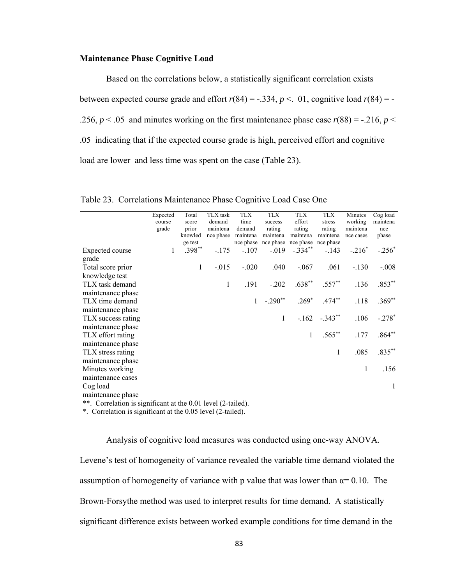### **Maintenance Phase Cognitive Load**

Based on the correlations below, a statistically significant correlation exists between expected course grade and effort  $r(84) = -.334$ ,  $p < .01$ , cognitive load  $r(84) = -$ .256,  $p < 0.05$  and minutes working on the first maintenance phase case  $r(88) = -0.216$ ,  $p <$ .05 indicating that if the expected course grade is high, perceived effort and cognitive load are lower and less time was spent on the case (Table 23).

|                                                              | Expected     | Total    | TLX task     | <b>TLX</b>   | <b>TLX</b>                    | <b>TLX</b>   | <b>TLX</b>           | Minutes      | Cog load  |
|--------------------------------------------------------------|--------------|----------|--------------|--------------|-------------------------------|--------------|----------------------|--------------|-----------|
|                                                              | course       | score    | demand       | time         | success                       | effort       | stress               | working      | maintena  |
|                                                              | grade        | prior    | maintena     | demand       | rating                        | rating       | rating               | maintena     | nce       |
|                                                              |              | knowled  | nce phase    | maintena     | maintena                      | maintena     | maintena             | nce cases    | phase     |
|                                                              |              | ge test  |              |              | nce phase nce phase nce phase |              | nce phase            |              |           |
| Expected course                                              | $\mathbf{1}$ | $.398**$ | $-175$       | $-.107$      | $-019$                        | $-.334***$   | $-.143$              | $-.216*$     | $-.256*$  |
| grade                                                        |              |          |              |              |                               |              |                      |              |           |
| Total score prior                                            |              | 1        | $-.015$      | $-.020$      | .040                          | $-.067$      | .061                 | $-.130$      | $-.008$   |
| knowledge test                                               |              |          |              |              |                               |              |                      |              |           |
| TLX task demand                                              |              |          | $\mathbf{1}$ | .191         | $-.202$                       | $.638**$     | $.557***$            | .136         | $.853***$ |
| maintenance phase                                            |              |          |              |              |                               |              |                      |              |           |
| TLX time demand                                              |              |          |              | $\mathbf{1}$ | $-.290**$                     |              | $.269^*$ $.474^{**}$ | .118         | $.369**$  |
| maintenance phase                                            |              |          |              |              |                               |              |                      |              |           |
| TLX success rating                                           |              |          |              |              | 1                             |              | $-.162-.343**$       | .106         | $-.278*$  |
| maintenance phase                                            |              |          |              |              |                               |              |                      |              |           |
| TLX effort rating                                            |              |          |              |              |                               | $\mathbf{1}$ | $.565***$            | .177         | $.864**$  |
| maintenance phase                                            |              |          |              |              |                               |              |                      |              |           |
| TLX stress rating                                            |              |          |              |              |                               |              | 1                    | .085         | $.835***$ |
| maintenance phase                                            |              |          |              |              |                               |              |                      |              |           |
| Minutes working                                              |              |          |              |              |                               |              |                      | $\mathbf{1}$ | .156      |
| maintenance cases                                            |              |          |              |              |                               |              |                      |              |           |
| Cog load                                                     |              |          |              |              |                               |              |                      |              | 1         |
| maintenance phase                                            |              |          |              |              |                               |              |                      |              |           |
| **. Correlation is significant at the 0.01 level (2-tailed). |              |          |              |              |                               |              |                      |              |           |

Table 23. Correlations Maintenance Phase Cognitive Load Case One

\*. Correlation is significant at the 0.05 level (2-tailed).

Analysis of cognitive load measures was conducted using one-way ANOVA. Levene's test of homogeneity of variance revealed the variable time demand violated the assumption of homogeneity of variance with p value that was lower than  $\alpha$ = 0.10. The Brown-Forsythe method was used to interpret results for time demand. A statistically significant difference exists between worked example conditions for time demand in the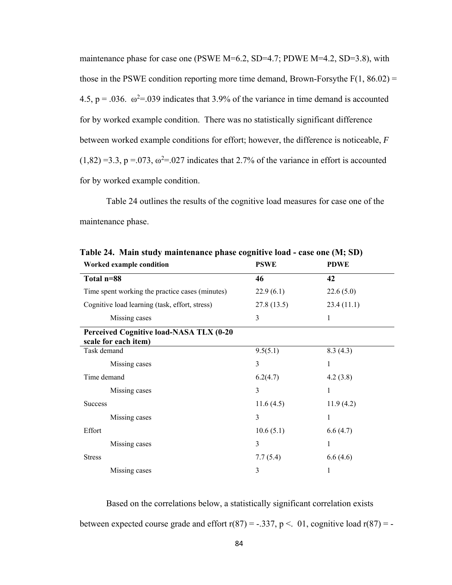maintenance phase for case one (PSWE M=6.2, SD=4.7; PDWE M=4.2, SD=3.8), with those in the PSWE condition reporting more time demand, Brown-Forsythe  $F(1, 86.02) =$ 4.5,  $p = .036$ .  $\omega^2 = .039$  indicates that 3.9% of the variance in time demand is accounted for by worked example condition. There was no statistically significant difference between worked example conditions for effort; however, the difference is noticeable, *F*  $(1,82) = 3.3$ ,  $p = 0.073$ ,  $\omega^2 = 0.027$  indicates that 2.7% of the variance in effort is accounted for by worked example condition.

Table 24 outlines the results of the cognitive load measures for case one of the maintenance phase.

| Worked example condition                                        | <b>PSWE</b> | <b>PDWE</b> |
|-----------------------------------------------------------------|-------------|-------------|
| Total n=88                                                      | 46          | 42          |
| Time spent working the practice cases (minutes)                 | 22.9(6.1)   | 22.6(5.0)   |
| Cognitive load learning (task, effort, stress)                  | 27.8(13.5)  | 23.4(11.1)  |
| Missing cases                                                   | 3           | 1           |
| Perceived Cognitive load-NASA TLX (0-20<br>scale for each item) |             |             |
| Task demand                                                     | 9.5(5.1)    | 8.3(4.3)    |
| Missing cases                                                   | 3           | 1           |
| Time demand                                                     | 6.2(4.7)    | 4.2(3.8)    |
| Missing cases                                                   | 3           | 1           |
| <b>Success</b>                                                  | 11.6(4.5)   | 11.9(4.2)   |
| Missing cases                                                   | 3           | 1           |
| Effort                                                          | 10.6(5.1)   | 6.6(4.7)    |
| Missing cases                                                   | 3           | 1           |
| <b>Stress</b>                                                   | 7.7(5.4)    | 6.6(4.6)    |
| Missing cases                                                   | 3           | 1           |

**Table 24. Main study maintenance phase cognitive load - case one (M; SD)** 

Based on the correlations below, a statistically significant correlation exists between expected course grade and effort  $r(87) = -.337$ ,  $p < .01$ , cognitive load  $r(87) = -$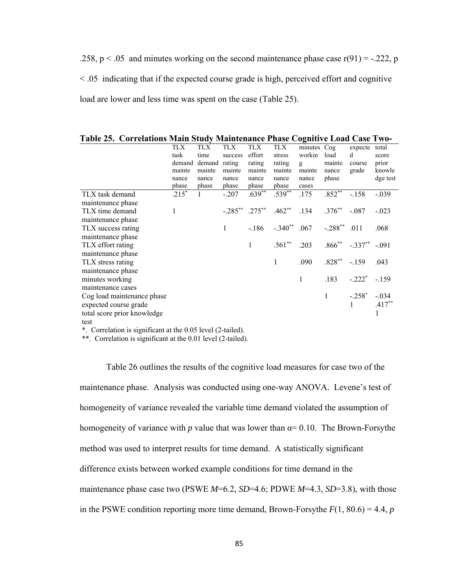.258,  $p < .05$  and minutes working on the second maintenance phase case  $r(91) = -.222$ , p < .05 indicating that if the expected course grade is high, perceived effort and cognitive load are lower and less time was spent on the case (Table 25).

**Table 25. Correlations Main Study Maintenance Phase Cognitive Load Case Two-**

|                             | TLX<br>task<br>demand<br>mainte<br>nance<br>phase | TLX<br>time<br>demand<br>mainte<br>nance<br>phase | TLX<br>success<br>rating<br>mainte<br>nance<br>phase | TLX<br>effort<br>rating<br>mainte<br>nance<br>phase | TLX<br>stress<br>rating<br>mainte<br>nance<br>phase | minutes Cog<br>workin<br>g<br>mainte<br>nance<br>cases | load<br>mainte<br>nance<br>phase | expecte<br>d<br>course<br>grade | total<br>score<br>prior<br>knowle<br>dge test |
|-----------------------------|---------------------------------------------------|---------------------------------------------------|------------------------------------------------------|-----------------------------------------------------|-----------------------------------------------------|--------------------------------------------------------|----------------------------------|---------------------------------|-----------------------------------------------|
| TLX task demand             | $.215*$                                           | $\mathbf{1}$                                      | $-.207$                                              | $.639**$                                            | $.539^{**}$                                         | .175                                                   | $.852**$                         | $-.158$                         | $-.039$                                       |
| maintenance phase           |                                                   |                                                   |                                                      |                                                     |                                                     |                                                        |                                  |                                 |                                               |
| TLX time demand             | 1                                                 |                                                   | $-.285***$ .275**                                    |                                                     | $.462^{**}$ .134 .376 <sup>**</sup>                 |                                                        |                                  | $-.087$                         | $-.023$                                       |
| maintenance phase           |                                                   |                                                   |                                                      |                                                     |                                                     |                                                        |                                  |                                 |                                               |
| TLX success rating          |                                                   |                                                   | $\mathbf{1}$                                         | $-186$                                              |                                                     | $-.340$ <sup>**</sup> .067                             | $-.288$ ** .011                  |                                 | .068                                          |
| maintenance phase           |                                                   |                                                   |                                                      |                                                     |                                                     |                                                        |                                  |                                 |                                               |
| TLX effort rating           |                                                   |                                                   |                                                      | $\mathbf{1}$                                        | $.561**$                                            | .203                                                   |                                  | $.866^{**}$ $-.337^{**}$        | $-.091$                                       |
| maintenance phase           |                                                   |                                                   |                                                      |                                                     |                                                     |                                                        |                                  |                                 |                                               |
| TLX stress rating           |                                                   |                                                   |                                                      |                                                     | $\mathbf{1}$                                        | .090                                                   | $.828**$                         | $-159$                          | .043                                          |
| maintenance phase           |                                                   |                                                   |                                                      |                                                     |                                                     |                                                        |                                  |                                 |                                               |
| minutes working             |                                                   |                                                   |                                                      |                                                     |                                                     | $\mathbf{1}$                                           | .183                             | $-.222*$                        | $-159$                                        |
| maintenance cases           |                                                   |                                                   |                                                      |                                                     |                                                     |                                                        |                                  |                                 |                                               |
| Cog load maintenance phase  |                                                   |                                                   |                                                      |                                                     |                                                     |                                                        | $\mathbf{1}$                     | $-.258*$                        | $-.034$                                       |
| expected course grade       |                                                   |                                                   |                                                      |                                                     |                                                     |                                                        |                                  |                                 | $.417**$                                      |
| total score prior knowledge |                                                   |                                                   |                                                      |                                                     |                                                     |                                                        |                                  |                                 |                                               |
| test                        |                                                   |                                                   |                                                      |                                                     |                                                     |                                                        |                                  |                                 |                                               |

\*. Correlation is significant at the 0.05 level (2-tailed).

\*\*. Correlation is significant at the 0.01 level (2-tailed).

Table 26 outlines the results of the cognitive load measures for case two of the maintenance phase. Analysis was conducted using one-way ANOVA. Levene's test of homogeneity of variance revealed the variable time demand violated the assumption of homogeneity of variance with  $p$  value that was lower than  $\alpha = 0.10$ . The Brown-Forsythe method was used to interpret results for time demand. A statistically significant difference exists between worked example conditions for time demand in the maintenance phase case two (PSWE *M*=6.2, *SD*=4.6; PDWE *M*=4.3, *SD*=3.8), with those in the PSWE condition reporting more time demand, Brown-Forsythe  $F(1, 80.6) = 4.4$ , *p*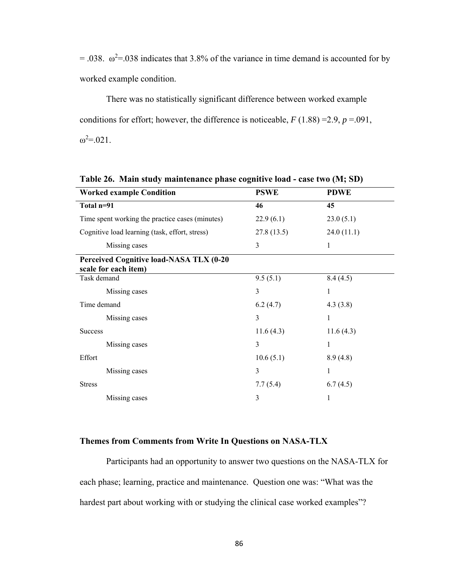$= .038$ .  $\omega^2 = .038$  indicates that 3.8% of the variance in time demand is accounted for by worked example condition.

 There was no statistically significant difference between worked example conditions for effort; however, the difference is noticeable,  $F(1.88) = 2.9$ ,  $p = .091$ ,  $ω^2 = 021$ .

| <b>Worked example Condition</b>                                 | <b>PSWE</b> | <b>PDWE</b> |  |
|-----------------------------------------------------------------|-------------|-------------|--|
| Total n=91                                                      | 46          | 45          |  |
| Time spent working the practice cases (minutes)                 | 22.9(6.1)   | 23.0(5.1)   |  |
| Cognitive load learning (task, effort, stress)                  | 27.8(13.5)  | 24.0(11.1)  |  |
| Missing cases                                                   | 3           | 1           |  |
| Perceived Cognitive load-NASA TLX (0-20<br>scale for each item) |             |             |  |
| Task demand                                                     | 9.5(5.1)    | 8.4(4.5)    |  |
| Missing cases                                                   | 3           |             |  |
| Time demand                                                     | 6.2(4.7)    | 4.3(3.8)    |  |
| Missing cases                                                   | 3           | 1           |  |
| <b>Success</b>                                                  | 11.6(4.3)   | 11.6(4.3)   |  |
| Missing cases                                                   | 3           | 1           |  |
| Effort                                                          | 10.6(5.1)   | 8.9(4.8)    |  |
| Missing cases                                                   | 3           | 1           |  |
| <b>Stress</b>                                                   | 7.7(5.4)    | 6.7(4.5)    |  |
| Missing cases                                                   | 3           | 1           |  |

**Table 26. Main study maintenance phase cognitive load - case two (M; SD)** 

### **Themes from Comments from Write In Questions on NASA-TLX**

 Participants had an opportunity to answer two questions on the NASA-TLX for each phase; learning, practice and maintenance. Question one was: "What was the hardest part about working with or studying the clinical case worked examples"?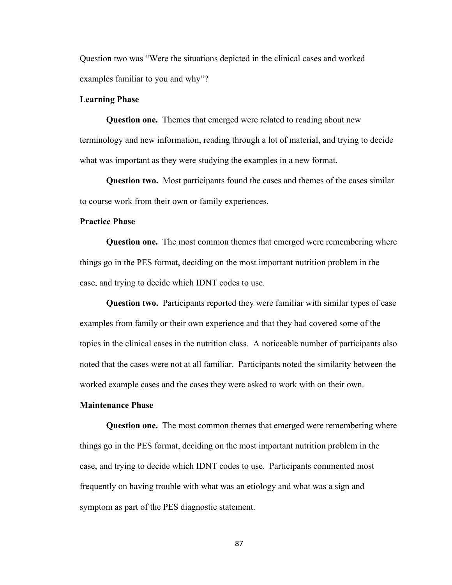Question two was "Were the situations depicted in the clinical cases and worked examples familiar to you and why"?

## **Learning Phase**

 **Question one.** Themes that emerged were related to reading about new terminology and new information, reading through a lot of material, and trying to decide what was important as they were studying the examples in a new format.

 **Question two.** Most participants found the cases and themes of the cases similar to course work from their own or family experiences.

## **Practice Phase**

 **Question one.** The most common themes that emerged were remembering where things go in the PES format, deciding on the most important nutrition problem in the case, and trying to decide which IDNT codes to use.

 **Question two.** Participants reported they were familiar with similar types of case examples from family or their own experience and that they had covered some of the topics in the clinical cases in the nutrition class. A noticeable number of participants also noted that the cases were not at all familiar. Participants noted the similarity between the worked example cases and the cases they were asked to work with on their own.

### **Maintenance Phase**

 **Question one.** The most common themes that emerged were remembering where things go in the PES format, deciding on the most important nutrition problem in the case, and trying to decide which IDNT codes to use. Participants commented most frequently on having trouble with what was an etiology and what was a sign and symptom as part of the PES diagnostic statement.

87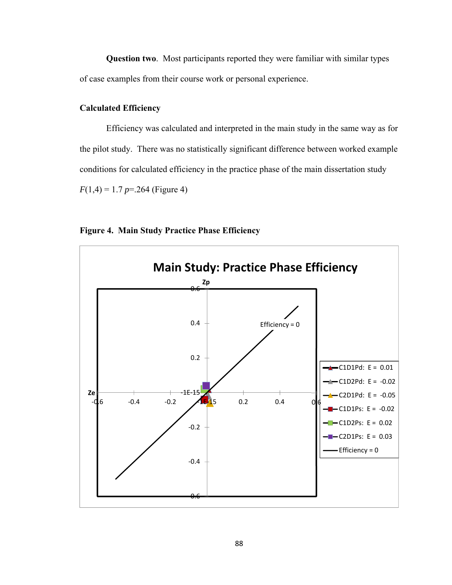**Question two**. Most participants reported they were familiar with similar types of case examples from their course work or personal experience.

# **Calculated Efficiency**

Efficiency was calculated and interpreted in the main study in the same way as for the pilot study. There was no statistically significant difference between worked example conditions for calculated efficiency in the practice phase of the main dissertation study  $F(1,4) = 1.7 p = 264$  (Figure 4)



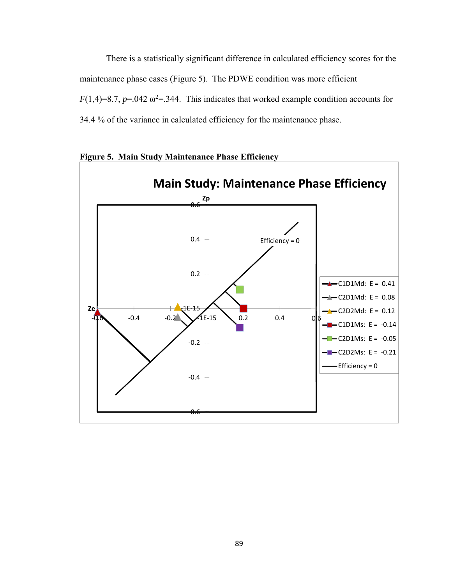There is a statistically significant difference in calculated efficiency scores for the maintenance phase cases (Figure 5). The PDWE condition was more efficient  $F(1,4)=8.7, p=.042 \omega^2=.344$ . This indicates that worked example condition accounts for 34.4 % of the variance in calculated efficiency for the maintenance phase.



**Figure 5. Main Study Maintenance Phase Efficiency**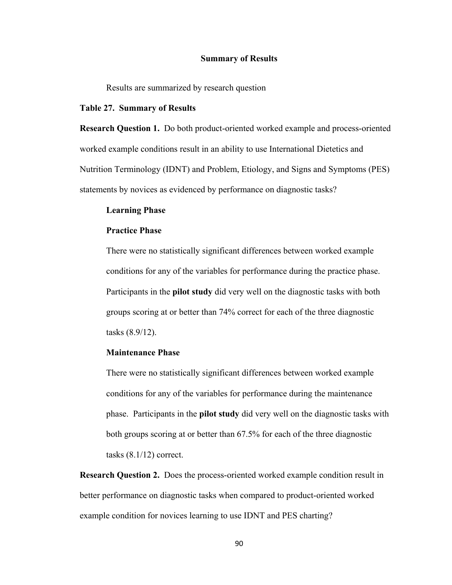### **Summary of Results**

Results are summarized by research question

#### **Table 27. Summary of Results**

**Research Question 1.** Do both product-oriented worked example and process-oriented worked example conditions result in an ability to use International Dietetics and Nutrition Terminology (IDNT) and Problem, Etiology, and Signs and Symptoms (PES) statements by novices as evidenced by performance on diagnostic tasks?

### **Learning Phase**

### **Practice Phase**

There were no statistically significant differences between worked example conditions for any of the variables for performance during the practice phase. Participants in the **pilot study** did very well on the diagnostic tasks with both groups scoring at or better than 74% correct for each of the three diagnostic tasks (8.9/12).

## **Maintenance Phase**

There were no statistically significant differences between worked example conditions for any of the variables for performance during the maintenance phase. Participants in the **pilot study** did very well on the diagnostic tasks with both groups scoring at or better than 67.5% for each of the three diagnostic tasks  $(8.1/12)$  correct.

**Research Question 2.** Does the process-oriented worked example condition result in better performance on diagnostic tasks when compared to product-oriented worked example condition for novices learning to use IDNT and PES charting?

90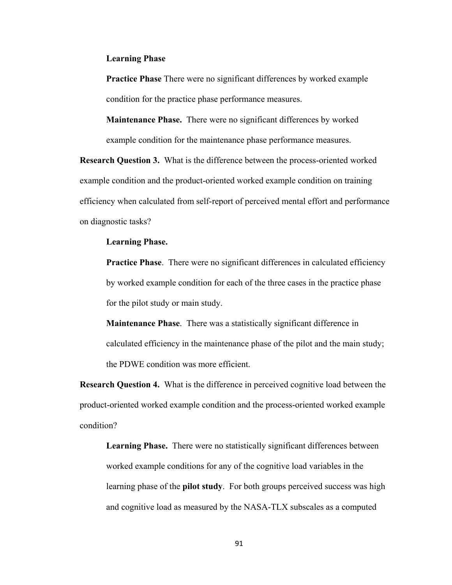### **Learning Phase**

**Practice Phase** There were no significant differences by worked example condition for the practice phase performance measures.

**Maintenance Phase.** There were no significant differences by worked example condition for the maintenance phase performance measures.

**Research Question 3.** What is the difference between the process-oriented worked example condition and the product-oriented worked example condition on training efficiency when calculated from self-report of perceived mental effort and performance on diagnostic tasks?

### **Learning Phase.**

**Practice Phase.** There were no significant differences in calculated efficiency by worked example condition for each of the three cases in the practice phase for the pilot study or main study.

**Maintenance Phase**. There was a statistically significant difference in calculated efficiency in the maintenance phase of the pilot and the main study; the PDWE condition was more efficient.

**Research Question 4.** What is the difference in perceived cognitive load between the product-oriented worked example condition and the process-oriented worked example condition?

**Learning Phase.** There were no statistically significant differences between worked example conditions for any of the cognitive load variables in the learning phase of the **pilot study**. For both groups perceived success was high and cognitive load as measured by the NASA-TLX subscales as a computed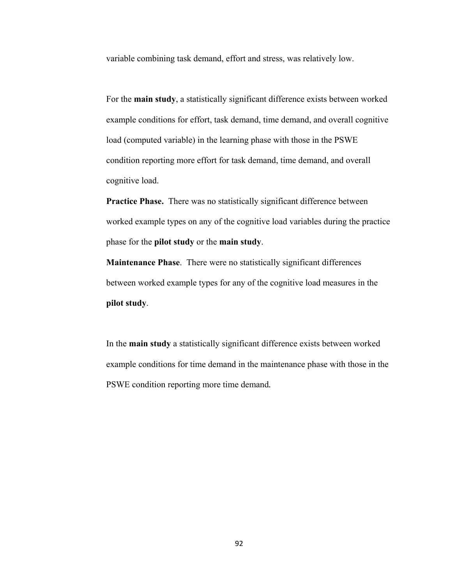variable combining task demand, effort and stress, was relatively low.

For the **main study**, a statistically significant difference exists between worked example conditions for effort, task demand, time demand, and overall cognitive load (computed variable) in the learning phase with those in the PSWE condition reporting more effort for task demand, time demand, and overall cognitive load.

**Practice Phase.** There was no statistically significant difference between worked example types on any of the cognitive load variables during the practice phase for the **pilot study** or the **main study**.

**Maintenance Phase**. There were no statistically significant differences between worked example types for any of the cognitive load measures in the **pilot study**.

In the **main study** a statistically significant difference exists between worked example conditions for time demand in the maintenance phase with those in the PSWE condition reporting more time demand*.*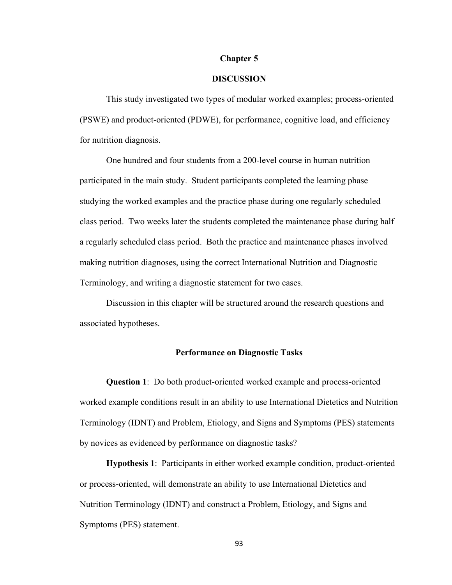### **Chapter 5**

## **DISCUSSION**

This study investigated two types of modular worked examples; process-oriented (PSWE) and product-oriented (PDWE), for performance, cognitive load, and efficiency for nutrition diagnosis.

 One hundred and four students from a 200-level course in human nutrition participated in the main study. Student participants completed the learning phase studying the worked examples and the practice phase during one regularly scheduled class period. Two weeks later the students completed the maintenance phase during half a regularly scheduled class period. Both the practice and maintenance phases involved making nutrition diagnoses, using the correct International Nutrition and Diagnostic Terminology, and writing a diagnostic statement for two cases.

 Discussion in this chapter will be structured around the research questions and associated hypotheses.

## **Performance on Diagnostic Tasks**

**Question 1**: Do both product-oriented worked example and process-oriented worked example conditions result in an ability to use International Dietetics and Nutrition Terminology (IDNT) and Problem, Etiology, and Signs and Symptoms (PES) statements by novices as evidenced by performance on diagnostic tasks?

**Hypothesis 1**: Participants in either worked example condition, product-oriented or process-oriented, will demonstrate an ability to use International Dietetics and Nutrition Terminology (IDNT) and construct a Problem, Etiology, and Signs and Symptoms (PES) statement.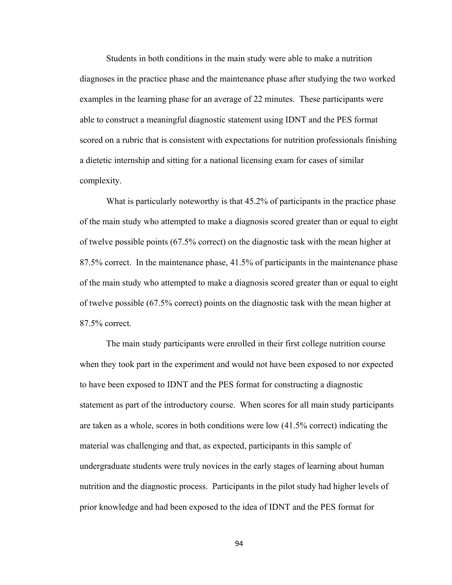Students in both conditions in the main study were able to make a nutrition diagnoses in the practice phase and the maintenance phase after studying the two worked examples in the learning phase for an average of 22 minutes. These participants were able to construct a meaningful diagnostic statement using IDNT and the PES format scored on a rubric that is consistent with expectations for nutrition professionals finishing a dietetic internship and sitting for a national licensing exam for cases of similar complexity.

What is particularly noteworthy is that 45.2% of participants in the practice phase of the main study who attempted to make a diagnosis scored greater than or equal to eight of twelve possible points (67.5% correct) on the diagnostic task with the mean higher at 87.5% correct. In the maintenance phase, 41.5% of participants in the maintenance phase of the main study who attempted to make a diagnosis scored greater than or equal to eight of twelve possible (67.5% correct) points on the diagnostic task with the mean higher at 87.5% correct.

The main study participants were enrolled in their first college nutrition course when they took part in the experiment and would not have been exposed to nor expected to have been exposed to IDNT and the PES format for constructing a diagnostic statement as part of the introductory course. When scores for all main study participants are taken as a whole, scores in both conditions were low (41.5% correct) indicating the material was challenging and that, as expected, participants in this sample of undergraduate students were truly novices in the early stages of learning about human nutrition and the diagnostic process. Participants in the pilot study had higher levels of prior knowledge and had been exposed to the idea of IDNT and the PES format for

94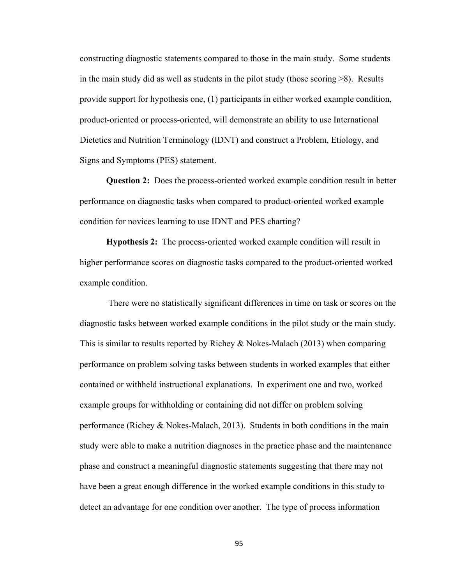constructing diagnostic statements compared to those in the main study. Some students in the main study did as well as students in the pilot study (those scoring  $>8$ ). Results provide support for hypothesis one, (1) participants in either worked example condition, product-oriented or process-oriented, will demonstrate an ability to use International Dietetics and Nutrition Terminology (IDNT) and construct a Problem, Etiology, and Signs and Symptoms (PES) statement.

**Question 2:** Does the process-oriented worked example condition result in better performance on diagnostic tasks when compared to product-oriented worked example condition for novices learning to use IDNT and PES charting?

**Hypothesis 2:** The process-oriented worked example condition will result in higher performance scores on diagnostic tasks compared to the product-oriented worked example condition.

 There were no statistically significant differences in time on task or scores on the diagnostic tasks between worked example conditions in the pilot study or the main study. This is similar to results reported by Richey & Nokes-Malach (2013) when comparing performance on problem solving tasks between students in worked examples that either contained or withheld instructional explanations. In experiment one and two, worked example groups for withholding or containing did not differ on problem solving performance (Richey & Nokes-Malach, 2013). Students in both conditions in the main study were able to make a nutrition diagnoses in the practice phase and the maintenance phase and construct a meaningful diagnostic statements suggesting that there may not have been a great enough difference in the worked example conditions in this study to detect an advantage for one condition over another. The type of process information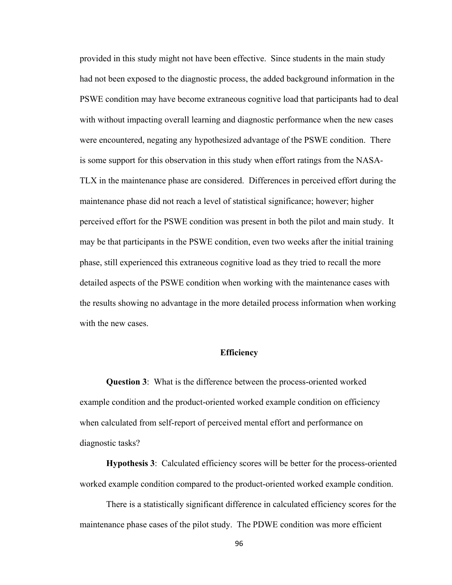provided in this study might not have been effective. Since students in the main study had not been exposed to the diagnostic process, the added background information in the PSWE condition may have become extraneous cognitive load that participants had to deal with without impacting overall learning and diagnostic performance when the new cases were encountered, negating any hypothesized advantage of the PSWE condition. There is some support for this observation in this study when effort ratings from the NASA-TLX in the maintenance phase are considered. Differences in perceived effort during the maintenance phase did not reach a level of statistical significance; however; higher perceived effort for the PSWE condition was present in both the pilot and main study. It may be that participants in the PSWE condition, even two weeks after the initial training phase, still experienced this extraneous cognitive load as they tried to recall the more detailed aspects of the PSWE condition when working with the maintenance cases with the results showing no advantage in the more detailed process information when working with the new cases.

### **Efficiency**

**Question 3**: What is the difference between the process-oriented worked example condition and the product-oriented worked example condition on efficiency when calculated from self-report of perceived mental effort and performance on diagnostic tasks?

**Hypothesis 3**: Calculated efficiency scores will be better for the process-oriented worked example condition compared to the product-oriented worked example condition.

There is a statistically significant difference in calculated efficiency scores for the maintenance phase cases of the pilot study. The PDWE condition was more efficient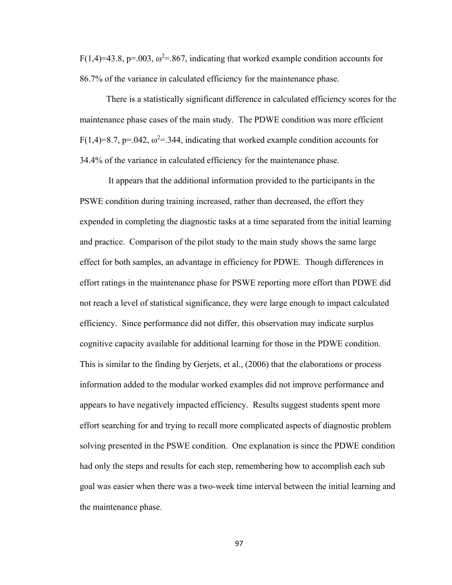F(1,4)=43.8, p=.003,  $\omega^2$ =.867, indicating that worked example condition accounts for 86.7% of the variance in calculated efficiency for the maintenance phase.

There is a statistically significant difference in calculated efficiency scores for the maintenance phase cases of the main study. The PDWE condition was more efficient  $F(1,4)=8.7$ , p=.042,  $\omega^2$ =.344, indicating that worked example condition accounts for 34.4% of the variance in calculated efficiency for the maintenance phase.

 It appears that the additional information provided to the participants in the PSWE condition during training increased, rather than decreased, the effort they expended in completing the diagnostic tasks at a time separated from the initial learning and practice. Comparison of the pilot study to the main study shows the same large effect for both samples, an advantage in efficiency for PDWE. Though differences in effort ratings in the maintenance phase for PSWE reporting more effort than PDWE did not reach a level of statistical significance, they were large enough to impact calculated efficiency. Since performance did not differ, this observation may indicate surplus cognitive capacity available for additional learning for those in the PDWE condition. This is similar to the finding by Gerjets, et al., (2006) that the elaborations or process information added to the modular worked examples did not improve performance and appears to have negatively impacted efficiency. Results suggest students spent more effort searching for and trying to recall more complicated aspects of diagnostic problem solving presented in the PSWE condition. One explanation is since the PDWE condition had only the steps and results for each step, remembering how to accomplish each sub goal was easier when there was a two-week time interval between the initial learning and the maintenance phase.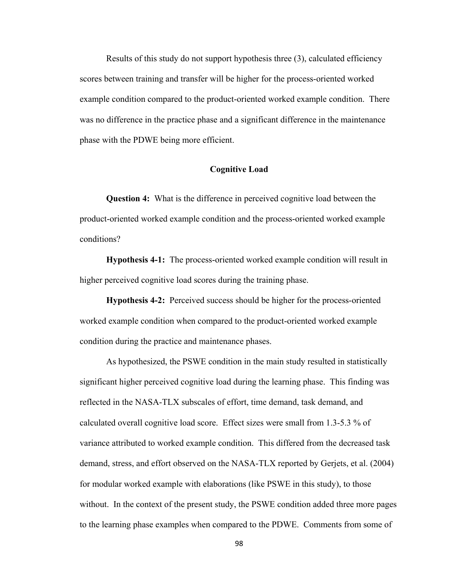Results of this study do not support hypothesis three (3), calculated efficiency scores between training and transfer will be higher for the process-oriented worked example condition compared to the product-oriented worked example condition. There was no difference in the practice phase and a significant difference in the maintenance phase with the PDWE being more efficient.

#### **Cognitive Load**

**Question 4:** What is the difference in perceived cognitive load between the product-oriented worked example condition and the process-oriented worked example conditions?

**Hypothesis 4-1:** The process-oriented worked example condition will result in higher perceived cognitive load scores during the training phase.

**Hypothesis 4-2:** Perceived success should be higher for the process-oriented worked example condition when compared to the product-oriented worked example condition during the practice and maintenance phases.

As hypothesized, the PSWE condition in the main study resulted in statistically significant higher perceived cognitive load during the learning phase. This finding was reflected in the NASA-TLX subscales of effort, time demand, task demand, and calculated overall cognitive load score. Effect sizes were small from 1.3-5.3 % of variance attributed to worked example condition. This differed from the decreased task demand, stress, and effort observed on the NASA-TLX reported by Gerjets, et al. (2004) for modular worked example with elaborations (like PSWE in this study), to those without. In the context of the present study, the PSWE condition added three more pages to the learning phase examples when compared to the PDWE. Comments from some of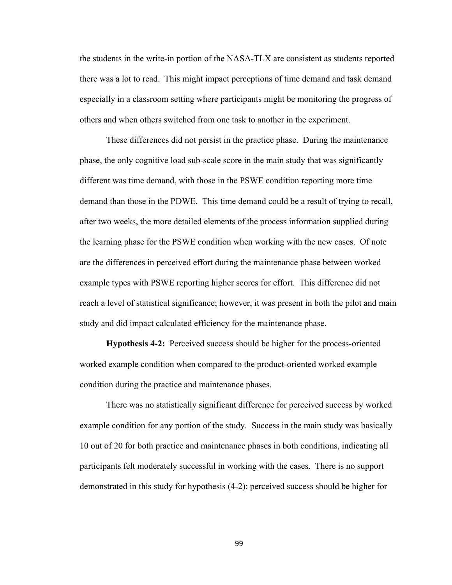the students in the write-in portion of the NASA-TLX are consistent as students reported there was a lot to read. This might impact perceptions of time demand and task demand especially in a classroom setting where participants might be monitoring the progress of others and when others switched from one task to another in the experiment.

 These differences did not persist in the practice phase. During the maintenance phase, the only cognitive load sub-scale score in the main study that was significantly different was time demand, with those in the PSWE condition reporting more time demand than those in the PDWE. This time demand could be a result of trying to recall, after two weeks, the more detailed elements of the process information supplied during the learning phase for the PSWE condition when working with the new cases. Of note are the differences in perceived effort during the maintenance phase between worked example types with PSWE reporting higher scores for effort. This difference did not reach a level of statistical significance; however, it was present in both the pilot and main study and did impact calculated efficiency for the maintenance phase.

**Hypothesis 4-2:** Perceived success should be higher for the process-oriented worked example condition when compared to the product-oriented worked example condition during the practice and maintenance phases.

 There was no statistically significant difference for perceived success by worked example condition for any portion of the study. Success in the main study was basically 10 out of 20 for both practice and maintenance phases in both conditions, indicating all participants felt moderately successful in working with the cases. There is no support demonstrated in this study for hypothesis (4-2): perceived success should be higher for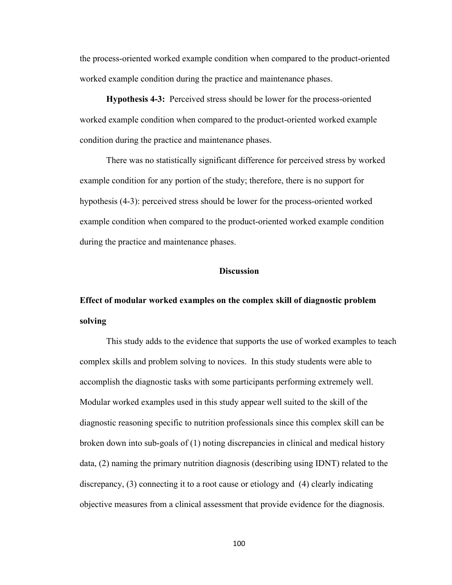the process-oriented worked example condition when compared to the product-oriented worked example condition during the practice and maintenance phases.

**Hypothesis 4-3:** Perceived stress should be lower for the process-oriented worked example condition when compared to the product-oriented worked example condition during the practice and maintenance phases.

There was no statistically significant difference for perceived stress by worked example condition for any portion of the study; therefore, there is no support for hypothesis (4-3): perceived stress should be lower for the process-oriented worked example condition when compared to the product-oriented worked example condition during the practice and maintenance phases.

### **Discussion**

# **Effect of modular worked examples on the complex skill of diagnostic problem solving**

This study adds to the evidence that supports the use of worked examples to teach complex skills and problem solving to novices. In this study students were able to accomplish the diagnostic tasks with some participants performing extremely well. Modular worked examples used in this study appear well suited to the skill of the diagnostic reasoning specific to nutrition professionals since this complex skill can be broken down into sub-goals of (1) noting discrepancies in clinical and medical history data, (2) naming the primary nutrition diagnosis (describing using IDNT) related to the discrepancy, (3) connecting it to a root cause or etiology and (4) clearly indicating objective measures from a clinical assessment that provide evidence for the diagnosis.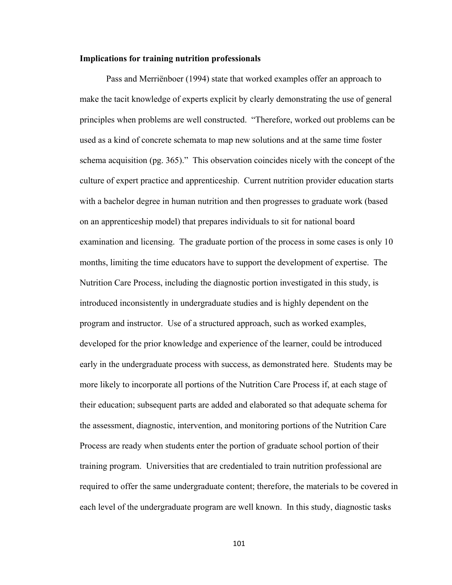#### **Implications for training nutrition professionals**

Pass and Merriënboer (1994) state that worked examples offer an approach to make the tacit knowledge of experts explicit by clearly demonstrating the use of general principles when problems are well constructed. "Therefore, worked out problems can be used as a kind of concrete schemata to map new solutions and at the same time foster schema acquisition (pg. 365)." This observation coincides nicely with the concept of the culture of expert practice and apprenticeship. Current nutrition provider education starts with a bachelor degree in human nutrition and then progresses to graduate work (based on an apprenticeship model) that prepares individuals to sit for national board examination and licensing. The graduate portion of the process in some cases is only 10 months, limiting the time educators have to support the development of expertise. The Nutrition Care Process, including the diagnostic portion investigated in this study, is introduced inconsistently in undergraduate studies and is highly dependent on the program and instructor. Use of a structured approach, such as worked examples, developed for the prior knowledge and experience of the learner, could be introduced early in the undergraduate process with success, as demonstrated here. Students may be more likely to incorporate all portions of the Nutrition Care Process if, at each stage of their education; subsequent parts are added and elaborated so that adequate schema for the assessment, diagnostic, intervention, and monitoring portions of the Nutrition Care Process are ready when students enter the portion of graduate school portion of their training program. Universities that are credentialed to train nutrition professional are required to offer the same undergraduate content; therefore, the materials to be covered in each level of the undergraduate program are well known. In this study, diagnostic tasks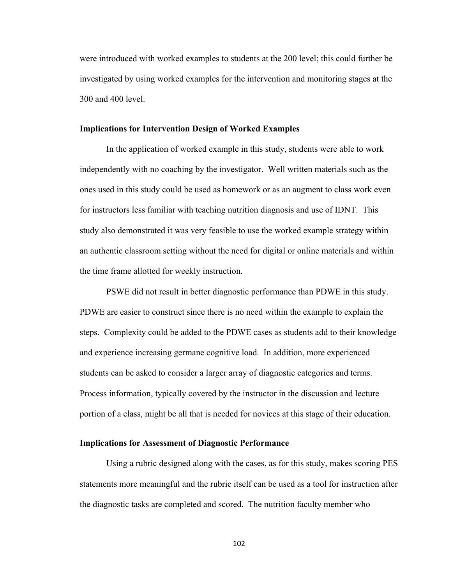were introduced with worked examples to students at the 200 level; this could further be investigated by using worked examples for the intervention and monitoring stages at the 300 and 400 level.

#### **Implications for Intervention Design of Worked Examples**

 In the application of worked example in this study, students were able to work independently with no coaching by the investigator. Well written materials such as the ones used in this study could be used as homework or as an augment to class work even for instructors less familiar with teaching nutrition diagnosis and use of IDNT. This study also demonstrated it was very feasible to use the worked example strategy within an authentic classroom setting without the need for digital or online materials and within the time frame allotted for weekly instruction.

 PSWE did not result in better diagnostic performance than PDWE in this study. PDWE are easier to construct since there is no need within the example to explain the steps. Complexity could be added to the PDWE cases as students add to their knowledge and experience increasing germane cognitive load. In addition, more experienced students can be asked to consider a larger array of diagnostic categories and terms. Process information, typically covered by the instructor in the discussion and lecture portion of a class, might be all that is needed for novices at this stage of their education.

### **Implications for Assessment of Diagnostic Performance**

 Using a rubric designed along with the cases, as for this study, makes scoring PES statements more meaningful and the rubric itself can be used as a tool for instruction after the diagnostic tasks are completed and scored. The nutrition faculty member who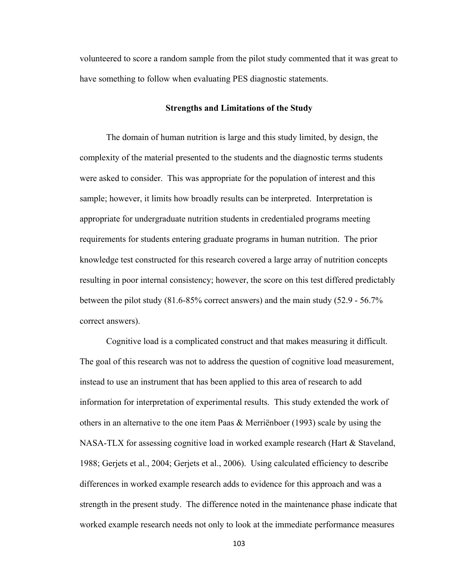volunteered to score a random sample from the pilot study commented that it was great to have something to follow when evaluating PES diagnostic statements.

#### **Strengths and Limitations of the Study**

 The domain of human nutrition is large and this study limited, by design, the complexity of the material presented to the students and the diagnostic terms students were asked to consider. This was appropriate for the population of interest and this sample; however, it limits how broadly results can be interpreted. Interpretation is appropriate for undergraduate nutrition students in credentialed programs meeting requirements for students entering graduate programs in human nutrition. The prior knowledge test constructed for this research covered a large array of nutrition concepts resulting in poor internal consistency; however, the score on this test differed predictably between the pilot study (81.6-85% correct answers) and the main study (52.9 - 56.7% correct answers).

 Cognitive load is a complicated construct and that makes measuring it difficult. The goal of this research was not to address the question of cognitive load measurement, instead to use an instrument that has been applied to this area of research to add information for interpretation of experimental results. This study extended the work of others in an alternative to the one item Paas & Merriënboer (1993) scale by using the NASA-TLX for assessing cognitive load in worked example research (Hart & Staveland, 1988; Gerjets et al., 2004; Gerjets et al., 2006). Using calculated efficiency to describe differences in worked example research adds to evidence for this approach and was a strength in the present study. The difference noted in the maintenance phase indicate that worked example research needs not only to look at the immediate performance measures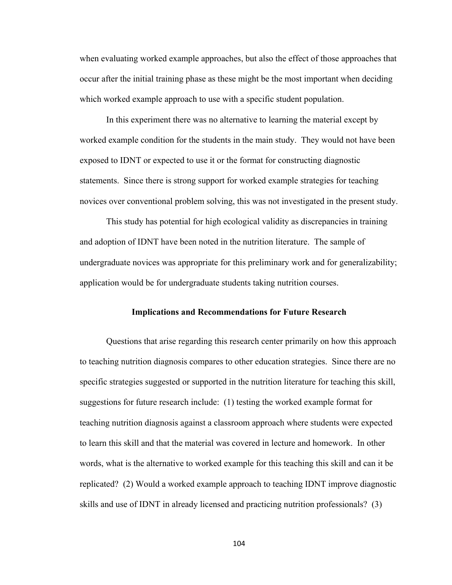when evaluating worked example approaches, but also the effect of those approaches that occur after the initial training phase as these might be the most important when deciding which worked example approach to use with a specific student population.

 In this experiment there was no alternative to learning the material except by worked example condition for the students in the main study. They would not have been exposed to IDNT or expected to use it or the format for constructing diagnostic statements. Since there is strong support for worked example strategies for teaching novices over conventional problem solving, this was not investigated in the present study.

 This study has potential for high ecological validity as discrepancies in training and adoption of IDNT have been noted in the nutrition literature. The sample of undergraduate novices was appropriate for this preliminary work and for generalizability; application would be for undergraduate students taking nutrition courses.

#### **Implications and Recommendations for Future Research**

Questions that arise regarding this research center primarily on how this approach to teaching nutrition diagnosis compares to other education strategies. Since there are no specific strategies suggested or supported in the nutrition literature for teaching this skill, suggestions for future research include: (1) testing the worked example format for teaching nutrition diagnosis against a classroom approach where students were expected to learn this skill and that the material was covered in lecture and homework. In other words, what is the alternative to worked example for this teaching this skill and can it be replicated? (2) Would a worked example approach to teaching IDNT improve diagnostic skills and use of IDNT in already licensed and practicing nutrition professionals? (3)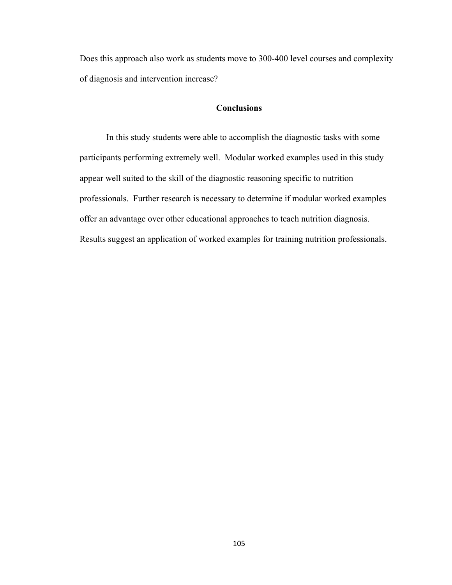Does this approach also work as students move to 300-400 level courses and complexity of diagnosis and intervention increase?

### **Conclusions**

In this study students were able to accomplish the diagnostic tasks with some participants performing extremely well. Modular worked examples used in this study appear well suited to the skill of the diagnostic reasoning specific to nutrition professionals. Further research is necessary to determine if modular worked examples offer an advantage over other educational approaches to teach nutrition diagnosis. Results suggest an application of worked examples for training nutrition professionals.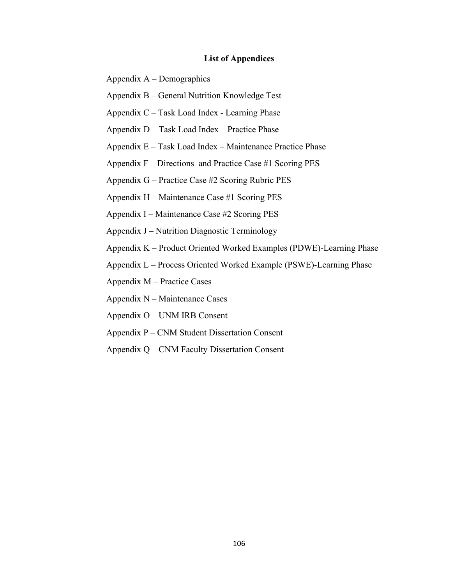### **List of Appendices**

Appendix A – Demographics

Appendix B – General Nutrition Knowledge Test

Appendix C – Task Load Index - Learning Phase

Appendix D – Task Load Index – Practice Phase

Appendix E – Task Load Index – Maintenance Practice Phase

Appendix F – Directions and Practice Case #1 Scoring PES

Appendix G – Practice Case #2 Scoring Rubric PES

Appendix H – Maintenance Case #1 Scoring PES

Appendix I – Maintenance Case #2 Scoring PES

Appendix J – Nutrition Diagnostic Terminology

Appendix K – Product Oriented Worked Examples (PDWE)-Learning Phase

Appendix L – Process Oriented Worked Example (PSWE)-Learning Phase

Appendix M – Practice Cases

Appendix N – Maintenance Cases

Appendix O – UNM IRB Consent

Appendix P – CNM Student Dissertation Consent

Appendix Q – CNM Faculty Dissertation Consent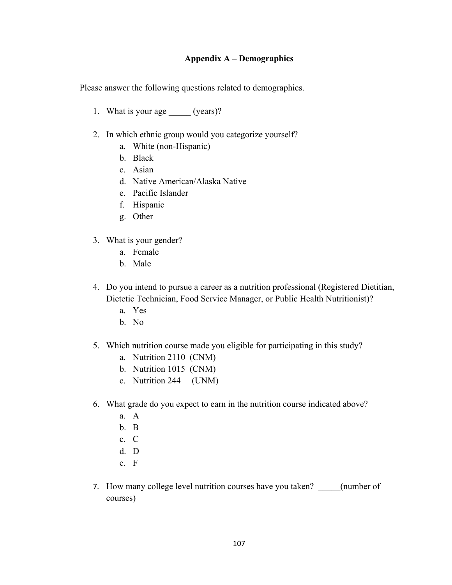### **Appendix A – Demographics**

Please answer the following questions related to demographics.

- 1. What is your age (years)?
- 2. In which ethnic group would you categorize yourself?
	- a. White (non-Hispanic)
	- b. Black
	- c. Asian
	- d. Native American/Alaska Native
	- e. Pacific Islander
	- f. Hispanic
	- g. Other
- 3. What is your gender?
	- a. Female
	- b. Male
- 4. Do you intend to pursue a career as a nutrition professional (Registered Dietitian, Dietetic Technician, Food Service Manager, or Public Health Nutritionist)?
	- a. Yes
	- b. No
- 5. Which nutrition course made you eligible for participating in this study?
	- a. Nutrition 2110 (CNM)
	- b. Nutrition 1015 (CNM)
	- c. Nutrition 244 (UNM)
- 6. What grade do you expect to earn in the nutrition course indicated above?
	- a. A
	- b. B
	- c. C
	- d. D
	- e. F
- 7. How many college level nutrition courses have you taken? \_\_\_\_\_(number of courses)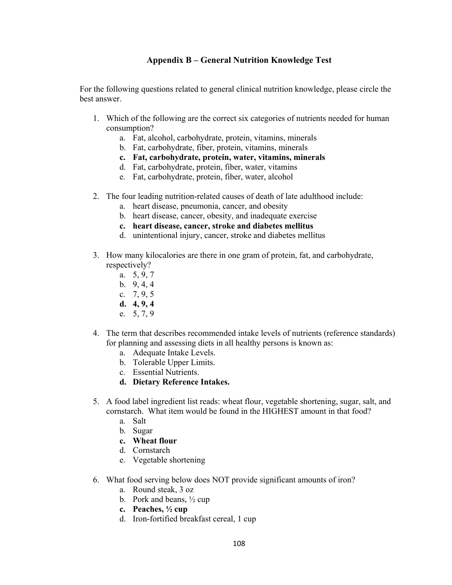### **Appendix B – General Nutrition Knowledge Test**

For the following questions related to general clinical nutrition knowledge, please circle the best answer.

- 1. Which of the following are the correct six categories of nutrients needed for human consumption?
	- a. Fat, alcohol, carbohydrate, protein, vitamins, minerals
	- b. Fat, carbohydrate, fiber, protein, vitamins, minerals
	- **c. Fat, carbohydrate, protein, water, vitamins, minerals**
	- d. Fat, carbohydrate, protein, fiber, water, vitamins
	- e. Fat, carbohydrate, protein, fiber, water, alcohol
- 2. The four leading nutrition-related causes of death of late adulthood include:
	- a. heart disease, pneumonia, cancer, and obesity
	- b. heart disease, cancer, obesity, and inadequate exercise
	- **c. heart disease, cancer, stroke and diabetes mellitus**
	- d. unintentional injury, cancer, stroke and diabetes mellitus
- 3. How many kilocalories are there in one gram of protein, fat, and carbohydrate, respectively?
	- a. 5, 9, 7
	- b. 9, 4, 4
	- c. 7, 9, 5
	- **d. 4, 9, 4**
	- e. 5, 7, 9
- 4. The term that describes recommended intake levels of nutrients (reference standards) for planning and assessing diets in all healthy persons is known as:
	- a. Adequate Intake Levels.
	- b. Tolerable Upper Limits.
	- c. Essential Nutrients.
	- **d. Dietary Reference Intakes.**
- 5. A food label ingredient list reads: wheat flour, vegetable shortening, sugar, salt, and cornstarch. What item would be found in the HIGHEST amount in that food?
	- a. Salt
	- b. Sugar
	- **c. Wheat flour**
	- d. Cornstarch
	- e. Vegetable shortening
- 6. What food serving below does NOT provide significant amounts of iron?
	- a. Round steak, 3 oz
	- b. Pork and beans,  $\frac{1}{2}$  cup
	- **c. Peaches, ½ cup**
	- d. Iron-fortified breakfast cereal, 1 cup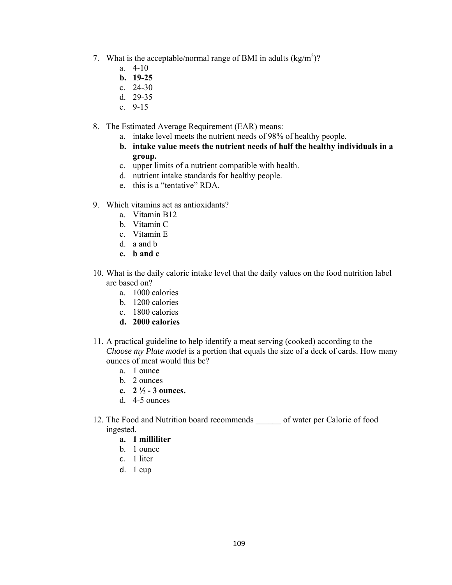- 7. What is the acceptable/normal range of BMI in adults  $(kg/m^2)$ ?
	- a. 4-10
	- **b. 19-25**
	- c. 24-30
	- d. 29-35
	- e. 9-15
- 8. The Estimated Average Requirement (EAR) means:
	- a. intake level meets the nutrient needs of 98% of healthy people.
	- **b. intake value meets the nutrient needs of half the healthy individuals in a group.**
	- c. upper limits of a nutrient compatible with health.
	- d. nutrient intake standards for healthy people.
	- e. this is a "tentative" RDA.
- 9. Which vitamins act as antioxidants?
	- a. Vitamin B12
	- b. Vitamin C
	- c. Vitamin E
	- d. a and b
	- **e. b and c**
- 10. What is the daily caloric intake level that the daily values on the food nutrition label are based on?
	- a. 1000 calories
	- b. 1200 calories
	- c. 1800 calories
	- **d. 2000 calories**
- 11. A practical guideline to help identify a meat serving (cooked) according to the *Choose my Plate model* is a portion that equals the size of a deck of cards. How many ounces of meat would this be?
	- a. 1 ounce
	- b. 2 ounces
	- **c. 2 ½ 3 ounces.**
	- d. 4-5 ounces
- 12. The Food and Nutrition board recommends of water per Calorie of food ingested.
	- **a. 1 milliliter**
	- b. 1 ounce
	- c. 1 liter
	- d. 1 cup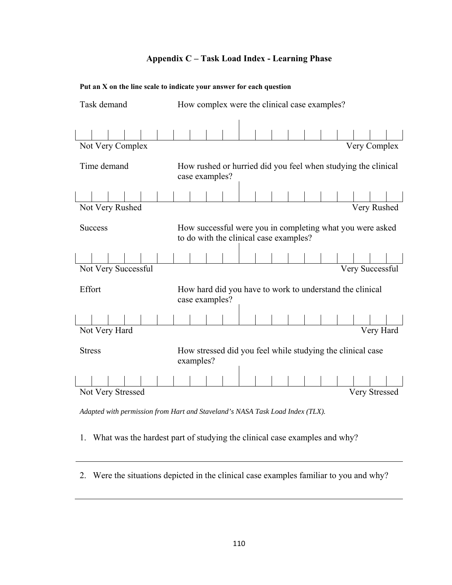### **Appendix C – Task Load Index - Learning Phase**

|                     | Put an X on the line scale to indicate your answer for each question                                |  |  |
|---------------------|-----------------------------------------------------------------------------------------------------|--|--|
| Task demand         | How complex were the clinical case examples?                                                        |  |  |
|                     |                                                                                                     |  |  |
| Not Very Complex    | Very Complex                                                                                        |  |  |
| Time demand         | How rushed or hurried did you feel when studying the clinical<br>case examples?                     |  |  |
|                     |                                                                                                     |  |  |
| Not Very Rushed     | Very Rushed                                                                                         |  |  |
| <b>Success</b>      | How successful were you in completing what you were asked<br>to do with the clinical case examples? |  |  |
|                     |                                                                                                     |  |  |
| Not Very Successful | Very Successful                                                                                     |  |  |
| Effort              | How hard did you have to work to understand the clinical<br>case examples?                          |  |  |
|                     |                                                                                                     |  |  |
| Not Very Hard       | Very Hard                                                                                           |  |  |
| <b>Stress</b>       | How stressed did you feel while studying the clinical case<br>examples?                             |  |  |
|                     |                                                                                                     |  |  |
| Not Very Stressed   | Very Stressed                                                                                       |  |  |

*Adapted with permission from Hart and Staveland's NASA Task Load Index (TLX).* 

- 1. What was the hardest part of studying the clinical case examples and why?
- 2. Were the situations depicted in the clinical case examples familiar to you and why?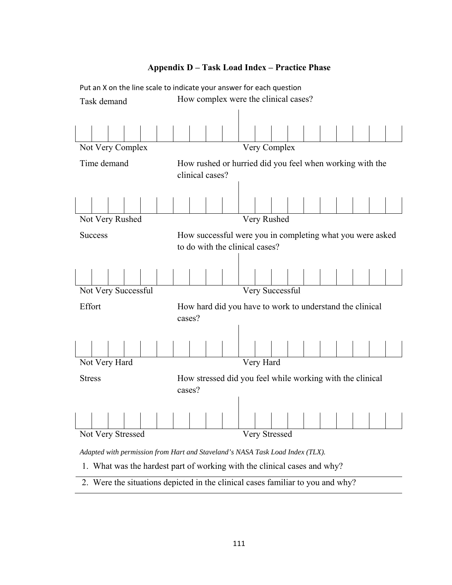

### **Appendix D – Task Load Index – Practice Phase**

- .1. What was the hardest part of working with the clinical cases and why?
- .2. Were the situations depicted in the clinical cases familiar to you and why?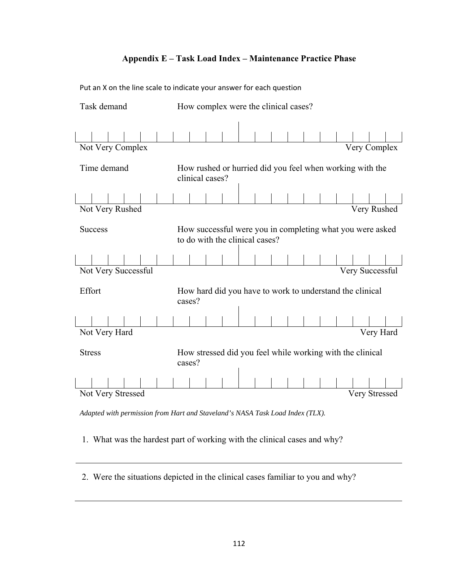### **Appendix E – Task Load Index – Maintenance Practice Phase**

| Task demand         |                 | How complex were the clinical cases?                                                        |  |  |                 |
|---------------------|-----------------|---------------------------------------------------------------------------------------------|--|--|-----------------|
|                     |                 |                                                                                             |  |  |                 |
|                     |                 |                                                                                             |  |  |                 |
| Not Very Complex    |                 |                                                                                             |  |  | Very Complex    |
| Time demand         | clinical cases? | How rushed or hurried did you feel when working with the                                    |  |  |                 |
|                     |                 |                                                                                             |  |  |                 |
| Not Very Rushed     |                 |                                                                                             |  |  | Very Rushed     |
| <b>Success</b>      |                 | How successful were you in completing what you were asked<br>to do with the clinical cases? |  |  |                 |
|                     |                 |                                                                                             |  |  |                 |
| Not Very Successful |                 |                                                                                             |  |  | Very Successful |
| Effort              | cases?          | How hard did you have to work to understand the clinical                                    |  |  |                 |
|                     |                 |                                                                                             |  |  |                 |
| Not Very Hard       |                 |                                                                                             |  |  | Very Hard       |
| <b>Stress</b>       | cases?          | How stressed did you feel while working with the clinical                                   |  |  |                 |
|                     |                 |                                                                                             |  |  |                 |
| Not Very Stressed   |                 |                                                                                             |  |  | Very Stressed   |

Put an X on the line scale to indicate your answer for each question

*Adapted with permission from Hart and Staveland's NASA Task Load Index (TLX).* 

.1. What was the hardest part of working with the clinical cases and why?

.2. Were the situations depicted in the clinical cases familiar to you and why?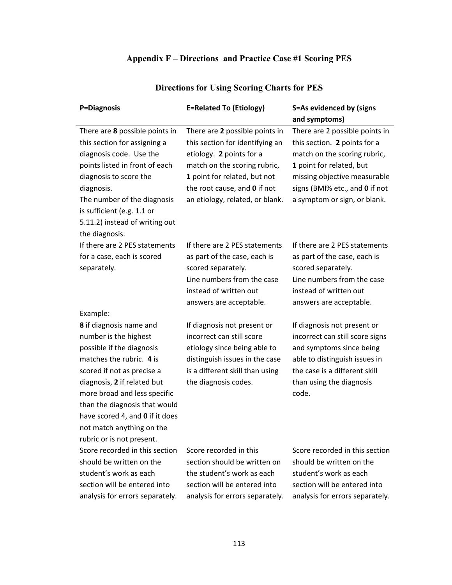## **Appendix F – Directions and Practice Case #1 Scoring PES**

| P=Diagnosis                                                    | <b>E=Related To (Etiology)</b>                                    | S=As evidenced by (signs                        |
|----------------------------------------------------------------|-------------------------------------------------------------------|-------------------------------------------------|
|                                                                |                                                                   | and symptoms)<br>There are 2 possible points in |
| There are 8 possible points in<br>this section for assigning a | There are 2 possible points in<br>this section for identifying an | this section. 2 points for a                    |
| diagnosis code. Use the                                        | etiology. 2 points for a                                          | match on the scoring rubric,                    |
| points listed in front of each                                 | match on the scoring rubric,                                      | 1 point for related, but                        |
| diagnosis to score the                                         | 1 point for related, but not                                      | missing objective measurable                    |
| diagnosis.                                                     | the root cause, and 0 if not                                      | signs (BMI% etc., and 0 if not                  |
|                                                                | an etiology, related, or blank.                                   |                                                 |
| The number of the diagnosis<br>is sufficient (e.g. 1.1 or      |                                                                   | a symptom or sign, or blank.                    |
| 5.11.2) instead of writing out                                 |                                                                   |                                                 |
| the diagnosis.                                                 |                                                                   |                                                 |
| If there are 2 PES statements                                  | If there are 2 PES statements                                     | If there are 2 PES statements                   |
| for a case, each is scored                                     | as part of the case, each is                                      | as part of the case, each is                    |
| separately.                                                    | scored separately.                                                | scored separately.                              |
|                                                                | Line numbers from the case                                        | Line numbers from the case                      |
|                                                                | instead of written out                                            | instead of written out                          |
|                                                                | answers are acceptable.                                           | answers are acceptable.                         |
| Example:                                                       |                                                                   |                                                 |
| 8 if diagnosis name and                                        | If diagnosis not present or                                       | If diagnosis not present or                     |
| number is the highest                                          | incorrect can still score                                         | incorrect can still score signs                 |
| possible if the diagnosis                                      | etiology since being able to                                      | and symptoms since being                        |
| matches the rubric. 4 is                                       | distinguish issues in the case                                    | able to distinguish issues in                   |
| scored if not as precise a                                     | is a different skill than using                                   | the case is a different skill                   |
| diagnosis, 2 if related but                                    | the diagnosis codes.                                              | than using the diagnosis                        |
| more broad and less specific                                   |                                                                   | code.                                           |
| than the diagnosis that would                                  |                                                                   |                                                 |
| have scored 4, and 0 if it does                                |                                                                   |                                                 |
| not match anything on the                                      |                                                                   |                                                 |
| rubric or is not present.                                      |                                                                   |                                                 |
| Score recorded in this section                                 | Score recorded in this                                            | Score recorded in this section                  |
| should be written on the                                       | section should be written on                                      | should be written on the                        |
| student's work as each                                         | the student's work as each                                        | student's work as each                          |
| section will be entered into                                   | section will be entered into                                      | section will be entered into                    |
| analysis for errors separately.                                | analysis for errors separately.                                   | analysis for errors separately.                 |
|                                                                |                                                                   |                                                 |

## **Directions for Using Scoring Charts for PES**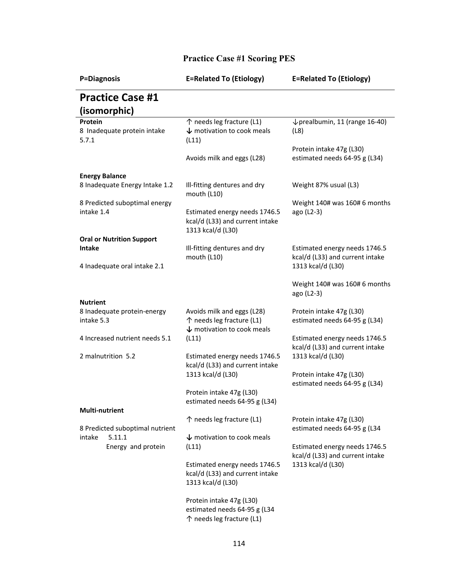| P=Diagnosis                                              | <b>E=Related To (Etiology)</b>                                                                   | <b>E=Related To (Etiology)</b>                                   |
|----------------------------------------------------------|--------------------------------------------------------------------------------------------------|------------------------------------------------------------------|
| <b>Practice Case #1</b>                                  |                                                                                                  |                                                                  |
| (isomorphic)                                             |                                                                                                  |                                                                  |
| Protein<br>8 Inadequate protein intake<br>5.7.1          | ↑ needs leg fracture (L1)<br>$\downarrow$ motivation to cook meals<br>(L11)                      | $\downarrow$ prealbumin, 11 (range 16-40)<br>(L8)                |
|                                                          | Avoids milk and eggs (L28)                                                                       | Protein intake 47g (L30)<br>estimated needs 64-95 g (L34)        |
| <b>Energy Balance</b><br>8 Inadequate Energy Intake 1.2  | Ill-fitting dentures and dry<br>mouth (L10)                                                      | Weight 87% usual (L3)                                            |
| 8 Predicted suboptimal energy<br>intake 1.4              | Estimated energy needs 1746.5<br>kcal/d (L33) and current intake<br>1313 kcal/d (L30)            | Weight 140# was 160#6 months<br>ago (L2-3)                       |
| <b>Oral or Nutrition Support</b><br>Intake               | Ill-fitting dentures and dry<br>mouth (L10)                                                      | Estimated energy needs 1746.5<br>kcal/d (L33) and current intake |
| 4 Inadequate oral intake 2.1                             |                                                                                                  | 1313 kcal/d (L30)                                                |
|                                                          |                                                                                                  | Weight 140# was 160# 6 months<br>ago (L2-3)                      |
| <b>Nutrient</b>                                          |                                                                                                  |                                                                  |
| 8 Inadequate protein-energy<br>intake 5.3                | Avoids milk and eggs (L28)<br>↑ needs leg fracture (L1)<br>$\downarrow$ motivation to cook meals | Protein intake 47g (L30)<br>estimated needs 64-95 g (L34)        |
| 4 Increased nutrient needs 5.1                           | (L11)                                                                                            | Estimated energy needs 1746.5<br>kcal/d (L33) and current intake |
| 2 malnutrition 5.2                                       | Estimated energy needs 1746.5<br>kcal/d (L33) and current intake<br>1313 kcal/d (L30)            | 1313 kcal/d (L30)<br>Protein intake 47g (L30)                    |
|                                                          | Protein intake 47g (L30)                                                                         | estimated needs 64-95 g (L34)                                    |
|                                                          | estimated needs 64-95 g (L34)                                                                    |                                                                  |
| <b>Multi-nutrient</b><br>8 Predicted suboptimal nutrient | ↑ needs leg fracture (L1)                                                                        | Protein intake 47g (L30)<br>estimated needs 64-95 g (L34         |
| intake<br>5.11.1<br>Energy and protein                   | $\downarrow$ motivation to cook meals<br>(L11)                                                   | Estimated energy needs 1746.5<br>kcal/d (L33) and current intake |
|                                                          | Estimated energy needs 1746.5<br>kcal/d (L33) and current intake<br>1313 kcal/d (L30)            | 1313 kcal/d (L30)                                                |
|                                                          | Protein intake 47g (L30)<br>estimated needs 64-95 g (L34<br>↑ needs leg fracture (L1)            |                                                                  |

## **Practice Case #1 Scoring PES**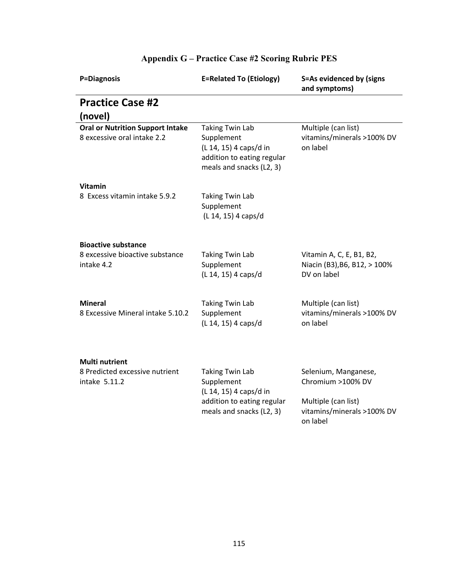| P=Diagnosis                                                            | <b>E=Related To (Etiology)</b>                                                                                           | S=As evidenced by (signs<br>and symptoms)                               |
|------------------------------------------------------------------------|--------------------------------------------------------------------------------------------------------------------------|-------------------------------------------------------------------------|
| <b>Practice Case #2</b>                                                |                                                                                                                          |                                                                         |
| (novel)                                                                |                                                                                                                          |                                                                         |
| <b>Oral or Nutrition Support Intake</b><br>8 excessive oral intake 2.2 | <b>Taking Twin Lab</b><br>Supplement<br>(L 14, 15) 4 caps/d in<br>addition to eating regular<br>meals and snacks (L2, 3) | Multiple (can list)<br>vitamins/minerals >100% DV<br>on label           |
| <b>Vitamin</b>                                                         |                                                                                                                          |                                                                         |
| 8 Excess vitamin intake 5.9.2                                          | <b>Taking Twin Lab</b><br>Supplement<br>(L 14, 15) 4 caps/d                                                              |                                                                         |
| <b>Bioactive substance</b>                                             |                                                                                                                          |                                                                         |
| 8 excessive bioactive substance<br>intake 4.2                          | <b>Taking Twin Lab</b><br>Supplement<br>(L 14, 15) 4 caps/d                                                              | Vitamin A, C, E, B1, B2,<br>Niacin (B3), B6, B12, > 100%<br>DV on label |
| <b>Mineral</b><br>8 Excessive Mineral intake 5.10.2                    | <b>Taking Twin Lab</b><br>Supplement<br>(L 14, 15) 4 caps/d                                                              | Multiple (can list)<br>vitamins/minerals >100% DV<br>on label           |
| <b>Multi nutrient</b>                                                  |                                                                                                                          |                                                                         |
| 8 Predicted excessive nutrient<br>intake 5.11.2                        | <b>Taking Twin Lab</b><br>Supplement<br>(L 14, 15) 4 caps/d in                                                           | Selenium, Manganese,<br>Chromium >100% DV                               |
|                                                                        | addition to eating regular<br>meals and snacks (L2, 3)                                                                   | Multiple (can list)<br>vitamins/minerals >100% DV<br>on label           |

## **Appendix G – Practice Case #2 Scoring Rubric PES**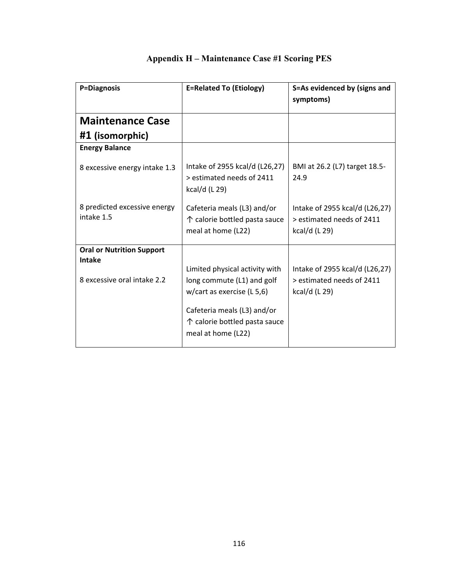| P=Diagnosis                                  | <b>E=Related To (Etiology)</b>                                                                                                                                                      | S=As evidenced by (signs and<br>symptoms)                                    |
|----------------------------------------------|-------------------------------------------------------------------------------------------------------------------------------------------------------------------------------------|------------------------------------------------------------------------------|
| <b>Maintenance Case</b>                      |                                                                                                                                                                                     |                                                                              |
| #1 (isomorphic)                              |                                                                                                                                                                                     |                                                                              |
| <b>Energy Balance</b>                        |                                                                                                                                                                                     |                                                                              |
| 8 excessive energy intake 1.3                | Intake of 2955 kcal/d (L26,27)<br>> estimated needs of 2411<br>kcal/d (L 29)                                                                                                        | BMI at 26.2 (L7) target 18.5-<br>24.9                                        |
| 8 predicted excessive energy<br>intake 1.5   | Cafeteria meals (L3) and/or<br>↑ calorie bottled pasta sauce<br>meal at home (L22)                                                                                                  | Intake of 2955 kcal/d (L26,27)<br>> estimated needs of 2411<br>kcal/d (L 29) |
| <b>Oral or Nutrition Support</b>             |                                                                                                                                                                                     |                                                                              |
| <b>Intake</b><br>8 excessive oral intake 2.2 | Limited physical activity with<br>long commute (L1) and golf<br>w/cart as exercise $(L 5, 6)$<br>Cafeteria meals (L3) and/or<br>↑ calorie bottled pasta sauce<br>meal at home (L22) | Intake of 2955 kcal/d (L26,27)<br>> estimated needs of 2411<br>kcal/d (L 29) |

## **Appendix H – Maintenance Case #1 Scoring PES**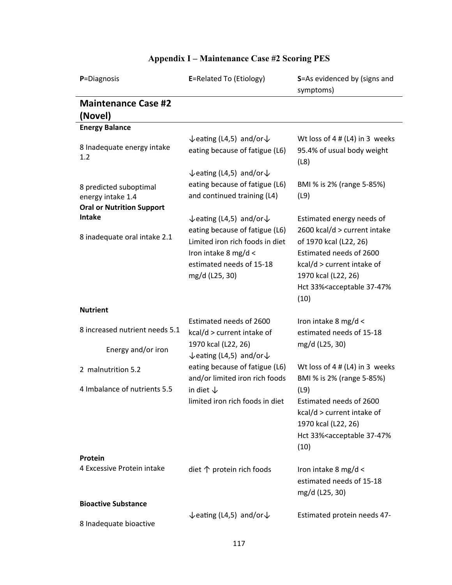| P=Diagnosis                                                                     | E=Related To (Etiology)                                                                                                                 | S=As evidenced by (signs and<br>symptoms)                                                                                                                                                    |
|---------------------------------------------------------------------------------|-----------------------------------------------------------------------------------------------------------------------------------------|----------------------------------------------------------------------------------------------------------------------------------------------------------------------------------------------|
| <b>Maintenance Case #2</b><br>(Novel)                                           |                                                                                                                                         |                                                                                                                                                                                              |
| <b>Energy Balance</b>                                                           |                                                                                                                                         |                                                                                                                                                                                              |
| 8 Inadequate energy intake<br>1.2                                               | $\sqrt{\sqrt{2}}$ eating (L4,5) and/or $\sqrt{\sqrt{2}}$<br>eating because of fatigue (L6)                                              | Wt loss of $4$ # (L4) in 3 weeks<br>95.4% of usual body weight<br>(L8)                                                                                                                       |
| 8 predicted suboptimal<br>energy intake 1.4<br><b>Oral or Nutrition Support</b> | $\sqrt{\sqrt{2}}$ eating (L4,5) and/or $\sqrt{\sqrt{2}}$<br>eating because of fatigue (L6)<br>and continued training (L4)               | BMI % is 2% (range 5-85%)<br>(L9)                                                                                                                                                            |
| <b>Intake</b>                                                                   | $\sqrt{\sqrt{2}}$ eating (L4,5) and/or $\sqrt{\sqrt{2}}$                                                                                | Estimated energy needs of                                                                                                                                                                    |
| 8 inadequate oral intake 2.1                                                    | eating because of fatigue (L6)<br>Limited iron rich foods in diet<br>Iron intake 8 mg/d <<br>estimated needs of 15-18<br>mg/d (L25, 30) | 2600 kcal/d > current intake<br>of 1970 kcal (L22, 26)<br>Estimated needs of 2600<br>kcal/d > current intake of<br>1970 kcal (L22, 26)<br>Hct 33% <acceptable 37-47%<br="">(10)</acceptable> |
| <b>Nutrient</b>                                                                 |                                                                                                                                         |                                                                                                                                                                                              |
| 8 increased nutrient needs 5.1                                                  | Estimated needs of 2600<br>kcal/d > current intake of                                                                                   | Iron intake 8 mg/d <<br>estimated needs of 15-18                                                                                                                                             |
| Energy and/or iron                                                              | 1970 kcal (L22, 26)<br>$\sqrt{\sqrt{2}}$ eating (L4,5) and/or $\sqrt{\sqrt{2}}$                                                         | mg/d (L25, 30)                                                                                                                                                                               |
| 2 malnutrition 5.2                                                              | eating because of fatigue (L6)<br>and/or limited iron rich foods                                                                        | Wt loss of $4$ # (L4) in 3 weeks<br>BMI % is 2% (range 5-85%)                                                                                                                                |
| 4 Imbalance of nutrients 5.5                                                    | in diet $\downarrow$<br>limited iron rich foods in diet                                                                                 | (L9)<br>Estimated needs of 2600<br>kcal/d > current intake of<br>1970 kcal (L22, 26)<br>Hct 33% <acceptable 37-47%<br="">(10)</acceptable>                                                   |
| Protein                                                                         |                                                                                                                                         |                                                                                                                                                                                              |
| 4 Excessive Protein intake                                                      | diet $\uparrow$ protein rich foods                                                                                                      | Iron intake 8 mg/d <<br>estimated needs of 15-18<br>mg/d (L25, 30)                                                                                                                           |
| <b>Bioactive Substance</b>                                                      |                                                                                                                                         |                                                                                                                                                                                              |
| 8 Inadequate bioactive                                                          | $\sqrt{\sqrt{2}}$ eating (L4,5) and/or $\sqrt{\sqrt{2}}$                                                                                | Estimated protein needs 47-                                                                                                                                                                  |

## **Appendix I – Maintenance Case #2 Scoring PES**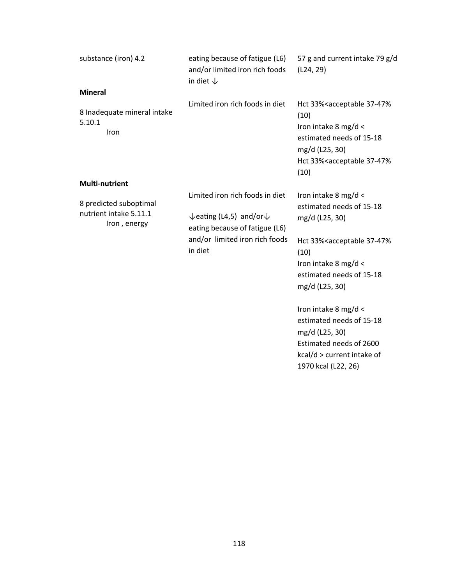| substance (iron) 4.2                                             | eating because of fatigue (L6)<br>and/or limited iron rich foods<br>in diet $\downarrow$                                                                                   | 57 g and current intake 79 g/d<br>(L24, 29)                                                                                                                                                          |
|------------------------------------------------------------------|----------------------------------------------------------------------------------------------------------------------------------------------------------------------------|------------------------------------------------------------------------------------------------------------------------------------------------------------------------------------------------------|
| <b>Mineral</b>                                                   |                                                                                                                                                                            |                                                                                                                                                                                                      |
| 8 Inadequate mineral intake<br>5.10.1<br>Iron                    | Limited iron rich foods in diet                                                                                                                                            | Hct 33% <acceptable 37-47%<br="">(10)<br/>Iron intake 8 mg/d &lt;<br/>estimated needs of 15-18<br/>mg/d (L25, 30)<br/>Hct 33%<acceptable 37-47%<br="">(10)</acceptable></acceptable>                 |
| <b>Multi-nutrient</b>                                            |                                                                                                                                                                            |                                                                                                                                                                                                      |
| 8 predicted suboptimal<br>nutrient intake 5.11.1<br>Iron, energy | Limited iron rich foods in diet<br>$\sqrt{\sqrt{2}}$ eating (L4,5) and/or $\sqrt{\sqrt{2}}$<br>eating because of fatigue (L6)<br>and/or limited iron rich foods<br>in diet | Iron intake 8 mg/d <<br>estimated needs of 15-18<br>mg/d (L25, 30)<br>Hct 33% <acceptable 37-47%<br="">(10)<br/>Iron intake 8 mg/d &lt;<br/>estimated needs of 15-18<br/>mg/d (L25, 30)</acceptable> |
|                                                                  |                                                                                                                                                                            | Iron intake 8 mg/d <<br>estimated needs of 15-18<br>mg/d (L25, 30)<br>Estimated needs of 2600<br>kcal/d > current intake of<br>1970 kcal (L22, 26)                                                   |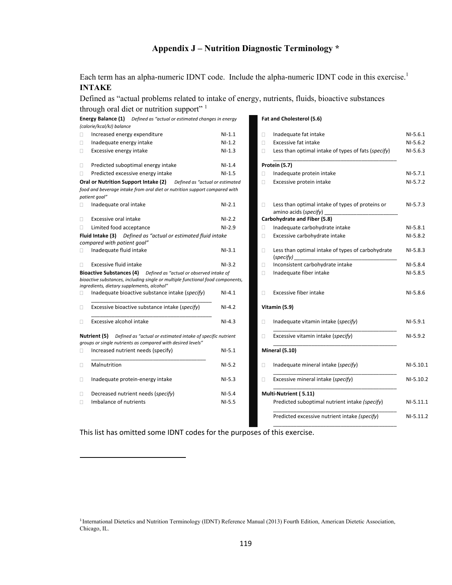## **Appendix J – Nutrition Diagnostic Terminology \***

Each term has an alpha-numeric IDNT code. Include the alpha-numeric IDNT code in this exercise.<sup>1</sup> **INTAKE** 

Defined as "actual problems related to intake of energy, nutrients, fluids, bioactive substances<br>through and dist arguminism sum only 1

|               | through oral diet or nutrition support" 1                                                                                                                                                                   |          |        |                                                                |
|---------------|-------------------------------------------------------------------------------------------------------------------------------------------------------------------------------------------------------------|----------|--------|----------------------------------------------------------------|
|               | Energy Balance (1) Defined as "actual or estimated changes in energy<br>(calorie/kcal/kJ) balance                                                                                                           |          |        | Fat and Cholesterol (5.6)                                      |
| □             | Increased energy expenditure                                                                                                                                                                                | $NI-1.1$ | П      | Inadequate fat intake                                          |
| $\Box$        | Inadequate energy intake                                                                                                                                                                                    | $NI-1.2$ | П      | Excessive fat intake                                           |
| $\Box$        | Excessive energy intake                                                                                                                                                                                     | $NI-1.3$ | 0      | Less than optimal intake of types of fats (specify)            |
| $\Box$        | Predicted suboptimal energy intake                                                                                                                                                                          | $NI-1.4$ |        | Protein (5.7)                                                  |
| 0             | Predicted excessive energy intake                                                                                                                                                                           | $NI-1.5$ | O      | Inadequate protein intake                                      |
|               | Oral or Nutrition Support Intake (2)<br>Defined as "actual or estimated                                                                                                                                     |          | П      | Excessive protein intake                                       |
| patient goal" | food and beverage intake from oral diet or nutrition support compared with                                                                                                                                  |          |        |                                                                |
| □             | Inadequate oral intake                                                                                                                                                                                      | $NI-2.1$ | 0      | Less than optimal intake of types of proteins or               |
| $\Box$        | Excessive oral intake                                                                                                                                                                                       | $NI-2.2$ |        | Carbohydrate and Fiber (5.8)                                   |
| $\Box$        | Limited food acceptance                                                                                                                                                                                     | $NI-2.9$ | п      | Inadequate carbohydrate intake                                 |
|               | Fluid Intake (3) Defined as "actual or estimated fluid intake<br>compared with patient goal"                                                                                                                |          | П      | Excessive carbohydrate intake                                  |
| $\Box$        | Inadequate fluid intake                                                                                                                                                                                     | $NI-3.1$ | П      | Less than optimal intake of types of carbohydrate<br>(specify) |
| П             | Excessive fluid intake                                                                                                                                                                                      | $NI-3.2$ | $\Box$ | Inconsistent carbohydrate intake                               |
|               | <b>Bioactive Substances (4)</b><br>Defined as "actual or observed intake of<br>bioactive substances, including single or multiple functional food components,<br>ingredients, dietary supplements, alcohol" |          | $\Box$ | Inadequate fiber intake                                        |
| □             | Inadequate bioactive substance intake (specify)                                                                                                                                                             | $NI-4.1$ | n      | Excessive fiber intake                                         |
| $\Box$        | Excessive bioactive substance intake (specify)                                                                                                                                                              | $NI-4.2$ |        | Vitamin (5.9)                                                  |
| □             | Excessive alcohol intake                                                                                                                                                                                    | $NI-4.3$ | Ω      | Inadequate vitamin intake (specify)                            |
|               | <b>Nutrient (5)</b> Defined as "actual or estimated intake of specific nutrient<br>groups or single nutrients as compared with desired levels"                                                              |          | n      | Excessive vitamin intake (specify)                             |
| □             | Increased nutrient needs (specify)                                                                                                                                                                          | $NI-5.1$ |        | Mineral (5.10)                                                 |
| Ω             | Malnutrition                                                                                                                                                                                                | $NI-5.2$ | Ω      | Inadequate mineral intake (specify)                            |
| $\Box$        | Inadequate protein-energy intake                                                                                                                                                                            | $NI-5.3$ | n      | Excessive mineral intake (specify)                             |
| $\Box$        | Decreased nutrient needs (specify)                                                                                                                                                                          | $NI-5.4$ |        | Multi-Nutrient (5.11)                                          |
| $\Box$        | Imbalance of nutrients                                                                                                                                                                                      | $NI-5.5$ |        | Predicted suboptimal nutrient intake (specify)                 |

#### **Fat and Cholesterol (5.6)**

| □      | Increased energy expenditure                                                                                                                   | $NI-1.1$ | □      | Inadequate fat intake                                                     | $NI-5.6.1$  |
|--------|------------------------------------------------------------------------------------------------------------------------------------------------|----------|--------|---------------------------------------------------------------------------|-------------|
| Ω      | Inadequate energy intake                                                                                                                       | $NI-1.2$ | П      | Excessive fat intake                                                      | $NI-5.6.2$  |
| Ω      | Excessive energy intake                                                                                                                        | $NI-1.3$ | П      | Less than optimal intake of types of fats (specify)                       | $NI-5.6.3$  |
| □      | Predicted suboptimal energy intake                                                                                                             | $NI-1.4$ |        | Protein (5.7)                                                             |             |
| □      | Predicted excessive energy intake                                                                                                              | $NI-1.5$ | □      | Inadequate protein intake                                                 | $NI-5.7.1$  |
|        | Oral or Nutrition Support Intake (2)<br>Defined as "actual or estimated                                                                        |          | П      | Excessive protein intake                                                  | $NI-5.7.2$  |
|        | food and beverage intake from oral diet or nutrition support compared with                                                                     |          |        |                                                                           |             |
|        | patient goal"                                                                                                                                  |          |        |                                                                           |             |
| □      | Inadequate oral intake                                                                                                                         | $NI-2.1$ | п      | Less than optimal intake of types of proteins or<br>amino acids (specify) | $NI-5.7.3$  |
| Ω.     | Excessive oral intake                                                                                                                          | $NI-2.2$ |        | Carbohydrate and Fiber (5.8)                                              |             |
| Ω      | Limited food acceptance                                                                                                                        | $NI-2.9$ | Ω      | Inadequate carbohydrate intake                                            | $NI-5.8.1$  |
|        | Fluid Intake (3) Defined as "actual or estimated fluid intake<br>compared with patient goal"                                                   |          | Ω      | Excessive carbohydrate intake                                             | $NI-5.8.2$  |
| Ω      | Inadequate fluid intake                                                                                                                        | $NI-3.1$ | $\Box$ | Less than optimal intake of types of carbohydrate<br>(specify)            | $NI-5.8.3$  |
| Ω.     | Excessive fluid intake                                                                                                                         | $NI-3.2$ | П      | Inconsistent carbohydrate intake                                          | $NI-5.8.4$  |
|        | Bioactive Substances (4) Defined as "actual or observed intake of                                                                              |          | $\Box$ | Inadequate fiber intake                                                   | $NI-5.8.5$  |
|        | bioactive substances, including single or multiple functional food components,                                                                 |          |        |                                                                           |             |
|        | ingredients, dietary supplements, alcohol"                                                                                                     |          |        |                                                                           |             |
| П      | Inadequate bioactive substance intake (specify)                                                                                                | $NI-4.1$ | П      | Excessive fiber intake                                                    | $NI-5.8.6$  |
| $\Box$ | Excessive bioactive substance intake (specify)                                                                                                 | $NI-4.2$ |        | Vitamin (5.9)                                                             |             |
| $\Box$ | Excessive alcohol intake                                                                                                                       | $NI-4.3$ | □      | Inadequate vitamin intake (specify)                                       | $NI-5.9.1$  |
|        | <b>Nutrient (5)</b> Defined as "actual or estimated intake of specific nutrient<br>groups or single nutrients as compared with desired levels" |          | П      | Excessive vitamin intake (specify)                                        | $NI-5.9.2$  |
| П      | Increased nutrient needs (specify)                                                                                                             | $NI-5.1$ |        | Mineral (5.10)                                                            |             |
| $\Box$ | Malnutrition                                                                                                                                   | $NI-5.2$ | □      | Inadequate mineral intake (specify)                                       | $NI-5.10.1$ |
| □      | Inadequate protein-energy intake                                                                                                               | $NI-5.3$ | Ω      | Excessive mineral intake (specify)                                        | NI-5.10.2   |
| □      | Decreased nutrient needs (specify)                                                                                                             | $NI-5.4$ |        | Multi-Nutrient (5.11)                                                     |             |
| $\Box$ | Imbalance of nutrients                                                                                                                         | $NI-5.5$ |        | Predicted suboptimal nutrient intake (specify)                            | $NI-5.11.1$ |
|        |                                                                                                                                                |          |        | Predicted excessive nutrient intake (specify)                             | NI-5.11.2   |
|        |                                                                                                                                                |          |        |                                                                           |             |

This list has omitted some IDNT codes for the purposes of this exercise.

<sup>1</sup> International Dietetics and Nutrition Terminology (IDNT) Reference Manual (2013) Fourth Edition, American Dietetic Association, Chicago, IL.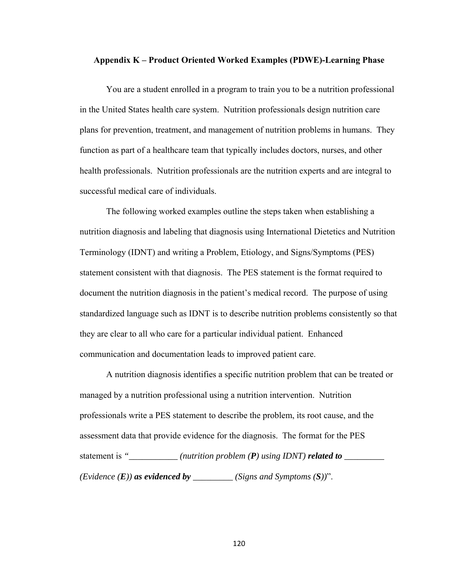### **Appendix K – Product Oriented Worked Examples (PDWE)-Learning Phase**

You are a student enrolled in a program to train you to be a nutrition professional in the United States health care system. Nutrition professionals design nutrition care plans for prevention, treatment, and management of nutrition problems in humans. They function as part of a healthcare team that typically includes doctors, nurses, and other health professionals. Nutrition professionals are the nutrition experts and are integral to successful medical care of individuals.

 The following worked examples outline the steps taken when establishing a nutrition diagnosis and labeling that diagnosis using International Dietetics and Nutrition Terminology (IDNT) and writing a Problem, Etiology, and Signs/Symptoms (PES) statement consistent with that diagnosis. The PES statement is the format required to document the nutrition diagnosis in the patient's medical record. The purpose of using standardized language such as IDNT is to describe nutrition problems consistently so that they are clear to all who care for a particular individual patient. Enhanced communication and documentation leads to improved patient care.

 A nutrition diagnosis identifies a specific nutrition problem that can be treated or managed by a nutrition professional using a nutrition intervention. Nutrition professionals write a PES statement to describe the problem, its root cause, and the assessment data that provide evidence for the diagnosis. The format for the PES statement is *"\_\_\_\_\_\_\_\_\_\_\_ (nutrition problem (P) using IDNT) related to \_\_\_\_\_\_\_\_\_ (Evidence*  $(E)$ *) as evidenced by \_\_\_\_\_\_\_\_ (Signs and Symptoms*  $(S)$ *)".*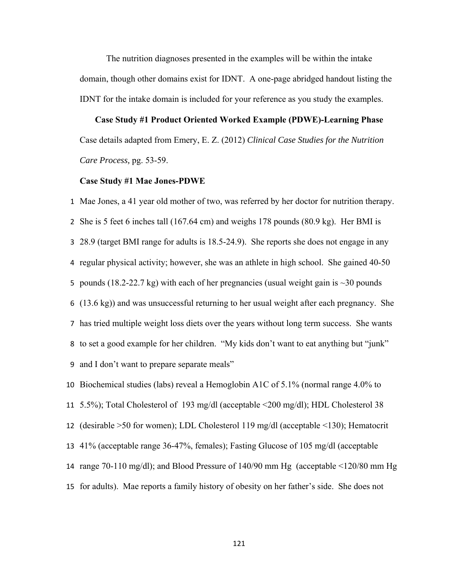The nutrition diagnoses presented in the examples will be within the intake domain, though other domains exist for IDNT. A one-page abridged handout listing the IDNT for the intake domain is included for your reference as you study the examples.

### **Case Study #1 Product Oriented Worked Example (PDWE)-Learning Phase**

Case details adapted from Emery, E. Z. (2012) *Clinical Case Studies for the Nutrition Care Process,* pg. 53-59.

### **Case Study #1 Mae Jones-PDWE**

 Mae Jones, a 41 year old mother of two, was referred by her doctor for nutrition therapy. She is 5 feet 6 inches tall (167.64 cm) and weighs 178 pounds (80.9 kg). Her BMI is 28.9 (target BMI range for adults is 18.5-24.9). She reports she does not engage in any regular physical activity; however, she was an athlete in high school. She gained 40-50 5 pounds (18.2-22.7 kg) with each of her pregnancies (usual weight gain is  $\sim$  30 pounds (13.6 kg)) and was unsuccessful returning to her usual weight after each pregnancy. She has tried multiple weight loss diets over the years without long term success. She wants to set a good example for her children. "My kids don't want to eat anything but "junk" and I don't want to prepare separate meals"

Biochemical studies (labs) reveal a Hemoglobin A1C of 5.1% (normal range 4.0% to

5.5%); Total Cholesterol of 193 mg/dl (acceptable <200 mg/dl); HDL Cholesterol 38

(desirable >50 for women); LDL Cholesterol 119 mg/dl (acceptable <130); Hematocrit

- 41% (acceptable range 36-47%, females); Fasting Glucose of 105 mg/dl (acceptable
- range 70-110 mg/dl); and Blood Pressure of 140/90 mm Hg (acceptable <120/80 mm Hg
- for adults). Mae reports a family history of obesity on her father's side. She does not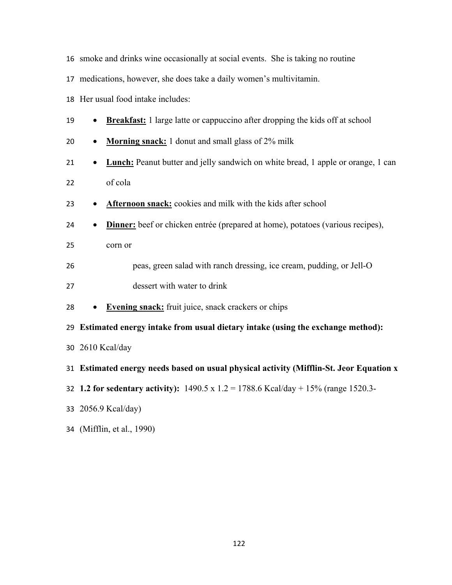- smoke and drinks wine occasionally at social events. She is taking no routine
- medications, however, she does take a daily women's multivitamin.
- Her usual food intake includes:
- **Breakfast:** 1 large latte or cappuccino after dropping the kids off at school
- **Morning snack:** 1 donut and small glass of 2% milk
- **•** Lunch: Peanut butter and jelly sandwich on white bread, 1 apple or orange, 1 can of cola
- **Afternoon snack:** cookies and milk with the kids after school
- **Dinner:** beef or chicken entrée (prepared at home), potatoes (various recipes),
- corn or
- peas, green salad with ranch dressing, ice cream, pudding, or Jell-O
- dessert with water to drink
- **Evening snack:** fruit juice, snack crackers or chips
- **Estimated energy intake from usual dietary intake (using the exchange method):**
- 2610 Kcal/day
- **Estimated energy needs based on usual physical activity (Mifflin-St. Jeor Equation x**
- **1.2 for sedentary activity):** 1490.5 x 1.2 = 1788.6 Kcal/day + 15% (range 1520.3-
- 2056.9 Kcal/day)
- (Mifflin, et al., 1990)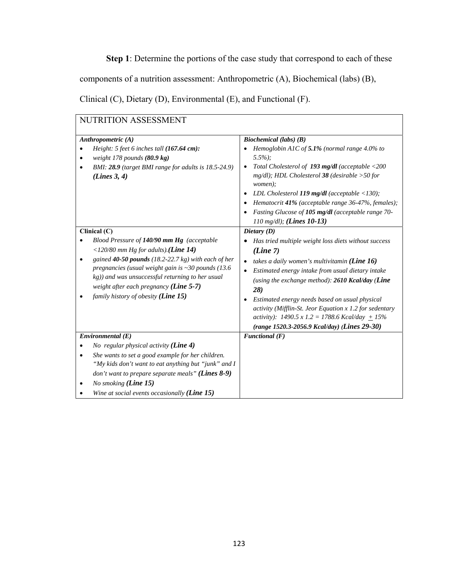**Step 1**: Determine the portions of the case study that correspond to each of these

components of a nutrition assessment: Anthropometric (A), Biochemical (labs) (B),

Clinical (C), Dietary (D), Environmental (E), and Functional (F).

| NUTRITION ASSESSMENT                                                                                                                                                                                                                                                                                                                                                                   |                                                                                                                                                                                                                                                                                                                                                                                                                                                                                                           |  |  |
|----------------------------------------------------------------------------------------------------------------------------------------------------------------------------------------------------------------------------------------------------------------------------------------------------------------------------------------------------------------------------------------|-----------------------------------------------------------------------------------------------------------------------------------------------------------------------------------------------------------------------------------------------------------------------------------------------------------------------------------------------------------------------------------------------------------------------------------------------------------------------------------------------------------|--|--|
| Anthropometric $(A)$<br>Height: 5 feet 6 inches tall (167.64 cm):<br>weight 178 pounds (80.9 kg)<br>BMI: 28.9 (target BMI range for adults is 18.5-24.9)<br>٠<br>(Lines 3, 4)                                                                                                                                                                                                          | Biochemical (labs) $(B)$<br>Hemoglobin A1C of 5.1% (normal range 4.0% to<br>$5.5\%$ :<br>Total Cholesterol of 193 mg/dl (acceptable <200<br>$\bullet$<br>$mg/dl$ ); HDL Cholesterol 38 (desirable > 50 for<br>women);<br>LDL Cholesterol 119 mg/dl (acceptable $\langle$ 130);<br>Hematocrit 41% (acceptable range 36-47%, females);<br>$\bullet$<br>Fasting Glucose of 105 mg/dl (acceptable range 70-<br>110 mg/dl); (Lines $10-13$ )                                                                   |  |  |
| Clinical (C)<br>Blood Pressure of 140/90 mm Hg (acceptable<br><120/80 mm Hg for adults). (Line 14)<br>gained $40-50$ pounds (18.2-22.7 kg) with each of her<br>$\bullet$<br>pregnancies (usual weight gain is $\sim$ 30 pounds (13.6)<br>kg)) and was unsuccessful returning to her usual<br>weight after each pregnancy (Line $5-7$ )<br>family history of obesity ( <b>Line 15</b> ) | Dietary $(D)$<br>Has tried multiple weight loss diets without success<br>(Line 7)<br>takes a daily women's multivitamin ( <i>Line</i> 16)<br>Estimated energy intake from usual dietary intake<br>$\bullet$<br>(using the exchange method): 2610 Kcal/day (Line<br>28)<br>Estimated energy needs based on usual physical<br>٠<br>activity (Mifflin-St. Jeor Equation $x$ 1.2 for sedentary<br>activity): $1490.5 \times 1.2 = 1788.6$ Kcal/day $\pm 15\%$<br>(range 1520.3-2056.9 Kcal/day) (Lines 29-30) |  |  |
| Environmental(E)<br>No regular physical activity $(Line 4)$<br>She wants to set a good example for her children.<br>"My kids don't want to eat anything but "junk" and I<br>don't want to prepare separate meals" (Lines $8-9$ )<br>No smoking $(Line 15)$<br>Wine at social events occasionally (Line $15$ )                                                                          | $\overline{F}$ unctional (F)                                                                                                                                                                                                                                                                                                                                                                                                                                                                              |  |  |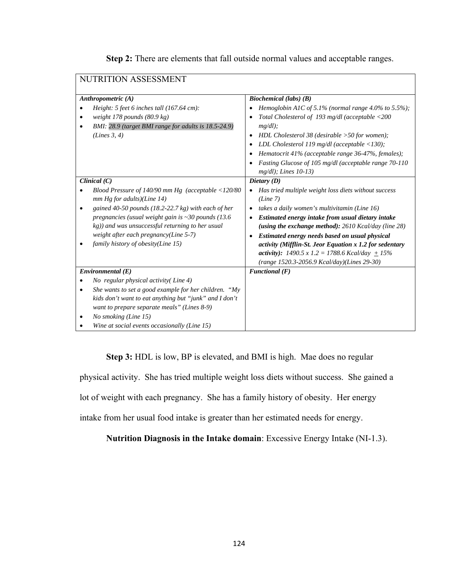| NUTRITION ASSESSMENT                                                                                                                                                                                                                                                                                                                                                 |                                                                                                                                                                                                                                                                                                                                                                                                                                                                                                       |  |  |
|----------------------------------------------------------------------------------------------------------------------------------------------------------------------------------------------------------------------------------------------------------------------------------------------------------------------------------------------------------------------|-------------------------------------------------------------------------------------------------------------------------------------------------------------------------------------------------------------------------------------------------------------------------------------------------------------------------------------------------------------------------------------------------------------------------------------------------------------------------------------------------------|--|--|
| Anthropometric (A)<br>Height: $5$ feet 6 inches tall (167.64 cm):<br>weight $178$ pounds $(80.9 \text{ kg})$<br>٠<br>BMI: 28.9 (target BMI range for adults is 18.5-24.9)<br>(Lines 3, 4)                                                                                                                                                                            | <b>Biochemical</b> (labs) (B)<br>Hemoglobin A1C of 5.1% (normal range 4.0% to 5.5%);<br>Total Cholesterol of 193 mg/dl (acceptable <200<br>٠<br>$mg/dl$ );<br>HDL Cholesterol 38 (desirable $>50$ for women);<br>$\bullet$<br>LDL Cholesterol 119 mg/dl (acceptable $\langle$ 130);<br>٠<br>Hematocrit 41% (acceptable range 36-47%, females);<br>Fasting Glucose of 105 mg/dl (acceptable range 70-110<br>$mg/dl$ ); Lines 10-13)                                                                    |  |  |
| Clinical $(C)$<br>Blood Pressure of 140/90 mm Hg (acceptable $\langle$ 120/80<br>$mm$ Hg for adults)(Line 14)<br>gained 40-50 pounds (18.2-22.7 kg) with each of her<br>pregnancies (usual weight gain is $\sim$ 30 pounds (13.6)<br>kg)) and was unsuccessful returning to her usual<br>weight after each pregnancy(Line 5-7)<br>family history of obesity(Line 15) | Dietary $(D)$<br>Has tried multiple weight loss diets without success<br>(Line 7)<br>takes a daily women's multivitamin (Line 16)<br>Estimated energy intake from usual dietary intake<br>$\bullet$<br>(using the exchange method): $2610$ Kcal/day (line 28)<br>Estimated energy needs based on usual physical<br>$\bullet$<br>activity (Mifflin-St. Jeor Equation x 1.2 for sedentary<br>activity): $1490.5 \times 1.2 = 1788.6$ Kcal/day $\pm 15\%$<br>(range 1520.3-2056.9 Kcal/day)(Lines 29-30) |  |  |
| Environmental(E)<br>No regular physical activity (Line 4)<br>She wants to set a good example for her children. "My<br>kids don't want to eat anything but "junk" and I don't<br>want to prepare separate meals" (Lines 8-9)<br>No smoking (Line 15)<br>Wine at social events occasionally (Line 15)                                                                  | Functional $(F)$                                                                                                                                                                                                                                                                                                                                                                                                                                                                                      |  |  |

**Step 3:** HDL is low, BP is elevated, and BMI is high. Mae does no regular

physical activity. She has tried multiple weight loss diets without success. She gained a

lot of weight with each pregnancy. She has a family history of obesity. Her energy

intake from her usual food intake is greater than her estimated needs for energy.

**Nutrition Diagnosis in the Intake domain**: Excessive Energy Intake (NI-1.3).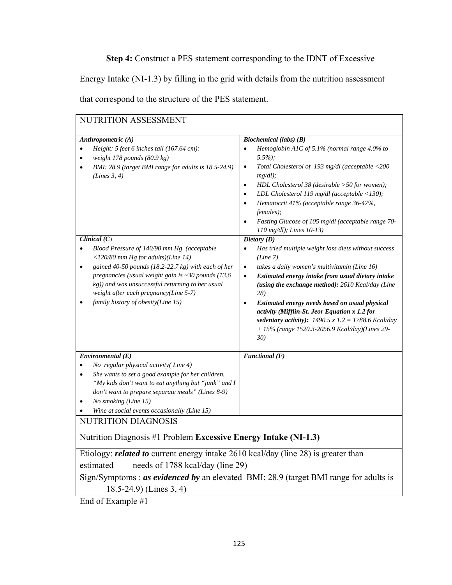**Step 4:** Construct a PES statement corresponding to the IDNT of Excessive

Energy Intake (NI-1.3) by filling in the grid with details from the nutrition assessment

that correspond to the structure of the PES statement.

| NUTRITION ASSESSMENT                                                                                                                                                                                                                                                                                                                                                                |                                                                                                                                                                                                                                                                                                                                                                                                                                                                                                                                  |  |
|-------------------------------------------------------------------------------------------------------------------------------------------------------------------------------------------------------------------------------------------------------------------------------------------------------------------------------------------------------------------------------------|----------------------------------------------------------------------------------------------------------------------------------------------------------------------------------------------------------------------------------------------------------------------------------------------------------------------------------------------------------------------------------------------------------------------------------------------------------------------------------------------------------------------------------|--|
| Anthropometric (A)<br>Height: 5 feet 6 inches tall (167.64 cm):<br>$\bullet$<br>weight 178 pounds $(80.9 \text{ kg})$<br>$\bullet$<br>BMI: 28.9 (target BMI range for adults is 18.5-24.9)<br>$\bullet$<br>(Lines 3, 4)                                                                                                                                                             | <b>Biochemical</b> (labs) (B)<br>Hemoglobin A1C of 5.1% (normal range 4.0% to<br>$\bullet$<br>$5.5\%$ ;<br>Total Cholesterol of 193 mg/dl (acceptable <200<br>$\bullet$<br>$mg/dl$ );<br>HDL Cholesterol 38 (desirable >50 for women);<br>$\bullet$<br>LDL Cholesterol 119 mg/dl (acceptable $\langle$ 130);<br>$\bullet$<br>Hematocrit 41% (acceptable range 36-47%,<br>$\bullet$<br>females);<br>Fasting Glucose of 105 mg/dl (acceptable range 70-<br>$\bullet$<br>110 mg/dl); Lines 10-13)                                   |  |
| Clinical $(C)$<br>Blood Pressure of 140/90 mm Hg (acceptable<br>$\bullet$<br><120/80 mm Hg for adults)(Line 14)<br>gained 40-50 pounds (18.2-22.7 kg) with each of her<br>$\bullet$<br>pregnancies (usual weight gain is $\sim$ 30 pounds (13.6)<br>kg)) and was unsuccessful returning to her usual<br>weight after each pregnancy(Line 5-7)<br>family history of obesity(Line 15) | Dietary (D)<br>Has tried multiple weight loss diets without success<br>$\bullet$<br>(Line 7)<br>takes a daily women's multivitamin (Line 16)<br>$\bullet$<br>Estimated energy intake from usual dietary intake<br>$\bullet$<br>(using the exchange method): 2610 Kcal/day (Line<br>28)<br>Estimated energy needs based on usual physical<br>$\bullet$<br>activity (Mifflin-St. Jeor Equation x 1.2 for<br>sedentary activity): $1490.5 \times 1.2 = 1788.6$ Kcal/day<br>$+ 15\%$ (range 1520.3-2056.9 Kcal/day)(Lines 29-<br>30) |  |
| Environmental(E)<br>No regular physical activity(Line 4)<br>$\bullet$<br>She wants to set a good example for her children.<br>$\bullet$<br>"My kids don't want to eat anything but "junk" and I<br>don't want to prepare separate meals" (Lines 8-9)<br>No smoking (Line 15)<br>٠<br>Wine at social events occasionally (Line 15)<br><b>NUTRITION DIAGNOSIS</b>                     | Functional $(F)$                                                                                                                                                                                                                                                                                                                                                                                                                                                                                                                 |  |
| Nutrition Diagnosis #1 Problem Excessive Energy Intake (NI-1.3)                                                                                                                                                                                                                                                                                                                     |                                                                                                                                                                                                                                                                                                                                                                                                                                                                                                                                  |  |
| Etiology: <i>related to</i> current energy intake 2610 kcal/day (line 28) is greater than<br>needs of 1788 kcal/day (line 29)<br>estimated                                                                                                                                                                                                                                          |                                                                                                                                                                                                                                                                                                                                                                                                                                                                                                                                  |  |
| Sign/Symptoms : as evidenced by an elevated BMI: 28.9 (target BMI range for adults is<br>$18.5-24.9$ (Lines 3, 4)<br>End of Example #1                                                                                                                                                                                                                                              |                                                                                                                                                                                                                                                                                                                                                                                                                                                                                                                                  |  |
|                                                                                                                                                                                                                                                                                                                                                                                     |                                                                                                                                                                                                                                                                                                                                                                                                                                                                                                                                  |  |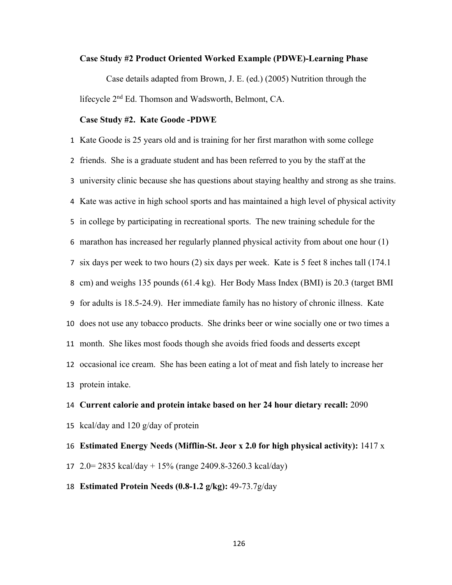#### **Case Study #2 Product Oriented Worked Example (PDWE)-Learning Phase**

Case details adapted from Brown, J. E. (ed.) (2005) Nutrition through the lifecycle 2nd Ed. Thomson and Wadsworth, Belmont, CA.

### **Case Study #2. Kate Goode -PDWE**

 Kate Goode is 25 years old and is training for her first marathon with some college friends. She is a graduate student and has been referred to you by the staff at the university clinic because she has questions about staying healthy and strong as she trains. Kate was active in high school sports and has maintained a high level of physical activity in college by participating in recreational sports. The new training schedule for the marathon has increased her regularly planned physical activity from about one hour (1) six days per week to two hours (2) six days per week. Kate is 5 feet 8 inches tall (174.1 cm) and weighs 135 pounds (61.4 kg). Her Body Mass Index (BMI) is 20.3 (target BMI for adults is 18.5-24.9). Her immediate family has no history of chronic illness. Kate does not use any tobacco products. She drinks beer or wine socially one or two times a month. She likes most foods though she avoids fried foods and desserts except occasional ice cream. She has been eating a lot of meat and fish lately to increase her protein intake.

 **Current calorie and protein intake based on her 24 hour dietary recall:** 2090 kcal/day and 120 g/day of protein **Estimated Energy Needs (Mifflin-St. Jeor x 2.0 for high physical activity):** 1417 x

- 2.0= 2835 kcal/day + 15% (range 2409.8-3260.3 kcal/day)
- **Estimated Protein Needs (0.8-1.2 g/kg):** 49-73.7g/day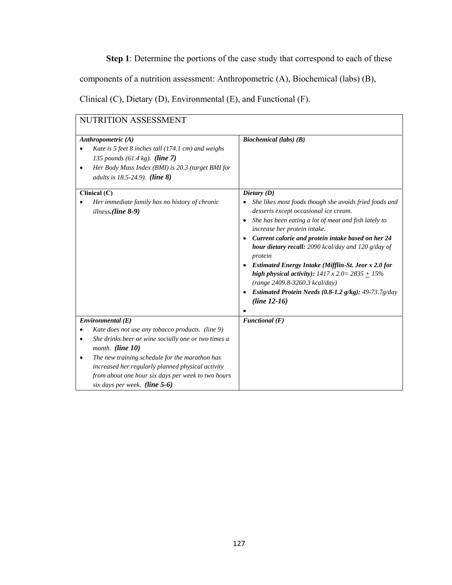**Step 1**: Determine the portions of the case study that correspond to each of these

components of a nutrition assessment: Anthropometric (A), Biochemical (labs) (B),

Clinical (C), Dietary (D), Environmental (E), and Functional (F).

| NUTRITION ASSESSMENT                                                                                                                                                                                                                                                          |                                                                                                                                                                                                                                                                                                                                                                                                                                                                                                                                                                                                                   |  |
|-------------------------------------------------------------------------------------------------------------------------------------------------------------------------------------------------------------------------------------------------------------------------------|-------------------------------------------------------------------------------------------------------------------------------------------------------------------------------------------------------------------------------------------------------------------------------------------------------------------------------------------------------------------------------------------------------------------------------------------------------------------------------------------------------------------------------------------------------------------------------------------------------------------|--|
| Anthropometric (A)<br>Kate is 5 feet 8 inches tall (174.1 cm) and weighs<br>135 pounds $(61.4 \text{ kg})$ . (line 7)<br>Her Body Mass Index (BMI) is 20.3 (target BMI for<br>$\bullet$<br><i>adults is 18.5-24.9).</i> ( <i>line 8</i> )                                     | Biochemical (labs) $(B)$                                                                                                                                                                                                                                                                                                                                                                                                                                                                                                                                                                                          |  |
| Clinical (C)<br>Her immediate family has no history of chronic<br>illness.(line 8-9)                                                                                                                                                                                          | Dietary $(D)$<br>She likes most foods though she avoids fried foods and<br>desserts except occasional ice cream.<br>She has been eating a lot of meat and fish lately to<br>$\bullet$<br>increase her protein intake.<br>Current calorie and protein intake based on her 24<br>$\bullet$<br>hour dietary recall: 2090 kcal/day and 120 g/day of<br>protein<br>Estimated Energy Intake (Mifflin-St. Jeor x 2.0 for<br>high physical activity): $1417 \times 2.0 = 2835 + 15\%$<br>(range 2409.8-3260.3 kcal/day)<br>Estimated Protein Needs $(0.8-1.2 \text{ g/kg})$ : 49-73.7g/day<br>$\bullet$<br>$(line 12-16)$ |  |
| Environmental(E)<br>Kate does not use any tobacco products. (line 9)                                                                                                                                                                                                          | Functional $(F)$                                                                                                                                                                                                                                                                                                                                                                                                                                                                                                                                                                                                  |  |
| She drinks beer or wine socially one or two times a<br>٠<br>month. (line 10)<br>The new training schedule for the marathon has<br>increased her regularly planned physical activity<br>from about one hour six days per week to two hours<br>six days per week. (line $5-6$ ) |                                                                                                                                                                                                                                                                                                                                                                                                                                                                                                                                                                                                                   |  |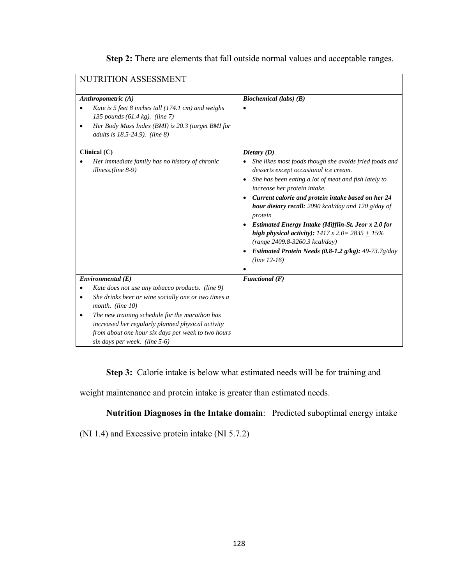| NUTRITION ASSESSMENT                                                 |                                                                                                 |  |
|----------------------------------------------------------------------|-------------------------------------------------------------------------------------------------|--|
|                                                                      |                                                                                                 |  |
| Anthropometric (A)                                                   | Biochemical (labs) $(B)$                                                                        |  |
| Kate is 5 feet 8 inches tall $(174.1 \text{ cm})$ and weighs         |                                                                                                 |  |
| 135 pounds $(61.4 \text{ kg})$ . (line 7)                            |                                                                                                 |  |
| Her Body Mass Index (BMI) is 20.3 (target BMI for                    |                                                                                                 |  |
| adults is 18.5-24.9). (line 8)                                       |                                                                                                 |  |
|                                                                      |                                                                                                 |  |
| Clinical $(C)$                                                       | Dietary $(D)$                                                                                   |  |
| Her immediate family has no history of chronic<br>illness.(line 8-9) | She likes most foods though she avoids fried foods and<br>desserts except occasional ice cream. |  |
|                                                                      | She has been eating a lot of meat and fish lately to<br>$\bullet$                               |  |
|                                                                      | increase her protein intake.                                                                    |  |
|                                                                      | Current calorie and protein intake based on her 24<br>$\bullet$                                 |  |
|                                                                      | hour dietary recall: 2090 kcal/day and 120 g/day of                                             |  |
|                                                                      | protein                                                                                         |  |
|                                                                      | <b>Estimated Energy Intake (Mifflin-St. Jeor x 2.0 for</b>                                      |  |
|                                                                      | high physical activity): $1417 \times 2.0 = 2835 + 15\%$                                        |  |
|                                                                      | (range 2409.8-3260.3 kcal/day)                                                                  |  |
|                                                                      | <b>Estimated Protein Needs (0.8-1.2 g/kg):</b> 49-73.7g/day                                     |  |
|                                                                      | $(line 12-16)$                                                                                  |  |
|                                                                      |                                                                                                 |  |
| Environmental(E)                                                     | Functional $(F)$                                                                                |  |
| Kate does not use any tobacco products. (line 9)                     |                                                                                                 |  |
| She drinks beer or wine socially one or two times a                  |                                                                                                 |  |
| month. (line $10$ )                                                  |                                                                                                 |  |
| The new training schedule for the marathon has                       |                                                                                                 |  |
| increased her regularly planned physical activity                    |                                                                                                 |  |
| from about one hour six days per week to two hours                   |                                                                                                 |  |
| six days per week. (line 5-6)                                        |                                                                                                 |  |

**Step 2:** There are elements that fall outside normal values and acceptable ranges.

**Step 3:** Calorie intake is below what estimated needs will be for training and

weight maintenance and protein intake is greater than estimated needs.

**Nutrition Diagnoses in the Intake domain**: Predicted suboptimal energy intake

(NI 1.4) and Excessive protein intake (NI 5.7.2)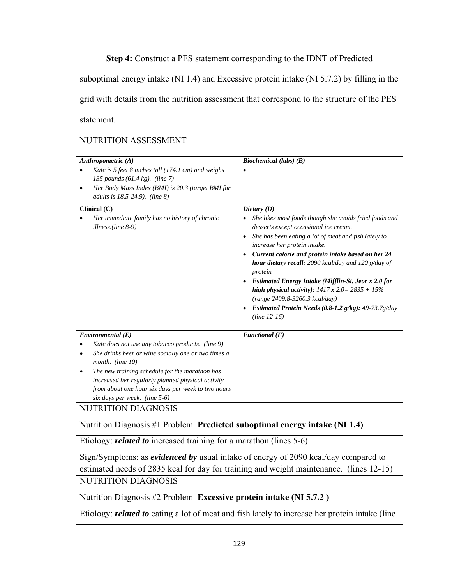**Step 4:** Construct a PES statement corresponding to the IDNT of Predicted

suboptimal energy intake (NI 1.4) and Excessive protein intake (NI 5.7.2) by filling in the grid with details from the nutrition assessment that correspond to the structure of the PES statement.

| NUTRITION ASSESSMENT                                                                                                                                                                                                                                                                                                                                            |                                                                                                                                                                                                                                                                                                                                                                                                                                                                                                                                                                                                  |  |
|-----------------------------------------------------------------------------------------------------------------------------------------------------------------------------------------------------------------------------------------------------------------------------------------------------------------------------------------------------------------|--------------------------------------------------------------------------------------------------------------------------------------------------------------------------------------------------------------------------------------------------------------------------------------------------------------------------------------------------------------------------------------------------------------------------------------------------------------------------------------------------------------------------------------------------------------------------------------------------|--|
| Anthropometric (A)<br>Kate is 5 feet 8 inches tall (174.1 cm) and weighs<br>135 pounds $(61.4 \text{ kg})$ . (line 7)<br>Her Body Mass Index (BMI) is 20.3 (target BMI for<br>$\bullet$<br>adults is 18.5-24.9). (line 8)                                                                                                                                       | <b>Biochemical</b> (labs) (B)                                                                                                                                                                                                                                                                                                                                                                                                                                                                                                                                                                    |  |
| Clinical (C)<br>Her immediate family has no history of chronic<br>$\bullet$<br>illness.(line 8-9)                                                                                                                                                                                                                                                               | Dietary $(D)$<br>She likes most foods though she avoids fried foods and<br>desserts except occasional ice cream.<br>She has been eating a lot of meat and fish lately to<br>$\bullet$<br>increase her protein intake.<br>Current calorie and protein intake based on her 24<br>hour dietary recall: 2090 kcal/day and 120 g/day of<br>protein<br><b>Estimated Energy Intake (Mifflin-St. Jeor x 2.0 for</b><br>high physical activity): $1417 \times 2.0 = 2835 + 15\%$<br>(range 2409.8-3260.3 kcal/day)<br>Estimated Protein Needs (0.8-1.2 g/kg): 49-73.7g/day<br>$\bullet$<br>$(line 12-16)$ |  |
| Environmental(E)<br>Kate does not use any tobacco products. (line 9)<br>She drinks beer or wine socially one or two times a<br>$\bullet$<br>month. (line 10)<br>The new training schedule for the marathon has<br>٠<br>increased her regularly planned physical activity<br>from about one hour six days per week to two hours<br>six days per week. (line 5-6) | $\overline{F}$ unctional (F)                                                                                                                                                                                                                                                                                                                                                                                                                                                                                                                                                                     |  |
| NUTRITION DIAGNOSIS                                                                                                                                                                                                                                                                                                                                             |                                                                                                                                                                                                                                                                                                                                                                                                                                                                                                                                                                                                  |  |
| Nutrition Diagnosis #1 Problem Predicted suboptimal energy intake (NI 1.4)                                                                                                                                                                                                                                                                                      |                                                                                                                                                                                                                                                                                                                                                                                                                                                                                                                                                                                                  |  |
| Etiology: <i>related to</i> increased training for a marathon (lines 5-6)                                                                                                                                                                                                                                                                                       |                                                                                                                                                                                                                                                                                                                                                                                                                                                                                                                                                                                                  |  |
| Sign/Symptoms: as <i>evidenced by</i> usual intake of energy of 2090 kcal/day compared to<br>estimated needs of 2835 kcal for day for training and weight maintenance. (lines 12-15)                                                                                                                                                                            |                                                                                                                                                                                                                                                                                                                                                                                                                                                                                                                                                                                                  |  |
| NUTRITION DIAGNOSIS                                                                                                                                                                                                                                                                                                                                             |                                                                                                                                                                                                                                                                                                                                                                                                                                                                                                                                                                                                  |  |
| Nutrition Diagnosis #2 Problem Excessive protein intake (NI 5.7.2)                                                                                                                                                                                                                                                                                              |                                                                                                                                                                                                                                                                                                                                                                                                                                                                                                                                                                                                  |  |
| Etiology: <i>related to</i> eating a lot of meat and fish lately to increase her protein intake (line                                                                                                                                                                                                                                                           |                                                                                                                                                                                                                                                                                                                                                                                                                                                                                                                                                                                                  |  |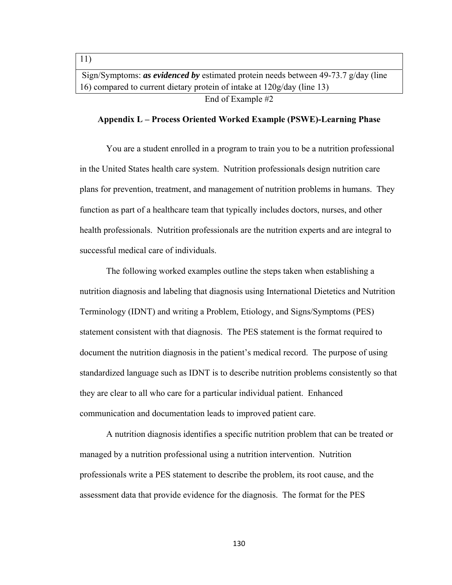Sign/Symptoms: *as evidenced by* estimated protein needs between 49-73.7 g/day (line 16) compared to current dietary protein of intake at 120g/day (line 13) End of Example #2

11)

#### **Appendix L – Process Oriented Worked Example (PSWE)-Learning Phase**

You are a student enrolled in a program to train you to be a nutrition professional in the United States health care system. Nutrition professionals design nutrition care plans for prevention, treatment, and management of nutrition problems in humans. They function as part of a healthcare team that typically includes doctors, nurses, and other health professionals. Nutrition professionals are the nutrition experts and are integral to successful medical care of individuals.

 The following worked examples outline the steps taken when establishing a nutrition diagnosis and labeling that diagnosis using International Dietetics and Nutrition Terminology (IDNT) and writing a Problem, Etiology, and Signs/Symptoms (PES) statement consistent with that diagnosis. The PES statement is the format required to document the nutrition diagnosis in the patient's medical record. The purpose of using standardized language such as IDNT is to describe nutrition problems consistently so that they are clear to all who care for a particular individual patient. Enhanced communication and documentation leads to improved patient care.

 A nutrition diagnosis identifies a specific nutrition problem that can be treated or managed by a nutrition professional using a nutrition intervention. Nutrition professionals write a PES statement to describe the problem, its root cause, and the assessment data that provide evidence for the diagnosis. The format for the PES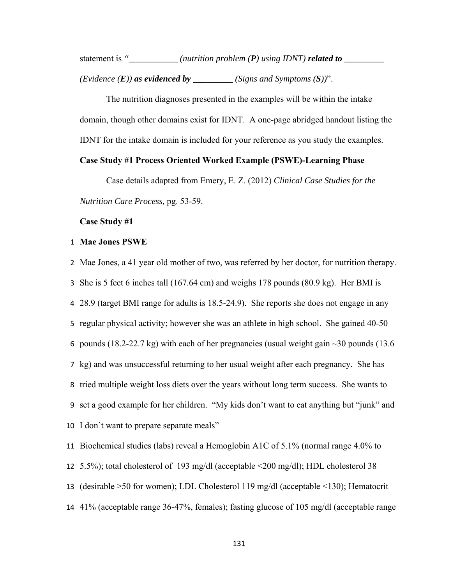statement is "\_\_\_\_\_\_\_\_\_\_\_ (nutrition problem (P) using IDNT) **related to** \_\_\_\_\_\_\_\_\_

*(Evidence*  $(E)$ *) as evidenced by \_\_\_\_\_\_\_\_ (Signs and Symptoms*  $(S)$ *)*".

 The nutrition diagnoses presented in the examples will be within the intake domain, though other domains exist for IDNT. A one-page abridged handout listing the IDNT for the intake domain is included for your reference as you study the examples.

### **Case Study #1 Process Oriented Worked Example (PSWE)-Learning Phase**

Case details adapted from Emery, E. Z. (2012) *Clinical Case Studies for the Nutrition Care Process,* pg. 53-59.

**Case Study #1**

#### 1 **Mae Jones PSWE**

 Mae Jones, a 41 year old mother of two, was referred by her doctor, for nutrition therapy. She is 5 feet 6 inches tall (167.64 cm) and weighs 178 pounds (80.9 kg). Her BMI is 28.9 (target BMI range for adults is 18.5-24.9). She reports she does not engage in any regular physical activity; however she was an athlete in high school. She gained 40-50 6 pounds (18.2-22.7 kg) with each of her pregnancies (usual weight gain  $\sim$ 30 pounds (13.6) kg) and was unsuccessful returning to her usual weight after each pregnancy. She has tried multiple weight loss diets over the years without long term success. She wants to set a good example for her children. "My kids don't want to eat anything but "junk" and I don't want to prepare separate meals" Biochemical studies (labs) reveal a Hemoglobin A1C of 5.1% (normal range 4.0% to 5.5%); total cholesterol of 193 mg/dl (acceptable <200 mg/dl); HDL cholesterol 38

13 (desirable >50 for women); LDL Cholesterol 119 mg/dl (acceptable <130); Hematocrit

14 41% (acceptable range 36-47%, females); fasting glucose of 105 mg/dl (acceptable range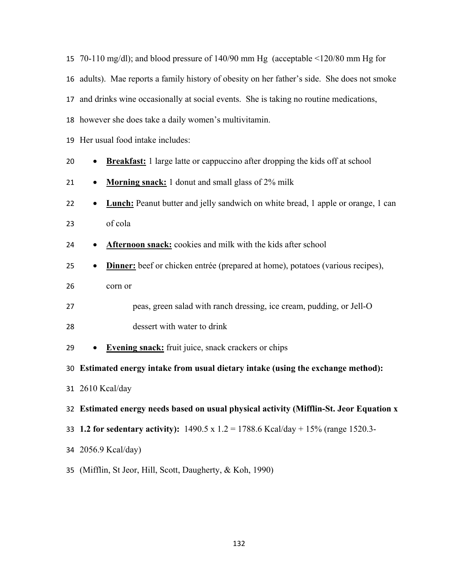adults). Mae reports a family history of obesity on her father's side. She does not smoke and drinks wine occasionally at social events. She is taking no routine medications, however she does take a daily women's multivitamin. Her usual food intake includes: **Breakfast:** 1 large latte or cappuccino after dropping the kids off at school **• Morning snack:** 1 donut and small glass of 2% milk **• Lunch:** Peanut butter and jelly sandwich on white bread, 1 apple or orange, 1 can of cola **Afternoon snack:** cookies and milk with the kids after school

70-110 mg/dl); and blood pressure of 140/90 mm Hg (acceptable <120/80 mm Hg for

- **Dinner:** beef or chicken entrée (prepared at home), potatoes (various recipes), corn or
- peas, green salad with ranch dressing, ice cream, pudding, or Jell-O dessert with water to drink
- **Evening snack:** fruit juice, snack crackers or chips

**Estimated energy intake from usual dietary intake (using the exchange method):**

2610 Kcal/day

**Estimated energy needs based on usual physical activity (Mifflin-St. Jeor Equation x** 

- **1.2 for sedentary activity):** 1490.5 x 1.2 = 1788.6 Kcal/day + 15% (range 1520.3-
- 2056.9 Kcal/day)
- (Mifflin, St Jeor, Hill, Scott, Daugherty, & Koh, 1990)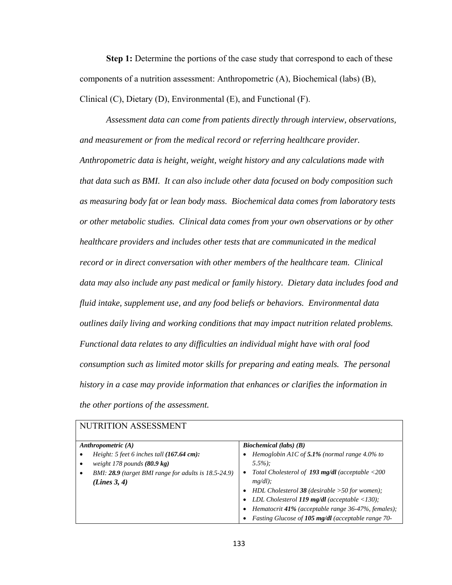**Step 1:** Determine the portions of the case study that correspond to each of these components of a nutrition assessment: Anthropometric (A), Biochemical (labs) (B), Clinical (C), Dietary (D), Environmental (E), and Functional (F).

*Assessment data can come from patients directly through interview, observations, and measurement or from the medical record or referring healthcare provider. Anthropometric data is height, weight, weight history and any calculations made with that data such as BMI. It can also include other data focused on body composition such as measuring body fat or lean body mass. Biochemical data comes from laboratory tests or other metabolic studies. Clinical data comes from your own observations or by other healthcare providers and includes other tests that are communicated in the medical record or in direct conversation with other members of the healthcare team. Clinical data may also include any past medical or family history. Dietary data includes food and fluid intake, supplement use, and any food beliefs or behaviors. Environmental data outlines daily living and working conditions that may impact nutrition related problems. Functional data relates to any difficulties an individual might have with oral food consumption such as limited motor skills for preparing and eating meals. The personal history in a case may provide information that enhances or clarifies the information in the other portions of the assessment.* 

| INUTIVITI ADDEDDIVIENT                                 |                                                                |  |  |  |
|--------------------------------------------------------|----------------------------------------------------------------|--|--|--|
| Anthropometric $(A)$                                   | Biochemical (labs) $(B)$                                       |  |  |  |
| Height: 5 feet 6 inches tall $(167.64 \text{ cm})$ :   | Hemoglobin A1C of 5.1% (normal range $4.0\%$ to                |  |  |  |
| weight 178 pounds $(80.9 \text{ kg})$                  | $5.5\%$ :                                                      |  |  |  |
| BMI: $28.9$ (target BMI range for adults is 18.5-24.9) | Total Cholesterol of 193 $mg/dl$ (acceptable <200<br>$\bullet$ |  |  |  |
| (Lines 3, 4)                                           | $mg/dl$ );                                                     |  |  |  |
|                                                        | HDL Cholesterol 38 (desirable $>50$ for women);                |  |  |  |
|                                                        | LDL Cholesterol 119 mg/dl (acceptable $\langle 130 \rangle$ ;  |  |  |  |
|                                                        | Hematocrit 41% (acceptable range $36-47%$ , females);          |  |  |  |
|                                                        | Fasting Glucose of 105 mg/dl (acceptable range 70-             |  |  |  |

# NUTRITION A SSESSMENT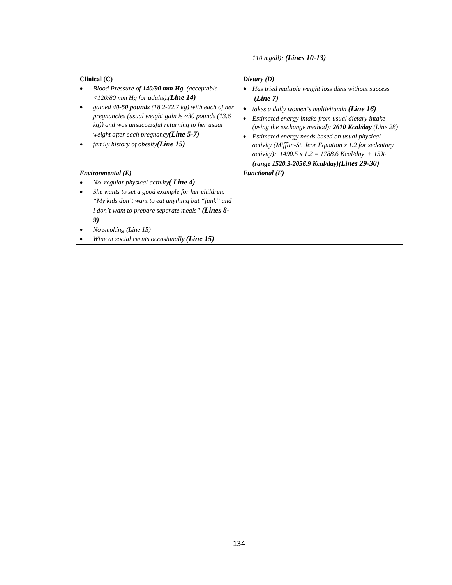|                                                                                                                                                                                                                                                             | 110 mg/dl); (Lines 10-13)                                                                                                                                                                                                                                                                                                                                                                                        |
|-------------------------------------------------------------------------------------------------------------------------------------------------------------------------------------------------------------------------------------------------------------|------------------------------------------------------------------------------------------------------------------------------------------------------------------------------------------------------------------------------------------------------------------------------------------------------------------------------------------------------------------------------------------------------------------|
| Clinical (C)<br>Blood Pressure of $140/90$ mm Hg (acceptable<br><120/80 mm Hg for adults).( <i>Line</i> 14)                                                                                                                                                 | Dietary $(D)$<br>Has tried multiple weight loss diets without success<br>(Line 7)                                                                                                                                                                                                                                                                                                                                |
| gained $40-50$ pounds (18.2-22.7 kg) with each of her<br>pregnancies (usual weight gain is $\sim$ 30 pounds (13.6)<br>kg)) and was unsuccessful returning to her usual<br>weight after each pregnancy $(Line 5-7)$<br>family history of obesity $(Line 15)$ | takes a daily women's multivitamin ( <b>Line 16</b> )<br>$\bullet$<br>Estimated energy intake from usual dietary intake<br>(using the exchange method): $2610$ Kcal/day (Line 28)<br>Estimated energy needs based on usual physical<br>٠<br>activity (Mifflin-St. Jeor Equation $x$ 1.2 for sedentary<br>activity): $1490.5 \times 1.2 = 1788.6$ Kcal/day + 15%<br>$(range 1520.3-2056.9 Kcal/day)(Lines 29-30)$ |
| Environmental(E)                                                                                                                                                                                                                                            | Functional $(F)$                                                                                                                                                                                                                                                                                                                                                                                                 |
| No regular physical activity $\binom{\text{Line 4}}{}$                                                                                                                                                                                                      |                                                                                                                                                                                                                                                                                                                                                                                                                  |
| She wants to set a good example for her children.                                                                                                                                                                                                           |                                                                                                                                                                                                                                                                                                                                                                                                                  |
| "My kids don't want to eat anything but "junk" and                                                                                                                                                                                                          |                                                                                                                                                                                                                                                                                                                                                                                                                  |
| <i>I don't want to prepare separate meals" (Lines 8-</i>                                                                                                                                                                                                    |                                                                                                                                                                                                                                                                                                                                                                                                                  |
| 9)                                                                                                                                                                                                                                                          |                                                                                                                                                                                                                                                                                                                                                                                                                  |
| No smoking (Line 15)                                                                                                                                                                                                                                        |                                                                                                                                                                                                                                                                                                                                                                                                                  |
| Wine at social events occasionally ( <b>Line 15</b> )                                                                                                                                                                                                       |                                                                                                                                                                                                                                                                                                                                                                                                                  |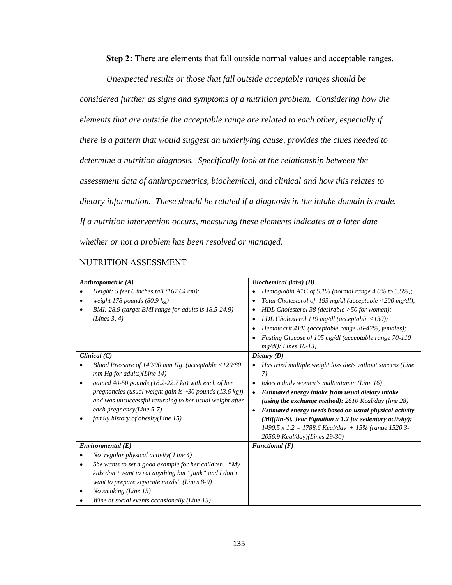**Step 2:** There are elements that fall outside normal values and acceptable ranges.

*Unexpected results or those that fall outside acceptable ranges should be* 

*considered further as signs and symptoms of a nutrition problem. Considering how the elements that are outside the acceptable range are related to each other, especially if there is a pattern that would suggest an underlying cause, provides the clues needed to determine a nutrition diagnosis. Specifically look at the relationship between the assessment data of anthropometrics, biochemical, and clinical and how this relates to dietary information. These should be related if a diagnosis in the intake domain is made. If a nutrition intervention occurs, measuring these elements indicates at a later date whether or not a problem has been resolved or managed.* 

| NUTRITION ASSESSMENT                                                                                                                                                                                                                                                                                                                                                     |                                                                                                                                                                                                                                                                                                                                                                                                                                                                                              |  |  |
|--------------------------------------------------------------------------------------------------------------------------------------------------------------------------------------------------------------------------------------------------------------------------------------------------------------------------------------------------------------------------|----------------------------------------------------------------------------------------------------------------------------------------------------------------------------------------------------------------------------------------------------------------------------------------------------------------------------------------------------------------------------------------------------------------------------------------------------------------------------------------------|--|--|
| Anthropometric $(A)$<br>Height: 5 feet 6 inches tall $(167.64 \text{ cm})$ :<br>$\bullet$<br>weight 178 pounds $(80.9 \text{ kg})$<br>$\bullet$<br>BMI: 28.9 (target BMI range for adults is 18.5-24.9)<br>(Lines 3, 4)                                                                                                                                                  | Biochemical (labs) $(B)$<br>Hemoglobin A1C of 5.1% (normal range 4.0% to 5.5%);<br>Total Cholesterol of 193 mg/dl (acceptable <200 mg/dl);<br>HDL Cholesterol 38 (desirable $>50$ for women);<br>LDL Cholesterol 119 mg/dl (acceptable $\langle$ 130);<br>Hematocrit 41% (acceptable range 36-47%, females);<br>Fasting Glucose of 105 mg/dl (acceptable range 70-110<br>$mg/dl$ ); Lines $10-13$ )                                                                                          |  |  |
| Clinical $(C)$<br>Blood Pressure of $140/90$ mm Hg (acceptable $\langle 120/80$<br>$mm Hg$ for adults)(Line 14)<br>gained 40-50 pounds (18.2-22.7 kg) with each of her<br>pregnancies (usual weight gain is $\sim$ 30 pounds (13.6 kg))<br>and was unsuccessful returning to her usual weight after<br>each pregnancy(Line $5-7$ )<br>family history of obesity(Line 15) | Dietary (D)<br>Has tried multiple weight loss diets without success (Line<br>7)<br>takes a daily women's multivitamin (Line 16)<br>Estimated energy intake from usual dietary intake<br>$\bullet$<br>(using the exchange method): $2610$ Kcal/day (line 28)<br>Estimated energy needs based on usual physical activity<br>$\bullet$<br>(Mifflin-St. Jeor Equation x 1.2 for sedentary activity):<br>1490.5 x 1.2 = 1788.6 Kcal/day $\pm$ 15% (range 1520.3-<br>2056.9 Kcal/day)(Lines 29-30) |  |  |
| Environmental(E)<br>No regular physical activity(Line 4)<br>She wants to set a good example for her children. "My<br>٠<br>kids don't want to eat anything but "junk" and I don't<br>want to prepare separate meals" (Lines 8-9)<br>No smoking (Line 15)<br>Wine at social events occasionally (Line 15)                                                                  | Functional $(F)$                                                                                                                                                                                                                                                                                                                                                                                                                                                                             |  |  |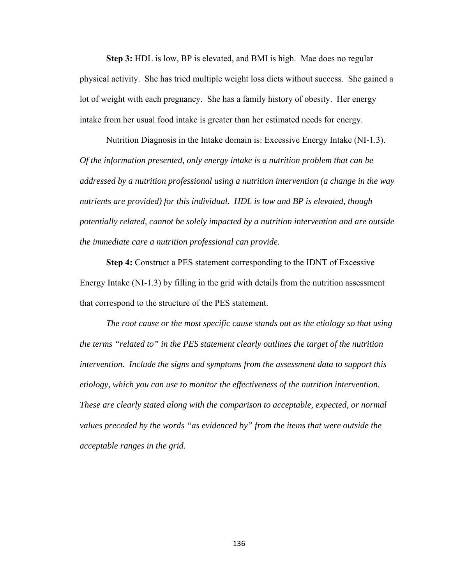**Step 3:** HDL is low, BP is elevated, and BMI is high. Mae does no regular physical activity. She has tried multiple weight loss diets without success. She gained a lot of weight with each pregnancy. She has a family history of obesity. Her energy intake from her usual food intake is greater than her estimated needs for energy.

Nutrition Diagnosis in the Intake domain is: Excessive Energy Intake (NI-1.3). *Of the information presented, only energy intake is a nutrition problem that can be addressed by a nutrition professional using a nutrition intervention (a change in the way nutrients are provided) for this individual. HDL is low and BP is elevated, though potentially related, cannot be solely impacted by a nutrition intervention and are outside the immediate care a nutrition professional can provide.* 

**Step 4:** Construct a PES statement corresponding to the IDNT of Excessive Energy Intake (NI-1.3) by filling in the grid with details from the nutrition assessment that correspond to the structure of the PES statement.

*The root cause or the most specific cause stands out as the etiology so that using the terms "related to" in the PES statement clearly outlines the target of the nutrition intervention. Include the signs and symptoms from the assessment data to support this etiology, which you can use to monitor the effectiveness of the nutrition intervention. These are clearly stated along with the comparison to acceptable, expected, or normal values preceded by the words "as evidenced by" from the items that were outside the acceptable ranges in the grid.*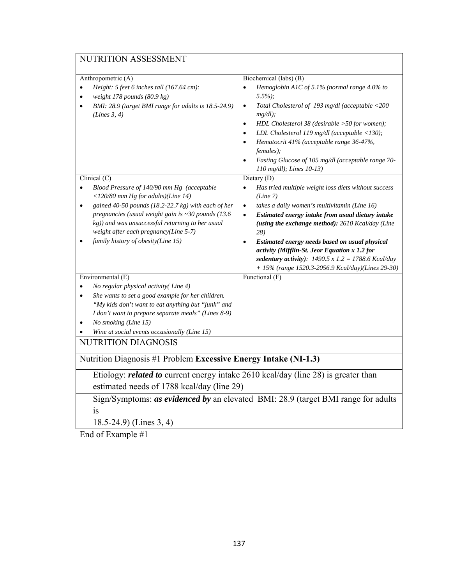# NUTRITION ASSESSMENT

| Biochemical (labs) (B)<br>Anthropometric (A)                                                                                                                                                 |                                                                                                                                                                                                                                                                                                                                                                                                                                                                |  |  |  |
|----------------------------------------------------------------------------------------------------------------------------------------------------------------------------------------------|----------------------------------------------------------------------------------------------------------------------------------------------------------------------------------------------------------------------------------------------------------------------------------------------------------------------------------------------------------------------------------------------------------------------------------------------------------------|--|--|--|
| Height: 5 feet 6 inches tall (167.64 cm):<br>weight 178 pounds (80.9 kg)<br>BMI: 28.9 (target BMI range for adults is 18.5-24.9)<br>(Lines 3, 4)                                             | Hemoglobin A1C of 5.1% (normal range 4.0% to<br>$\bullet$<br>$5.5\%$ );<br>Total Cholesterol of 193 mg/dl (acceptable <200<br>$\bullet$<br>$mg/dl$ );<br>HDL Cholesterol 38 (desirable >50 for women);<br>$\bullet$<br>LDL Cholesterol 119 mg/dl (acceptable $\langle$ 130);<br>$\bullet$<br>Hematocrit 41% (acceptable range 36-47%,<br>$\bullet$<br>females);<br>Fasting Glucose of 105 mg/dl (acceptable range 70-<br>$\bullet$<br>110 mg/dl); Lines 10-13) |  |  |  |
| Clinical (C)                                                                                                                                                                                 | Dietary (D)                                                                                                                                                                                                                                                                                                                                                                                                                                                    |  |  |  |
| Blood Pressure of 140/90 mm Hg (acceptable<br><120/80 mm Hg for adults)(Line 14)                                                                                                             | Has tried multiple weight loss diets without success<br>$\bullet$<br>(Line 7)                                                                                                                                                                                                                                                                                                                                                                                  |  |  |  |
| gained 40-50 pounds (18.2-22.7 kg) with each of her                                                                                                                                          | takes a daily women's multivitamin (Line 16)<br>$\bullet$                                                                                                                                                                                                                                                                                                                                                                                                      |  |  |  |
| pregnancies (usual weight gain is $\sim$ 30 pounds (13.6)<br>kg)) and was unsuccessful returning to her usual<br>weight after each pregnancy(Line 5-7)<br>family history of obesity(Line 15) | Estimated energy intake from usual dietary intake<br>$\bullet$<br>(using the exchange method): 2610 Kcal/day (Line<br>28)<br>Estimated energy needs based on usual physical<br>$\bullet$<br>activity (Mifflin-St. Jeor Equation x 1.2 for<br>sedentary activity): $1490.5 \times 1.2 = 1788.6$ Kcal/day<br>+ 15% (range 1520.3-2056.9 Kcal/day)(Lines 29-30)                                                                                                   |  |  |  |
| Environmental (E)                                                                                                                                                                            | Functional $(F)$                                                                                                                                                                                                                                                                                                                                                                                                                                               |  |  |  |
| No regular physical activity(Line 4)<br>$\bullet$                                                                                                                                            |                                                                                                                                                                                                                                                                                                                                                                                                                                                                |  |  |  |
| She wants to set a good example for her children.<br>$\bullet$                                                                                                                               |                                                                                                                                                                                                                                                                                                                                                                                                                                                                |  |  |  |
| "My kids don't want to eat anything but "junk" and                                                                                                                                           |                                                                                                                                                                                                                                                                                                                                                                                                                                                                |  |  |  |
| I don't want to prepare separate meals" (Lines 8-9)<br>No smoking (Line 15)                                                                                                                  |                                                                                                                                                                                                                                                                                                                                                                                                                                                                |  |  |  |
| Wine at social events occasionally (Line 15)                                                                                                                                                 |                                                                                                                                                                                                                                                                                                                                                                                                                                                                |  |  |  |
| <b>NUTRITION DIAGNOSIS</b>                                                                                                                                                                   |                                                                                                                                                                                                                                                                                                                                                                                                                                                                |  |  |  |
| Nutrition Diagnosis #1 Problem Excessive Energy Intake (NI-1.3)                                                                                                                              |                                                                                                                                                                                                                                                                                                                                                                                                                                                                |  |  |  |
| Etiology: related to current energy intake 2610 kcal/day (line 28) is greater than                                                                                                           |                                                                                                                                                                                                                                                                                                                                                                                                                                                                |  |  |  |
| estimated needs of 1788 kcal/day (line 29)                                                                                                                                                   |                                                                                                                                                                                                                                                                                                                                                                                                                                                                |  |  |  |
| Sign/Symptoms: as evidenced by an elevated BMI: 28.9 (target BMI range for adults                                                                                                            |                                                                                                                                                                                                                                                                                                                                                                                                                                                                |  |  |  |
| 1S                                                                                                                                                                                           |                                                                                                                                                                                                                                                                                                                                                                                                                                                                |  |  |  |

18.5-24.9) (Lines 3, 4)

End of Example #1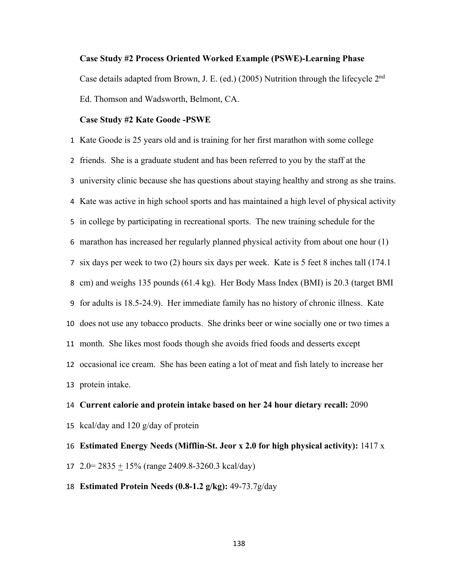#### **Case Study #2 Process Oriented Worked Example (PSWE)-Learning Phase**

Case details adapted from Brown, J. E. (ed.) (2005) Nutrition through the lifecycle 2nd Ed. Thomson and Wadsworth, Belmont, CA.

#### **Case Study #2 Kate Goode -PSWE**

 Kate Goode is 25 years old and is training for her first marathon with some college friends. She is a graduate student and has been referred to you by the staff at the university clinic because she has questions about staying healthy and strong as she trains. Kate was active in high school sports and has maintained a high level of physical activity in college by participating in recreational sports. The new training schedule for the marathon has increased her regularly planned physical activity from about one hour (1) six days per week to two (2) hours six days per week. Kate is 5 feet 8 inches tall (174.1 cm) and weighs 135 pounds (61.4 kg). Her Body Mass Index (BMI) is 20.3 (target BMI for adults is 18.5-24.9). Her immediate family has no history of chronic illness. Kate does not use any tobacco products. She drinks beer or wine socially one or two times a month. She likes most foods though she avoids fried foods and desserts except occasional ice cream. She has been eating a lot of meat and fish lately to increase her protein intake.

 **Current calorie and protein intake based on her 24 hour dietary recall:** 2090 kcal/day and 120 g/day of protein **Estimated Energy Needs (Mifflin-St. Jeor x 2.0 for high physical activity):** 1417 x

- 2.0= 2835 + 15% (range 2409.8-3260.3 kcal/day)
- **Estimated Protein Needs (0.8-1.2 g/kg):** 49-73.7g/day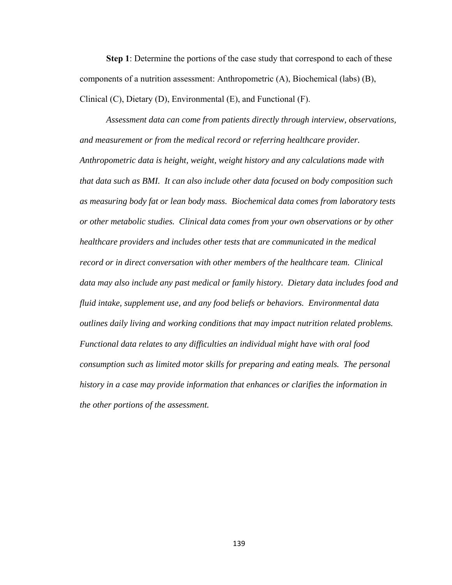**Step 1**: Determine the portions of the case study that correspond to each of these components of a nutrition assessment: Anthropometric (A), Biochemical (labs) (B), Clinical (C), Dietary (D), Environmental (E), and Functional (F).

*Assessment data can come from patients directly through interview, observations, and measurement or from the medical record or referring healthcare provider. Anthropometric data is height, weight, weight history and any calculations made with that data such as BMI. It can also include other data focused on body composition such as measuring body fat or lean body mass. Biochemical data comes from laboratory tests or other metabolic studies. Clinical data comes from your own observations or by other healthcare providers and includes other tests that are communicated in the medical record or in direct conversation with other members of the healthcare team. Clinical data may also include any past medical or family history. Dietary data includes food and fluid intake, supplement use, and any food beliefs or behaviors. Environmental data outlines daily living and working conditions that may impact nutrition related problems. Functional data relates to any difficulties an individual might have with oral food consumption such as limited motor skills for preparing and eating meals. The personal history in a case may provide information that enhances or clarifies the information in the other portions of the assessment.*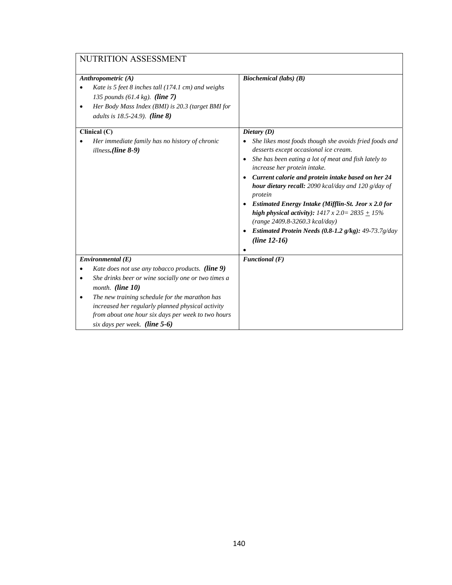| NUTRITION ASSESSMENT                                                                                                                                                                                                                    |                                                                                                                                                                                                                                                                                                                                                                                                                                                                                                                                                                                                                          |  |  |  |
|-----------------------------------------------------------------------------------------------------------------------------------------------------------------------------------------------------------------------------------------|--------------------------------------------------------------------------------------------------------------------------------------------------------------------------------------------------------------------------------------------------------------------------------------------------------------------------------------------------------------------------------------------------------------------------------------------------------------------------------------------------------------------------------------------------------------------------------------------------------------------------|--|--|--|
| Anthropometric $(A)$<br>Kate is 5 feet 8 inches tall (174.1 cm) and weighs<br>135 pounds $(61.4 \text{ kg})$ . (line 7)<br>Her Body Mass Index (BMI) is 20.3 (target BMI for<br>٠<br>adults is 18.5-24.9). (line 8)                     | Biochemical (labs) (B)                                                                                                                                                                                                                                                                                                                                                                                                                                                                                                                                                                                                   |  |  |  |
| Clinical $(C)$<br>Her immediate family has no history of chronic<br>illness. $(line 8-9)$                                                                                                                                               | Dietary $(D)$<br>She likes most foods though she avoids fried foods and<br>desserts except occasional ice cream.<br>She has been eating a lot of meat and fish lately to<br>$\bullet$<br>increase her protein intake.<br>Current calorie and protein intake based on her 24<br>$\bullet$<br>hour dietary recall: 2090 kcal/day and 120 g/day of<br>protein<br><b>Estimated Energy Intake (Mifflin-St. Jeor x 2.0 for</b><br>high physical activity): $1417 \times 2.0 = 2835 + 15\%$<br>(range 2409.8-3260.3 kcal/day)<br>Estimated Protein Needs $(0.8-1.2 \text{ g/kg})$ : 49-73.7g/day<br>$\bullet$<br>$(line 12-16)$ |  |  |  |
| Environmental(E)                                                                                                                                                                                                                        | Functional $(F)$                                                                                                                                                                                                                                                                                                                                                                                                                                                                                                                                                                                                         |  |  |  |
| Kate does not use any tobacco products. (line 9)<br>She drinks beer or wine socially one or two times a<br>month. (line 10)<br>The new training schedule for the marathon has<br>٠<br>increased her regularly planned physical activity |                                                                                                                                                                                                                                                                                                                                                                                                                                                                                                                                                                                                                          |  |  |  |
| from about one hour six days per week to two hours<br>six days per week. (line $5-6$ )                                                                                                                                                  |                                                                                                                                                                                                                                                                                                                                                                                                                                                                                                                                                                                                                          |  |  |  |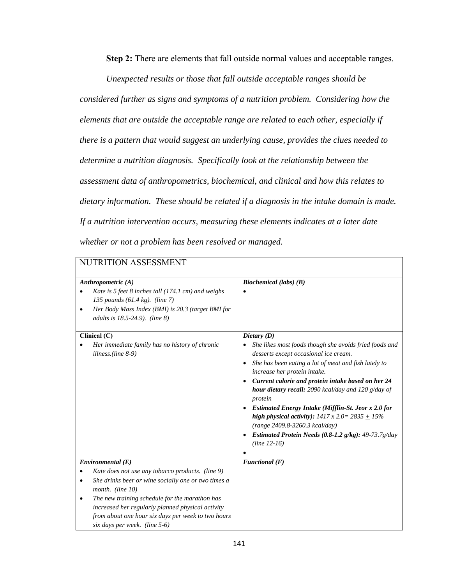**Step 2:** There are elements that fall outside normal values and acceptable ranges.

*Unexpected results or those that fall outside acceptable ranges should be* 

*considered further as signs and symptoms of a nutrition problem. Considering how the elements that are outside the acceptable range are related to each other, especially if there is a pattern that would suggest an underlying cause, provides the clues needed to determine a nutrition diagnosis. Specifically look at the relationship between the assessment data of anthropometrics, biochemical, and clinical and how this relates to dietary information. These should be related if a diagnosis in the intake domain is made. If a nutrition intervention occurs, measuring these elements indicates at a later date whether or not a problem has been resolved or managed.* 

| NUTRITION ASSESSMENT                                                                                                                                                                            |                                                                                                                                                                                                                                                                                                                                                                                                                                                                                                                                                                                     |  |  |
|-------------------------------------------------------------------------------------------------------------------------------------------------------------------------------------------------|-------------------------------------------------------------------------------------------------------------------------------------------------------------------------------------------------------------------------------------------------------------------------------------------------------------------------------------------------------------------------------------------------------------------------------------------------------------------------------------------------------------------------------------------------------------------------------------|--|--|
| Anthropometric $(A)$                                                                                                                                                                            | Biochemical (labs) $(B)$                                                                                                                                                                                                                                                                                                                                                                                                                                                                                                                                                            |  |  |
| Kate is 5 feet 8 inches tall (174.1 cm) and weighs<br>135 pounds $(61.4 \text{ kg})$ . (line 7)<br>Her Body Mass Index (BMI) is 20.3 (target BMI for<br>adults is 18.5-24.9). (line 8)          |                                                                                                                                                                                                                                                                                                                                                                                                                                                                                                                                                                                     |  |  |
| Clinical (C)                                                                                                                                                                                    | Dietary (D)                                                                                                                                                                                                                                                                                                                                                                                                                                                                                                                                                                         |  |  |
| Her immediate family has no history of chronic<br>illness.(line 8-9)                                                                                                                            | She likes most foods though she avoids fried foods and<br>desserts except occasional ice cream.<br>She has been eating a lot of meat and fish lately to<br>$\bullet$<br>increase her protein intake.<br>Current calorie and protein intake based on her 24<br>$\bullet$<br>hour dietary recall: 2090 kcal/day and 120 g/day of<br>protein<br>Estimated Energy Intake (Mifflin-St. Jeor x 2.0 for<br>high physical activity): $1417 \times 2.0 = 2835 + 15\%$<br>(range 2409.8-3260.3 kcal/day)<br>Estimated Protein Needs $(0.8-1.2 \text{ g/kg})$ : 49-73.7g/day<br>$(line 12-16)$ |  |  |
| Environmental(E)                                                                                                                                                                                | Functional $(F)$                                                                                                                                                                                                                                                                                                                                                                                                                                                                                                                                                                    |  |  |
| Kate does not use any tobacco products. (line 9)                                                                                                                                                |                                                                                                                                                                                                                                                                                                                                                                                                                                                                                                                                                                                     |  |  |
| She drinks beer or wine socially one or two times a<br>٠<br>month. (line 10)                                                                                                                    |                                                                                                                                                                                                                                                                                                                                                                                                                                                                                                                                                                                     |  |  |
| The new training schedule for the marathon has<br>٠<br>increased her regularly planned physical activity<br>from about one hour six days per week to two hours<br>six days per week. (line 5-6) |                                                                                                                                                                                                                                                                                                                                                                                                                                                                                                                                                                                     |  |  |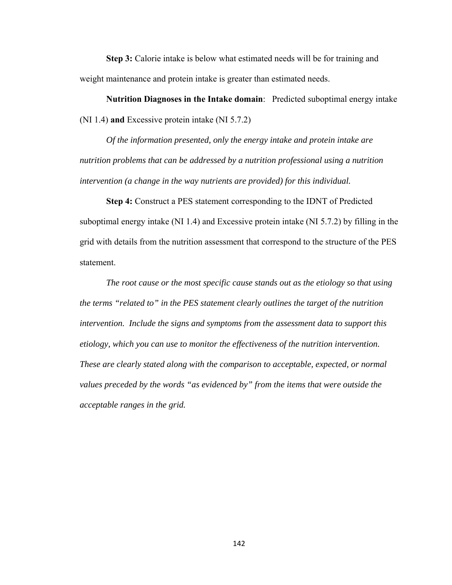**Step 3:** Calorie intake is below what estimated needs will be for training and weight maintenance and protein intake is greater than estimated needs.

**Nutrition Diagnoses in the Intake domain**: Predicted suboptimal energy intake (NI 1.4) **and** Excessive protein intake (NI 5.7.2)

*Of the information presented, only the energy intake and protein intake are nutrition problems that can be addressed by a nutrition professional using a nutrition intervention (a change in the way nutrients are provided) for this individual.* 

**Step 4:** Construct a PES statement corresponding to the IDNT of Predicted suboptimal energy intake (NI 1.4) and Excessive protein intake (NI 5.7.2) by filling in the grid with details from the nutrition assessment that correspond to the structure of the PES statement.

 *The root cause or the most specific cause stands out as the etiology so that using the terms "related to" in the PES statement clearly outlines the target of the nutrition intervention. Include the signs and symptoms from the assessment data to support this etiology, which you can use to monitor the effectiveness of the nutrition intervention. These are clearly stated along with the comparison to acceptable, expected, or normal values preceded by the words "as evidenced by" from the items that were outside the acceptable ranges in the grid.*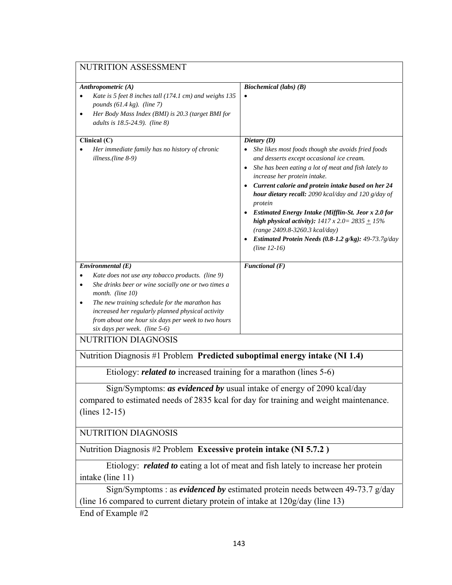| NUTRITION ASSESSMENT                                                                                                                                                                                                                                                                                                                               |                                                                                                                                                                                                                                                                                                                                                                                                                                                                                                                                                                              |  |
|----------------------------------------------------------------------------------------------------------------------------------------------------------------------------------------------------------------------------------------------------------------------------------------------------------------------------------------------------|------------------------------------------------------------------------------------------------------------------------------------------------------------------------------------------------------------------------------------------------------------------------------------------------------------------------------------------------------------------------------------------------------------------------------------------------------------------------------------------------------------------------------------------------------------------------------|--|
| Anthropometric (A)<br>Kate is 5 feet 8 inches tall (174.1 cm) and weighs 135<br>pounds $(61.4 \text{ kg})$ . (line 7)<br>Her Body Mass Index (BMI) is 20.3 (target BMI for<br>$\bullet$<br>adults is 18.5-24.9). (line 8)                                                                                                                          | Biochemical (labs) (B)                                                                                                                                                                                                                                                                                                                                                                                                                                                                                                                                                       |  |
| Clinical (C)<br>Her immediate family has no history of chronic<br>illness.(line 8-9)                                                                                                                                                                                                                                                               | Dietary (D)<br>She likes most foods though she avoids fried foods<br>and desserts except occasional ice cream.<br>She has been eating a lot of meat and fish lately to<br>increase her protein intake.<br>Current calorie and protein intake based on her 24<br>hour dietary recall: 2090 kcal/day and 120 g/day of<br>protein<br>• Estimated Energy Intake (Mifflin-St. Jeor x 2.0 for<br>high physical activity): $1417 \times 2.0 = 2835 + 15\%$<br>(range 2409.8-3260.3 kcal/day)<br>• Estimated Protein Needs $(0.8-1.2 \text{ g/kg})$ : 49-73.7g/day<br>$(line 12-16)$ |  |
| Environmental(E)<br>Kate does not use any tobacco products. (line 9)<br>She drinks beer or wine socially one or two times a<br>month. (line 10)<br>The new training schedule for the marathon has<br>٠<br>increased her regularly planned physical activity<br>from about one hour six days per week to two hours<br>six days per week. (line 5-6) | Functional $(F)$                                                                                                                                                                                                                                                                                                                                                                                                                                                                                                                                                             |  |
| NUTRITION DIAGNOSIS                                                                                                                                                                                                                                                                                                                                |                                                                                                                                                                                                                                                                                                                                                                                                                                                                                                                                                                              |  |
| Nutrition Diagnosis #1 Problem Predicted suboptimal energy intake (NI 1.4)                                                                                                                                                                                                                                                                         |                                                                                                                                                                                                                                                                                                                                                                                                                                                                                                                                                                              |  |
| Etiology: <i>related to</i> increased training for a marathon (lines 5-6)                                                                                                                                                                                                                                                                          |                                                                                                                                                                                                                                                                                                                                                                                                                                                                                                                                                                              |  |
| Sign/Symptoms: as evidenced by usual intake of energy of 2090 kcal/day<br>compared to estimated needs of 2835 kcal for day for training and weight maintenance.<br>$(lines 12-15)$                                                                                                                                                                 |                                                                                                                                                                                                                                                                                                                                                                                                                                                                                                                                                                              |  |
| NUTRITION DIAGNOSIS                                                                                                                                                                                                                                                                                                                                |                                                                                                                                                                                                                                                                                                                                                                                                                                                                                                                                                                              |  |
| Nutrition Diagnosis #2 Problem Excessive protein intake (NI 5.7.2)                                                                                                                                                                                                                                                                                 |                                                                                                                                                                                                                                                                                                                                                                                                                                                                                                                                                                              |  |
| intake (line 11)                                                                                                                                                                                                                                                                                                                                   | Etiology: <i>related to</i> eating a lot of meat and fish lately to increase her protein                                                                                                                                                                                                                                                                                                                                                                                                                                                                                     |  |
| Sign/Symptoms : as <i>evidenced by</i> estimated protein needs between 49-73.7 g/day<br>(line 16 compared to current dietary protein of intake at 120g/day (line 13)                                                                                                                                                                               |                                                                                                                                                                                                                                                                                                                                                                                                                                                                                                                                                                              |  |
| End of Example #2                                                                                                                                                                                                                                                                                                                                  |                                                                                                                                                                                                                                                                                                                                                                                                                                                                                                                                                                              |  |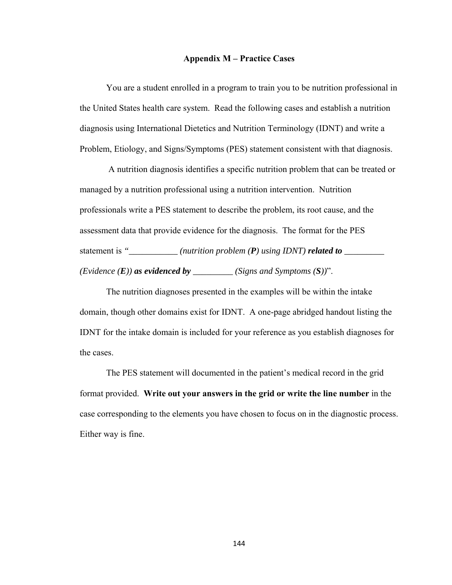#### **Appendix M – Practice Cases**

You are a student enrolled in a program to train you to be nutrition professional in the United States health care system. Read the following cases and establish a nutrition diagnosis using International Dietetics and Nutrition Terminology (IDNT) and write a Problem, Etiology, and Signs/Symptoms (PES) statement consistent with that diagnosis.

 A nutrition diagnosis identifies a specific nutrition problem that can be treated or managed by a nutrition professional using a nutrition intervention. Nutrition professionals write a PES statement to describe the problem, its root cause, and the assessment data that provide evidence for the diagnosis. The format for the PES statement is "\_\_\_\_\_\_\_\_\_\_ (nutrition problem (P) using IDNT) **related to** \_\_\_\_\_\_\_\_ *(Evidence*  $(E)$ *) as evidenced by \_\_\_\_\_\_\_\_\_ (Signs and Symptoms*  $(S)$ *)".* 

 The nutrition diagnoses presented in the examples will be within the intake domain, though other domains exist for IDNT. A one-page abridged handout listing the IDNT for the intake domain is included for your reference as you establish diagnoses for the cases.

 The PES statement will documented in the patient's medical record in the grid format provided. **Write out your answers in the grid or write the line number** in the case corresponding to the elements you have chosen to focus on in the diagnostic process. Either way is fine.

144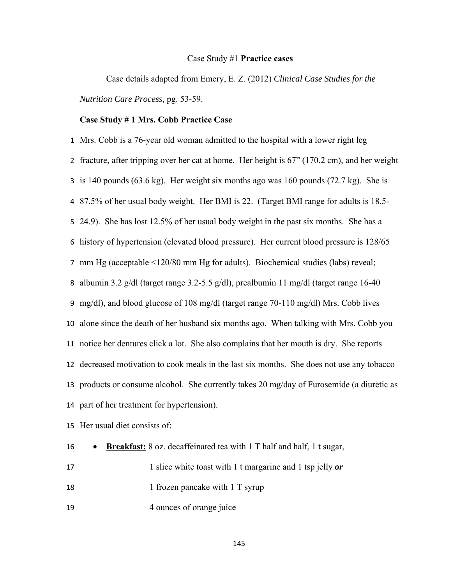#### Case Study #1 **Practice cases**

Case details adapted from Emery, E. Z. (2012) *Clinical Case Studies for the Nutrition Care Process,* pg. 53-59.

#### **Case Study # 1 Mrs. Cobb Practice Case**

 Mrs. Cobb is a 76-year old woman admitted to the hospital with a lower right leg fracture, after tripping over her cat at home. Her height is 67" (170.2 cm), and her weight is 140 pounds (63.6 kg). Her weight six months ago was 160 pounds (72.7 kg). She is 87.5% of her usual body weight. Her BMI is 22. (Target BMI range for adults is 18.5- 24.9). She has lost 12.5% of her usual body weight in the past six months. She has a history of hypertension (elevated blood pressure). Her current blood pressure is 128/65 mm Hg (acceptable <120/80 mm Hg for adults). Biochemical studies (labs) reveal; albumin 3.2 g/dl (target range 3.2-5.5 g/dl), prealbumin 11 mg/dl (target range 16-40 mg/dl), and blood glucose of 108 mg/dl (target range 70-110 mg/dl) Mrs. Cobb lives alone since the death of her husband six months ago. When talking with Mrs. Cobb you notice her dentures click a lot. She also complains that her mouth is dry. She reports decreased motivation to cook meals in the last six months. She does not use any tobacco products or consume alcohol. She currently takes 20 mg/day of Furosemide (a diuretic as part of her treatment for hypertension).

Her usual diet consists of:

| 16 | $\bullet$ | <b>Breakfast:</b> 8 oz. decaffeinated tea with 1 T half and half, 1 t sugar, |
|----|-----------|------------------------------------------------------------------------------|
| 17 |           | 1 slice white toast with 1 t margarine and 1 tsp jelly or                    |
| 18 |           | 1 frozen pancake with 1 T syrup                                              |

19 4 ounces of orange juice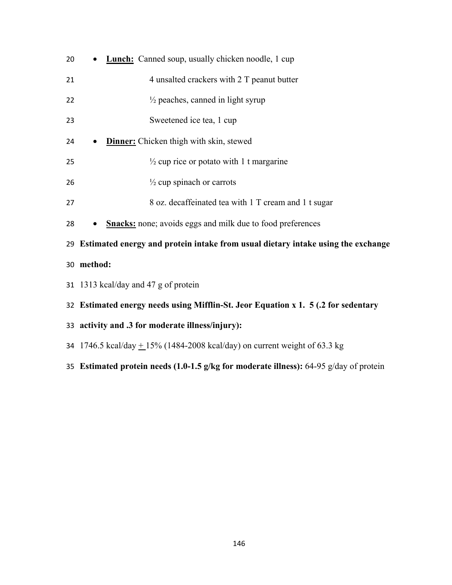| 20 | <b>Lunch:</b> Canned soup, usually chicken noodle, 1 cup                            |  |  |  |
|----|-------------------------------------------------------------------------------------|--|--|--|
| 21 | 4 unsalted crackers with 2 T peanut butter                                          |  |  |  |
| 22 | $\frac{1}{2}$ peaches, canned in light syrup                                        |  |  |  |
| 23 | Sweetened ice tea, 1 cup                                                            |  |  |  |
| 24 | <b>Dinner:</b> Chicken thigh with skin, stewed                                      |  |  |  |
| 25 | $\frac{1}{2}$ cup rice or potato with 1 t margarine                                 |  |  |  |
| 26 | $\frac{1}{2}$ cup spinach or carrots                                                |  |  |  |
| 27 | 8 oz. decaffeinated tea with 1 T cream and 1 t sugar                                |  |  |  |
| 28 | <b>Snacks:</b> none; avoids eggs and milk due to food preferences<br>$\bullet$      |  |  |  |
|    | 29 Estimated energy and protein intake from usual dietary intake using the exchange |  |  |  |
|    | 30 method:                                                                          |  |  |  |
|    | 31 1313 kcal/day and 47 g of protein                                                |  |  |  |
|    | 32 Estimated energy needs using Mifflin-St. Jeor Equation x 1. 5 (.2 for sedentary  |  |  |  |
|    | 33 activity and .3 for moderate illness/injury):                                    |  |  |  |
|    | 34 1746.5 kcal/day $\pm$ 15% (1484-2008 kcal/day) on current weight of 63.3 kg      |  |  |  |

**Estimated protein needs (1.0-1.5 g/kg for moderate illness):** 64-95 g/day of protein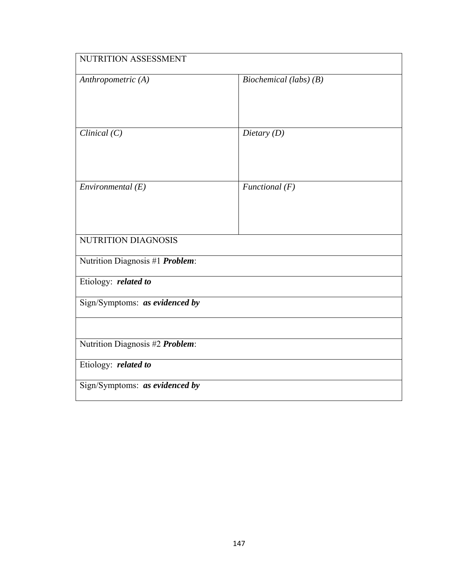| NUTRITION ASSESSMENT            |                          |  |
|---------------------------------|--------------------------|--|
| Anthropometric (A)              | Biochemical (labs) $(B)$ |  |
| Clinical $(C)$                  | Dietary $(D)$            |  |
| Environmental $(E)$             | Functional $(F)$         |  |
| NUTRITION DIAGNOSIS             |                          |  |
| Nutrition Diagnosis #1 Problem: |                          |  |
| Etiology: related to            |                          |  |
| Sign/Symptoms: as evidenced by  |                          |  |
|                                 |                          |  |
| Nutrition Diagnosis #2 Problem: |                          |  |
| Etiology: related to            |                          |  |
| Sign/Symptoms: as evidenced by  |                          |  |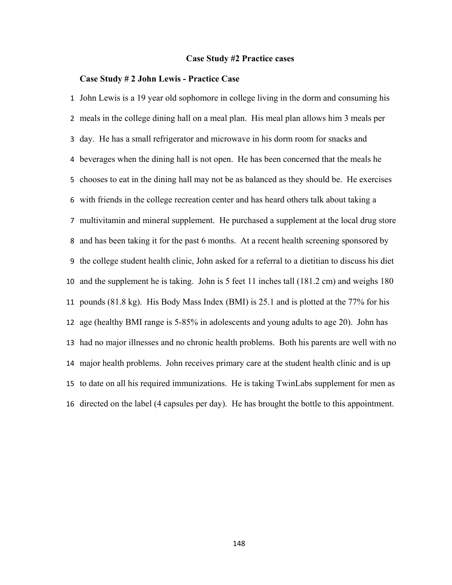#### **Case Study #2 Practice cases**

### **Case Study # 2 John Lewis - Practice Case**

 John Lewis is a 19 year old sophomore in college living in the dorm and consuming his meals in the college dining hall on a meal plan. His meal plan allows him 3 meals per day. He has a small refrigerator and microwave in his dorm room for snacks and beverages when the dining hall is not open. He has been concerned that the meals he chooses to eat in the dining hall may not be as balanced as they should be. He exercises with friends in the college recreation center and has heard others talk about taking a multivitamin and mineral supplement. He purchased a supplement at the local drug store and has been taking it for the past 6 months. At a recent health screening sponsored by the college student health clinic, John asked for a referral to a dietitian to discuss his diet and the supplement he is taking. John is 5 feet 11 inches tall (181.2 cm) and weighs 180 pounds (81.8 kg). His Body Mass Index (BMI) is 25.1 and is plotted at the 77% for his age (healthy BMI range is 5-85% in adolescents and young adults to age 20). John has had no major illnesses and no chronic health problems. Both his parents are well with no major health problems. John receives primary care at the student health clinic and is up to date on all his required immunizations. He is taking TwinLabs supplement for men as directed on the label (4 capsules per day). He has brought the bottle to this appointment.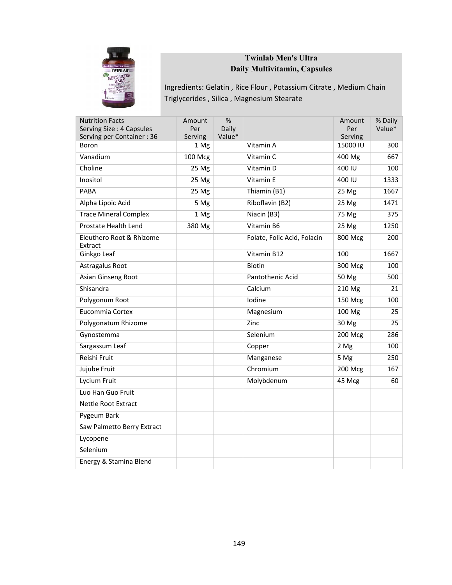

# **Twinlab Men's Ultra Daily Multivitamin, Capsules**

Ingredients: Gelatin , Rice Flour , Potassium Citrate , Medium Chain Triglycerides , Silica , Magnesium Stearate

| <b>Nutrition Facts</b><br>Serving Size: 4 Capsules | Amount<br>Per    | %<br>Daily |                             | Amount<br>Per | % Daily<br>Value* |
|----------------------------------------------------|------------------|------------|-----------------------------|---------------|-------------------|
| Serving per Container: 36                          | Serving          | Value*     |                             | Serving       |                   |
| Boron                                              | 1 Mg             |            | Vitamin A                   | 15000 IU      | 300               |
| Vanadium                                           | 100 Mcg          |            | Vitamin C                   | 400 Mg        | 667               |
| Choline                                            | 25 <sub>ng</sub> |            | Vitamin D                   | 400 IU        | 100               |
| Inositol                                           | 25 Mg            |            | Vitamin E                   | 400 IU        | 1333              |
| PABA                                               | 25 Mg            |            | Thiamin (B1)                | 25 Mg         | 1667              |
| Alpha Lipoic Acid                                  | 5 Mg             |            | Riboflavin (B2)             | 25 Mg         | 1471              |
| <b>Trace Mineral Complex</b>                       | 1 Mg             |            | Niacin (B3)                 | 75 Mg         | 375               |
| Prostate Health Lend                               | 380 Mg           |            | Vitamin B6                  | 25 Mg         | 1250              |
| Eleuthero Root & Rhizome<br>Extract                |                  |            | Folate, Folic Acid, Folacin | 800 Mcg       | 200               |
| Ginkgo Leaf                                        |                  |            | Vitamin B12                 | 100           | 1667              |
| Astragalus Root                                    |                  |            | Biotin                      | 300 Mcg       | 100               |
| Asian Ginseng Root                                 |                  |            | Pantothenic Acid            | 50 Mg         | 500               |
| Shisandra                                          |                  |            | Calcium                     | 210 Mg        | 21                |
| Polygonum Root                                     |                  |            | Iodine                      | 150 Mcg       | 100               |
| Eucommia Cortex                                    |                  |            | Magnesium                   | 100 Mg        | 25                |
| Polygonatum Rhizome                                |                  |            | Zinc                        | 30 Mg         | 25                |
| Gynostemma                                         |                  |            | Selenium                    | 200 Mcg       | 286               |
| Sargassum Leaf                                     |                  |            | Copper                      | 2 Mg          | 100               |
| Reishi Fruit                                       |                  |            | Manganese                   | 5 Mg          | 250               |
| Jujube Fruit                                       |                  |            | Chromium                    | 200 Mcg       | 167               |
| Lycium Fruit                                       |                  |            | Molybdenum                  | 45 Mcg        | 60                |
| Luo Han Guo Fruit                                  |                  |            |                             |               |                   |
| Nettle Root Extract                                |                  |            |                             |               |                   |
| Pygeum Bark                                        |                  |            |                             |               |                   |
| Saw Palmetto Berry Extract                         |                  |            |                             |               |                   |
| Lycopene                                           |                  |            |                             |               |                   |
| Selenium                                           |                  |            |                             |               |                   |
| Energy & Stamina Blend                             |                  |            |                             |               |                   |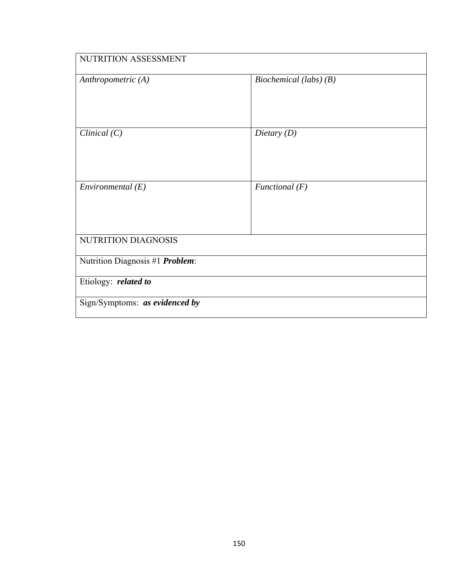| NUTRITION ASSESSMENT            |                          |  |  |
|---------------------------------|--------------------------|--|--|
| Anthropometric (A)              | Biochemical (labs) $(B)$ |  |  |
| Clinical $(C)$                  | Dietary $(D)$            |  |  |
| Environmental $(E)$             | Functional $(F)$         |  |  |
| NUTRITION DIAGNOSIS             |                          |  |  |
| Nutrition Diagnosis #1 Problem: |                          |  |  |
| Etiology: related to            |                          |  |  |
| Sign/Symptoms: as evidenced by  |                          |  |  |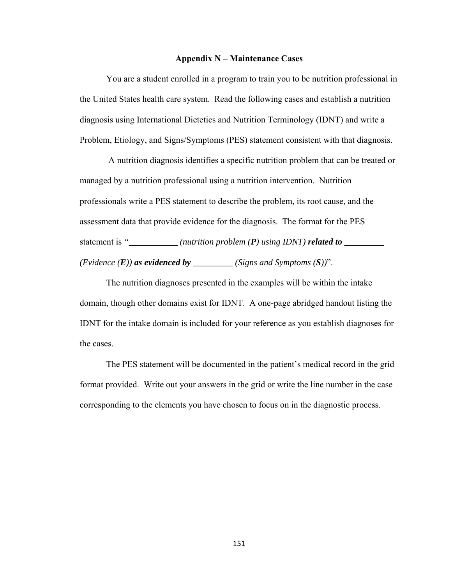### **Appendix N – Maintenance Cases**

You are a student enrolled in a program to train you to be nutrition professional in the United States health care system. Read the following cases and establish a nutrition diagnosis using International Dietetics and Nutrition Terminology (IDNT) and write a Problem, Etiology, and Signs/Symptoms (PES) statement consistent with that diagnosis.

 A nutrition diagnosis identifies a specific nutrition problem that can be treated or managed by a nutrition professional using a nutrition intervention. Nutrition professionals write a PES statement to describe the problem, its root cause, and the assessment data that provide evidence for the diagnosis. The format for the PES statement is "\_\_\_\_\_\_\_\_\_ (nutrition problem (P) using IDNT) **related to** \_\_\_\_\_\_\_\_ *(Evidence*  $(E)$ *) as evidenced by \_\_\_\_\_\_\_\_ (Signs and Symptoms*  $(S)$ *)".* 

 The nutrition diagnoses presented in the examples will be within the intake domain, though other domains exist for IDNT. A one-page abridged handout listing the IDNT for the intake domain is included for your reference as you establish diagnoses for the cases.

 The PES statement will be documented in the patient's medical record in the grid format provided. Write out your answers in the grid or write the line number in the case corresponding to the elements you have chosen to focus on in the diagnostic process.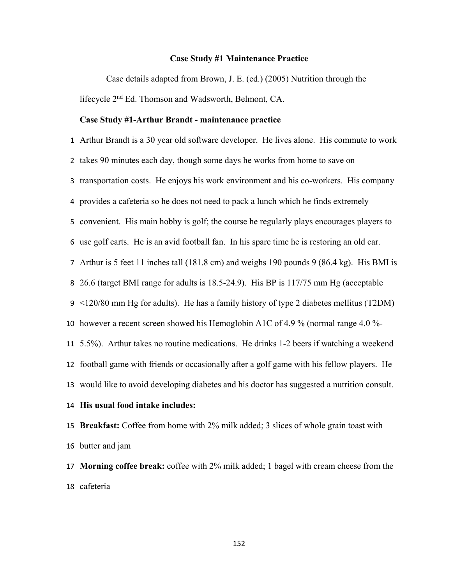#### **Case Study #1 Maintenance Practice**

Case details adapted from Brown, J. E. (ed.) (2005) Nutrition through the lifecycle 2nd Ed. Thomson and Wadsworth, Belmont, CA.

#### **Case Study #1-Arthur Brandt - maintenance practice**

 Arthur Brandt is a 30 year old software developer. He lives alone. His commute to work takes 90 minutes each day, though some days he works from home to save on transportation costs. He enjoys his work environment and his co-workers. His company provides a cafeteria so he does not need to pack a lunch which he finds extremely convenient. His main hobby is golf; the course he regularly plays encourages players to use golf carts. He is an avid football fan. In his spare time he is restoring an old car. Arthur is 5 feet 11 inches tall (181.8 cm) and weighs 190 pounds 9 (86.4 kg). His BMI is 26.6 (target BMI range for adults is 18.5-24.9). His BP is 117/75 mm Hg (acceptable <120/80 mm Hg for adults). He has a family history of type 2 diabetes mellitus (T2DM) however a recent screen showed his Hemoglobin A1C of 4.9 % (normal range 4.0 %- 5.5%). Arthur takes no routine medications. He drinks 1-2 beers if watching a weekend football game with friends or occasionally after a golf game with his fellow players. He would like to avoid developing diabetes and his doctor has suggested a nutrition consult. **His usual food intake includes: Breakfast:** Coffee from home with 2% milk added; 3 slices of whole grain toast with butter and jam

 **Morning coffee break:** coffee with 2% milk added; 1 bagel with cream cheese from the cafeteria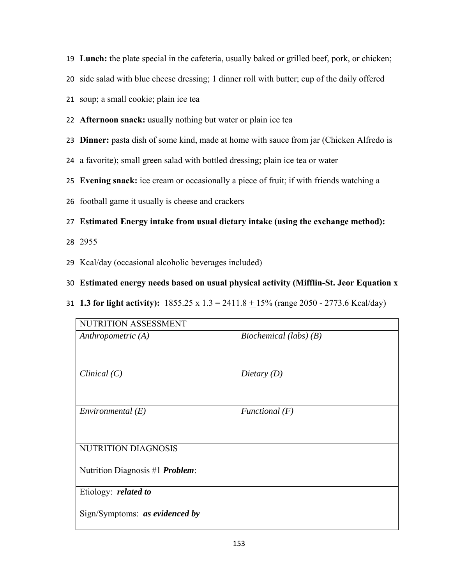- **Lunch:** the plate special in the cafeteria, usually baked or grilled beef, pork, or chicken;
- side salad with blue cheese dressing; 1 dinner roll with butter; cup of the daily offered
- soup; a small cookie; plain ice tea
- **Afternoon snack:** usually nothing but water or plain ice tea
- **Dinner:** pasta dish of some kind, made at home with sauce from jar (Chicken Alfredo is
- a favorite); small green salad with bottled dressing; plain ice tea or water
- **Evening snack:** ice cream or occasionally a piece of fruit; if with friends watching a
- football game it usually is cheese and crackers
- **Estimated Energy intake from usual dietary intake (using the exchange method):**
- 2955
- Kcal/day (occasional alcoholic beverages included)
- **Estimated energy needs based on usual physical activity (Mifflin-St. Jeor Equation x**
- **1.3 for light activity):** 1855.25 x 1.3 = 2411.8 + 15% (range 2050 2773.6 Kcal/day)

| NUTRITION ASSESSMENT                    |                          |  |
|-----------------------------------------|--------------------------|--|
| Anthropometric $(A)$                    | Biochemical (labs) $(B)$ |  |
| Clinical $(C)$                          | Dietary $(D)$            |  |
| Environmental $(E)$                     | Functional $(F)$         |  |
| <b>NUTRITION DIAGNOSIS</b>              |                          |  |
| Nutrition Diagnosis #1 <i>Problem</i> : |                          |  |
| Etiology: related to                    |                          |  |
| Sign/Symptoms: as evidenced by          |                          |  |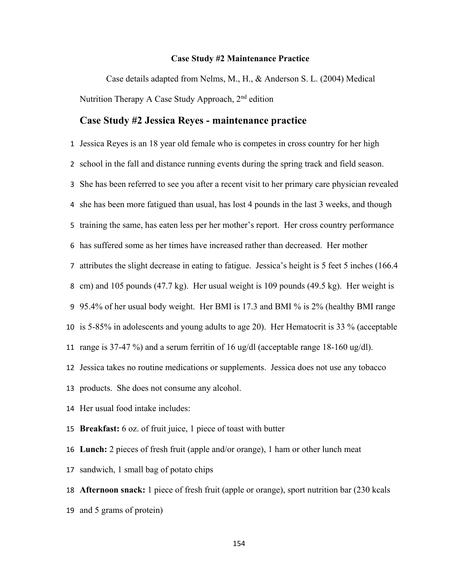#### **Case Study #2 Maintenance Practice**

Case details adapted from Nelms, M., H., & Anderson S. L. (2004) Medical Nutrition Therapy A Case Study Approach, 2<sup>nd</sup> edition

### **Case Study #2 Jessica Reyes - maintenance practice**

 Jessica Reyes is an 18 year old female who is competes in cross country for her high school in the fall and distance running events during the spring track and field season. She has been referred to see you after a recent visit to her primary care physician revealed she has been more fatigued than usual, has lost 4 pounds in the last 3 weeks, and though training the same, has eaten less per her mother's report. Her cross country performance has suffered some as her times have increased rather than decreased. Her mother attributes the slight decrease in eating to fatigue. Jessica's height is 5 feet 5 inches (166.4 cm) and 105 pounds (47.7 kg). Her usual weight is 109 pounds (49.5 kg). Her weight is 95.4% of her usual body weight. Her BMI is 17.3 and BMI % is 2% (healthy BMI range is 5-85% in adolescents and young adults to age 20).Her Hematocrit is 33 % (acceptable range is 37-47 %) and a serum ferritin of 16 ug/dl (acceptable range 18-160 ug/dl). Jessica takes no routine medications or supplements. Jessica does not use any tobacco products. She does not consume any alcohol. Her usual food intake includes: **Breakfast:** 6 oz. of fruit juice, 1 piece of toast with butter **Lunch:** 2 pieces of fresh fruit (apple and/or orange), 1 ham or other lunch meat sandwich, 1 small bag of potato chips

 **Afternoon snack:** 1 piece of fresh fruit (apple or orange), sport nutrition bar (230 kcals and 5 grams of protein)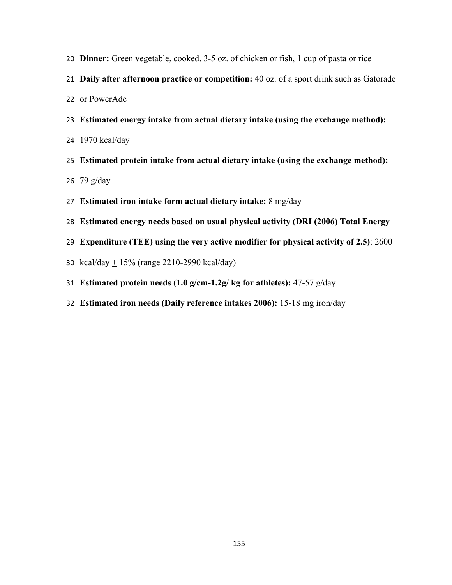- **Dinner:** Green vegetable, cooked, 3-5 oz. of chicken or fish, 1 cup of pasta or rice
- **Daily after afternoon practice or competition:** 40 oz. of a sport drink such as Gatorade
- or PowerAde
- **Estimated energy intake from actual dietary intake (using the exchange method):**
- 1970 kcal/day
- **Estimated protein intake from actual dietary intake (using the exchange method):**  79 g/day
- **Estimated iron intake form actual dietary intake:** 8 mg/day
- **Estimated energy needs based on usual physical activity (DRI (2006) Total Energy**
- **Expenditure (TEE) using the very active modifier for physical activity of 2.5)**: 2600
- 30 kcal/day  $\pm 15\%$  (range 2210-2990 kcal/day)
- **Estimated protein needs (1.0 g/cm-1.2g/ kg for athletes):** 47-57 g/day
- **Estimated iron needs (Daily reference intakes 2006):** 15-18 mg iron/day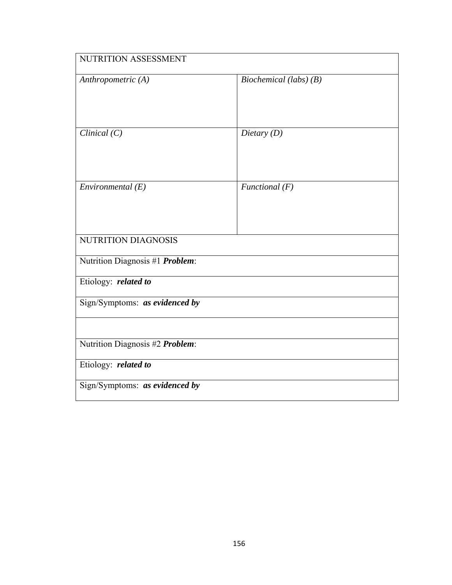| NUTRITION ASSESSMENT            |                          |  |
|---------------------------------|--------------------------|--|
| Anthropometric (A)              | Biochemical (labs) $(B)$ |  |
| Clinical $(C)$                  | Dietary $(D)$            |  |
| Environmental $(E)$             | Functional $(F)$         |  |
| NUTRITION DIAGNOSIS             |                          |  |
| Nutrition Diagnosis #1 Problem: |                          |  |
| Etiology: related to            |                          |  |
| Sign/Symptoms: as evidenced by  |                          |  |
|                                 |                          |  |
| Nutrition Diagnosis #2 Problem: |                          |  |
| Etiology: related to            |                          |  |
| Sign/Symptoms: as evidenced by  |                          |  |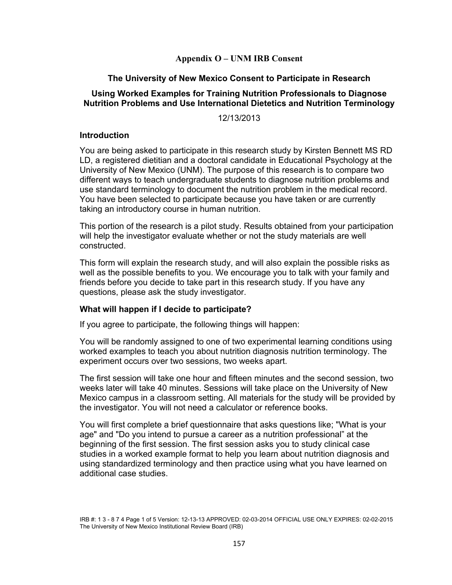# **Appendix O – UNM IRB Consent**

# **The University of New Mexico Consent to Participate in Research**

# **Using Worked Examples for Training Nutrition Professionals to Diagnose Nutrition Problems and Use International Dietetics and Nutrition Terminology**

12/13/2013

### **Introduction**

You are being asked to participate in this research study by Kirsten Bennett MS RD LD, a registered dietitian and a doctoral candidate in Educational Psychology at the University of New Mexico (UNM). The purpose of this research is to compare two different ways to teach undergraduate students to diagnose nutrition problems and use standard terminology to document the nutrition problem in the medical record. You have been selected to participate because you have taken or are currently taking an introductory course in human nutrition.

This portion of the research is a pilot study. Results obtained from your participation will help the investigator evaluate whether or not the study materials are well constructed.

This form will explain the research study, and will also explain the possible risks as well as the possible benefits to you. We encourage you to talk with your family and friends before you decide to take part in this research study. If you have any questions, please ask the study investigator.

### **What will happen if I decide to participate?**

If you agree to participate, the following things will happen:

You will be randomly assigned to one of two experimental learning conditions using worked examples to teach you about nutrition diagnosis nutrition terminology. The experiment occurs over two sessions, two weeks apart.

The first session will take one hour and fifteen minutes and the second session, two weeks later will take 40 minutes. Sessions will take place on the University of New Mexico campus in a classroom setting. All materials for the study will be provided by the investigator. You will not need a calculator or reference books.

You will first complete a brief questionnaire that asks questions like; "What is your age" and "Do you intend to pursue a career as a nutrition professional" at the beginning of the first session. The first session asks you to study clinical case studies in a worked example format to help you learn about nutrition diagnosis and using standardized terminology and then practice using what you have learned on additional case studies.

IRB #: 1 3 - 8 7 4 Page 1 of 5 Version: 12-13-13 APPROVED: 02-03-2014 OFFICIAL USE ONLY EXPIRES: 02-02-2015 The University of New Mexico Institutional Review Board (IRB)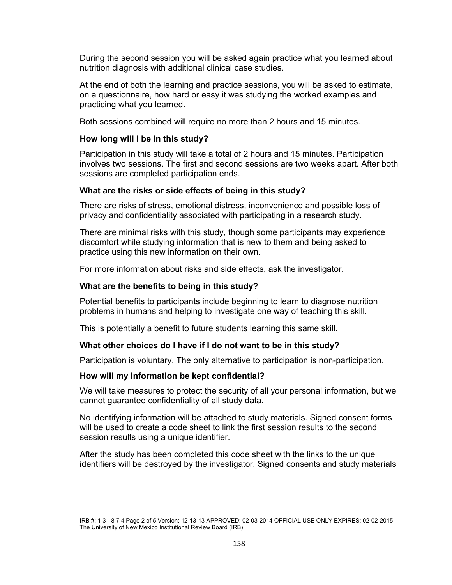During the second session you will be asked again practice what you learned about nutrition diagnosis with additional clinical case studies.

At the end of both the learning and practice sessions, you will be asked to estimate, on a questionnaire, how hard or easy it was studying the worked examples and practicing what you learned.

Both sessions combined will require no more than 2 hours and 15 minutes.

#### **How long will I be in this study?**

Participation in this study will take a total of 2 hours and 15 minutes. Participation involves two sessions. The first and second sessions are two weeks apart. After both sessions are completed participation ends.

#### **What are the risks or side effects of being in this study?**

There are risks of stress, emotional distress, inconvenience and possible loss of privacy and confidentiality associated with participating in a research study.

There are minimal risks with this study, though some participants may experience discomfort while studying information that is new to them and being asked to practice using this new information on their own.

For more information about risks and side effects, ask the investigator.

#### **What are the benefits to being in this study?**

Potential benefits to participants include beginning to learn to diagnose nutrition problems in humans and helping to investigate one way of teaching this skill.

This is potentially a benefit to future students learning this same skill.

#### **What other choices do I have if I do not want to be in this study?**

Participation is voluntary. The only alternative to participation is non-participation.

#### **How will my information be kept confidential?**

We will take measures to protect the security of all your personal information, but we cannot guarantee confidentiality of all study data.

No identifying information will be attached to study materials. Signed consent forms will be used to create a code sheet to link the first session results to the second session results using a unique identifier.

After the study has been completed this code sheet with the links to the unique identifiers will be destroyed by the investigator. Signed consents and study materials

IRB #: 1 3 - 8 7 4 Page 2 of 5 Version: 12-13-13 APPROVED: 02-03-2014 OFFICIAL USE ONLY EXPIRES: 02-02-2015 The University of New Mexico Institutional Review Board (IRB)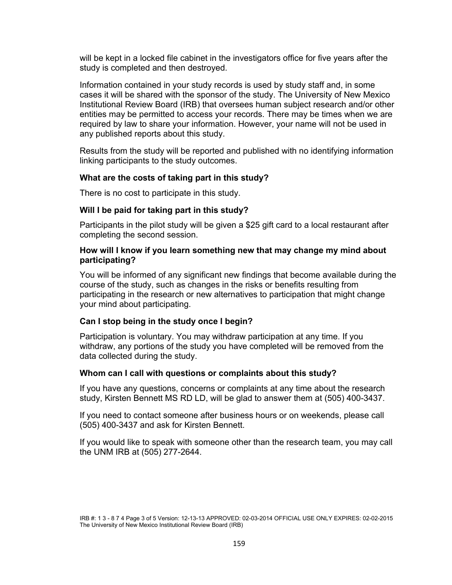will be kept in a locked file cabinet in the investigators office for five years after the study is completed and then destroyed.

Information contained in your study records is used by study staff and, in some cases it will be shared with the sponsor of the study. The University of New Mexico Institutional Review Board (IRB) that oversees human subject research and/or other entities may be permitted to access your records. There may be times when we are required by law to share your information. However, your name will not be used in any published reports about this study.

Results from the study will be reported and published with no identifying information linking participants to the study outcomes.

### **What are the costs of taking part in this study?**

There is no cost to participate in this study.

### **Will I be paid for taking part in this study?**

Participants in the pilot study will be given a \$25 gift card to a local restaurant after completing the second session.

### **How will I know if you learn something new that may change my mind about participating?**

You will be informed of any significant new findings that become available during the course of the study, such as changes in the risks or benefits resulting from participating in the research or new alternatives to participation that might change your mind about participating.

### **Can I stop being in the study once I begin?**

Participation is voluntary. You may withdraw participation at any time. If you withdraw, any portions of the study you have completed will be removed from the data collected during the study.

#### **Whom can I call with questions or complaints about this study?**

If you have any questions, concerns or complaints at any time about the research study, Kirsten Bennett MS RD LD, will be glad to answer them at (505) 400-3437.

If you need to contact someone after business hours or on weekends, please call (505) 400-3437 and ask for Kirsten Bennett.

If you would like to speak with someone other than the research team, you may call the UNM IRB at (505) 277-2644.

IRB #: 1 3 - 8 7 4 Page 3 of 5 Version: 12-13-13 APPROVED: 02-03-2014 OFFICIAL USE ONLY EXPIRES: 02-02-2015 The University of New Mexico Institutional Review Board (IRB)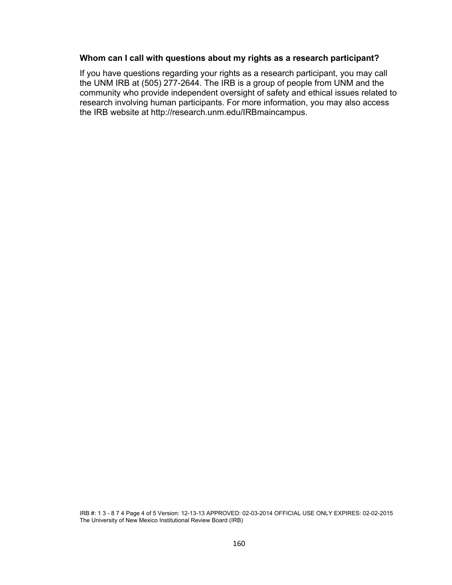### **Whom can I call with questions about my rights as a research participant?**

If you have questions regarding your rights as a research participant, you may call the UNM IRB at (505) 277-2644. The IRB is a group of people from UNM and the community who provide independent oversight of safety and ethical issues related to research involving human participants. For more information, you may also access the IRB website at http://research.unm.edu/IRBmaincampus.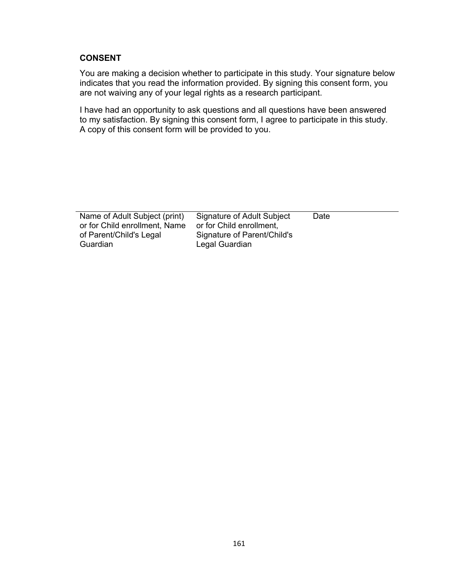# **CONSENT**

You are making a decision whether to participate in this study. Your signature below indicates that you read the information provided. By signing this consent form, you are not waiving any of your legal rights as a research participant.

I have had an opportunity to ask questions and all questions have been answered to my satisfaction. By signing this consent form, I agree to participate in this study. A copy of this consent form will be provided to you.

| Name of Adult Subject (print) | Signature of Adult Subject  | Date |
|-------------------------------|-----------------------------|------|
| or for Child enrollment, Name | or for Child enrollment.    |      |
| of Parent/Child's Legal       | Signature of Parent/Child's |      |
| Guardian                      | Legal Guardian              |      |
|                               |                             |      |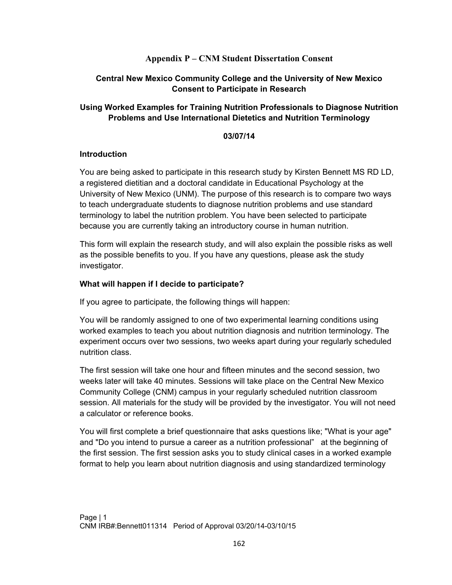# **Appendix P – CNM Student Dissertation Consent**

# **Central New Mexico Community College and the University of New Mexico Consent to Participate in Research**

# **Using Worked Examples for Training Nutrition Professionals to Diagnose Nutrition Problems and Use International Dietetics and Nutrition Terminology**

### **03/07/14**

### **Introduction**

You are being asked to participate in this research study by Kirsten Bennett MS RD LD, a registered dietitian and a doctoral candidate in Educational Psychology at the University of New Mexico (UNM). The purpose of this research is to compare two ways to teach undergraduate students to diagnose nutrition problems and use standard terminology to label the nutrition problem. You have been selected to participate because you are currently taking an introductory course in human nutrition.

This form will explain the research study, and will also explain the possible risks as well as the possible benefits to you. If you have any questions, please ask the study investigator.

### **What will happen if I decide to participate?**

If you agree to participate, the following things will happen:

You will be randomly assigned to one of two experimental learning conditions using worked examples to teach you about nutrition diagnosis and nutrition terminology. The experiment occurs over two sessions, two weeks apart during your regularly scheduled nutrition class.

The first session will take one hour and fifteen minutes and the second session, two weeks later will take 40 minutes. Sessions will take place on the Central New Mexico Community College (CNM) campus in your regularly scheduled nutrition classroom session. All materials for the study will be provided by the investigator. You will not need a calculator or reference books.

You will first complete a brief questionnaire that asks questions like; "What is your age" and "Do you intend to pursue a career as a nutrition professional" at the beginning of the first session. The first session asks you to study clinical cases in a worked example format to help you learn about nutrition diagnosis and using standardized terminology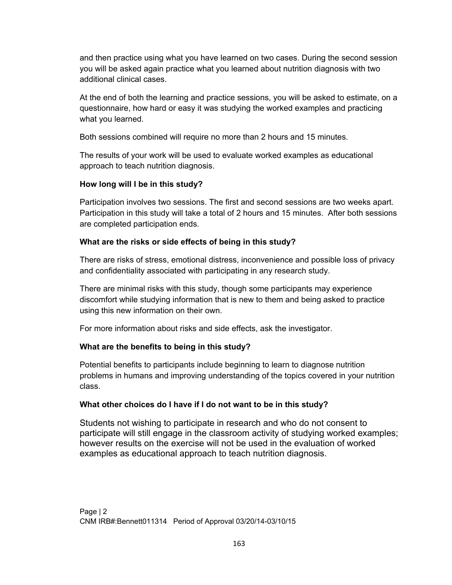and then practice using what you have learned on two cases. During the second session you will be asked again practice what you learned about nutrition diagnosis with two additional clinical cases.

At the end of both the learning and practice sessions, you will be asked to estimate, on a questionnaire, how hard or easy it was studying the worked examples and practicing what you learned.

Both sessions combined will require no more than 2 hours and 15 minutes.

The results of your work will be used to evaluate worked examples as educational approach to teach nutrition diagnosis.

# **How long will I be in this study?**

Participation involves two sessions. The first and second sessions are two weeks apart. Participation in this study will take a total of 2 hours and 15 minutes. After both sessions are completed participation ends.

# **What are the risks or side effects of being in this study?**

There are risks of stress, emotional distress, inconvenience and possible loss of privacy and confidentiality associated with participating in any research study.

There are minimal risks with this study, though some participants may experience discomfort while studying information that is new to them and being asked to practice using this new information on their own.

For more information about risks and side effects, ask the investigator.

# **What are the benefits to being in this study?**

Potential benefits to participants include beginning to learn to diagnose nutrition problems in humans and improving understanding of the topics covered in your nutrition class.

# **What other choices do I have if I do not want to be in this study?**

Students not wishing to participate in research and who do not consent to participate will still engage in the classroom activity of studying worked examples; however results on the exercise will not be used in the evaluation of worked examples as educational approach to teach nutrition diagnosis.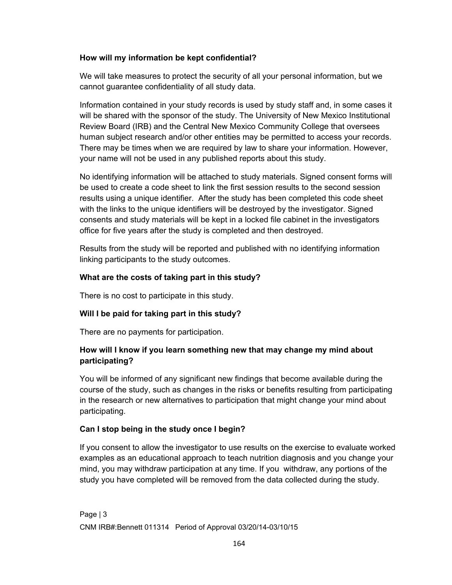# **How will my information be kept confidential?**

We will take measures to protect the security of all your personal information, but we cannot guarantee confidentiality of all study data.

Information contained in your study records is used by study staff and, in some cases it will be shared with the sponsor of the study. The University of New Mexico Institutional Review Board (IRB) and the Central New Mexico Community College that oversees human subject research and/or other entities may be permitted to access your records. There may be times when we are required by law to share your information. However, your name will not be used in any published reports about this study.

No identifying information will be attached to study materials. Signed consent forms will be used to create a code sheet to link the first session results to the second session results using a unique identifier. After the study has been completed this code sheet with the links to the unique identifiers will be destroyed by the investigator. Signed consents and study materials will be kept in a locked file cabinet in the investigators office for five years after the study is completed and then destroyed.

Results from the study will be reported and published with no identifying information linking participants to the study outcomes.

# **What are the costs of taking part in this study?**

There is no cost to participate in this study.

# **Will I be paid for taking part in this study?**

There are no payments for participation.

# **How will I know if you learn something new that may change my mind about participating?**

You will be informed of any significant new findings that become available during the course of the study, such as changes in the risks or benefits resulting from participating in the research or new alternatives to participation that might change your mind about participating.

# **Can I stop being in the study once I begin?**

If you consent to allow the investigator to use results on the exercise to evaluate worked examples as an educational approach to teach nutrition diagnosis and you change your mind, you may withdraw participation at any time. If you withdraw, any portions of the study you have completed will be removed from the data collected during the study.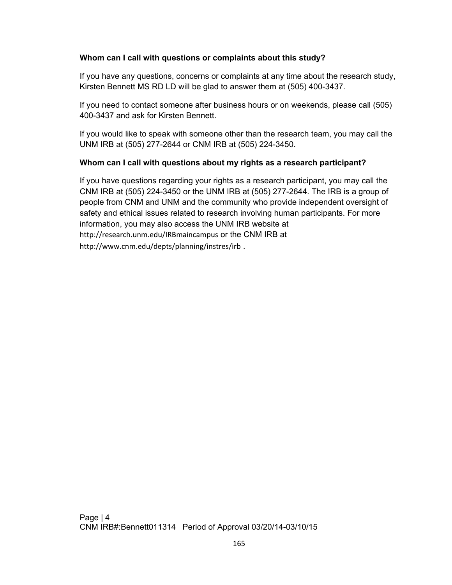# **Whom can I call with questions or complaints about this study?**

If you have any questions, concerns or complaints at any time about the research study, Kirsten Bennett MS RD LD will be glad to answer them at (505) 400-3437.

If you need to contact someone after business hours or on weekends, please call (505) 400-3437 and ask for Kirsten Bennett.

If you would like to speak with someone other than the research team, you may call the UNM IRB at (505) 277-2644 or CNM IRB at (505) 224-3450.

# **Whom can I call with questions about my rights as a research participant?**

If you have questions regarding your rights as a research participant, you may call the CNM IRB at (505) 224-3450 or the UNM IRB at (505) 277-2644. The IRB is a group of people from CNM and UNM and the community who provide independent oversight of safety and ethical issues related to research involving human participants. For more information, you may also access the UNM IRB website at http://research.unm.edu/IRBmaincampus or the CNM IRB at http://www.cnm.edu/depts/planning/instres/irb .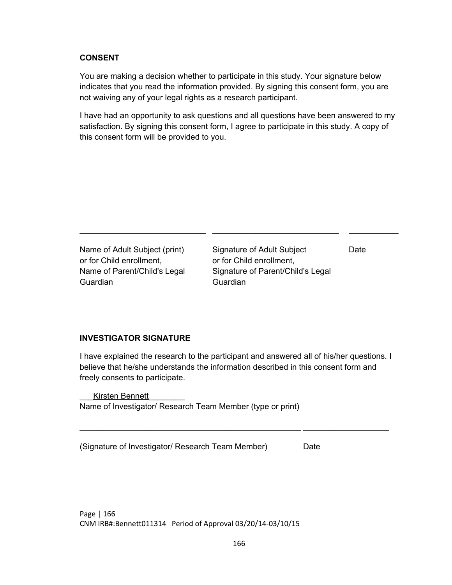### **CONSENT**

You are making a decision whether to participate in this study. Your signature below indicates that you read the information provided. By signing this consent form, you are not waiving any of your legal rights as a research participant.

I have had an opportunity to ask questions and all questions have been answered to my satisfaction. By signing this consent form, I agree to participate in this study. A copy of this consent form will be provided to you.

\_\_\_\_\_\_\_\_\_\_\_\_\_\_\_\_\_\_\_\_\_\_\_\_\_\_\_\_ \_\_\_\_\_\_\_\_\_\_\_\_\_\_\_\_\_\_\_\_\_\_\_\_\_\_\_\_ \_\_\_\_\_\_\_\_\_\_\_

Name of Adult Subject (print) or for Child enrollment, Name of Parent/Child's Legal Guardian

Signature of Adult Subject or for Child enrollment, Signature of Parent/Child's Legal Guardian

Date

# **INVESTIGATOR SIGNATURE**

I have explained the research to the participant and answered all of his/her questions. I believe that he/she understands the information described in this consent form and freely consents to participate.

\_\_\_\_\_\_\_\_\_\_\_\_\_\_\_\_\_\_\_\_\_\_\_\_\_\_\_\_\_\_\_\_\_\_\_\_\_\_\_\_\_\_\_\_\_\_\_\_\_ \_\_\_\_\_\_\_\_\_\_\_\_\_\_\_\_\_\_\_

Kirsten Bennett Name of Investigator/ Research Team Member (type or print)

(Signature of Investigator/ Research Team Member) Date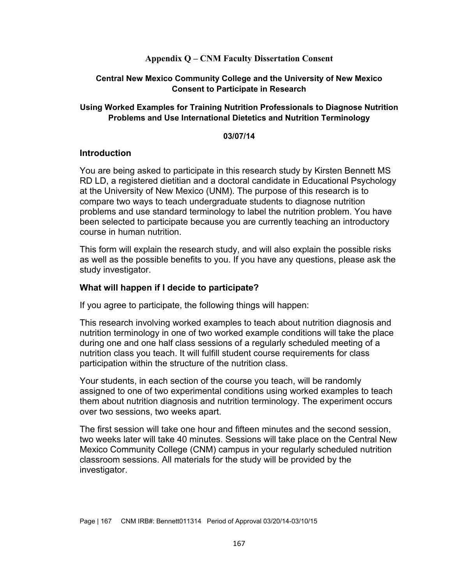### **Appendix Q – CNM Faculty Dissertation Consent**

### **Central New Mexico Community College and the University of New Mexico Consent to Participate in Research**

### **Using Worked Examples for Training Nutrition Professionals to Diagnose Nutrition Problems and Use International Dietetics and Nutrition Terminology**

#### **03/07/14**

#### **Introduction**

You are being asked to participate in this research study by Kirsten Bennett MS RD LD, a registered dietitian and a doctoral candidate in Educational Psychology at the University of New Mexico (UNM). The purpose of this research is to compare two ways to teach undergraduate students to diagnose nutrition problems and use standard terminology to label the nutrition problem. You have been selected to participate because you are currently teaching an introductory course in human nutrition.

This form will explain the research study, and will also explain the possible risks as well as the possible benefits to you. If you have any questions, please ask the study investigator.

### **What will happen if I decide to participate?**

If you agree to participate, the following things will happen:

This research involving worked examples to teach about nutrition diagnosis and nutrition terminology in one of two worked example conditions will take the place during one and one half class sessions of a regularly scheduled meeting of a nutrition class you teach. It will fulfill student course requirements for class participation within the structure of the nutrition class.

Your students, in each section of the course you teach, will be randomly assigned to one of two experimental conditions using worked examples to teach them about nutrition diagnosis and nutrition terminology. The experiment occurs over two sessions, two weeks apart.

The first session will take one hour and fifteen minutes and the second session, two weeks later will take 40 minutes. Sessions will take place on the Central New Mexico Community College (CNM) campus in your regularly scheduled nutrition classroom sessions. All materials for the study will be provided by the investigator.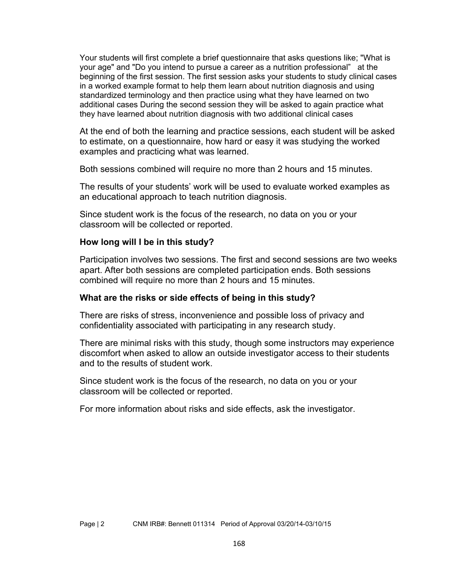Your students will first complete a brief questionnaire that asks questions like; "What is your age" and "Do you intend to pursue a career as a nutrition professional" at the beginning of the first session. The first session asks your students to study clinical cases in a worked example format to help them learn about nutrition diagnosis and using standardized terminology and then practice using what they have learned on two additional cases During the second session they will be asked to again practice what they have learned about nutrition diagnosis with two additional clinical cases

At the end of both the learning and practice sessions, each student will be asked to estimate, on a questionnaire, how hard or easy it was studying the worked examples and practicing what was learned.

Both sessions combined will require no more than 2 hours and 15 minutes.

The results of your students' work will be used to evaluate worked examples as an educational approach to teach nutrition diagnosis.

Since student work is the focus of the research, no data on you or your classroom will be collected or reported.

### **How long will I be in this study?**

Participation involves two sessions. The first and second sessions are two weeks apart. After both sessions are completed participation ends. Both sessions combined will require no more than 2 hours and 15 minutes.

# **What are the risks or side effects of being in this study?**

There are risks of stress, inconvenience and possible loss of privacy and confidentiality associated with participating in any research study.

There are minimal risks with this study, though some instructors may experience discomfort when asked to allow an outside investigator access to their students and to the results of student work.

Since student work is the focus of the research, no data on you or your classroom will be collected or reported.

For more information about risks and side effects, ask the investigator.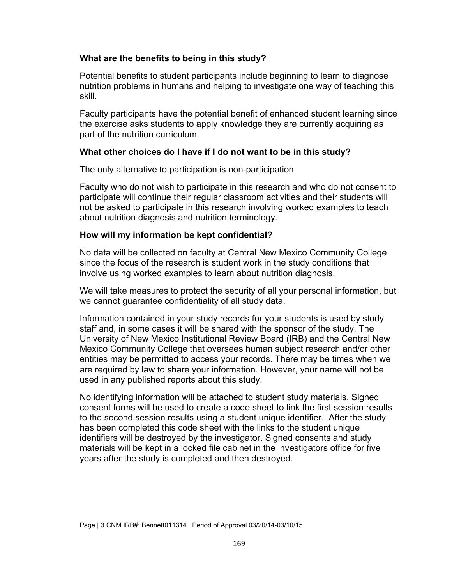### **What are the benefits to being in this study?**

Potential benefits to student participants include beginning to learn to diagnose nutrition problems in humans and helping to investigate one way of teaching this skill.

Faculty participants have the potential benefit of enhanced student learning since the exercise asks students to apply knowledge they are currently acquiring as part of the nutrition curriculum.

### **What other choices do I have if I do not want to be in this study?**

The only alternative to participation is non-participation

Faculty who do not wish to participate in this research and who do not consent to participate will continue their regular classroom activities and their students will not be asked to participate in this research involving worked examples to teach about nutrition diagnosis and nutrition terminology.

### **How will my information be kept confidential?**

No data will be collected on faculty at Central New Mexico Community College since the focus of the research is student work in the study conditions that involve using worked examples to learn about nutrition diagnosis.

We will take measures to protect the security of all your personal information, but we cannot guarantee confidentiality of all study data.

Information contained in your study records for your students is used by study staff and, in some cases it will be shared with the sponsor of the study. The University of New Mexico Institutional Review Board (IRB) and the Central New Mexico Community College that oversees human subject research and/or other entities may be permitted to access your records. There may be times when we are required by law to share your information. However, your name will not be used in any published reports about this study.

No identifying information will be attached to student study materials. Signed consent forms will be used to create a code sheet to link the first session results to the second session results using a student unique identifier. After the study has been completed this code sheet with the links to the student unique identifiers will be destroyed by the investigator. Signed consents and study materials will be kept in a locked file cabinet in the investigators office for five years after the study is completed and then destroyed.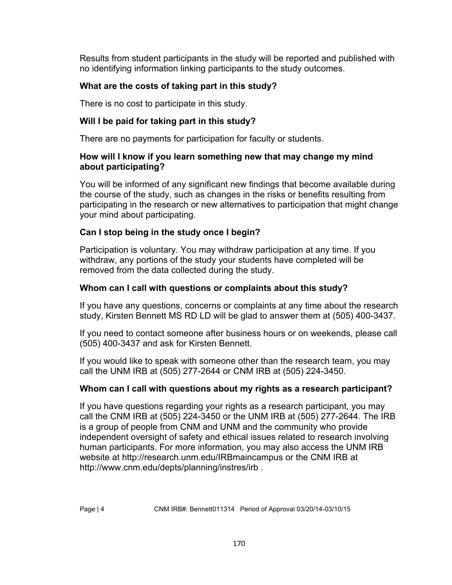Results from student participants in the study will be reported and published with no identifying information linking participants to the study outcomes.

# **What are the costs of taking part in this study?**

There is no cost to participate in this study.

# **Will I be paid for taking part in this study?**

There are no payments for participation for faculty or students.

# **How will I know if you learn something new that may change my mind about participating?**

You will be informed of any significant new findings that become available during the course of the study, such as changes in the risks or benefits resulting from participating in the research or new alternatives to participation that might change your mind about participating.

# **Can I stop being in the study once I begin?**

Participation is voluntary. You may withdraw participation at any time. If you withdraw, any portions of the study your students have completed will be removed from the data collected during the study.

# **Whom can I call with questions or complaints about this study?**

If you have any questions, concerns or complaints at any time about the research study, Kirsten Bennett MS RD LD will be glad to answer them at (505) 400-3437.

If you need to contact someone after business hours or on weekends, please call (505) 400-3437 and ask for Kirsten Bennett.

If you would like to speak with someone other than the research team, you may call the UNM IRB at (505) 277-2644 or CNM IRB at (505) 224-3450.

# **Whom can I call with questions about my rights as a research participant?**

If you have questions regarding your rights as a research participant, you may call the CNM IRB at (505) 224-3450 or the UNM IRB at (505) 277-2644. The IRB is a group of people from CNM and UNM and the community who provide independent oversight of safety and ethical issues related to research involving human participants. For more information, you may also access the UNM IRB website at http://research.unm.edu/IRBmaincampus or the CNM IRB at http://www.cnm.edu/depts/planning/instres/irb .

Page | 4 CNM IRB#: Bennett011314 Period of Approval 03/20/14-03/10/15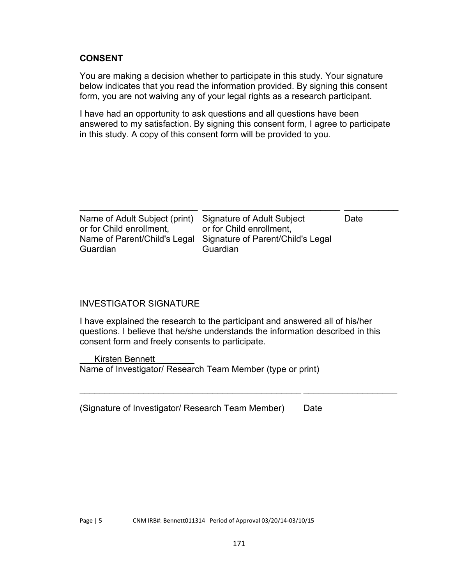# **CONSENT**

You are making a decision whether to participate in this study. Your signature below indicates that you read the information provided. By signing this consent form, you are not waiving any of your legal rights as a research participant.

I have had an opportunity to ask questions and all questions have been answered to my satisfaction. By signing this consent form, I agree to participate in this study. A copy of this consent form will be provided to you.

| Name of Adult Subject (print)<br>Signature of Adult Subject<br>Date                       |                          |                          |  |
|-------------------------------------------------------------------------------------------|--------------------------|--------------------------|--|
| Signature of Parent/Child's Legal<br>Name of Parent/Child's Legal<br>Guardian<br>Guardian | or for Child enrollment, | or for Child enrollment. |  |

### INVESTIGATOR SIGNATURE

I have explained the research to the participant and answered all of his/her questions. I believe that he/she understands the information described in this consent form and freely consents to participate.

 $\mathcal{L}_\text{max} = \frac{1}{2} \sum_{i=1}^n \mathcal{L}_\text{max}(\mathbf{z}_i - \mathbf{z}_i)$ 

Kirsten Bennett Name of Investigator/ Research Team Member (type or print)

(Signature of Investigator/ Research Team Member) Date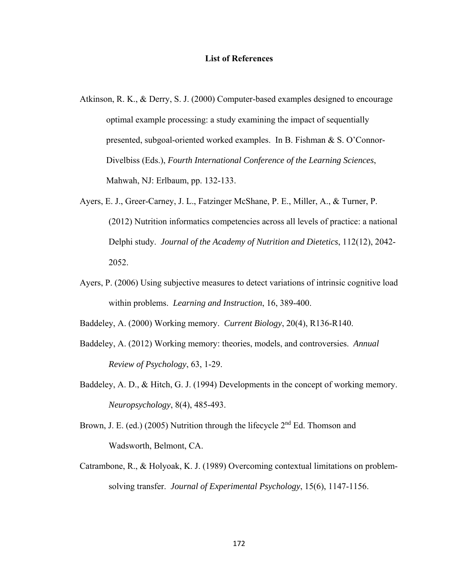#### **List of References**

- Atkinson, R. K., & Derry, S. J. (2000) Computer-based examples designed to encourage optimal example processing: a study examining the impact of sequentially presented, subgoal-oriented worked examples. In B. Fishman & S. O'Connor-Divelbiss (Eds.), *Fourth International Conference of the Learning Sciences*, Mahwah, NJ: Erlbaum, pp. 132-133.
- Ayers, E. J., Greer-Carney, J. L., Fatzinger McShane, P. E., Miller, A., & Turner, P. (2012) Nutrition informatics competencies across all levels of practice: a national Delphi study. *Journal of the Academy of Nutrition and Dietetics*, 112(12), 2042- 2052.
- Ayers, P. (2006) Using subjective measures to detect variations of intrinsic cognitive load within problems. *Learning and Instruction*, 16, 389-400.

Baddeley, A. (2000) Working memory. *Current Biology*, 20(4), R136-R140.

- Baddeley, A. (2012) Working memory: theories, models, and controversies. *Annual Review of Psychology*, 63, 1-29.
- Baddeley, A. D., & Hitch, G. J. (1994) Developments in the concept of working memory. *Neuropsychology*, 8(4), 485-493.
- Brown, J. E. (ed.) (2005) Nutrition through the lifecycle  $2<sup>nd</sup> Ed$ . Thomson and Wadsworth, Belmont, CA.
- Catrambone, R., & Holyoak, K. J. (1989) Overcoming contextual limitations on problemsolving transfer. *Journal of Experimental Psychology*, 15(6), 1147-1156.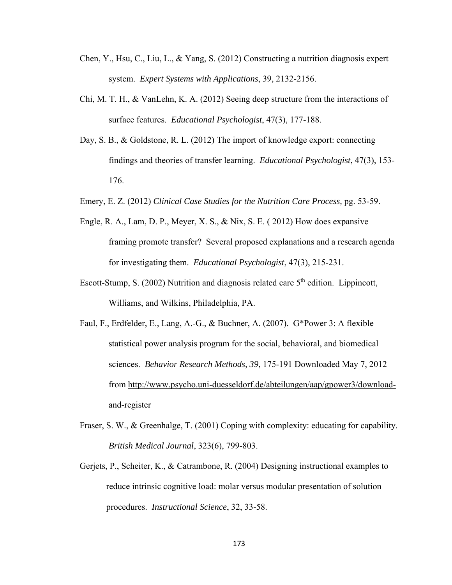- Chen, Y., Hsu, C., Liu, L., & Yang, S. (2012) Constructing a nutrition diagnosis expert system. *Expert Systems with Applications*, 39, 2132-2156.
- Chi, M. T. H., & VanLehn, K. A. (2012) Seeing deep structure from the interactions of surface features. *Educational Psychologist*, 47(3), 177-188.
- Day, S. B., & Goldstone, R. L. (2012) The import of knowledge export: connecting findings and theories of transfer learning. *Educational Psychologist*, 47(3), 153- 176.
- Emery, E. Z. (2012) *Clinical Case Studies for the Nutrition Care Process,* pg. 53-59.
- Engle, R. A., Lam, D. P., Meyer, X. S., & Nix, S. E. ( 2012) How does expansive framing promote transfer? Several proposed explanations and a research agenda for investigating them. *Educational Psychologist*, 47(3), 215-231.
- Escott-Stump, S. (2002) Nutrition and diagnosis related care  $5<sup>th</sup>$  edition. Lippincott, Williams, and Wilkins, Philadelphia, PA.
- Faul, F., Erdfelder, E., Lang, A.-G., & Buchner, A. (2007). G\*Power 3: A flexible statistical power analysis program for the social, behavioral, and biomedical sciences. *Behavior Research Methods, 39*, 175-191 Downloaded May 7, 2012 from http://www.psycho.uni-duesseldorf.de/abteilungen/aap/gpower3/downloadand-register
- Fraser, S. W., & Greenhalge, T. (2001) Coping with complexity: educating for capability. *British Medical Journal*, 323(6), 799-803.
- Gerjets, P., Scheiter, K., & Catrambone, R. (2004) Designing instructional examples to reduce intrinsic cognitive load: molar versus modular presentation of solution procedures. *Instructional Science*, 32, 33-58.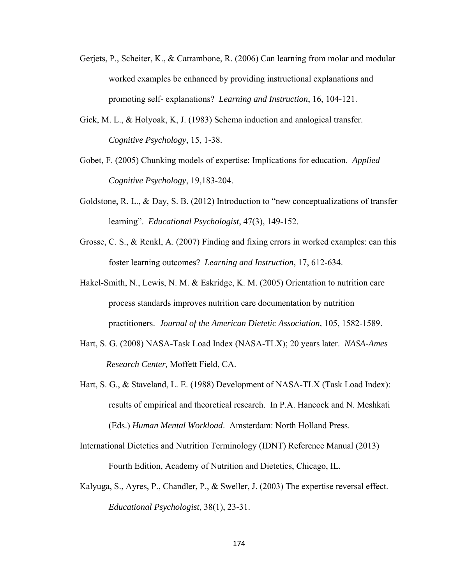- Gerjets, P., Scheiter, K., & Catrambone, R. (2006) Can learning from molar and modular worked examples be enhanced by providing instructional explanations and promoting self- explanations? *Learning and Instruction*, 16, 104-121.
- Gick, M. L., & Holyoak, K, J. (1983) Schema induction and analogical transfer. *Cognitive Psychology*, 15, 1-38.
- Gobet, F. (2005) Chunking models of expertise: Implications for education. *Applied Cognitive Psychology*, 19,183-204.
- Goldstone, R. L., & Day, S. B. (2012) Introduction to "new conceptualizations of transfer learning". *Educational Psychologist*, 47(3), 149-152.
- Grosse, C. S., & Renkl, A. (2007) Finding and fixing errors in worked examples: can this foster learning outcomes? *Learning and Instruction*, 17, 612-634.
- Hakel-Smith, N., Lewis, N. M. & Eskridge, K. M. (2005) Orientation to nutrition care process standards improves nutrition care documentation by nutrition practitioners. *Journal of the American Dietetic Association,* 105, 1582-1589.
- Hart, S. G. (2008) NASA-Task Load Index (NASA-TLX); 20 years later. *NASA-Ames Research Center,* Moffett Field, CA.
- Hart, S. G., & Staveland, L. E. (1988) Development of NASA-TLX (Task Load Index): results of empirical and theoretical research. In P.A. Hancock and N. Meshkati (Eds.) *Human Mental Workload*. Amsterdam: North Holland Press.
- International Dietetics and Nutrition Terminology (IDNT) Reference Manual (2013) Fourth Edition, Academy of Nutrition and Dietetics, Chicago, IL.
- Kalyuga, S., Ayres, P., Chandler, P., & Sweller, J. (2003) The expertise reversal effect. *Educational Psychologist*, 38(1), 23-31.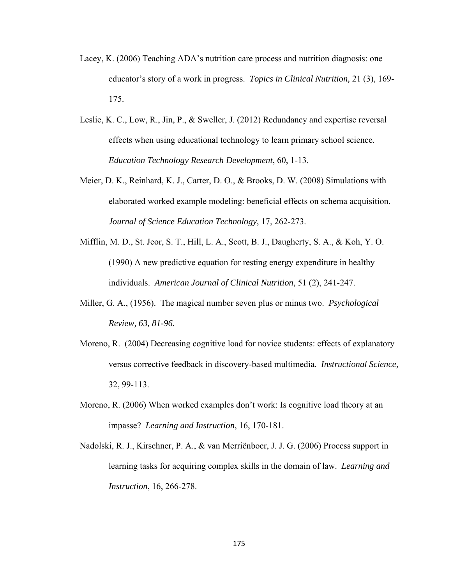- Lacey, K. (2006) Teaching ADA's nutrition care process and nutrition diagnosis: one educator's story of a work in progress. *Topics in Clinical Nutrition,* 21 (3), 169- 175.
- Leslie, K. C., Low, R., Jin, P., & Sweller, J. (2012) Redundancy and expertise reversal effects when using educational technology to learn primary school science. *Education Technology Research Development*, 60, 1-13.
- Meier, D. K., Reinhard, K. J., Carter, D. O., & Brooks, D. W. (2008) Simulations with elaborated worked example modeling: beneficial effects on schema acquisition. *Journal of Science Education Technology*, 17, 262-273.
- Mifflin, M. D., St. Jeor, S. T., Hill, L. A., Scott, B. J., Daugherty, S. A., & Koh, Y. O. (1990) A new predictive equation for resting energy expenditure in healthy individuals. *American Journal of Clinical Nutrition*, 51 (2), 241-247.
- Miller, G. A., (1956). The magical number seven plus or minus two. *Psychological Review, 63, 81-96.*
- Moreno, R. (2004) Decreasing cognitive load for novice students: effects of explanatory versus corrective feedback in discovery-based multimedia. *Instructional Science,* 32, 99-113.
- Moreno, R. (2006) When worked examples don't work: Is cognitive load theory at an impasse? *Learning and Instruction*, 16, 170-181.
- Nadolski, R. J., Kirschner, P. A., & van Merriënboer, J. J. G. (2006) Process support in learning tasks for acquiring complex skills in the domain of law. *Learning and Instruction*, 16, 266-278.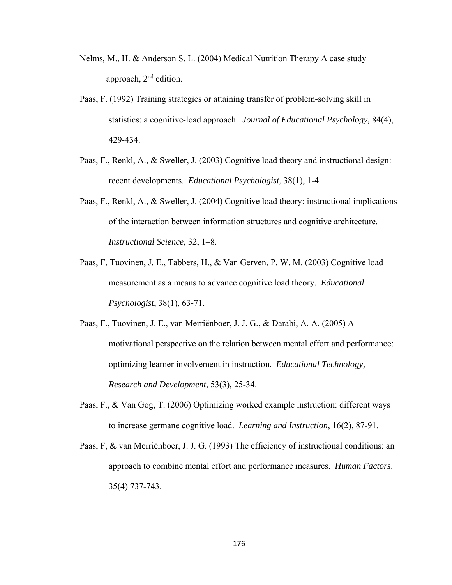- Nelms, M., H. & Anderson S. L. (2004) Medical Nutrition Therapy A case study approach, 2nd edition.
- Paas, F. (1992) Training strategies or attaining transfer of problem-solving skill in statistics: a cognitive-load approach. *Journal of Educational Psychology,* 84(4), 429-434.
- Paas, F., Renkl, A., & Sweller, J. (2003) Cognitive load theory and instructional design: recent developments. *Educational Psychologist*, 38(1), 1-4.
- Paas, F., Renkl, A., & Sweller, J. (2004) Cognitive load theory: instructional implications of the interaction between information structures and cognitive architecture. *Instructional Science*, 32, 1–8.
- Paas, F, Tuovinen, J. E., Tabbers, H., & Van Gerven, P. W. M. (2003) Cognitive load measurement as a means to advance cognitive load theory. *Educational Psychologist*, 38(1), 63-71.
- Paas, F., Tuovinen, J. E., van Merriënboer, J. J. G., & Darabi, A. A. (2005) A motivational perspective on the relation between mental effort and performance: optimizing learner involvement in instruction. *Educational Technology, Research and Development*, 53(3), 25-34.
- Paas, F., & Van Gog, T. (2006) Optimizing worked example instruction: different ways to increase germane cognitive load. *Learning and Instruction*, 16(2), 87-91.
- Paas, F, & van Merriënboer, J. J. G. (1993) The efficiency of instructional conditions: an approach to combine mental effort and performance measures. *Human Factors,* 35(4) 737-743.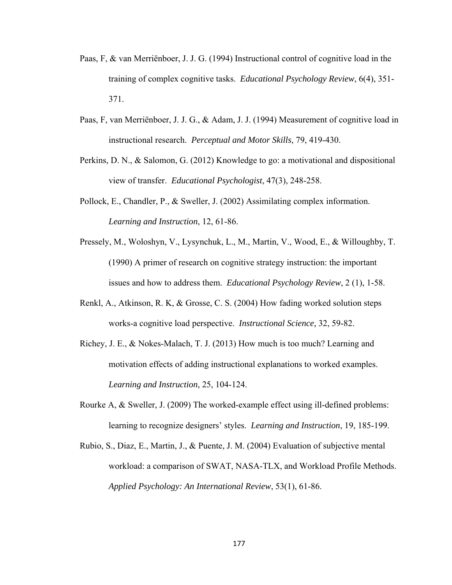- Paas, F, & van Merriënboer, J. J. G. (1994) Instructional control of cognitive load in the training of complex cognitive tasks. *Educational Psychology Review*, 6(4), 351- 371.
- Paas, F, van Merriënboer, J. J. G., & Adam, J. J. (1994) Measurement of cognitive load in instructional research. *Perceptual and Motor Skills*, 79, 419-430.
- Perkins, D. N., & Salomon, G. (2012) Knowledge to go: a motivational and dispositional view of transfer. *Educational Psychologist*, 47(3), 248-258.
- Pollock, E., Chandler, P., & Sweller, J. (2002) Assimilating complex information. *Learning and Instruction*, 12, 61-86.
- Pressely, M., Woloshyn, V., Lysynchuk, L., M., Martin, V., Wood, E., & Willoughby, T. (1990) A primer of research on cognitive strategy instruction: the important issues and how to address them. *Educational Psychology Review*, 2 (1), 1-58.
- Renkl, A., Atkinson, R. K, & Grosse, C. S. (2004) How fading worked solution steps works-a cognitive load perspective. *Instructional Science,* 32, 59-82.
- Richey, J. E., & Nokes-Malach, T. J. (2013) How much is too much? Learning and motivation effects of adding instructional explanations to worked examples. *Learning and Instruction*, 25, 104-124.
- Rourke A, & Sweller, J. (2009) The worked-example effect using ill-defined problems: learning to recognize designers' styles. *Learning and Instruction*, 19, 185-199.
- Rubio, S., Diaz, E., Martin, J., & Puente, J. M. (2004) Evaluation of subjective mental workload: a comparison of SWAT, NASA-TLX, and Workload Profile Methods. *Applied Psychology: An International Review*, 53(1), 61-86.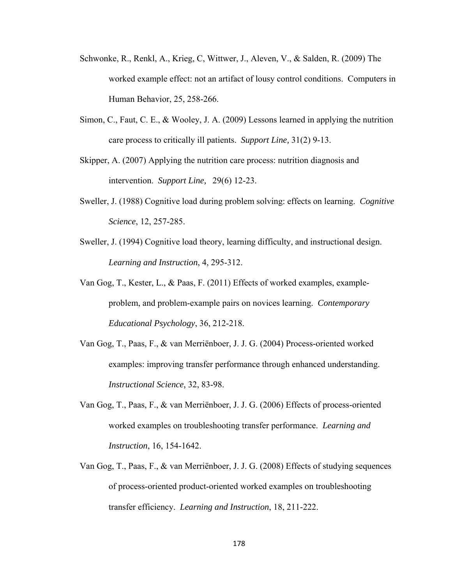- Schwonke, R., Renkl, A., Krieg, C, Wittwer, J., Aleven, V., & Salden, R. (2009) The worked example effect: not an artifact of lousy control conditions. Computers in Human Behavior, 25, 258-266.
- Simon, C., Faut, C. E., & Wooley, J. A. (2009) Lessons learned in applying the nutrition care process to critically ill patients. *Support Line,* 31(2) 9-13.
- Skipper, A. (2007) Applying the nutrition care process: nutrition diagnosis and intervention. *Support Line,* 29(6) 12-23.
- Sweller, J. (1988) Cognitive load during problem solving: effects on learning. *Cognitive Science*, 12, 257-285.
- Sweller, J. (1994) Cognitive load theory, learning difficulty, and instructional design. *Learning and Instruction*, 4, 295-312.
- Van Gog, T., Kester, L., & Paas, F. (2011) Effects of worked examples, exampleproblem, and problem-example pairs on novices learning. *Contemporary Educational Psychology*, 36, 212-218.
- Van Gog, T., Paas, F., & van Merriënboer, J. J. G. (2004) Process-oriented worked examples: improving transfer performance through enhanced understanding. *Instructional Science,* 32, 83-98.
- Van Gog, T., Paas, F., & van Merriënboer, J. J. G. (2006) Effects of process-oriented worked examples on troubleshooting transfer performance. *Learning and Instruction*, 16, 154-1642.
- Van Gog, T., Paas, F., & van Merriënboer, J. J. G. (2008) Effects of studying sequences of process-oriented product-oriented worked examples on troubleshooting transfer efficiency. *Learning and Instruction*, 18, 211-222.